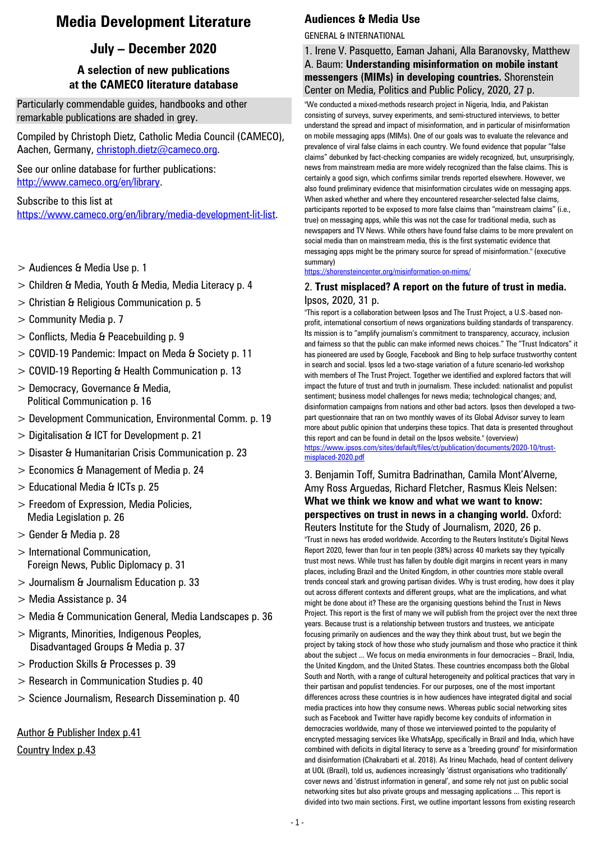## **Media Development Literature**

### **July – December 2020**

### **A selection of new publications at the CAMECO literature database**

Particularly commendable guides, handbooks and other remarkable publications are shaded in grey.

Compiled by Christoph Dietz, Catholic Media Council (CAMECO), Aachen, Germany[, christoph.dietz@cameco.org.](file://10.2.1.4/AltesSYS/FAUSTDOK/christoph.dietz@cameco.org)

See our online database for further publications: [http://www.cameco.org/en/library.](http://www.cameco.org/en/library)

Subscribe to this list at [https://www.cameco.org/en/library/media-development-lit-list.](https://www.cameco.org/en/library/media-development-lit-list)

- > Audiences & Media Use p. 1
- > Children & Media, Youth & Media, Media Literacy p. 4
- > Christian & Religious Communication p. 5
- > Community Media p. 7
- > Conflicts, Media & Peacebuilding p. 9
- > COVID-19 Pandemic: Impact on Meda & Society p. 11
- > COVID-19 Reporting & Health Communication p. 13
- > Democracy, Governance & Media, Political Communication p. 16
- > Development Communication, Environmental Comm. p. 19
- > Digitalisation & ICT for Development p. 21
- > Disaster & Humanitarian Crisis Communication p. 23
- > Economics & Management of Media p. 24
- > Educational Media & ICTs p. 25
- > Freedom of Expression, Media Policies, Media Legislation p. 26
- > Gender & Media p. 28
- > International Communication, Foreign News, Public Diplomacy p. 31
- > Journalism & Journalism Education p. 33
- > Media Assistance p. 34
- > Media & Communication General, Media Landscapes p. 36
- > Migrants, Minorities, Indigenous Peoples, Disadvantaged Groups & Media p. 37
- > Production Skills & Processes p. 39
- > Research in Communication Studies p. 40
- > Science Journalism, Research Dissemination p. 40

Author & Publisher Index p.41

Country Index p.43

### **Audiences & Media Use**

GENERAL & INTERNATIONAL

1. Irene V. Pasquetto, Eaman Jahani, Alla Baranovsky, Matthew A. Baum: **Understanding misinformation on mobile instant messengers (MIMs) in developing countries.** Shorenstein Center on Media, Politics and Public Policy, 2020, 27 p.

"We conducted a mixed-methods research project in Nigeria, India, and Pakistan consisting of surveys, survey experiments, and semi-structured interviews, to better understand the spread and impact of misinformation, and in particular of misinformation on mobile messaging apps (MIMs). One of our goals was to evaluate the relevance and prevalence of viral false claims in each country. We found evidence that popular "false claims" debunked by fact-checking companies are widely recognized, but, unsurprisingly, news from mainstream media are more widely recognized than the false claims. This is certainly a good sign, which confirms similar trends reported elsewhere. However, we also found preliminary evidence that misinformation circulates wide on messaging apps. When asked whether and where they encountered researcher-selected false claims, participants reported to be exposed to more false claims than "mainstream claims" (i.e., true) on messaging apps, while this was not the case for traditional media, such as newspapers and TV News. While others have found false claims to be more prevalent on social media than on mainstream media, this is the first systematic evidence that messaging apps might be the primary source for spread of misinformation." (executive summary)

#### <https://shorensteincenter.org/misinformation-on-mims/>

#### 2. **Trust misplaced? A report on the future of trust in media.**  Ipsos, 2020, 31 p.

"This report is a collaboration between Ipsos and The Trust Project, a U.S.-based nonprofit, international consortium of news organizations building standards of transparency. Its mission is to "amplify journalism's commitment to transparency, accuracy, inclusion and fairness so that the public can make informed news choices." The "Trust Indicators" it has pioneered are used by Google, Facebook and Bing to help surface trustworthy content in search and social. Ipsos led a two-stage variation of a future scenario-led workshop with members of The Trust Project. Together we identified and explored factors that will impact the future of trust and truth in journalism. These included: nationalist and populist sentiment; business model challenges for news media; technological changes; and, disinformation campaigns from nations and other bad actors. Ipsos then developed a twopart questionnaire that ran on two monthly waves of its Global Advisor survey to learn more about public opinion that underpins these topics. That data is presented throughout this report and can be found in detail on the Ipsos website." (overview) [https://www.ipsos.com/sites/default/files/ct/publication/documents/2020-10/trust](https://www.ipsos.com/sites/default/files/ct/publication/documents/2020-10/trust-misplaced-2020.pdf)[misplaced-2020.pdf](https://www.ipsos.com/sites/default/files/ct/publication/documents/2020-10/trust-misplaced-2020.pdf)

### 3. Benjamin Toff, Sumitra Badrinathan, Camila Mont'Alverne, Amy Ross Arguedas, Richard Fletcher, Rasmus Kleis Nelsen: **What we think we know and what we want to know: perspectives on trust in news in a changing world.** Oxford: Reuters Institute for the Study of Journalism, 2020, 26 p.

"Trust in news has eroded worldwide. According to the Reuters Institute's Digital News Report 2020, fewer than four in ten people (38%) across 40 markets say they typically trust most news. While trust has fallen by double digit margins in recent years in many places, including Brazil and the United Kingdom, in other countries more stable overall trends conceal stark and growing partisan divides. Why is trust eroding, how does it play out across different contexts and different groups, what are the implications, and what might be done about it? These are the organising questions behind the Trust in News Project. This report is the first of many we will publish from the project over the next three years. Because trust is a relationship between trustors and trustees, we anticipate focusing primarily on audiences and the way they think about trust, but we begin the project by taking stock of how those who study journalism and those who practice it think about the subject ... We focus on media environments in four democracies – Brazil, India, the United Kingdom, and the United States. These countries encompass both the Global South and North, with a range of cultural heterogeneity and political practices that vary in their partisan and populist tendencies. For our purposes, one of the most important differences across these countries is in how audiences have integrated digital and social media practices into how they consume news. Whereas public social networking sites such as Facebook and Twitter have rapidly become key conduits of information in democracies worldwide, many of those we interviewed pointed to the popularity of encrypted messaging services like WhatsApp, specifically in Brazil and India, which have combined with deficits in digital literacy to serve as a 'breeding ground' for misinformation and disinformation (Chakrabarti et al. 2018). As Irineu Machado, head of content delivery at UOL (Brazil), told us, audiences increasingly 'distrust organisations who traditionally' cover news and 'distrust information in general', and some rely not just on public social networking sites but also private groups and messaging applications ... This report is divided into two main sections. First, we outline important lessons from existing research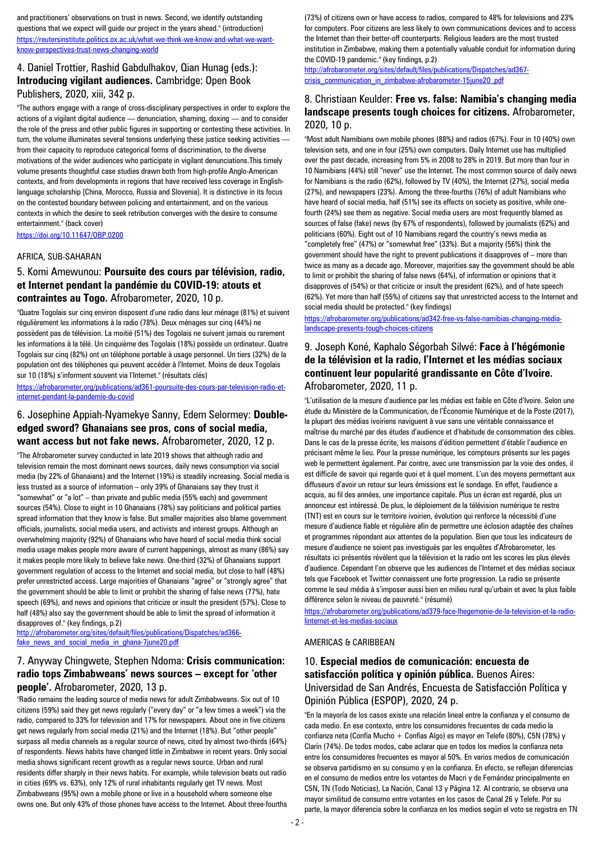and practitioners' observations on trust in news. Second, we identify outstanding questions that we expect will guide our project in the years ahead." (introduction) [https://reutersinstitute.politics.ox.ac.uk/what-we-think-we-know-and-what-we-want](https://reutersinstitute.politics.ox.ac.uk/what-we-think-we-know-and-what-we-want-know-perspectives-trust-news-changing-world)[know-perspectives-trust-news-changing-world](https://reutersinstitute.politics.ox.ac.uk/what-we-think-we-know-and-what-we-want-know-perspectives-trust-news-changing-world)

#### 4. Daniel Trottier, Rashid Gabdulhakov, Qian Hunag (eds.): **Introducing vigilant audiences.** Cambridge: Open Book Publishers, 2020, xiii, 342 p.

"The authors engage with a range of cross-disciplinary perspectives in order to explore the actions of a vigilant digital audience — denunciation, shaming, doxing — and to consider the role of the press and other public figures in supporting or contesting these activities. In turn, the volume illuminates several tensions underlying these justice seeking activities from their capacity to reproduce categorical forms of discrimination, to the diverse motivations of the wider audiences who participate in vigilant denunciations.This timely volume presents thoughtful case studies drawn both from high-profile Anglo-American contexts, and from developments in regions that have received less coverage in Englishlanguage scholarship [China, Morocco, Russia and Slovenia]. It is distinctive in its focus on the contested boundary between policing and entertainment, and on the various contexts in which the desire to seek retribution converges with the desire to consume entertainment." (back cover)

<https://doi.org/10.11647/OBP.0200>

#### AFRICA, SUB-SAHARAN

#### 5. Komi Amewunou: **Poursuite des cours par télévision, radio, et Internet pendant la pandémie du COVID-19: atouts et contraintes au Togo.** Afrobarometer, 2020, 10 p.

"Quatre Togolais sur cinq environ disposent d'une radio dans leur ménage (81%) et suivent régulièrement les informations à la radio (78%). Deux ménages sur cinq (44%) ne possèdent pas de télévision. La moitié (51%) des Togolais ne suivent jamais ou rarement les informations à la télé. Un cinquième des Togolais (18%) possède un ordinateur. Quatre Togolais sur cinq (82%) ont un téléphone portable à usage personnel. Un tiers (32%) de la population ont des téléphones qui peuvent accéder à l'Internet. Moins de deux Togolais sur 10 (18%) s'informent souvent via l'Internet." (résultats clés)

[https://afrobarometer.org/publications/ad361-poursuite-des-cours-par-television-radio-et](https://afrobarometer.org/publications/ad361-poursuite-des-cours-par-television-radio-et-internet-pendant-la-pandemie-du-covid)[internet-pendant-la-pandemie-du-covid](https://afrobarometer.org/publications/ad361-poursuite-des-cours-par-television-radio-et-internet-pendant-la-pandemie-du-covid)

#### 6. Josephine Appiah-Nyamekye Sanny, Edem Selormey: **Doubleedged sword? Ghanaians see pros, cons of social media, want access but not fake news.** Afrobarometer, 2020, 12 p.

"The Afrobarometer survey conducted in late 2019 shows that although radio and television remain the most dominant news sources, daily news consumption via social media (by 22% of Ghanaians) and the Internet (19%) is steadily increasing. Social media is less trusted as a source of information – only 39% of Ghanaians say they trust it "somewhat" or "a lot" – than private and public media (55% each) and government sources (54%). Close to eight in 10 Ghanaians (78%) say politicians and political parties spread information that they know is false. But smaller majorities also blame government officials, journalists, social media users, and activists and interest groups. Although an overwhelming majority (92%) of Ghanaians who have heard of social media think social media usage makes people more aware of current happenings, almost as many (86%) say it makes people more likely to believe fake news. One-third (32%) of Ghanaians support government regulation of access to the Internet and social media, but close to half (48%) prefer unrestricted access. Large majorities of Ghanaians "agree" or "strongly agree" that the government should be able to limit or prohibit the sharing of false news (77%), hate speech (69%), and news and opinions that criticize or insult the president (57%). Close to half (48%) also say the government should be able to limit the spread of information it disapproves of." (key findings, p.2)

[http://afrobarometer.org/sites/default/files/publications/Dispatches/ad366](http://afrobarometer.org/sites/default/files/publications/Dispatches/ad366-fake_news_and_social_media_in_ghana-7june20.pdf) [fake\\_news\\_and\\_social\\_media\\_in\\_ghana-7june20.pdf](http://afrobarometer.org/sites/default/files/publications/Dispatches/ad366-fake_news_and_social_media_in_ghana-7june20.pdf)

#### 7. Anyway Chingwete, Stephen Ndoma: **Crisis communication: radio tops Zimbabweans' news sources – except for 'other people'.** Afrobarometer, 2020, 13 p.

"Radio remains the leading source of media news for adult Zimbabweans. Six out of 10 citizens (59%) said they get news regularly ("every day" or "a few times a week") via the radio, compared to 33% for television and 17% for newspapers. About one in five citizens get news regularly from social media (21%) and the Internet (18%). But "other people" surpass all media channels as a regular source of news, cited by almost two-thirds (64%) of respondents. News habits have changed little in Zimbabwe in recent years. Only social media shows significant recent growth as a regular news source. Urban and rural residents differ sharply in their news habits. For example, while television beats out radio in cities (69% vs. 63%), only 12% of rural inhabitants regularly get TV news. Most Zimbabweans (95%) own a mobile phone or live in a household where someone else owns one. But only 43% of those phones have access to the Internet. About three-fourths

(73%) of citizens own or have access to radios, compared to 48% for televisions and 23% for computers. Poor citizens are less likely to own communications devices and to access the Internet than their better-off counterparts. Religious leaders are the most trusted institution in Zimbabwe, making them a potentially valuable conduit for information during the COVID-19 pandemic." (key findings, p.2)

[http://afrobarometer.org/sites/default/files/publications/Dispatches/ad367](http://afrobarometer.org/sites/default/files/publications/Dispatches/ad367-crisis_communication_in_zimbabwe-afrobarometer-15june20%20.pdf) [crisis\\_communication\\_in\\_zimbabwe-afrobarometer-15june20 .pdf](http://afrobarometer.org/sites/default/files/publications/Dispatches/ad367-crisis_communication_in_zimbabwe-afrobarometer-15june20%20.pdf)

### 8. Christiaan Keulder: **Free vs. false: Namibia's changing media landscape presents tough choices for citizens.** Afrobarometer, 2020, 10 p.

"Most adult Namibians own mobile phones (88%) and radios (67%). Four in 10 (40%) own television sets, and one in four (25%) own computers. Daily Internet use has multiplied over the past decade, increasing from 5% in 2008 to 28% in 2019. But more than four in 10 Namibians (44%) still "never" use the Internet. The most common source of daily news for Namibians is the radio (62%), followed by TV (40%), the Internet (27%), social media (27%), and newspapers (23%). Among the three-fourths (76%) of adult Namibians who have heard of social media, half (51%) see its effects on society as positive, while onefourth (24%) see them as negative. Social media users are most frequently blamed as sources of false (fake) news (by 67% of respondents), followed by journalists (62%) and politicians (60%). Eight out of 10 Namibians regard the country's news media as "completely free" (47%) or "somewhat free" (33%). But a majority (56%) think the government should have the right to prevent publications it disapproves of – more than twice as many as a decade ago. Moreover, majorities say the government should be able to limit or prohibit the sharing of false news (64%), of information or opinions that it disapproves of (54%) or that criticize or insult the president (62%), and of hate speech (62%). Yet more than half (55%) of citizens say that unrestricted access to the Internet and social media should be protected." (key findings)

[https://afrobarometer.org/publications/ad342-free-vs-false-namibias-changing-media](https://afrobarometer.org/publications/ad342-free-vs-false-namibias-changing-media-landscape-presents-tough-choices-citizens)[landscape-presents-tough-choices-citizens](https://afrobarometer.org/publications/ad342-free-vs-false-namibias-changing-media-landscape-presents-tough-choices-citizens)

#### 9. Joseph Koné, Kaphalo Ségorbah Silwé: **Face à l'hégémonie de la télévision et la radio, l'Internet et les médias sociaux continuent leur popularité grandissante en Côte d'Ivoire.**  Afrobarometer, 2020, 11 p.

"L'utilisation de la mesure d'audience par les médias est faible en Côte d'Ivoire. Selon une étude du Ministère de la Communication, de l'Économie Numérique et de la Poste (2017), la plupart des médias ivoiriens naviguent à vue sans une véritable connaissance et maîtrise du marché par des études d'audience et d'habitude de consommation des cibles. Dans le cas de la presse écrite, les maisons d'édition permettent d'établir l'audience en précisant même le lieu. Pour la presse numérique, les compteurs présents sur les pages web le permettent également. Par contre, avec une transmission par la voie des ondes, il est difficile de savoir qui regarde quoi et à quel moment. L'un des moyens permettant aux diffuseurs d'avoir un retour sur leurs émissions est le sondage. En effet, l'audience a acquis, au fil des années, une importance capitale. Plus un écran est regardé, plus un annonceur est intéressé. De plus, le déploiement de la télévision numérique te restre (TNT) est en cours sur le territoire ivoirien, évolution qui renforce la nécessité d'une mesure d'audience fiable et régulière afin de permettre une éclosion adaptée des chaînes et programmes répondant aux attentes de la population. Bien que tous les indicateurs de mesure d'audience ne soient pas investigués par les enquêtes d'Afrobarometer, les résultats ici présentés révèlent que la télévision et la radio ont les scores les plus élevés d'audience. Cependant l'on observe que les audiences de l'Internet et des médias sociaux tels que Facebook et Twitter connaissent une forte progression. La radio se présente comme le seul média à s'imposer aussi bien en milieu rural qu'urbain et avec la plus faible différence selon le niveau de pauvreté." (résumé)

[https://afrobarometer.org/publications/ad379-face-lhegemonie-de-la-television-et-la-radio](https://afrobarometer.org/publications/ad379-face-lhegemonie-de-la-television-et-la-radio-linternet-et-les-medias-sociaux)[linternet-et-les-medias-sociaux](https://afrobarometer.org/publications/ad379-face-lhegemonie-de-la-television-et-la-radio-linternet-et-les-medias-sociaux)

#### AMERICAS & CARIBBEAN

### 10. **Especial medios de comunicación: encuesta de satisfacción política y opinión pública.** Buenos Aires: Universidad de San Andrés, Encuesta de Satisfacción Política y Opinión Pública (ESPOP), 2020, 24 p.

"En la mayoría de los casos existe una relación lineal entre la confianza y el consumo de cada medio. En ese contexto, entre los consumidores frecuentes de cada medio la confianza neta (Confía Mucho + Confías Algo) es mayor en Telefe (80%), C5N (78%) y Clarín (74%). De todos modos, cabe aclarar que en todos los medios la confianza neta entre los consumidores frecuentes es mayor al 50%. En varios medios de comunicación se observa partidismo en su consumo y en la confianza. En efecto, se reflejan diferencias en el consumo de medios entre los votantes de Macri y de Fernández principalmente en C5N, TN (Todo Noticias), La Nación, Canal 13 y Página 12. Al contrario, se observa una mayor similitud de consumo entre votantes en los casos de Canal 26 y Telefe. Por su parte, la mayor diferencia sobre la confianza en los medios según el voto se registra en TN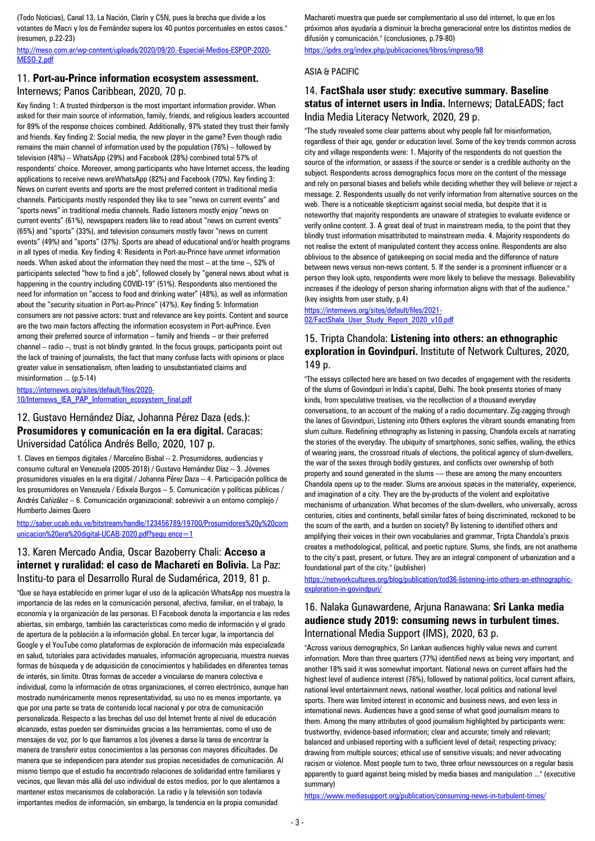(Todo Noticias), Canal 13, La Nación, Clarín y C5N, pues la brecha que divide a los votantes de Macri y los de Fernández supera los 40 puntos porcentuales en estos casos." (resumen, p.22-23)

[http://meso.com.ar/wp-content/uploads/2020/09/20.-Especial-Medios-ESPOP-2020-](http://meso.com.ar/wp-content/uploads/2020/09/20.-Especial-Medios-ESPOP-2020-MESO-2.pdf) [MESO-2.pdf](http://meso.com.ar/wp-content/uploads/2020/09/20.-Especial-Medios-ESPOP-2020-MESO-2.pdf)

#### 11. **Port-au-Prince information ecosystem assessment.**  Internews; Panos Caribbean, 2020, 70 p.

Key finding 1: A trusted thirdperson is the most important information provider. When asked for their main source of information, family, friends, and religious leaders accounted for 89% of the response choices combined. Additionally, 97% stated they trust their family and friends. Key finding 2: Social media, the new player in the game? Even though radio remains the main channel of information used by the population (76%) – followed by television (48%) – WhatsApp (29%) and Facebook (28%) combined total 57% of respondents' choice. Moreover, among participants who have Internet access, the leading applications to receive news areWhatsApp (82%) and Facebook (70%). Key finding 3: News on current events and sports are the most preferred content in traditional media channels. Participants mostly responded they like to see "news on current events" and "sports news" in traditional media channels. Radio listeners mostly enjoy "news on current events" (61%), newspapers readers like to read about "news on current events" (65%) and "sports" (33%), and television consumers mostly favor "news on current events" (49%) and "sports" (37%). Sports are ahead of educational and/or health programs in all types of media. Key finding 4: Residents in Port-au-Prince have unmet information needs. When asked about the information they need the most – at the time –, 52% of participants selected "how to find a job", followed closely by "general news about what is happening in the country including COVID-19" (51%). Respondents also mentioned the need for information on "access to food and drinking water" (48%), as well as information about the "security situation in Port-au-Prince" (47%). Key finding 5: Information consumers are not passive actors: trust and relevance are key points. Content and source are the two main factors affecting the information ecosystem in Port-auPrince. Even among their preferred source of information – family and friends – or their preferred channel – radio –, trust is not blindly granted. In the focus groups, participants point out the lack of training of journalists, the fact that many confuse facts with opinions or place greater value in sensationalism, often leading to unsubstantiated claims and misinformation ... (p.5-14)

[https://internews.org/sites/default/files/2020-](https://internews.org/sites/default/files/2020-10/Internews_IEA_PAP_Information_ecosystem_final.pdf) [10/Internews\\_IEA\\_PAP\\_Information\\_ecosystem\\_final.pdf](https://internews.org/sites/default/files/2020-10/Internews_IEA_PAP_Information_ecosystem_final.pdf)

#### 12. Gustavo Hernández Díaz, Johanna Pérez Daza (eds.): **Prosumidores y comunicación en la era digital.** Caracas: Universidad Católica Andrés Bello, 2020, 107 p.

1. Claves en tiempos digitales / Marcelino Bisbal -- 2. Prosumidores, audiencias y consumo cultural en Venezuela (2005-2018) / Gustavo Hernández Díaz -- 3. Jóvenes prosumidores visuales en la era digital / Johanna Pérez Daza -- 4. Participación política de los prosumidores en Venezuela / Edixela Burgos -- 5. Comunicación y políticas públicas / Andrés Cañizález -- 6. Comunicación organizacional: sobrevivir a un entorno complejo / Humberto Jaimes Quero

[http://saber.ucab.edu.ve/bitstream/handle/123456789/19700/Prosumidores%20y%20com](http://saber.ucab.edu.ve/bitstream/handle/123456789/19700/Prosumidores%20y%20comunicacion%20era%20digital-UCAB-2020.pdf?sequ%20ence=1) [unicacion%20era%20digital-UCAB-2020.pdf?sequ ence=1](http://saber.ucab.edu.ve/bitstream/handle/123456789/19700/Prosumidores%20y%20comunicacion%20era%20digital-UCAB-2020.pdf?sequ%20ence=1)

#### 13. Karen Mercado Andia, Oscar Bazoberry Chali: **Acceso a internet y ruralidad: el caso de Macharetí en Bolivia.** La Paz: Institu-to para el Desarrollo Rural de Sudamérica, 2019, 81 p.

"Que se haya establecido en primer lugar el uso de la aplicación WhatsApp nos muestra la importancia de las redes en la comunicación personal, afectiva, familiar, en el trabajo, la economía y la organización de las personas. El Facebook denota la importancia e las redes abiertas, sin embargo, también las características como medio de información y el grado de apertura de la población a la información global. En tercer lugar, la importancia del Google y el YouTube como plataformas de exploración de información más especializada en salud, tutoriales para actividades manuales, información agropecuaria, muestra nuevas formas de búsqueda y de adquisición de conocimientos y habilidades en diferentes temas de interés, sin límite. Otras formas de acceder a vincularse de manera colectiva e individual, como la información de otras organizaciones, el correo electrónico, aunque han mostrado numéricamente menos representatividad, su uso no es menos importante, ya que por una parte se trata de contenido local nacional y por otra de comunicación personalizada. Respecto a las brechas del uso del Internet frente al nivel de educación alcanzado, estas pueden ser disminuidas gracias a las herramientas, como el uso de mensajes de voz, por lo que llamamos a los jóvenes a darse la tarea de encontrar la manera de transferir estos conocimientos a las personas con mayores dificultades. De manera que se independicen para atender sus propias necesidades de comunicación. Al mismo tiempo que el estudio ha encontrado relaciones de solidaridad entre familiares y vecinos, que llevan más allá del uso individual de estos medios, por lo que alentamos a mantener estos mecanismos de colaboración. La radio y la televisión son todavía importantes medios de información, sin embargo, la tendencia en la propia comunidad

Macharetí muestra que puede ser complementario al uso del internet, lo que en los próximos años ayudaría a disminuir la brecha generacional entre los distintos medios de difusión y comunicación." (conclusiones, p.79-80)

<https://ipdrs.org/index.php/publicaciones/libros/impreso/98>

#### ASIA & PACIFIC

#### 14. **FactShala user study: executive summary. Baseline status of internet users in India.** Internews; DataLEADS; fact India Media Literacy Network, 2020, 29 p.

"The study revealed some clear patterns about why people fall for misinformation, regardless of their age, gender or education level. Some of the key trends common across city and village respondents were: 1. Majority of the respondents do not question the source of the information, or assess if the source or sender is a credible authority on the subject. Respondents across demographics focus more on the content of the message and rely on personal biases and beliefs while deciding whether they will believe or reject a message. 2. Respondents usually do not verify information from alternative sources on the web. There is a noticeable skepticism against social media, but despite that it is noteworthy that majority respondents are unaware of strategies to evaluate evidence or verify online content. 3. A great deal of trust in mainstream media, to the point that they blindly trust information misattributed to mainstream media. 4. Majority respondents do not realise the extent of manipulated content they access online. Respondents are also oblivious to the absence of gatekeeping on social media and the difference of nature between news versus non-news content. 5. If the sender is a prominent influencer or a person they look upto, respondents were more likely to believe the message. Believability increases if the ideology of person sharing information aligns with that of the audience." (key insights from user study, p.4)

[https://internews.org/sites/default/files/2021-](https://internews.org/sites/default/files/2021-02/FactShala_User_Study_Report_2020_v10.pdf) [02/FactShala\\_User\\_Study\\_Report\\_2020\\_v10.pdf](https://internews.org/sites/default/files/2021-02/FactShala_User_Study_Report_2020_v10.pdf)

#### 15. Tripta Chandola: **Listening into others: an ethnographic exploration in Govindpuri.** Institute of Network Cultures, 2020, 149 p.

"The essays collected here are based on two decades of engagement with the residents of the slums of Govindpuri in India's capital, Delhi. The book presents stories of many kinds, from speculative treatises, via the recollection of a thousand everyday conversations, to an account of the making of a radio documentary. Zig-zagging through the lanes of Govindpuri, Listening into Others explores the vibrant sounds emanating from slum culture. Redefining ethnography as listening in passing, Chandola excels at narrating the stories of the everyday. The ubiquity of smartphones, sonic selfies, wailing, the ethics of wearing jeans, the crossroad rituals of elections, the political agency of slum-dwellers, the war of the sexes through bodily gestures, and conflicts over ownership of both property and sound generated in the slums — these are among the many encounters Chandola opens up to the reader. Slums are anxious spaces in the materiality, experience, and imagination of a city. They are the by-products of the violent and exploitative mechanisms of urbanization. What becomes of the slum-dwellers, who universally, across centuries, cities and continents, befall similar fates of being discriminated, reckoned to be the scum of the earth, and a burden on society? By listening to identified others and amplifying their voices in their own vocabularies and grammar, Tripta Chandola's praxis creates a methodological, political, and poetic rupture. Slums, she finds, are not anathema to the city's past, present, or future. They are an integral component of urbanization and a foundational part of the city." (publisher)

[https://networkcultures.org/blog/publication/tod36-listening-into-others-an-ethnographic](https://networkcultures.org/blog/publication/tod36-listening-into-others-an-ethnographic-exploration-in-govindpuri/)[exploration-in-govindpuri/](https://networkcultures.org/blog/publication/tod36-listening-into-others-an-ethnographic-exploration-in-govindpuri/)

#### 16. Nalaka Gunawardene, Arjuna Ranawana: **Sri Lanka media audience study 2019: consuming news in turbulent times.**  International Media Support (IMS), 2020, 63 p.

"Across various demographics, Sri Lankan audiences highly value news and current information. More than three quarters (77%) identified news as being very important, and another 18% said it was somewhat important. National news on current affairs had the highest level of audience interest (76%), followed by national politics, local current affairs, national level entertainment news, national weather, local politics and national level sports. There was limited interest in economic and business news, and even less in international news. Audiences have a good sense of what good journalism means to them. Among the many attributes of good journalism highlighted by participants were: trustworthy, evidence-based information; clear and accurate; timely and relevant; balanced and unbiased reporting with a sufficient level of detail; respecting privacy; drawing from multiple sources; ethical use of sensitive visuals; and never advocating racism or violence. Most people turn to two, three orfour newssources on a regular basis apparently to guard against being misled by media biases and manipulation ..." (executive summary)

<https://www.mediasupport.org/publication/consuming-news-in-turbulent-times/>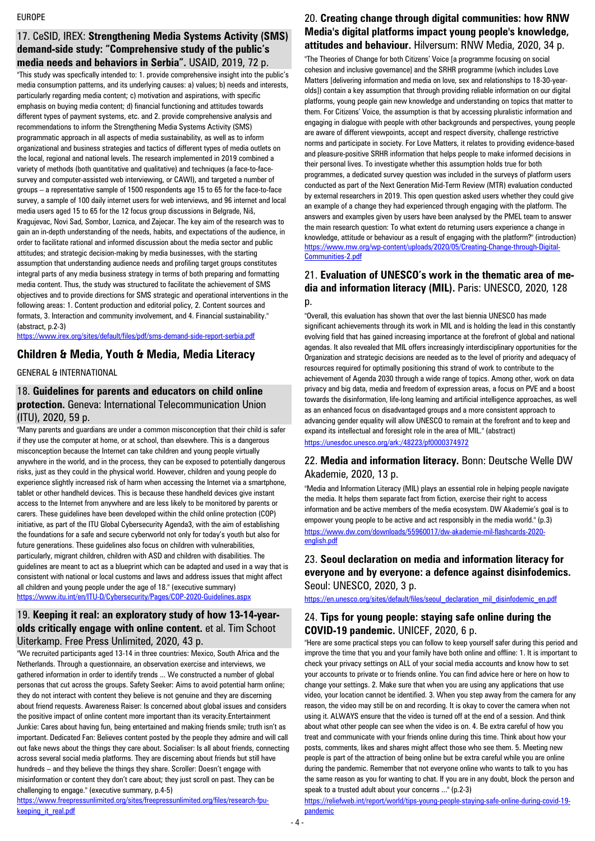### 17. CeSID, IREX: **Strengthening Media Systems Activity (SMS) demand-side study: "Comprehensive study of the public's media needs and behaviors in Serbia".** USAID, 2019, 72 p.

"This study was specfically intended to: 1. provide comprehensive insight into the public's media consumption patterns, and its underlying causes: a) values; b) needs and interests, particularly regarding media content; c) motivation and aspirations, with specific emphasis on buying media content; d) financial functioning and attitudes towards different types of payment systems, etc. and 2. provide comprehensive analysis and recommendations to inform the Strengthening Media Systems Activity (SMS) programmatic approach in all aspects of media sustainability, as well as to inform organizational and business strategies and tactics of different types of media outlets on the local, regional and national levels. The research implemented in 2019 combined a variety of methods (both quantitative and qualitative) and techniques (a face-to-facesurvey and computer-assisted web interviewing, or CAWI), and targeted a number of groups – a representative sample of 1500 respondents age 15 to 65 for the face-to-face survey, a sample of 100 daily internet users for web interviews, and 96 internet and local media users aged 15 to 65 for the 12 focus group discussions in Belgrade, Niš, Kragujevac, Novi Sad, Sombor, Loznica, and Zajecar. The key aim of the research was to gain an in-depth understanding of the needs, habits, and expectations of the audience, in order to facilitate rational and informed discussion about the media sector and public attitudes; and strategic decision-making by media businesses, with the starting assumption that understanding audience needs and profiling target groups constitutes integral parts of any media business strategy in terms of both preparing and formatting media content. Thus, the study was structured to facilitate the achievement of SMS objectives and to provide directions for SMS strategic and operational interventions in the following areas: 1. Content production and editorial policy, 2. Content sources and formats, 3. Interaction and community involvement, and 4. Financial sustainability." (abstract, p.2-3)

<https://www.irex.org/sites/default/files/pdf/sms-demand-side-report-serbia.pdf>

### **Children & Media, Youth & Media, Media Literacy**

GENERAL & INTERNATIONAL

#### 18. **Guidelines for parents and educators on child online protection.** Geneva: International Telecommunication Union (ITU), 2020, 59 p.

"Many parents and guardians are under a common misconception that their child is safer if they use the computer at home, or at school, than elsewhere. This is a dangerous misconception because the Internet can take children and young people virtually anywhere in the world, and in the process, they can be exposed to potentially dangerous risks, just as they could in the physical world. However, children and young people do experience slightly increased risk of harm when accessing the Internet via a smartphone, tablet or other handheld devices. This is because these handheld devices give instant access to the Internet from anywhere and are less likely to be monitored by parents or carers. These guidelines have been developed within the child online protection (COP) initiative, as part of the ITU Global Cybersecurity Agenda3, with the aim of establishing the foundations for a safe and secure cyberworld not only for today's youth but also for future generations. These guidelines also focus on children with vulnerabilities, particularly, migrant children, children with ASD and children with disabilities. The guidelines are meant to act as a blueprint which can be adapted and used in a way that is consistent with national or local customs and laws and address issues that might affect all children and young people under the age of 18." (executive summary) <https://www.itu.int/en/ITU-D/Cybersecurity/Pages/COP-2020-Guidelines.aspx>

#### 19. **Keeping it real: an exploratory study of how 13-14-yearolds critically engage with online content.** et al. Tim Schoot Uiterkamp. Free Press Unlimited, 2020, 43 p.

"We recruited participants aged 13-14 in three countries: Mexico, South Africa and the Netherlands. Through a questionnaire, an observation exercise and interviews, we gathered information in order to identify trends ... We constructed a number of global personas that cut across the groups. Safety Seeker: Aims to avoid potential harm online; they do not interact with content they believe is not genuine and they are discerning about friend requests. Awareness Raiser: Is concerned about global issues and considers the positive impact of online content more important than its veracity.Entertainment Junkie: Cares about having fun, being entertained and making friends smile; truth isn't as important. Dedicated Fan: Believes content posted by the people they admire and will call out fake news about the things they care about. Socialiser: Is all about friends, connecting across several social media platforms. They are discerning about friends but still have hundreds – and they believe the things they share. Scroller: Doesn't engage with misinformation or content they don't care about; they just scroll on past. They can be challenging to engage." (executive summary, p.4-5)

[https://www.freepressunlimited.org/sites/freepressunlimited.org/files/research-fpu](https://www.freepressunlimited.org/sites/freepressunlimited.org/files/research-fpu-keeping_it_real.pdf)keeping it real.pdf

### 20. **Creating change through digital communities: how RNW Media's digital platforms impact young people's knowledge, attitudes and behaviour.** Hilversum: RNW Media, 2020, 34 p.

"The Theories of Change for both Citizens' Voice [a programme focusing on social cohesion and inclusive governance] and the SRHR programme (which includes Love Matters [delivering information and media on love, sex and relationships to 18-30-yearolds]) contain a key assumption that through providing reliable information on our digital platforms, young people gain new knowledge and understanding on topics that matter to them. For Citizens' Voice, the assumption is that by accessing pluralistic information and engaging in dialogue with people with other backgrounds and perspectives, young people are aware of different viewpoints, accept and respect diversity, challenge restrictive norms and participate in society. For Love Matters, it relates to providing evidence-based and pleasure-positive SRHR information that helps people to make informed decisions in their personal lives. To investigate whether this assumption holds true for both programmes, a dedicated survey question was included in the surveys of platform users conducted as part of the Next Generation Mid-Term Review (MTR) evaluation conducted by external researchers in 2019. This open question asked users whether they could give an example of a change they had experienced through engaging with the platform. The answers and examples given by users have been analysed by the PMEL team to answer the main research question: To what extent do returning users experience a change in knowledge, attitude or behaviour as a result of engaging with the platform?" (introduction) [https://www.rnw.org/wp-content/uploads/2020/05/Creating-Change-through-Digital-](https://www.rnw.org/wp-content/uploads/2020/05/Creating-Change-through-Digital-Communities-2.pdf)[Communities-2.pdf](https://www.rnw.org/wp-content/uploads/2020/05/Creating-Change-through-Digital-Communities-2.pdf)

#### 21. **Evaluation of UNESCO's work in the thematic area of media and information literacy (MIL).** Paris: UNESCO, 2020, 128  $\mathsf{D}$ .

"Overall, this evaluation has shown that over the last biennia UNESCO has made significant achievements through its work in MIL and is holding the lead in this constantly evolving field that has gained increasing importance at the forefront of global and national agendas. It also revealed that MIL offers increasingly interdisciplinary opportunities for the Organization and strategic decisions are needed as to the level of priority and adequacy of resources required for optimally positioning this strand of work to contribute to the achievement of Agenda 2030 through a wide range of topics. Among other, work on data privacy and big data, media and freedom of expression areas, a focus on PVE and a boost towards the disinformation, life-long learning and artificial intelligence approaches, as well as an enhanced focus on disadvantaged groups and a more consistent approach to advancing gender equality will allow UNESCO to remain at the forefront and to keep and expand its intellectual and foresight role in the area of MIL." (abstract) <https://unesdoc.unesco.org/ark:/48223/pf0000374972>

#### 22. **Media and information literacy.** Bonn: Deutsche Welle DW Akademie, 2020, 13 p.

"Media and Information Literacy (MIL) plays an essential role in helping people navigate the media. It helps them separate fact from fiction, exercise their right to access information and be active members of the media ecosystem. DW Akademie's goal is to empower young people to be active and act responsibly in the media world." (p.3) [https://www.dw.com/downloads/55960017/dw-akademie-mil-flashcards-2020](https://www.dw.com/downloads/55960017/dw-akademie-mil-flashcards-2020-english.pdf) [english.pdf](https://www.dw.com/downloads/55960017/dw-akademie-mil-flashcards-2020-english.pdf)

### 23. **Seoul declaration on media and information literacy for everyone and by everyone: a defence against disinfodemics.**  Seoul: UNESCO, 2020, 3 p.

[https://en.unesco.org/sites/default/files/seoul\\_declaration\\_mil\\_disinfodemic\\_en.pdf](https://en.unesco.org/sites/default/files/seoul_declaration_mil_disinfodemic_en.pdf)

### 24. **Tips for young people: staying safe online during the COVID-19 pandemic.** UNICEF, 2020, 6 p.

"Here are some practical steps you can follow to keep yourself safer during this period and improve the time that you and your family have both online and offline: 1. It is important to check your privacy settings on ALL of your social media accounts and know how to set your accounts to private or to friends online. You can find advice here or here on how to change your settings. 2. Make sure that when you are using any applications that use video, your location cannot be identified. 3. When you step away from the camera for any reason, the video may still be on and recording. It is okay to cover the camera when not using it. ALWAYS ensure that the video is turned off at the end of a session. And think about what other people can see when the video is on. 4. Be extra careful of how you treat and communicate with your friends online during this time. Think about how your posts, comments, likes and shares might affect those who see them. 5. Meeting new people is part of the attraction of being online but be extra careful while you are online during the pandemic. Remember that not everyone online who wants to talk to you has the same reason as you for wanting to chat. If you are in any doubt, block the person and speak to a trusted adult about your concerns ..." (p.2-3)

[https://reliefweb.int/report/world/tips-young-people-staying-safe-online-during-covid-19](https://reliefweb.int/report/world/tips-young-people-staying-safe-online-during-covid-19-pandemic) [pandemic](https://reliefweb.int/report/world/tips-young-people-staying-safe-online-during-covid-19-pandemic)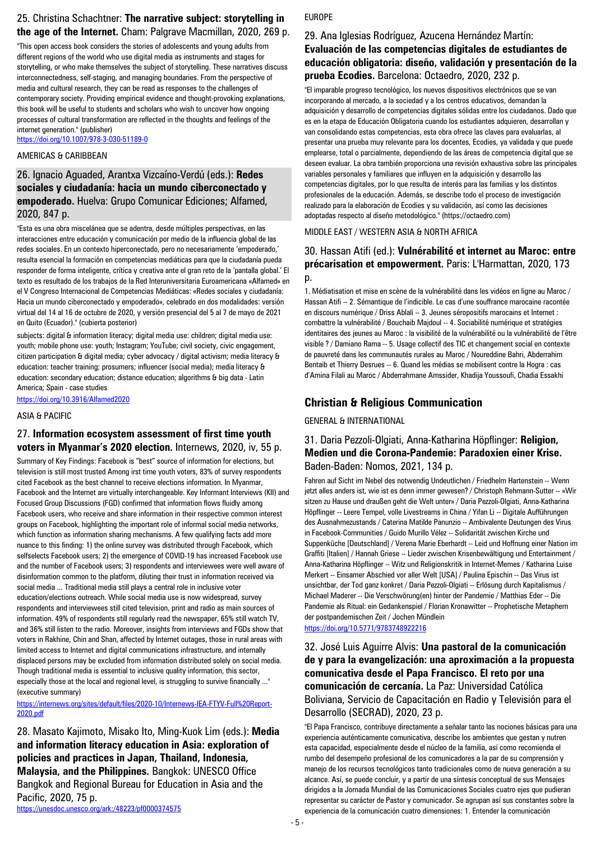#### 25. Christina Schachtner: **The narrative subject: storytelling in the age of the Internet.** Cham: Palgrave Macmillan, 2020, 269 p.

"This open access book considers the stories of adolescents and young adults from different regions of the world who use digital media as instruments and stages for storytelling, or who make themselves the subject of storytelling. These narratives discuss interconnectedness, self-staging, and managing boundaries. From the perspective of media and cultural research, they can be read as responses to the challenges of contemporary society. Providing empirical evidence and thought-provoking explanations, this book will be useful to students and scholars who wish to uncover how ongoing processes of cultural transformation are reflected in the thoughts and feelings of the internet generation." (publisher)

<https://doi.org/10.1007/978-3-030-51189-0>

#### AMERICAS & CARIBBEAN

### 26. Ignacio Aguaded, Arantxa Vizcaíno-Verdú (eds.): **Redes sociales y ciudadanía: hacia un mundo ciberconectado y empoderado.** Huelva: Grupo Comunicar Ediciones; Alfamed, 2020, 847 p.

"Esta es una obra miscelánea que se adentra, desde múltiples perspectivas, en las interacciones entre educación y comunicación por medio de la influencia global de las redes sociales. En un contexto hiperconectado, pero no necesariamente 'empoderado,' resulta esencial la formación en competencias mediáticas para que la ciudadanía pueda responder de forma inteligente, crítica y creativa ante el gran reto de la 'pantalla global.' El texto es resultado de los trabajos de la Red Interuniversitaria Euroamericana «Alfamed» en el V Congreso Internacional de Competencias Mediáticas: «Redes sociales y ciudadanía: Hacia un mundo ciberconectado y empoderado», celebrado en dos modalidades: versión virtual del 14 al 16 de octubre de 2020, y versión presencial del 5 al 7 de mayo de 2021 en Quito (Ecuador)." (cubierta posterior)

subjects: digital & information literacy; digital media use: children; digital media use: youth; mobile phone use: youth; Instagram; YouTube; civil society, civic engagement, citizen participation & digital media; cyber advocacy / digital activism; media literacy & education: teacher training; prosumers; influencer (social media); media literacy & education: secondary education; distance education; algorithms & big data - Latin America; Spain - case studies

<https://doi.org/10.3916/Alfamed2020>

#### ASIA & PACIFIC

#### 27. **Information ecosystem assessment of first time youth voters in Myanmar's 2020 election.** Internews, 2020, iv, 55 p.

Summary of Key Findings: Facebook is "best" source of information for elections, but television is still most trusted Among irst time youth voters, 83% of survey respondents cited Facebook as the best channel to receive elections information. In Myanmar, Facebook and the Internet are virtually interchangeable. Key Informant Interviews (KII) and Focused Group Discussions (FGD) confirmed that information flows fluidly among Facebook users, who receive and share information in their respective common interest groups on Facebook, highlighting the important role of informal social media networks, which function as information sharing mechanisms. A few qualifying facts add more nuance to this finding: 1) the online survey was distributed through Facebook, which selfselects Facebook users; 2) the emergence of COVID-19 has increased Facebook use and the number of Facebook users; 3) respondents and interviewees were well aware of disinformation common to the platform, diluting their trust in information received via social media ... Traditional media still plays a central role in inclusive voter education/elections outreach. While social media use is now widespread, survey respondents and interviewees still cited television, print and radio as main sources of information. 49% of respondents still regularly read the newspaper, 65% still watch TV, and 36% still listen to the radio. Moreover, insights from interviews and FGDs show that voters in Rakhine, Chin and Shan, affected by Internet outages, those in rural areas with limited access to Internet and digital communications infrastructure, and internally displaced persons may be excluded from information distributed solely on social media. Though traditional media is essential to inclusive quality information, this sector, especially those at the local and regional level, is struggling to survive financially ..." (executive summary)

[https://internews.org/sites/default/files/2020-10/Internews-IEA-FTYV-Full%20Report-](https://internews.org/sites/default/files/2020-10/Internews-IEA-FTYV-Full%20Report-2020.pdf)[2020.pdf](https://internews.org/sites/default/files/2020-10/Internews-IEA-FTYV-Full%20Report-2020.pdf)

28. Masato Kajimoto, Misako Ito, Ming-Kuok Lim (eds.): **Media and information literacy education in Asia: exploration of policies and practices in Japan, Thailand, Indonesia, Malaysia, and the Philippines.** Bangkok: UNESCO Office Bangkok and Regional Bureau for Education in Asia and the Pacific, 2020, 75 p.

<https://unesdoc.unesco.org/ark:/48223/pf0000374575>

#### EUROPE

### 29. Ana Iglesias Rodríguez, Azucena Hernández Martín: **Evaluación de las competencias digitales de estudiantes de educación obligatoria: diseño, validación y presentación de la prueba Ecodies.** Barcelona: Octaedro, 2020, 232 p.

"El imparable progreso tecnológico, los nuevos dispositivos electrónicos que se van incorporando al mercado, a la sociedad y a los centros educativos, demandan la adquisición y desarrollo de competencias digitales sólidas entre los ciudadanos. Dado que es en la etapa de Educación Obligatoria cuando los estudiantes adquieren, desarrollan y van consolidando estas competencias, esta obra ofrece las claves para evaluarlas, al presentar una prueba muy relevante para los docentes, Ecodies, ya validada y que puede emplearse, total o parcialmente, dependiendo de las áreas de competencia digital que se deseen evaluar. La obra también proporciona una revisión exhaustiva sobre las principales variables personales y familiares que influyen en la adquisición y desarrollo las competencias digitales, por lo que resulta de interés para las familias y los distintos profesionales de la educación. Además, se describe todo el proceso de investigación realizado para la elaboración de Ecodies y su validación, así como las decisiones adoptadas respecto al diseño metodológico." (https://octaedro.com)

#### MIDDLE EAST / WESTERN ASIA & NORTH AFRICA

#### 30. Hassan Atifi (ed.): **Vulnérabilité et internet au Maroc: entre précarisation et empowerment.** Paris: L'Harmattan, 2020, 173 p.

1. Médiatisation et mise en scène de la vulnérabilité dans les vidéos en ligne au Maroc / Hassan Atifi -- 2. Sémantique de l'indicible. Le cas d'une souffrance marocaine racontée en discours numérique / Driss Ablali -- 3. Jeunes séropositifs marocains et Internet : combattre la vulnérabilité / Bouchaib Majdoul -- 4. Sociabilité numérique et stratégies identitaires des jeunes au Maroc : la visibilité de la vulnérabilité ou la vulnérabilité de l'être visible ? / Damiano Rama -- 5. Usage collectif des TIC et changement social en contexte de pauvreté dans les communautés rurales au Maroc / Noureddine Bahri, Abderrahim Bentaib et Thierry Desrues -- 6. Quand les médias se mobilisent contre la Hogra : cas d'Amina Filali au Maroc / Abderrahmane Amssider, Khadija Youssoufi, Chadia Essakhi

### **Christian & Religious Communication**

GENERAL & INTERNATIONAL

#### 31. Daria Pezzoli-Olgiati, Anna-Katharina Höpflinger: **Religion, Medien und die Corona-Pandemie: Paradoxien einer Krise.**  Baden-Baden: Nomos, 2021, 134 p.

Fahren auf Sicht im Nebel des notwendig Undeutlichen / Friedhelm Hartenstein -- Wenn jetzt alles anders ist, wie ist es denn immer gewesen? / Christoph Rehmann-Sutter -- «Wir sitzen zu Hause und draußen geht die Welt unter» / Daria Pezzoli-Olgiati, Anna-Katharina Höpflinger -- Leere Tempel, volle Livestreams in China / Yifan Li -- Digitale Aufführungen des Ausnahmezustands / Caterina Matilde Panunzio -- Ambivalente Deutungen des Virus in Facebook-Communities / Guido Murillo Vélez -- Solidarität zwischen Kirche und Suppenküche [Deutschland] / Verena Marie Eberhardt -- Leid und Hoffnung einer Nation im Graffiti [Italien] / Hannah Griese -- Lieder zwischen Krisenbewältigung und Entertainment / Anna-Katharina Höpflinger -- Witz und Religionskritik in Internet-Memes / Katharina Luise Merkert -- Einsamer Abschied vor aller Welt [USA] / Paulina Epischin -- Das Virus ist unsichtbar, der Tod ganz konkret / Daria Pezzoli-Olgiati -- Erlösung durch Kapitalismus / Michael Maderer -- Die Verschwörung(en) hinter der Pandemie / Matthias Eder -- Die Pandemie als Ritual: ein Gedankenspiel / Florian Kronawitter -- Prophetische Metaphern der postpandemischen Zeit / Jochen Mündlein

<https://doi.org/10.5771/9783748922216>

### 32. José Luis Aguirre Alvis: **Una pastoral de la comunicación de y para la evangelización: una aproximación a la propuesta comunicativa desde el Papa Francisco. El reto por una comunicación de cercanía.** La Paz: Universidad Católica Boliviana, Servicio de Capacitación en Radio y Televisión para el Desarrollo (SECRAD), 2020, 23 p.

"El Papa Francisco, contribuye directamente a señalar tanto las nociones básicas para una experiencia auténticamente comunicativa, describe los ambientes que gestan y nutren esta capacidad, especialmente desde el núcleo de la familia, así como recomienda el rumbo del desempeño profesional de los comunicadores a la par de su comprensión y manejo de los recursos tecnológicos tanto tradicionales como de nueva generación a su alcance. Así, se puede concluir, y a partir de una síntesis conceptual de sus Mensajes dirigidos a la Jornada Mundial de las Comunicaciones Sociales cuatro ejes que pudieran representar su carácter de Pastor y comunicador. Se agrupan así sus constantes sobre la experiencia de la comunicación cuatro dimensiones: 1. Entender la comunicación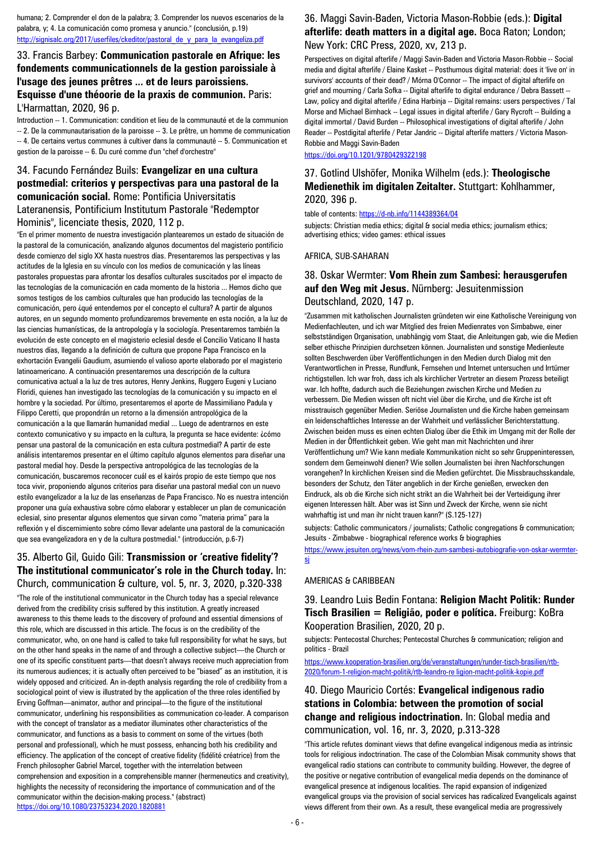humana; 2. Comprender el don de la palabra; 3. Comprender los nuevos escenarios de la palabra, y; 4. La comunicación como promesa y anuncio." (conclusión, p.19) [http://signisalc.org/2017/userfiles/ckeditor/pastoral\\_de\\_y\\_para\\_la\\_evangeliza.pdf](http://signisalc.org/2017/userfiles/ckeditor/pastoral_de_y_para_la_evangeliza.pdf)

### 33. Francis Barbey: **Communication pastorale en Afrique: les fondements communicationnels de la gestion paroissiale à l'usage des jeunes prêtres ... et de leurs paroissiens. Esquisse d'une théoorie de la praxis de communion.** Paris: L'Harmattan, 2020, 96 p.

Introduction -- 1. Communication: condition et lieu de la communauté et de la communion -- 2. De la communautarisation de la paroisse -- 3. Le prêtre, un homme de communication -- 4. De certains vertus communes à cultiver dans la communauté -- 5. Communication et gestion de la paroisse -- 6. Du curé comme d'un "chef d'orchestre"

#### 34. Facundo Fernández Buils: **Evangelizar en una cultura postmedial: criterios y perspectivas para una pastoral de la comunicación social.** Rome: Pontificia Universitatis Lateranensis, Pontificium Institutum Pastorale "Redemptor Hominis", licenciate thesis, 2020, 112 p.

"En el primer momento de nuestra investigación plantearemos un estado de situación de la pastoral de la comunicación, analizando algunos documentos del magisterio pontificio desde comienzo del siglo XX hasta nuestros días. Presentaremos las perspectivas y las actitudes de la Iglesia en su vínculo con los medios de comunicación y las líneas pastorales propuestas para afrontar los desafíos culturales suscitados por el impacto de las tecnologías de la comunicación en cada momento de la historia ... Hemos dicho que somos testigos de los cambios culturales que han producido las tecnologías de la comunicación, pero ¿qué entendemos por el concepto el cultura? A partir de algunos autores, en un segundo momento profundizaremos brevemente en esta noción, a la luz de las ciencias humanísticas, de la antropología y la sociología. Presentaremos también la evolución de este concepto en el magisterio eclesial desde el Concilio Vaticano II hasta nuestros días, llegando a la definición de cultura que propone Papa Francisco en la exhortación Evangelii Gaudium, asumiendo el valioso aporte elaborado por el magisterio latinoamericano. A continuación presentaremos una descripción de la cultura comunicativa actual a la luz de tres autores, Henry Jenkins, Ruggero Eugeni y Luciano Floridi, quienes han investigado las tecnologías de la comunicación y su impacto en el hombre y la sociedad. Por último, presentaremos el aporte de Massimiliano Padula y Filippo Ceretti, que propondrán un retorno a la dimensión antropológica de la comunicación a la que llamarán humanidad medial ... Luego de adentrarnos en este contexto comunicativo y su impacto en la cultura, la pregunta se hace evidente: ¿cómo pensar una pastoral de la comunicación en esta cultura postmedial? A partir de este análisis intentaremos presentar en el último capítulo algunos elementos para diseñar una pastoral medial hoy. Desde la perspectiva antropológica de las tecnologías de la comunicación, buscaremos reconocer cuál es el kairós propio de este tiempo que nos toca vivir, proponiendo algunos criterios para diseñar una pastoral medial con un nuevo estilo evangelizador a la luz de las enseñanzas de Papa Francisco. No es nuestra intención proponer una guía exhaustiva sobre cómo elaborar y establecer un plan de comunicación eclesial, sino presentar algunos elementos que sirvan como "materia prima" para la reflexión y el discernimiento sobre cómo llevar adelante una pastoral de la comunicación que sea evangelizadora en y de la cultura postmedial." (introducción, p.6-7)

### 35. Alberto Gil, Guido Gili: **Transmission or 'creative fidelity'? The institutional communicator's role in the Church today.** In: Church, communication & culture, vol. 5, nr. 3, 2020, p.320-338

"The role of the institutional communicator in the Church today has a special relevance derived from the credibility crisis suffered by this institution. A greatly increased awareness to this theme leads to the discovery of profound and essential dimensions of this role, which are discussed in this article. The focus is on the credibility of the communicator, who, on one hand is called to take full responsibility for what he says, but on the other hand speaks in the name of and through a collective subject—the Church or one of its specific constituent parts—that doesn't always receive much appreciation from its numerous audiences; it is actually often perceived to be "biased" as an institution, it is widely opposed and criticized. An in-depth analysis regarding the role of credibility from a sociological point of view is illustrated by the application of the three roles identified by Erving Goffman—animator, author and principal—to the figure of the institutional communicator, underlining his responsibilities as communication co-leader. A comparison with the concept of translator as a mediator illuminates other characteristics of the communicator, and functions as a basis to comment on some of the virtues (both personal and professional), which he must possess, enhancing both his credibility and efficiency. The application of the concept of creative fidelity (fidélité créatrice) from the French philosopher Gabriel Marcel, together with the interrelation between comprehension and exposition in a comprehensible manner (hermeneutics and creativity), highlights the necessity of reconsidering the importance of communication and of the communicator within the decision-making process." (abstract) <https://doi.org/10.1080/23753234.2020.1820881>

#### 36. Maggi Savin-Baden, Victoria Mason-Robbie (eds.): **Digital afterlife: death matters in a digital age.** Boca Raton; London; New York: CRC Press, 2020, xv, 213 p.

Perspectives on digital afterlife / Maggi Savin-Baden and Victoria Mason-Robbie -- Social media and digital afterlife / Elaine Kasket -- Posthumous digital material: does it 'live on' in survivors' accounts of their dead? / Mórna O'Connor -- The impact of digital afterlife on grief and mourning / Carla Sofka -- Digital afterlife to digital endurance / Debra Bassett --Law, policy and digital afterlife / Edina Harbinja -- Digital remains: users perspectives / Tal Morse and Michael Birnhack -- Legal issues in digital afterlife / Gary Rycroft -- Building a digital immortal / David Burden -- Philosophical investigations of digital afterlife / John Reader -- Postdigital afterlife / Petar Jandric -- Digital afterlife matters / Victoria Mason-Robbie and Maggi Savin-Baden

<https://doi.org/10.1201/9780429322198>

#### 37. Gotlind Ulshöfer, Monika Wilhelm (eds.): **Theologische Medienethik im digitalen Zeitalter.** Stuttgart: Kohlhammer, 2020, 396 p.

table of contents[: https://d-nb.info/1144389364/04](https://d-nb.info/1144389364/04)

subjects: Christian media ethics; digital & social media ethics; journalism ethics; advertising ethics; video games: ethical issues

AFRICA, SUB-SAHARAN

#### 38. Oskar Wermter: **Vom Rhein zum Sambesi: herausgerufen auf den Weg mit Jesus.** Nürnberg: Jesuitenmission Deutschland, 2020, 147 p.

"Zusammen mit katholischen Journalisten gründeten wir eine Katholische Vereinigung von Medienfachleuten, und ich war Mitglied des freien Medienrates von Simbabwe, einer selbstständigen Organisation, unabhängig vom Staat, die Anleitungen gab, wie die Medien selber ethische Prinzipien durchsetzen können. Journalisten und sonstige Medienleute sollten Beschwerden über Veröffentlichungen in den Medien durch Dialog mit den Verantwortlichen in Presse, Rundfunk, Fernsehen und Internet untersuchen und Irrtümer richtigstellen. Ich war froh, dass ich als kirchlicher Vertreter an diesem Prozess beteiligt war. Ich hoffte, dadurch auch die Beziehungen zwischen Kirche und Medien zu verbessern. Die Medien wissen oft nicht viel über die Kirche, und die Kirche ist oft misstrauisch gegenüber Medien. Seriöse Journalisten und die Kirche haben gemeinsam ein leidenschaftliches Interesse an der Wahrheit und verlässlicher Berichterstattung. Zwischen beiden muss es einen echten Dialog über die Ethik im Umgang mit der Rolle der Medien in der Öffentlichkeit geben. Wie geht man mit Nachrichten und ihrer Veröffentlichung um? Wie kann mediale Kommunikation nicht so sehr Gruppeninteressen, sondern dem Gemeinwohl dienen? Wie sollen Journalisten bei ihren Nachforschungen vorangehen? In kirchlichen Kreisen sind die Medien gefürchtet. Die Missbrauchsskandale, besonders der Schutz, den Täter angeblich in der Kirche genießen, erwecken den Eindruck, als ob die Kirche sich nicht strikt an die Wahrheit bei der Verteidigung ihrer eigenen Interessen hält. Aber was ist Sinn und Zweck der Kirche, wenn sie nicht wahrhaftig ist und man ihr nicht trauen kann?" (S.125-127)

subjects: Catholic communicators / journalists; Catholic congregations & communication; Jesuits - Zimbabwe - biographical reference works & biographies

[https://www.jesuiten.org/news/vom-rhein-zum-sambesi-autobiografie-von-oskar-wermter](https://www.jesuiten.org/news/vom-rhein-zum-sambesi-autobiografie-von-oskar-wermter-sj)[sj](https://www.jesuiten.org/news/vom-rhein-zum-sambesi-autobiografie-von-oskar-wermter-sj)

#### AMERICAS & CARIBBEAN

#### 39. Leandro Luis Bedin Fontana: **Religion Macht Politik: Runder Tisch Brasilien = Religião, poder e política.** Freiburg: KoBra Kooperation Brasilien, 2020, 20 p.

subjects: Pentecostal Churches; Pentecostal Churches & communication; religion and politics - Brazil

[https://www.kooperation-brasilien.org/de/veranstaltungen/runder-tisch-brasilien/rtb-](https://www.kooperation-brasilien.org/de/veranstaltungen/runder-tisch-brasilien/rtb-2020/forum-1-religion-macht-politik/rtb-leandro-re%20ligion-macht-politik-kopie.pdf)[2020/forum-1-religion-macht-politik/rtb-leandro-re ligion-macht-politik-kopie.pdf](https://www.kooperation-brasilien.org/de/veranstaltungen/runder-tisch-brasilien/rtb-2020/forum-1-religion-macht-politik/rtb-leandro-re%20ligion-macht-politik-kopie.pdf)

### 40. Diego Mauricio Cortés: **Evangelical indigenous radio stations in Colombia: between the promotion of social change and religious indoctrination.** In: Global media and communication, vol. 16, nr. 3, 2020, p.313-328

"This article refutes dominant views that define evangelical indigenous media as intrinsic tools for religious indoctrination. The case of the Colombian Misak community shows that evangelical radio stations can contribute to community building. However, the degree of the positive or negative contribution of evangelical media depends on the dominance of evangelical presence at indigenous localities. The rapid expansion of indigenized evangelical groups via the provision of social services has radicalized Evangelicals against views different from their own. As a result, these evangelical media are progressively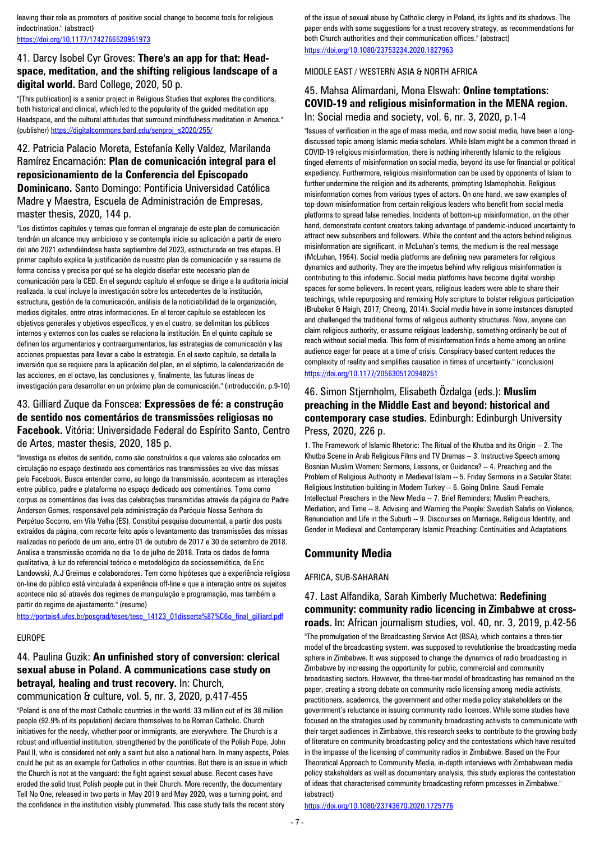<https://doi.org/10.1177/1742766520951973>

### 41. Darcy Isobel Cyr Groves: **There's an app for that: Headspace, meditation, and the shifting religious landscape of a digital world.** Bard College, 2020, 50 p.

"[This publication] is a senior project in Religious Studies that explores the conditions, both historical and clinical, which led to the popularity of the guided meditation app Headspace, and the cultural attitudes that surround mindfulness meditation in America." (publisher[\) https://digitalcommons.bard.edu/senproj\\_s2020/255/](https://digitalcommons.bard.edu/senproj_s2020/255/)

### 42. Patricia Palacio Moreta, Estefanía Kelly Valdez, Marilanda Ramírez Encarnación: **Plan de comunicación integral para el reposicionamiento de la Conferencia del Episcopado Dominicano.** Santo Domingo: Pontificia Universidad Católica Madre y Maestra, Escuela de Administración de Empresas, master thesis, 2020, 144 p.

"Los distintos capítulos y temas que forman el engranaje de este plan de comunicación tendrán un alcance muy ambicioso y se contempla inicie su aplicación a partir de enero del año 2021 extendiéndose hasta septiembre del 2023, estructurada en tres etapas. El primer capítulo explica la justificación de nuestro plan de comunicación y se resume de forma concisa y precisa por qué se ha elegido diseñar este necesario plan de comunicación para la CED. En el segundo capítulo el enfoque se dirige a la auditoría inicial realizada, la cual incluye la investigación sobre los antecedentes de la institución, estructura, gestión de la comunicación, análisis de la noticiabilidad de la organización, medios digitales, entre otras informaciones. En el tercer capítulo se establecen los objetivos generales y objetivos específicos, y en el cuatro, se delimitan los públicos internos y externos con los cuales se relaciona la institución. En el quinto capítulo se definen los argumentarios y contraargumentarios, las estrategias de comunicación y las acciones propuestas para llevar a cabo la estrategia. En el sexto capítulo, se detalla la inversión que se requiere para la aplicación del plan, en el séptimo, la calendarización de las acciones, en el octavo, las conclusiones y, finalmente, las futuras líneas de investigación para desarrollar en un próximo plan de comunicación." (introducción, p.9-10)

### 43. Gilliard Zuque da Fonscea: **Expressões de fé: a construção de sentido nos comentários de transmissões religiosas no Facebook.** Vitória: Universidade Federal do Espírito Santo, Centro de Artes, master thesis, 2020, 185 p.

"Investiga os efeitos de sentido, como são construídos e que valores são colocados em circulação no espaço destinado aos comentários nas transmissões ao vivo das missas pelo Facebook. Busca entender como, ao longo da transmissão, acontecem as interações entre público, padre e plataforma no espaço dedicado aos comentários. Toma como corpus os comentários das lives das celebrações transmitidas através da página do Padre Anderson Gomes, responsável pela administração da Paróquia Nossa Senhora do Perpétuo Socorro, em Vila Velha (ES). Constitui pesquisa documental, a partir dos posts extraídos da página, com recorte feito após o levantamento das transmissões das missas realizadas no período de um ano, entre 01 de outubro de 2017 e 30 de setembro de 2018. Analisa a transmissão ocorrida no dia 1o de julho de 2018. Trata os dados de forma qualitativa, à luz do referencial teórico e metodológico da sociossemiótica, de Eric Landowski, A.J Greimas e colaboradores. Tem como hipóteses que a experiência religiosa on-line do público está vinculada à experiência off-line e que a interação entre os sujeitos acontece não só através dos regimes de manipulação e programação, mas também a partir do regime de ajustamento." (resumo)

[http://portais4.ufes.br/posgrad/teses/tese\\_14123\\_01disserta%87%C6o\\_final\\_gilliard.pdf](http://portais4.ufes.br/posgrad/teses/tese_14123_01disserta%87%C6o_final_gilliard.pdf)

#### EUROPE

### 44. Paulina Guzik: **An unfinished story of conversion: clerical sexual abuse in Poland. A communications case study on betrayal, healing and trust recovery.** In: Church,

### communication & culture, vol. 5, nr. 3, 2020, p.417-455

"Poland is one of the most Catholic countries in the world. 33 million out of its 38 million people (92.9% of its population) declare themselves to be Roman Catholic. Church initiatives for the needy, whether poor or immigrants, are everywhere. The Church is a robust and influential institution, strengthened by the pontificate of the Polish Pope, John Paul II, who is considered not only a saint but also a national hero. In many aspects, Poles could be put as an example for Catholics in other countries. But there is an issue in which the Church is not at the vanguard: the fight against sexual abuse. Recent cases have eroded the solid trust Polish people put in their Church. More recently, the documentary Tell No One, released in two parts in May 2019 and May 2020, was a turning point, and the confidence in the institution visibly plummeted. This case study tells the recent story

of the issue of sexual abuse by Catholic clergy in Poland, its lights and its shadows. The paper ends with some suggestions for a trust recovery strategy, as recommendations for both Church authorities and their communication offices." (abstract) <https://doi.org/10.1080/23753234.2020.1827963>

#### MIDDLE EAST / WESTERN ASIA & NORTH AFRICA

### 45. Mahsa Alimardani, Mona Elswah: **Online temptations: COVID-19 and religious misinformation in the MENA region.**  In: Social media and society, vol. 6, nr. 3, 2020, p.1-4

"Issues of verification in the age of mass media, and now social media, have been a longdiscussed topic among Islamic media scholars. While Islam might be a common thread in COVID-19 religious misinformation, there is nothing inherently Islamic to the religious tinged elements of misinformation on social media, beyond its use for financial or political expediency. Furthermore, religious misinformation can be used by opponents of Islam to further undermine the religion and its adherents, prompting Islamophobia. Religious misinformation comes from various types of actors. On one hand, we saw examples of top-down misinformation from certain religious leaders who benefit from social media platforms to spread false remedies. Incidents of bottom-up misinformation, on the other hand, demonstrate content creators taking advantage of pandemic-induced uncertainty to attract new subscribers and followers. While the content and the actors behind religious misinformation are significant, in McLuhan's terms, the medium is the real message (McLuhan, 1964). Social media platforms are defining new parameters for religious dynamics and authority. They are the impetus behind why religious misinformation is contributing to this infodemic. Social media platforms have become digital worship spaces for some believers. In recent years, religious leaders were able to share their teachings, while repurposing and remixing Holy scripture to bolster religious participation (Brubaker & Haigh, 2017; Cheong, 2014). Social media have in some instances disrupted and challenged the traditional forms of religious authority structures. Now, anyone can claim religious authority, or assume religious leadership, something ordinarily be out of reach without social media. This form of misinformation finds a home among an online audience eager for peace at a time of crisis. Conspiracy-based content reduces the complexity of reality and simplifies causation in times of uncertainty." (conclusion) <https://doi.org/10.1177/2056305120948251>

### 46. Simon Stjernholm, Elisabeth Özdalga (eds.): **Muslim preaching in the Middle East and beyond: historical and contemporary case studies.** Edinburgh: Edinburgh University Press, 2020, 226 p.

1. The Framework of Islamic Rhetoric: The Ritual of the Khutba and its Origin -- 2. The Khutba Scene in Arab Religious Films and TV Dramas -- 3. Instructive Speech among Bosnian Muslim Women: Sermons, Lessons, or Guidance? -- 4. Preaching and the Problem of Religious Authority in Medieval Islam -- 5. Friday Sermons in a Secular State: Religious Institution-building in Modern Turkey -- 6. Going Online. Saudi Female Intellectual Preachers in the New Media -- 7. Brief Reminders: Muslim Preachers, Mediation, and Time -- 8. Advising and Warning the People: Swedish Salafis on Violence, Renunciation and Life in the Suburb -- 9. Discourses on Marriage, Religious Identity, and Gender in Medieval and Contemporary Islamic Preaching: Continuities and Adaptations

### **Community Media**

### AFRICA, SUB-SAHARAN

#### 47. Last Alfandika, Sarah Kimberly Muchetwa: **Redefining community: community radio licencing in Zimbabwe at crossroads.** In: African journalism studies, vol. 40, nr. 3, 2019, p.42-56

"The promulgation of the Broadcasting Service Act (BSA), which contains a three-tier model of the broadcasting system, was supposed to revolutionise the broadcasting media sphere in Zimbabwe. It was supposed to change the dynamics of radio broadcasting in Zimbabwe by increasing the opportunity for public, commercial and community broadcasting sectors. However, the three-tier model of broadcasting has remained on the paper, creating a strong debate on community radio licensing among media activists, practitioners, academics, the government and other media policy stakeholders on the government's reluctance in issuing community radio licences. While some studies have focused on the strategies used by community broadcasting activists to communicate with their target audiences in Zimbabwe, this research seeks to contribute to the growing body of literature on community broadcasting policy and the contestations which have resulted in the impasse of the licensing of community radios in Zimbabwe. Based on the Four Theoretical Approach to Community Media, in-depth interviews with Zimbabwean media policy stakeholders as well as documentary analysis, this study explores the contestation of ideas that characterised community broadcasting reform processes in Zimbabwe." (abstract)

<https://doi.org/10.1080/23743670.2020.1725776>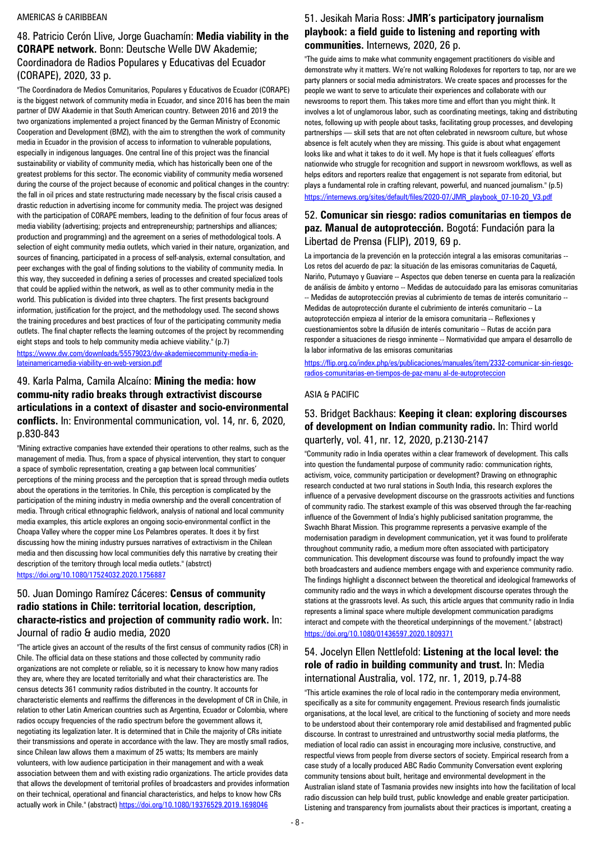#### AMERICAS & CARIBBEAN

### 48. Patricio Cerón Llive, Jorge Guachamín: **Media viability in the CORAPE network.** Bonn: Deutsche Welle DW Akademie; Coordinadora de Radios Populares y Educativas del Ecuador (CORAPE), 2020, 33 p.

"The Coordinadora de Medios Comunitarios, Populares y Educativos de Ecuador (CORAPE) is the biggest network of community media in Ecuador, and since 2016 has been the main partner of DW Akademie in that South American country. Between 2016 and 2019 the two organizations implemented a project financed by the German Ministry of Economic Cooperation and Development (BMZ), with the aim to strengthen the work of community media in Ecuador in the provision of access to information to vulnerable populations, especially in indigenous languages. One central line of this project was the financial sustainability or viability of community media, which has historically been one of the greatest problems for this sector. The economic viability of community media worsened during the course of the project because of economic and political changes in the country: the fall in oil prices and state restructuring made necessary by the fiscal crisis caused a drastic reduction in advertising income for community media. The project was designed with the participation of CORAPE members, leading to the definition of four focus areas of media viability (advertising; projects and entrepreneurship; partnerships and alliances; production and programming) and the agreement on a series of methodological tools. A selection of eight community media outlets, which varied in their nature, organization, and sources of financing, participated in a process of self-analysis, external consultation, and peer exchanges with the goal of finding solutions to the viability of community media. In this way, they succeeded in defining a series of processes and created specialized tools that could be applied within the network, as well as to other community media in the world. This publication is divided into three chapters. The first presents background information, justification for the project, and the methodology used. The second shows the training procedures and best practices of four of the participating community media outlets. The final chapter reflects the learning outcomes of the project by recommending eight steps and tools to help community media achieve viability." (p.7) [https://www.dw.com/downloads/55579023/dw-akademiecommunity-media-in-](https://www.dw.com/downloads/55579023/dw-akademiecommunity-media-in-lateinamericamedia-viability-en-web-version.pdf)

[lateinamericamedia-viability-en-web-version.pdf](https://www.dw.com/downloads/55579023/dw-akademiecommunity-media-in-lateinamericamedia-viability-en-web-version.pdf)

#### 49. Karla Palma, Camila Alcaíno: **Mining the media: how commu-nity radio breaks through extractivist discourse articulations in a context of disaster and socio-environmental conflicts.** In: Environmental communication, vol. 14, nr. 6, 2020, p.830-843

"Mining extractive companies have extended their operations to other realms, such as the management of media. Thus, from a space of physical intervention, they start to conquer a space of symbolic representation, creating a gap between local communities' perceptions of the mining process and the perception that is spread through media outlets about the operations in the territories. In Chile, this perception is complicated by the participation of the mining industry in media ownership and the overall concentration of media. Through critical ethnographic fieldwork, analysis of national and local community media examples, this article explores an ongoing socio-environmental conflict in the Choapa Valley where the copper mine Los Pelambres operates. It does it by first discussing how the mining industry pursues narratives of extractivism in the Chilean media and then discussing how local communities defy this narrative by creating their description of the territory through local media outlets." (abstrct)

<https://doi.org/10.1080/17524032.2020.1756887>

#### 50. Juan Domingo Ramírez Cáceres: **Census of community radio stations in Chile: territorial location, description, characte-ristics and projection of community radio work.** In: Journal of radio & audio media, 2020

"The article gives an account of the results of the first census of community radios (CR) in Chile. The official data on these stations and those collected by community radio organizations are not complete or reliable, so it is necessary to know how many radios they are, where they are located territorially and what their characteristics are. The census detects 361 community radios distributed in the country. It accounts for characteristic elements and reaffirms the differences in the development of CR in Chile, in relation to other Latin American countries such as Argentina, Ecuador or Colombia, where radios occupy frequencies of the radio spectrum before the government allows it, negotiating its legalization later. It is determined that in Chile the majority of CRs initiate their transmissions and operate in accordance with the law. They are mostly small radios, since Chilean law allows them a maximum of 25 watts; Its members are mainly volunteers, with low audience participation in their management and with a weak association between them and with existing radio organizations. The article provides data that allows the development of territorial profiles of broadcasters and provides information on their technical, operational and financial characteristics, and helps to know how CRs actually work in Chile." (abstract[\) https://doi.org/10.1080/19376529.2019.1698046](https://doi.org/10.1080/19376529.2019.1698046)

#### 51. Jesikah Maria Ross: **JMR's participatory journalism playbook: a field guide to listening and reporting with communities.** Internews, 2020, 26 p.

"The guide aims to make what community engagement practitioners do visible and demonstrate why it matters. We're not walking Rolodexes for reporters to tap, nor are we party planners or social media administrators. We create spaces and processes for the people we want to serve to articulate their experiences and collaborate with our newsrooms to report them. This takes more time and effort than you might think. It involves a lot of unglamorous labor, such as coordinating meetings, taking and distributing notes, following up with people about tasks, facilitating group processes, and developing partnerships — skill sets that are not often celebrated in newsroom culture, but whose absence is felt acutely when they are missing. This guide is about what engagement looks like and what it takes to do it well. My hope is that it fuels colleagues' efforts nationwide who struggle for recognition and support in newsroom workflows, as well as helps editors and reporters realize that engagement is not separate from editorial, but plays a fundamental role in crafting relevant, powerful, and nuanced journalism." (p.5) [https://internews.org/sites/default/files/2020-07/JMR\\_playbook\\_07-10-20\\_V3.pdf](https://internews.org/sites/default/files/2020-07/JMR_playbook_07-10-20_V3.pdf)

#### 52. **Comunicar sin riesgo: radios comunitarias en tiempos de paz. Manual de autoprotección.** Bogotá: Fundación para la Libertad de Prensa (FLIP), 2019, 69 p.

La importancia de la prevención en la protección integral a las emisoras comunitarias -- Los retos del acuerdo de paz: la situación de las emisoras comunitarias de Caquetá, Nariño, Putumayo y Guaviare -- Aspectos que deben tenerse en cuenta para la realización de análisis de ámbito y entorno -- Medidas de autocuidado para las emisoras comunitarias -- Medidas de autoprotección previas al cubrimiento de temas de interés comunitario -- Medidas de autoprotección durante el cubrimiento de interés comunitario -- La autoprotección empieza al interior de la emisora comunitaria -- Reflexiones y cuestionamientos sobre la difusión de interés comunitario -- Rutas de acción para responder a situaciones de riesgo inminente -- Normatividad que ampara el desarrollo de la labor informativa de las emisoras comunitarias

[https://flip.org.co/index.php/es/publicaciones/manuales/item/2332-comunicar-sin-riesgo](https://flip.org.co/index.php/es/publicaciones/manuales/item/2332-comunicar-sin-riesgo-radios-comunitarias-en-tiempos-de-paz-manu%20al-de-autoproteccion)[radios-comunitarias-en-tiempos-de-paz-manu al-de-autoproteccion](https://flip.org.co/index.php/es/publicaciones/manuales/item/2332-comunicar-sin-riesgo-radios-comunitarias-en-tiempos-de-paz-manu%20al-de-autoproteccion)

#### ASIA & PACIFIC

#### 53. Bridget Backhaus: **Keeping it clean: exploring discourses of development on Indian community radio.** In: Third world quarterly, vol. 41, nr. 12, 2020, p.2130-2147

"Community radio in India operates within a clear framework of development. This calls into question the fundamental purpose of community radio: communication rights, activism, voice, community participation or development? Drawing on ethnographic research conducted at two rural stations in South India, this research explores the influence of a pervasive development discourse on the grassroots activities and functions of community radio. The starkest example of this was observed through the far-reaching influence of the Government of India's highly publicised sanitation programme, the Swachh Bharat Mission. This programme represents a pervasive example of the modernisation paradigm in development communication, yet it was found to proliferate throughout community radio, a medium more often associated with participatory communication. This development discourse was found to profoundly impact the way both broadcasters and audience members engage with and experience community radio. The findings highlight a disconnect between the theoretical and ideological frameworks of community radio and the ways in which a development discourse operates through the stations at the grassroots level. As such, this article argues that community radio in India represents a liminal space where multiple development communication paradigms interact and compete with the theoretical underpinnings of the movement." (abstract) <https://doi.org/10.1080/01436597.2020.1809371>

#### 54. Jocelyn Ellen Nettlefold: **Listening at the local level: the role of radio in building community and trust.** In: Media international Australia, vol. 172, nr. 1, 2019, p.74-88

"This article examines the role of local radio in the contemporary media environment, specifically as a site for community engagement. Previous research finds journalistic organisations, at the local level, are critical to the functioning of society and more needs to be understood about their contemporary role amid destabilised and fragmented public discourse. In contrast to unrestrained and untrustworthy social media platforms, the mediation of local radio can assist in encouraging more inclusive, constructive, and respectful views from people from diverse sectors of society. Empirical research from a case study of a locally produced ABC Radio Community Conversation event exploring community tensions about built, heritage and environmental development in the Australian island state of Tasmania provides new insights into how the facilitation of local radio discussion can help build trust, public knowledge and enable greater participation. Listening and transparency from journalists about their practices is important, creating a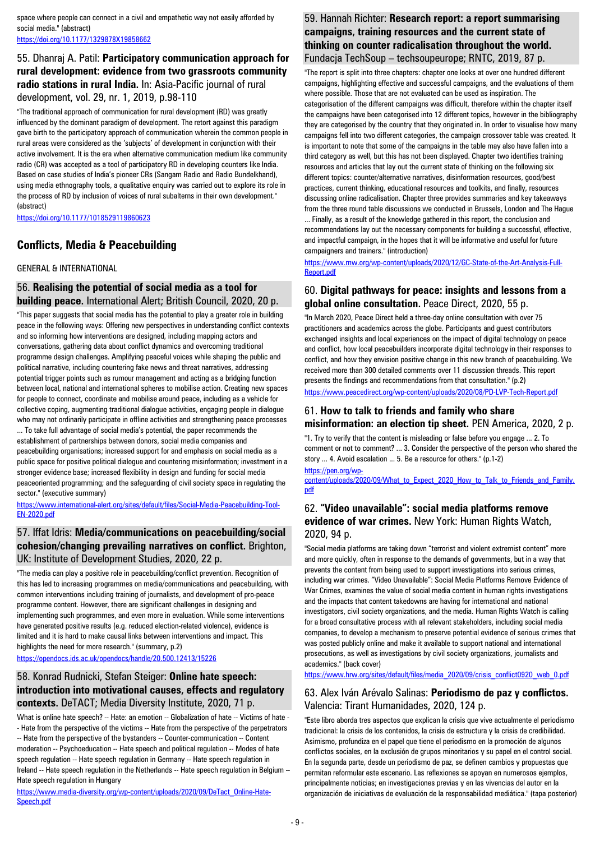space where people can connect in a civil and empathetic way not easily afforded by social media." (abstract)

<https://doi.org/10.1177/1329878X19858662>

### 55. Dhanraj A. Patil: **Participatory communication approach for rural development: evidence from two grassroots community radio stations in rural India.** In: Asia-Pacific journal of rural development, vol. 29, nr. 1, 2019, p.98-110

"The traditional approach of communication for rural development (RD) was greatly influenced by the dominant paradigm of development. The retort against this paradigm gave birth to the participatory approach of communication wherein the common people in rural areas were considered as the 'subjects' of development in conjunction with their active involvement. It is the era when alternative communication medium like community radio (CR) was accepted as a tool of participatory RD in developing counters like India. Based on case studies of India's pioneer CRs (Sangam Radio and Radio Bundelkhand), using media ethnography tools, a qualitative enquiry was carried out to explore its role in the process of RD by inclusion of voices of rural subalterns in their own development." (abstract)

<https://doi.org/10.1177/1018529119860623>

### **Conflicts, Media & Peacebuilding**

#### GENERAL & INTERNATIONAL

#### 56. **Realising the potential of social media as a tool for building peace.** International Alert; British Council, 2020, 20 p.

"This paper suggests that social media has the potential to play a greater role in building peace in the following ways: Offering new perspectives in understanding conflict contexts and so informing how interventions are designed, including mapping actors and conversations, gathering data about conflict dynamics and overcoming traditional programme design challenges. Amplifying peaceful voices while shaping the public and political narrative, including countering fake news and threat narratives, addressing potential trigger points such as rumour management and acting as a bridging function between local, national and international spheres to mobilise action. Creating new spaces for people to connect, coordinate and mobilise around peace, including as a vehicle for collective coping, augmenting traditional dialogue activities, engaging people in dialogue who may not ordinarily participate in offline activities and strengthening peace processes ... To take full advantage of social media's potential, the paper recommends the establishment of partnerships between donors, social media companies and peacebuilding organisations; increased support for and emphasis on social media as a public space for positive political dialogue and countering misinformation; investment in a stronger evidence base; increased flexibility in design and funding for social media peaceoriented programming; and the safeguarding of civil society space in regulating the sector." (executive summary)

[https://www.international-alert.org/sites/default/files/Social-Media-Peacebuilding-Tool-](https://www.international-alert.org/sites/default/files/Social-Media-Peacebuilding-Tool-EN-2020.pdf)[EN-2020.pdf](https://www.international-alert.org/sites/default/files/Social-Media-Peacebuilding-Tool-EN-2020.pdf)

#### 57. Iffat Idris: **Media/communications on peacebuilding/social cohesion/changing prevailing narratives on conflict.** Brighton, UK: Institute of Development Studies, 2020, 22 p.

"The media can play a positive role in peacebuilding/conflict prevention. Recognition of this has led to increasing programmes on media/communications and peacebuilding, with common interventions including training of journalists, and development of pro-peace programme content. However, there are significant challenges in designing and implementing such programmes, and even more in evaluation. While some interventions have generated positive results (e.g. reduced election-related violence), evidence is limited and it is hard to make causal links between interventions and impact. This highlights the need for more research." (summary, p.2)

<https://opendocs.ids.ac.uk/opendocs/handle/20.500.12413/15226>

#### 58. Konrad Rudnicki, Stefan Steiger: **Online hate speech: introduction into motivational causes, effects and regulatory contexts.** DeTACT; Media Diversity Institute, 2020, 71 p.

What is online hate speech? -- Hate: an emotion -- Globalization of hate -- Victims of hate -- Hate from the perspective of the victims -- Hate from the perspective of the perpetrators -- Hate from the perspective of the bystanders -- Counter-communication -- Content moderation -- Psychoeducation -- Hate speech and political regulation -- Modes of hate speech regulation -- Hate speech regulation in Germany -- Hate speech regulation in Ireland -- Hate speech regulation in the Netherlands -- Hate speech regulation in Belgium -- Hate speech regulation in Hungary

[https://www.media-diversity.org/wp-content/uploads/2020/09/DeTact\\_Online-Hate-](https://www.media-diversity.org/wp-content/uploads/2020/09/DeTact_Online-Hate-Speech.pdf)[Speech.pdf](https://www.media-diversity.org/wp-content/uploads/2020/09/DeTact_Online-Hate-Speech.pdf)

#### 59. Hannah Richter: **Research report: a report summarising campaigns, training resources and the current state of thinking on counter radicalisation throughout the world.**  Fundacja TechSoup – techsoupeurope; RNTC, 2019, 87 p.

"The report is split into three chapters: chapter one looks at over one hundred different campaigns, highlighting effective and successful campaigns, and the evaluations of them where possible. Those that are not evaluated can be used as inspiration. The categorisation of the different campaigns was difficult, therefore within the chapter itself the campaigns have been categorised into 12 different topics, however in the bibliography they are categorised by the country that they originated in. In order to visualise how many campaigns fell into two different categories, the campaign crossover table was created. It is important to note that some of the campaigns in the table may also have fallen into a third category as well, but this has not been displayed. Chapter two identifies training resources and articles that lay out the current state of thinking on the following six different topics: counter/alternative narratives, disinformation resources, good/best practices, current thinking, educational resources and toolkits, and finally, resources discussing online radicalisation. Chapter three provides summaries and key takeaways from the three round table discussions we conducted in Brussels, London and The Hague ... Finally, as a result of the knowledge gathered in this report, the conclusion and recommendations lay out the necessary components for building a successful, effective, and impactful campaign, in the hopes that it will be informative and useful for future campaigners and trainers." (introduction)

[https://www.rnw.org/wp-content/uploads/2020/12/GC-State-of-the-Art-Analysis-Full-](https://www.rnw.org/wp-content/uploads/2020/12/GC-State-of-the-Art-Analysis-Full-Report.pdf)[Report.pdf](https://www.rnw.org/wp-content/uploads/2020/12/GC-State-of-the-Art-Analysis-Full-Report.pdf)

### 60. **Digital pathways for peace: insights and lessons from a global online consultation.** Peace Direct, 2020, 55 p.

"In March 2020, Peace Direct held a three-day online consultation with over 75 practitioners and academics across the globe. Participants and guest contributors exchanged insights and local experiences on the impact of digital technology on peace and conflict, how local peacebuilders incorporate digital technology in their responses to conflict, and how they envision positive change in this new branch of peacebuilding. We received more than 300 detailed comments over 11 discussion threads. This report presents the findings and recommendations from that consultation." (p.2)

<https://www.peacedirect.org/wp-content/uploads/2020/08/PD-LVP-Tech-Report.pdf>

### 61. **How to talk to friends and family who share misinformation: an election tip sheet.** PEN America, 2020, 2 p.

"1. Try to verify that the content is misleading or false before you engage ... 2. To comment or not to comment? ... 3. Consider the perspective of the person who shared the story ... 4. Avoid escalation ... 5. Be a resource for others." (p.1-2) [https://pen.org/wp-](https://pen.org/wp-content/uploads/2020/09/What_to_Expect_2020_How_to_Talk_to_Friends_and_Family.pdf)

[content/uploads/2020/09/What\\_to\\_Expect\\_2020\\_How\\_to\\_Talk\\_to\\_Friends\\_and\\_Family.](https://pen.org/wp-content/uploads/2020/09/What_to_Expect_2020_How_to_Talk_to_Friends_and_Family.pdf) [pdf](https://pen.org/wp-content/uploads/2020/09/What_to_Expect_2020_How_to_Talk_to_Friends_and_Family.pdf)

### 62. **"Video unavailable": social media platforms remove evidence of war crimes.** New York: Human Rights Watch, 2020, 94 p.

"Social media platforms are taking down "terrorist and violent extremist content" more and more quickly, often in response to the demands of governments, but in a way that prevents the content from being used to support investigations into serious crimes, including war crimes. "Video Unavailable": Social Media Platforms Remove Evidence of War Crimes, examines the value of social media content in human rights investigations and the impacts that content takedowns are having for international and national investigators, civil society organizations, and the media. Human Rights Watch is calling for a broad consultative process with all relevant stakeholders, including social media companies, to develop a mechanism to preserve potential evidence of serious crimes that was posted publicly online and make it available to support national and international prosecutions, as well as investigations by civil society organizations, journalists and academics." (back cover)

[https://www.hrw.org/sites/default/files/media\\_2020/09/crisis\\_conflict0920\\_web\\_0.pdf](https://www.hrw.org/sites/default/files/media_2020/09/crisis_conflict0920_web_0.pdf)

### 63. Alex Iván Arévalo Salinas: **Periodismo de paz y conflictos.**  Valencia: Tirant Humanidades, 2020, 124 p.

"Este libro aborda tres aspectos que explican la crisis que vive actualmente el periodismo tradicional: la crisis de los contenidos, la crisis de estructura y la crisis de credibilidad. Asimismo, profundiza en el papel que tiene el periodismo en la promoción de algunos conflictos sociales, en la exclusión de grupos minoritarios y su papel en el control social. En la segunda parte, desde un periodismo de paz, se definen cambios y propuestas que permitan reformular este escenario. Las reflexiones se apoyan en numerosos ejemplos, principalmente noticias; en investigaciones previas y en las vivencias del autor en la organización de iniciativas de evaluación de la responsabilidad mediática." (tapa posterior)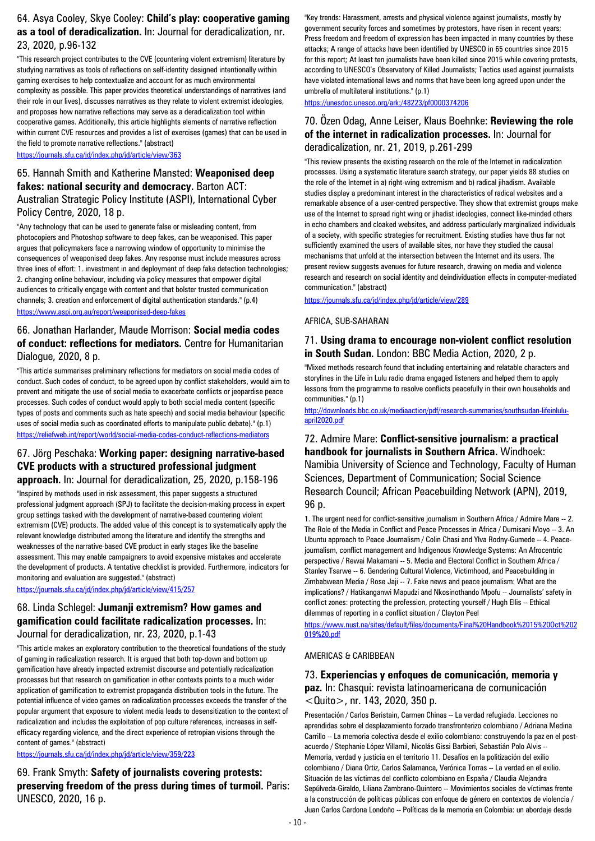### 64. Asya Cooley, Skye Cooley: **Child's play: cooperative gaming as a tool of deradicalization.** In: Journal for deradicalization, nr. 23, 2020, p.96-132

"This research project contributes to the CVE (countering violent extremism) literature by studying narratives as tools of reflections on self-identity designed intentionally within gaming exercises to help contextualize and account for as much environmental complexity as possible. This paper provides theoretical understandings of narratives (and their role in our lives), discusses narratives as they relate to violent extremist ideologies, and proposes how narrative reflections may serve as a deradicalization tool within cooperative games. Additionally, this article highlights elements of narrative reflection within current CVE resources and provides a list of exercises (games) that can be used in the field to promote narrative reflections." (abstract)

<https://journals.sfu.ca/jd/index.php/jd/article/view/363>

### 65. Hannah Smith and Katherine Mansted: **Weaponised deep fakes: national security and democracy.** Barton ACT: Australian Strategic Policy Institute (ASPI), International Cyber Policy Centre, 2020, 18 p.

"Any technology that can be used to generate false or misleading content, from photocopiers and Photoshop software to deep fakes, can be weaponised. This paper argues that policymakers face a narrowing window of opportunity to minimise the consequences of weaponised deep fakes. Any response must include measures across three lines of effort: 1. investment in and deployment of deep fake detection technologies; 2. changing online behaviour, including via policy measures that empower digital audiences to critically engage with content and that bolster trusted communication channels; 3. creation and enforcement of digital authentication standards." (p.4) <https://www.aspi.org.au/report/weaponised-deep-fakes>

### 66. Jonathan Harlander, Maude Morrison: **Social media codes of conduct: reflections for mediators.** Centre for Humanitarian Dialogue, 2020, 8 p.

"This article summarises preliminary reflections for mediators on social media codes of conduct. Such codes of conduct, to be agreed upon by conflict stakeholders, would aim to prevent and mitigate the use of social media to exacerbate conflicts or jeopardise peace processes. Such codes of conduct would apply to both social media content (specific types of posts and comments such as hate speech) and social media behaviour (specific uses of social media such as coordinated efforts to manipulate public debate)." (p.1) <https://reliefweb.int/report/world/social-media-codes-conduct-reflections-mediators>

### 67. Jörg Peschaka: **Working paper: designing narrative-based CVE products with a structured professional judgment approach.** In: Journal for deradicalization, 25, 2020, p.158-196

"Inspired by methods used in risk assessment, this paper suggests a structured professional judgment approach (SPJ) to facilitate the decision-making process in expert group settings tasked with the development of narrative-based countering violent extremism (CVE) products. The added value of this concept is to systematically apply the relevant knowledge distributed among the literature and identify the strengths and weaknesses of the narrative-based CVE product in early stages like the baseline assessment. This may enable campaigners to avoid expensive mistakes and accelerate the development of products. A tentative checklist is provided. Furthermore, indicators for monitoring and evaluation are suggested." (abstract)

<https://journals.sfu.ca/jd/index.php/jd/article/view/415/257>

### 68. Linda Schlegel: **Jumanji extremism? How games and gamification could facilitate radicalization processes.** In: Journal for deradicalization, nr. 23, 2020, p.1-43

"This article makes an exploratory contribution to the theoretical foundations of the study of gaming in radicalization research. It is argued that both top-down and bottom up gamification have already impacted extremist discourse and potentially radicalization processes but that research on gamification in other contexts points to a much wider application of gamification to extremist propaganda distribution tools in the future. The potential influence of video games on radicalization processes exceeds the transfer of the popular argument that exposure to violent media leads to desensitization to the context of radicalization and includes the exploitation of pop culture references, increases in selfefficacy regarding violence, and the direct experience of retropian visions through the content of games." (abstract)

<https://journals.sfu.ca/jd/index.php/jd/article/view/359/223>

69. Frank Smyth: **Safety of journalists covering protests: preserving freedom of the press during times of turmoil.** Paris: UNESCO, 2020, 16 p.

"Key trends: Harassment, arrests and physical violence against journalists, mostly by government security forces and sometimes by protestors, have risen in recent years; Press freedom and freedom of expression has been impacted in many countries by these attacks; A range of attacks have been identified by UNESCO in 65 countries since 2015 for this report; At least ten journalists have been killed since 2015 while covering protests, according to UNESCO's Observatory of Killed Journalists; Tactics used against journalists have violated international laws and norms that have been long agreed upon under the umbrella of multilateral institutions." (p.1)

#### <https://unesdoc.unesco.org/ark:/48223/pf0000374206>

### 70. Özen Odag, Anne Leiser, Klaus Boehnke: **Reviewing the role of the internet in radicalization processes.** In: Journal for deradicalization, nr. 21, 2019, p.261-299

"This review presents the existing research on the role of the Internet in radicalization processes. Using a systematic literature search strategy, our paper yields 88 studies on the role of the Internet in a) right-wing extremism and b) radical jihadism. Available studies display a predominant interest in the characteristics of radical websites and a remarkable absence of a user-centred perspective. They show that extremist groups make use of the Internet to spread right wing or jihadist ideologies, connect like-minded others in echo chambers and cloaked websites, and address particularly marginalized individuals of a society, with specific strategies for recruitment. Existing studies have thus far not sufficiently examined the users of available sites, nor have they studied the causal mechanisms that unfold at the intersection between the Internet and its users. The present review suggests avenues for future research, drawing on media and violence research and research on social identity and deindividuation effects in computer-mediated communication." (abstract)

<https://journals.sfu.ca/jd/index.php/jd/article/view/289>

#### AFRICA, SUB-SAHARAN

#### 71. **Using drama to encourage non-violent conflict resolution in South Sudan.** London: BBC Media Action, 2020, 2 p.

"Mixed methods research found that including entertaining and relatable characters and storylines in the Life in Lulu radio drama engaged listeners and helped them to apply lessons from the programme to resolve conflicts peacefully in their own households and communities." (p.1)

[http://downloads.bbc.co.uk/mediaaction/pdf/research-summaries/southsudan-lifeinlulu](http://downloads.bbc.co.uk/mediaaction/pdf/research-summaries/southsudan-lifeinlulu-april2020.pdf)[april2020.pdf](http://downloads.bbc.co.uk/mediaaction/pdf/research-summaries/southsudan-lifeinlulu-april2020.pdf)

### 72. Admire Mare: **Conflict-sensitive journalism: a practical handbook for journalists in Southern Africa.** Windhoek: Namibia University of Science and Technology, Faculty of Human Sciences, Department of Communication; Social Science Research Council; African Peacebuilding Network (APN), 2019, 96 p.

1. The urgent need for conflict-sensitive journalism in Southern Africa / Admire Mare -- 2. The Role of the Media in Conflict and Peace Processes in Africa / Dumisani Moyo -- 3. An Ubuntu approach to Peace Journalism / Colin Chasi and Ylva Rodny-Gumede -- 4. Peacejournalism, conflict management and Indigenous Knowledge Systems: An Afrocentric perspective / Rewai Makamani -- 5. Media and Electoral Conflict in Southern Africa / Stanley Tsarwe -- 6. Gendering Cultural Violence, Victimhood, and Peacebuilding in Zimbabwean Media / Rose Jaji -- 7. Fake news and peace journalism: What are the implications? / Hatikanganwi Mapudzi and Nkosinothando Mpofu -- Journalists' safety in conflict zones: protecting the profession, protecting yourself / Hugh Ellis -- Ethical dilemmas of reporting in a conflict situation / Clayton Peel

[https://www.nust.na/sites/default/files/documents/Final%20Handbook%2015%20Oct%202](https://www.nust.na/sites/default/files/documents/Final%20Handbook%2015%20Oct%202019%20.pdf) [019%20.pdf](https://www.nust.na/sites/default/files/documents/Final%20Handbook%2015%20Oct%202019%20.pdf)

#### AMERICAS & CARIBBEAN

#### 73. **Experiencias y enfoques de comunicación, memoria y paz.** In: Chasqui: revista latinoamericana de comunicación  $<$ Quito $>$ , nr. 143, 2020, 350 p.

Presentación / Carlos Beristain, Carmen Chinas -- La verdad refugiada. Lecciones no aprendidas sobre el desplazamiento forzado transfronterizo colombiano / Adriana Medina Carrillo -- La memoria colectiva desde el exilio colombiano: construyendo la paz en el postacuerdo / Stephanie López Villamil, Nicolás Gissi Barbieri, Sebastián Polo Alvis -- Memoria, verdad y justicia en el territorio 11. Desafíos en la politización del exilio colombiano / Diana Ortiz, Carlos Salamanca, Verónica Torras -- La verdad en el exilio. Situación de las víctimas del conflicto colombiano en España / Claudia Alejandra Sepúlveda-Giraldo, Liliana Zambrano-Quintero -- Movimientos sociales de víctimas frente a la construcción de políticas públicas con enfoque de género en contextos de violencia / Juan Carlos Cardona Londoño -- Políticas de la memoria en Colombia: un abordaje desde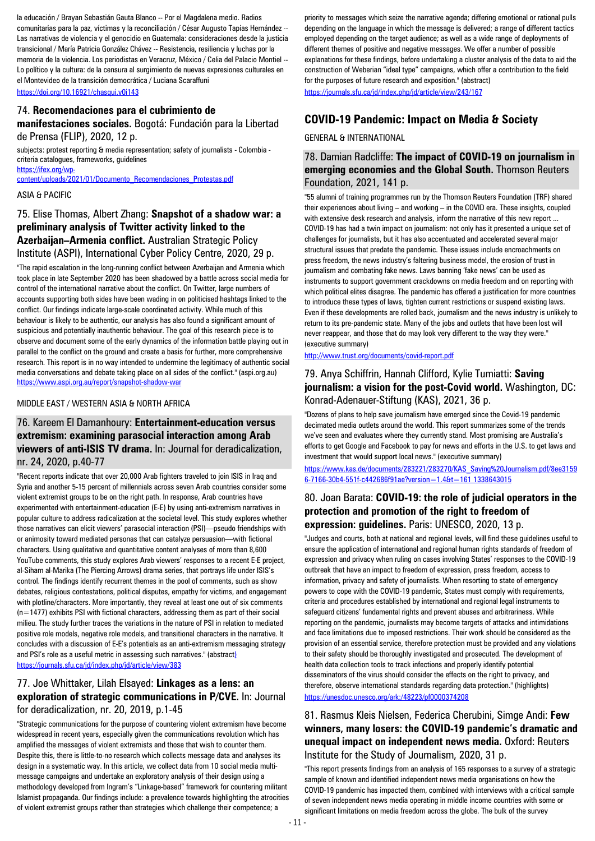la educación / Brayan Sebastián Gauta Blanco -- Por el Magdalena medio. Radios comunitarias para la paz, víctimas y la reconciliación / César Augusto Tapias Hernández -- Las narrativas de violencia y el genocidio en Guatemala: consideraciones desde la justicia transicional / María Patricia González Chávez -- Resistencia, resiliencia y luchas por la memoria de la violencia. Los periodistas en Veracruz, México / Celia del Palacio Montiel -- Lo político y la cultura: de la censura al surgimiento de nuevas expresiones culturales en el Montevideo de la transición democrática / Luciana Scaraffuni

#### <https://doi.org/10.16921/chasqui.v0i143>

#### 74. **Recomendaciones para el cubrimiento de manifestaciones sociales.** Bogotá: Fundación para la Libertad de Prensa (FLIP), 2020, 12 p.

subjects: protest reporting & media representation; safety of journalists - Colombia criteria catalogues, frameworks, guidelines [https://ifex.org/wp-](https://ifex.org/wp-content/uploads/2021/01/Documento_Recomendaciones_Protestas.pdf)

[content/uploads/2021/01/Documento\\_Recomendaciones\\_Protestas.pdf](https://ifex.org/wp-content/uploads/2021/01/Documento_Recomendaciones_Protestas.pdf)

ASIA & PACIFIC

#### 75. Elise Thomas, Albert Zhang: **Snapshot of a shadow war: a preliminary analysis of Twitter activity linked to the Azerbaijan–Armenia conflict.** Australian Strategic Policy Institute (ASPI), International Cyber Policy Centre, 2020, 29 p.

"The rapid escalation in the long-running conflict between Azerbaijan and Armenia which took place in late September 2020 has been shadowed by a battle across social media for control of the international narrative about the conflict. On Twitter, large numbers of accounts supporting both sides have been wading in on politicised hashtags linked to the conflict. Our findings indicate large-scale coordinated activity. While much of this behaviour is likely to be authentic, our analysis has also found a significant amount of suspicious and potentially inauthentic behaviour. The goal of this research piece is to observe and document some of the early dynamics of the information battle playing out in parallel to the conflict on the ground and create a basis for further, more comprehensive research. This report is in no way intended to undermine the legitimacy of authentic social media conversations and debate taking place on all sides of the conflict." (aspi.org.au) <https://www.aspi.org.au/report/snapshot-shadow-war>

MIDDLE EAST / WESTERN ASIA & NORTH AFRICA

#### 76. Kareem El Damanhoury: **Entertainment-education versus extremism: examining parasocial interaction among Arab viewers of anti-ISIS TV drama.** In: Journal for deradicalization, nr. 24, 2020, p.40-77

"Recent reports indicate that over 20,000 Arab fighters traveled to join ISIS in Iraq and Syria and another 5-15 percent of millennials across seven Arab countries consider some violent extremist groups to be on the right path. In response, Arab countries have experimented with entertainment-education (E-E) by using anti-extremism narratives in popular culture to address radicalization at the societal level. This study explores whether those narratives can elicit viewers' parasocial interaction (PSI)—pseudo friendships with or animosity toward mediated personas that can catalyze persuasion—with fictional characters. Using qualitative and quantitative content analyses of more than 8,600 YouTube comments, this study explores Arab viewers' responses to a recent E-E project, al-Siham al-Marika (The Piercing Arrows) drama series, that portrays life under ISIS's control. The findings identify recurrent themes in the pool of comments, such as show debates, religious contestations, political disputes, empathy for victims, and engagement with plotline/characters. More importantly, they reveal at least one out of six comments (n=1477) exhibits PSI with fictional characters, addressing them as part of their social milieu. The study further traces the variations in the nature of PSI in relation to mediated positive role models, negative role models, and transitional characters in the narrative. It concludes with a discussion of E-E's potentials as an anti-extremism messaging strategy and PSI's role as a useful metric in assessing such narratives." (abstract) https://journals.sfu.ca/jd/index.php/jd/article/view/383

#### 77. Joe Whittaker, Lilah Elsayed: **Linkages as a lens: an exploration of strategic communications in P/CVE.** In: Journal for deradicalization, nr. 20, 2019, p.1-45

"Strategic communications for the purpose of countering violent extremism have become widespread in recent years, especially given the communications revolution which has amplified the messages of violent extremists and those that wish to counter them. Despite this, there is little-to-no research which collects message data and analyses its design in a systematic way. In this article, we collect data from 10 social media multimessage campaigns and undertake an exploratory analysis of their design using a methodology developed from Ingram's "Linkage-based" framework for countering militant Islamist propaganda. Our findings include: a prevalence towards highlighting the atrocities of violent extremist groups rather than strategies which challenge their competence; a

priority to messages which seize the narrative agenda; differing emotional or rational pulls depending on the language in which the message is delivered; a range of different tactics employed depending on the target audience; as well as a wide range of deployments of different themes of positive and negative messages. We offer a number of possible explanations for these findings, before undertaking a cluster analysis of the data to aid the construction of Weberian "ideal type" campaigns, which offer a contribution to the field for the purposes of future research and exposition." (abstract) <https://journals.sfu.ca/jd/index.php/jd/article/view/243/167>

**COVID-19 Pandemic: Impact on Media & Society**

#### GENERAL & INTERNATIONAL

#### 78. Damian Radcliffe: **The impact of COVID-19 on journalism in emerging economies and the Global South.** Thomson Reuters Foundation, 2021, 141 p.

"55 alumni of training programmes run by the Thomson Reuters Foundation (TRF) shared their experiences about living – and working – in the COVID era. These insights, coupled with extensive desk research and analysis, inform the narrative of this new report ... COVID-19 has had a twin impact on journalism: not only has it presented a unique set of challenges for journalists, but it has also accentuated and accelerated several major structural issues that predate the pandemic. These issues include encroachments on press freedom, the news industry's faltering business model, the erosion of trust in journalism and combating fake news. Laws banning 'fake news' can be used as instruments to support government crackdowns on media freedom and on reporting with which political elites disagree. The pandemic has offered a justification for more countries to introduce these types of laws, tighten current restrictions or suspend existing laws. Even if these developments are rolled back, journalism and the news industry is unlikely to return to its pre-pandemic state. Many of the jobs and outlets that have been lost will never reappear, and those that do may look very different to the way they were." (executive summary)

<http://www.trust.org/documents/covid-report.pdf>

#### 79. Anya Schiffrin, Hannah Clifford, Kylie Tumiatti: **Saving journalism: a vision for the post-Covid world.** Washington, DC: Konrad-Adenauer-Stiftung (KAS), 2021, 36 p.

"Dozens of plans to help save journalism have emerged since the Covid-19 pandemic decimated media outlets around the world. This report summarizes some of the trends we've seen and evaluates where they currently stand. Most promising are Australia's efforts to get Google and Facebook to pay for news and efforts in the U.S. to get laws and investment that would support local news." (executive summary)

[https://www.kas.de/documents/283221/283270/KAS\\_Saving%20Journalism.pdf/8ee3159](https://www.kas.de/documents/283221/283270/KAS_Saving%20Journalism.pdf/8ee31596-7166-30b4-551f-c442686f91ae?version=1.4&t=161%201338643015) [6-7166-30b4-551f-c442686f91ae?version=1.4&t=161 1338643015](https://www.kas.de/documents/283221/283270/KAS_Saving%20Journalism.pdf/8ee31596-7166-30b4-551f-c442686f91ae?version=1.4&t=161%201338643015)

#### 80. Joan Barata: **COVID-19: the role of judicial operators in the protection and promotion of the right to freedom of expression: guidelines.** Paris: UNESCO, 2020, 13 p.

"Judges and courts, both at national and regional levels, will find these guidelines useful to ensure the application of international and regional human rights standards of freedom of expression and privacy when ruling on cases involving States' responses to the COVID-19 outbreak that have an impact to freedom of expression, press freedom, access to information, privacy and safety of journalists. When resorting to state of emergency powers to cope with the COVID-19 pandemic, States must comply with requirements, criteria and procedures established by international and regional legal instruments to safeguard citizens' fundamental rights and prevent abuses and arbitrariness. While reporting on the pandemic, journalists may become targets of attacks and intimidations and face limitations due to imposed restrictions. Their work should be considered as the provision of an essential service, therefore protection must be provided and any violations to their safety should be thoroughly investigated and prosecuted. The development of health data collection tools to track infections and properly identify potential disseminators of the virus should consider the effects on the right to privacy, and therefore, observe international standards regarding data protection." (highlights) <https://unesdoc.unesco.org/ark:/48223/pf0000374208>

### 81. Rasmus Kleis Nielsen, Federica Cherubini, Simge Andi: **Few winners, many losers: the COVID-19 pandemic's dramatic and unequal impact on independent news media.** Oxford: Reuters Institute for the Study of Journalism, 2020, 31 p.

"This report presents findings from an analysis of 165 responses to a survey of a strategic sample of known and identified independent news media organisations on how the COVID-19 pandemic has impacted them, combined with interviews with a critical sample of seven independent news media operating in middle income countries with some or significant limitations on media freedom across the globe. The bulk of the survey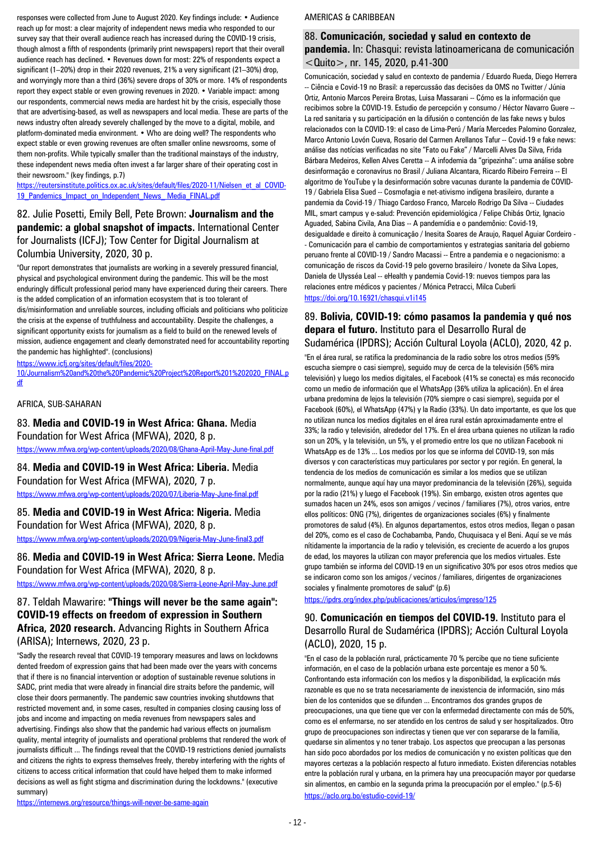responses were collected from June to August 2020. Key findings include: • Audience reach up for most: a clear majority of independent news media who responded to our survey say that their overall audience reach has increased during the COVID-19 crisis, though almost a fifth of respondents (primarily print newspapers) report that their overall audience reach has declined. • Revenues down for most: 22% of respondents expect a significant (1–20%) drop in their 2020 revenues, 21% a very significant (21–30%) drop, and worryingly more than a third (36%) severe drops of 30% or more. 14% of respondents report they expect stable or even growing revenues in 2020. • Variable impact: among our respondents, commercial news media are hardest hit by the crisis, especially those that are advertising-based, as well as newspapers and local media. These are parts of the news industry often already severely challenged by the move to a digital, mobile, and platform-dominated media environment. • Who are doing well? The respondents who expect stable or even growing revenues are often smaller online newsrooms, some of them non-profits. While typically smaller than the traditional mainstays of the industry, these independent news media often invest a far larger share of their operating cost in their newsroom." (key findings, p.7)

[https://reutersinstitute.politics.ox.ac.uk/sites/default/files/2020-11/Nielsen\\_et\\_al\\_COVID-](https://reutersinstitute.politics.ox.ac.uk/sites/default/files/2020-11/Nielsen_et_al_COVID-19_Pandemics_Impact_on_Independent_News_%20Media_FINAL.pdf)19\_Pandemics\_Impact\_on\_Independent\_News\_Media\_FINAL.pdf

### 82. Julie Posetti, Emily Bell, Pete Brown: **Journalism and the pandemic: a global snapshot of impacts.** International Center for Journalists (ICFJ); Tow Center for Digital Journalism at Columbia University, 2020, 30 p.

"Our report demonstrates that journalists are working in a severely pressured financial, physical and psychological environment during the pandemic. This will be the most enduringly difficult professional period many have experienced during their careers. There is the added complication of an information ecosystem that is too tolerant of dis/misinformation and unreliable sources, including officials and politicians who politicize the crisis at the expense of truthfulness and accountability. Despite the challenges, a significant opportunity exists for journalism as a field to build on the renewed levels of mission, audience engagement and clearly demonstrated need for accountability reporting the pandemic has highlighted". (conclusions)

[https://www.icfj.org/sites/default/files/2020-](https://www.icfj.org/sites/default/files/2020-10/Journalism%20and%20the%20Pandemic%20Project%20Report%201%202020_FINAL.pdf)

[10/Journalism%20and%20the%20Pandemic%20Project%20Report%201%202020\\_FINAL.p](https://www.icfj.org/sites/default/files/2020-10/Journalism%20and%20the%20Pandemic%20Project%20Report%201%202020_FINAL.pdf) [df](https://www.icfj.org/sites/default/files/2020-10/Journalism%20and%20the%20Pandemic%20Project%20Report%201%202020_FINAL.pdf)

#### AFRICA, SUB-SAHARAN

83. **Media and COVID-19 in West Africa: Ghana.** Media Foundation for West Africa (MFWA), 2020, 8 p.

<https://www.mfwa.org/wp-content/uploads/2020/08/Ghana-April-May-June-final.pdf>

84. **Media and COVID-19 in West Africa: Liberia.** Media Foundation for West Africa (MFWA), 2020, 7 p. <https://www.mfwa.org/wp-content/uploads/2020/07/Liberia-May-June-final.pdf>

85. **Media and COVID-19 in West Africa: Nigeria.** Media Foundation for West Africa (MFWA), 2020, 8 p. <https://www.mfwa.org/wp-content/uploads/2020/09/Nigeria-May-June-final3.pdf>

86. **Media and COVID-19 in West Africa: Sierra Leone.** Media Foundation for West Africa (MFWA), 2020, 8 p.

<https://www.mfwa.org/wp-content/uploads/2020/08/Sierra-Leone-April-May-June.pdf>

#### 87. Teldah Mawarire: **"Things will never be the same again": COVID-19 effects on freedom of expression in Southern Africa, 2020 research.** Advancing Rights in Southern Africa (ARISA); Internews, 2020, 23 p.

"Sadly the research reveal that COVID-19 temporary measures and laws on lockdowns dented freedom of expression gains that had been made over the years with concerns that if there is no financial intervention or adoption of sustainable revenue solutions in SADC, print media that were already in financial dire straits before the pandemic, will close their doors permanently. The pandemic saw countries invoking shutdowns that restricted movement and, in some cases, resulted in companies closing causing loss of jobs and income and impacting on media revenues from newspapers sales and advertising. Findings also show that the pandemic had various effects on journalism quality, mental integrity of journalists and operational problems that rendered the work of journalists difficult ... The findings reveal that the COVID-19 restrictions denied journalists and citizens the rights to express themselves freely, thereby interfering with the rights of citizens to access critical information that could have helped them to make informed decisions as well as fight stigma and discrimination during the lockdowns." (executive summary)

<https://internews.org/resource/things-will-never-be-same-again>

#### AMERICAS & CARIBBEAN

#### 88. **Comunicación, sociedad y salud en contexto de**

#### **pandemia.** In: Chasqui: revista latinoamericana de comunicación  $<$ Quito $>$ , nr. 145, 2020, p.41-300

Comunicación, sociedad y salud en contexto de pandemia / Eduardo Rueda, Diego Herrera -- Ciência e Covid-19 no Brasil: a repercussão das decisões da OMS no Twitter / Júnia Ortiz, Antonio Marcos Pereira Brotas, Luisa Massarani -- Cómo es la información que recibimos sobre la COVID-19. Estudio de percepción y consumo / Héctor Navarro Guere -- La red sanitaria y su participación en la difusión o contención de las fake news y bulos relacionados con la COVID-19: el caso de Lima-Perú / María Mercedes Palomino Gonzalez, Marco Antonio Lovón Cueva, Rosario del Carmen Arellanos Tafur -- Covid-19 e fake news: análise das notícias verificadas no site "Fato ou Fake" / Marcelli Alves Da Silva, Frida Bárbara Medeiros, Kellen Alves Ceretta -- A infodemia da "gripezinha": uma análise sobre desinformação e coronavírus no Brasil / Juliana Alcantara, Ricardo Ribeiro Ferreira -- El algoritmo de YouTube y la desinformación sobre vacunas durante la pandemia de COVID-19 / Gabriela Elisa Sued -- Cosmofagia e net-ativismo indígena brasileiro, durante a pandemia da Covid-19 / Thiago Cardoso Franco, Marcelo Rodrigo Da Silva -- Ciudades MIL, smart campus y e-salud: Prevención epidemiológica / Felipe Chibás Ortiz, Ignacio Aguaded, Sabina Civila, Ana Dias -- A pandemídia e o pandemônio: Covid-19, desigualdade e direito à comunicação / Inesita Soares de Araujo, Raquel Aguiar Cordeiro - - Comunicación para el cambio de comportamientos y estrategias sanitaria del gobierno peruano frente al COVID-19 / Sandro Macassi -- Entre a pandemia e o negacionismo: a comunicação de riscos da Covid-19 pelo governo brasileiro / Ivonete da Silva Lopes, Daniela de Ulysséa Leal -- eHealth y pandemia Covid-19: nuevos tiempos para las relaciones entre médicos y pacientes / Mónica Petracci, Milca Cuberli <https://doi.org/10.16921/chasqui.v1i145>

#### 89. **Bolivia, COVID-19: cómo pasamos la pandemia y qué nos depara el futuro.** Instituto para el Desarrollo Rural de Sudamérica (IPDRS); Acción Cultural Loyola (ACLO), 2020, 42 p.

"En el área rural, se ratifica la predominancia de la radio sobre los otros medios (59% escucha siempre o casi siempre), seguido muy de cerca de la televisión (56% mira televisión) y luego los medios digitales, el Facebook (41% se conecta) es más reconocido como un medio de información que el WhatsApp (36% utiliza la aplicación). En el área urbana predomina de lejos la televisión (70% siempre o casi siempre), seguida por el Facebook (60%), el WhatsApp (47%) y la Radio (33%). Un dato importante, es que los que no utilizan nunca los medios digitales en el área rural están aproximadamente entre el 33%; la radio y televisión, alrededor del 17%. En el área urbana quienes no utilizan la radio son un 20%, y la televisión, un 5%, y el promedio entre los que no utilizan Facebook ni WhatsApp es de 13% ... Los medios por los que se informa del COVID-19, son más diversos y con características muy particulares por sector y por región. En general, la tendencia de los medios de comunicación es similar a los medios que se utilizan normalmente, aunque aquí hay una mayor predominancia de la televisión (26%), seguida por la radio (21%) y luego el Facebook (19%). Sin embargo, existen otros agentes que sumados hacen un 24%, esos son amigos / vecinos / familiares (7%), otros varios, entre ellos políticos: ONG (7%), dirigentes de organizaciones sociales (6%) y finalmente promotores de salud (4%). En algunos departamentos, estos otros medios, llegan o pasan del 20%, como es el caso de Cochabamba, Pando, Chuquisaca y el Beni. Aquí se ve más nítidamente la importancia de la radio y televisión, es creciente de acuerdo a los grupos de edad, los mayores la utilizan con mayor preferencia que los medios virtuales. Este grupo también se informa del COVID-19 en un significativo 30% por esos otros medios que se indicaron como son los amigos / vecinos / familiares, dirigentes de organizaciones sociales y finalmente promotores de salud" (p.6)

<https://ipdrs.org/index.php/publicaciones/articulos/impreso/125>

#### 90. **Comunicación en tiempos del COVID-19.** Instituto para el Desarrollo Rural de Sudamérica (IPDRS); Acción Cultural Loyola (ACLO), 2020, 15 p.

"En el caso de la población rural, prácticamente 70 % percibe que no tiene suficiente información, en el caso de la población urbana este porcentaje es menor a 50 %. Confrontando esta información con los medios y la disponibilidad, la explicación más razonable es que no se trata necesariamente de inexistencia de información, sino más bien de los contenidos que se difunden ... Encontramos dos grandes grupos de preocupaciones, una que tiene que ver con la enfermedad directamente con más de 50%, como es el enfermarse, no ser atendido en los centros de salud y ser hospitalizados. Otro grupo de preocupaciones son indirectas y tienen que ver con separarse de la familia, quedarse sin alimentos y no tener trabajo. Los aspectos que preocupan a las personas han sido poco abordados por los medios de comunicación y no existen políticas que den mayores certezas a la población respecto al futuro inmediato. Existen diferencias notables entre la población rural y urbana, en la primera hay una preocupación mayor por quedarse sin alimentos, en cambio en la segunda prima la preocupación por el empleo." (p.5-6) <https://aclo.org.bo/estudio-covid-19/>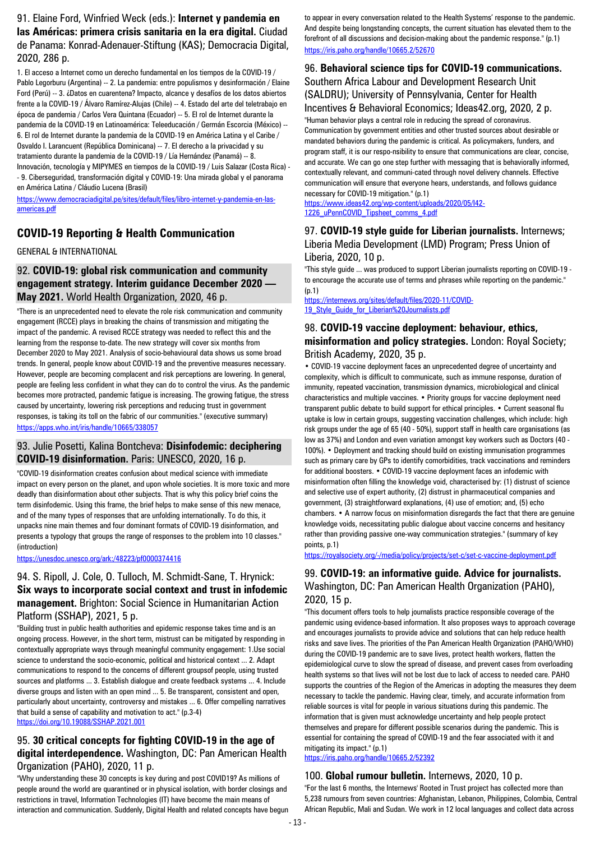### 91. Elaine Ford, Winfried Weck (eds.): **Internet y pandemia en las Américas: primera crisis sanitaria en la era digital.** Ciudad de Panama: Konrad-Adenauer-Stiftung (KAS); Democracia Digital, 2020, 286 p.

1. El acceso a Internet como un derecho fundamental en los tiempos de la COVID-19 / Pablo Legorburu (Argentina) -- 2. La pandemia: entre populismos y desinformación / Elaine Ford (Perú) -- 3. ¿Datos en cuarentena? Impacto, alcance y desafíos de los datos abiertos frente a la COVID-19 / Álvaro Ramírez-Alujas (Chile) -- 4. Estado del arte del teletrabajo en época de pandemia / Carlos Vera Quintana (Ecuador) -- 5. El rol de Internet durante la pandemia de la COVID-19 en Latinoamérica: Teleeducación / Germán Escorcia (México) -- 6. El rol de Internet durante la pandemia de la COVID-19 en América Latina y el Caribe / Osvaldo I. Larancuent (República Dominicana) -- 7. El derecho a la privacidad y su tratamiento durante la pandemia de la COVID-19 / Lía Hernández (Panamá) -- 8. Innovación, tecnología y MIPYMES en tiempos de la COVID-19 / Luis Salazar (Costa Rica) - - 9. Ciberseguridad, transformación digital y COVID-19: Una mirada global y el panorama en América Latina / Cláudio Lucena (Brasil)

[https://www.democraciadigital.pe/sites/default/files/libro-internet-y-pandemia-en-las](https://www.democraciadigital.pe/sites/default/files/libro-internet-y-pandemia-en-las-americas.pdf)[americas.pdf](https://www.democraciadigital.pe/sites/default/files/libro-internet-y-pandemia-en-las-americas.pdf)

### **COVID-19 Reporting & Health Communication**

GENERAL & INTERNATIONAL

#### 92. **COVID-19: global risk communication and community engagement strategy. Interim guidance December 2020 — May 2021.** World Health Organization, 2020, 46 p.

"There is an unprecedented need to elevate the role risk communication and community engagement (RCCE) plays in breaking the chains of transmission and mitigating the impact of the pandemic. A revised RCCE strategy was needed to reflect this and the learning from the response to-date. The new strategy will cover six months from December 2020 to May 2021. Analysis of socio-behavioural data shows us some broad trends. In general, people know about COVID-19 and the preventive measures necessary. However, people are becoming complacent and risk perceptions are lowering. In general, people are feeling less confident in what they can do to control the virus. As the pandemic becomes more protracted, pandemic fatigue is increasing. The growing fatigue, the stress caused by uncertainty, lowering risk perceptions and reducing trust in government responses, is taking its toll on the fabric of our communities." (executive summary) <https://apps.who.int/iris/handle/10665/338057>

93. Julie Posetti, Kalina Bontcheva: **Disinfodemic: deciphering** 

## **COVID-19 disinformation.** Paris: UNESCO, 2020, 16 p.

"COVID-19 disinformation creates confusion about medical science with immediate impact on every person on the planet, and upon whole societies. It is more toxic and more deadly than disinformation about other subjects. That is why this policy brief coins the term disinfodemic. Using this frame, the brief helps to make sense of this new menace, and of the many types of responses that are unfolding internationally. To do this, it unpacks nine main themes and four dominant formats of COVID-19 disinformation, and presents a typology that groups the range of responses to the problem into 10 classes." (introduction)

#### <https://unesdoc.unesco.org/ark:/48223/pf0000374416>

#### 94. S. Ripoll, J. Cole, O. Tulloch, M. Schmidt-Sane, T. Hrynick: **Six ways to incorporate social context and trust in infodemic management.** Brighton: Social Science in Humanitarian Action Platform (SSHAP), 2021, 5 p.

"Building trust in public health authorities and epidemic response takes time and is an ongoing process. However, in the short term, mistrust can be mitigated by responding in contextually appropriate ways through meaningful community engagement: 1.Use social science to understand the socio-economic, political and historical context ... 2. Adapt communications to respond to the concerns of different groupsof people, using trusted sources and platforms ... 3. Establish dialogue and create feedback systems ... 4. Include diverse groups and listen with an open mind ... 5. Be transparent, consistent and open, particularly about uncertainty, controversy and mistakes ... 6. Offer compelling narratives that build a sense of capability and motivation to act." (p.3-4) <https://doi.org/10.19088/SSHAP.2021.001>

#### 95. **30 critical concepts for fighting COVID-19 in the age of digital interdependence.** Washington, DC: Pan American Health Organization (PAHO), 2020, 11 p.

"Why understanding these 30 concepts is key during and post COVID19? As millions of people around the world are quarantined or in physical isolation, with border closings and restrictions in travel, Information Technologies (IT) have become the main means of interaction and communication. Suddenly, Digital Health and related concepts have begun to appear in every conversation related to the Health Systems' response to the pandemic. And despite being longstanding concepts, the current situation has elevated them to the forefront of all discussions and decision-making about the pandemic response." (p.1) <https://iris.paho.org/handle/10665.2/52670>

#### 96. **Behavioral science tips for COVID-19 communications.**  Southern Africa Labour and Development Research Unit (SALDRU); University of Pennsylvania, Center for Health Incentives & Behavioral Economics; Ideas42.org, 2020, 2 p. "Human behavior plays a central role in reducing the spread of coronavirus. Communication by government entities and other trusted sources about desirable or mandated behaviors during the pandemic is critical. As policymakers, funders, and program staff, it is our respo-nsibility to ensure that communications are clear, concise, and accurate. We can go one step further with messaging that is behaviorally informed, contextually relevant, and communi-cated through novel delivery channels. Effective communication will ensure that everyone hears, understands, and follows guidance necessary for COVID-19 mitigation." (p.1)

[https://www.ideas42.org/wp-content/uploads/2020/05/I42-](https://www.ideas42.org/wp-content/uploads/2020/05/I42-1226_uPennCOVID_Tipsheet_comms_4.pdf) [1226\\_uPennCOVID\\_Tipsheet\\_comms\\_4.pdf](https://www.ideas42.org/wp-content/uploads/2020/05/I42-1226_uPennCOVID_Tipsheet_comms_4.pdf)

#### 97. **COVID-19 style guide for Liberian journalists.** Internews; Liberia Media Development (LMD) Program; Press Union of Liberia, 2020, 10 p.

"This style guide ... was produced to support Liberian journalists reporting on COVID-19 to encourage the accurate use of terms and phrases while reporting on the pandemic." (p.1)

[https://internews.org/sites/default/files/2020-11/COVID-](https://internews.org/sites/default/files/2020-11/COVID-19_Style_Guide_for_Liberian%20Journalists.pdf)[19\\_Style\\_Guide\\_for\\_Liberian%20Journalists.pdf](https://internews.org/sites/default/files/2020-11/COVID-19_Style_Guide_for_Liberian%20Journalists.pdf)

#### 98. **COVID-19 vaccine deployment: behaviour, ethics, misinformation and policy strategies.** London: Royal Society; British Academy, 2020, 35 p.

• COVID-19 vaccine deployment faces an unprecedented degree of uncertainty and complexity, which is difficult to communicate, such as immune response, duration of immunity, repeated vaccination, transmission dynamics, microbiological and clinical characteristics and multiple vaccines. • Priority groups for vaccine deployment need transparent public debate to build support for ethical principles. • Current seasonal flu uptake is low in certain groups, suggesting vaccination challenges, which include: high risk groups under the age of 65 (40 - 50%), support staff in health care organisations (as low as 37%) and London and even variation amongst key workers such as Doctors (40 - 100%). • Deployment and tracking should build on existing immunisation programmes such as primary care by GPs to identify comorbidities, track vaccinations and reminders for additional boosters. • COVID-19 vaccine deployment faces an infodemic with misinformation often filling the knowledge void, characterised by: (1) distrust of science and selective use of expert authority, (2) distrust in pharmaceutical companies and government, (3) straightforward explanations, (4) use of emotion; and, (5) echo chambers. • A narrow focus on misinformation disregards the fact that there are genuine knowledge voids, necessitating public dialogue about vaccine concerns and hesitancy rather than providing passive one-way communication strategies." (summary of key points, p.1)

<https://royalsociety.org/-/media/policy/projects/set-c/set-c-vaccine-deployment.pdf>

#### 99. **COVID-19: an informative guide. Advice for journalists.**  Washington, DC: Pan American Health Organization (PAHO), 2020, 15 p.

"This document offers tools to help journalists practice responsible coverage of the pandemic using evidence-based information. It also proposes ways to approach coverage and encourages journalists to provide advice and solutions that can help reduce health risks and save lives. The priorities of the Pan American Health Organization (PAHO/WHO) during the COVID-19 pandemic are to save lives, protect health workers, flatten the epidemiological curve to slow the spread of disease, and prevent cases from overloading health systems so that lives will not be lost due to lack of access to needed care. PAHO supports the countries of the Region of the Americas in adopting the measures they deem necessary to tackle the pandemic. Having clear, timely, and accurate information from reliable sources is vital for people in various situations during this pandemic. The information that is given must acknowledge uncertainty and help people protect themselves and prepare for different possible scenarios during the pandemic. This is essential for containing the spread of COVID-19 and the fear associated with it and mitigating its impact." (p.1)

<https://iris.paho.org/handle/10665.2/52392>

#### 100. **Global rumour bulletin.** Internews, 2020, 10 p.

"For the last 6 months, the Internews' Rooted in Trust project has collected more than 5,238 rumours from seven countries: Afghanistan, Lebanon, Philippines, Colombia, Central African Republic, Mali and Sudan. We work in 12 local languages and collect data across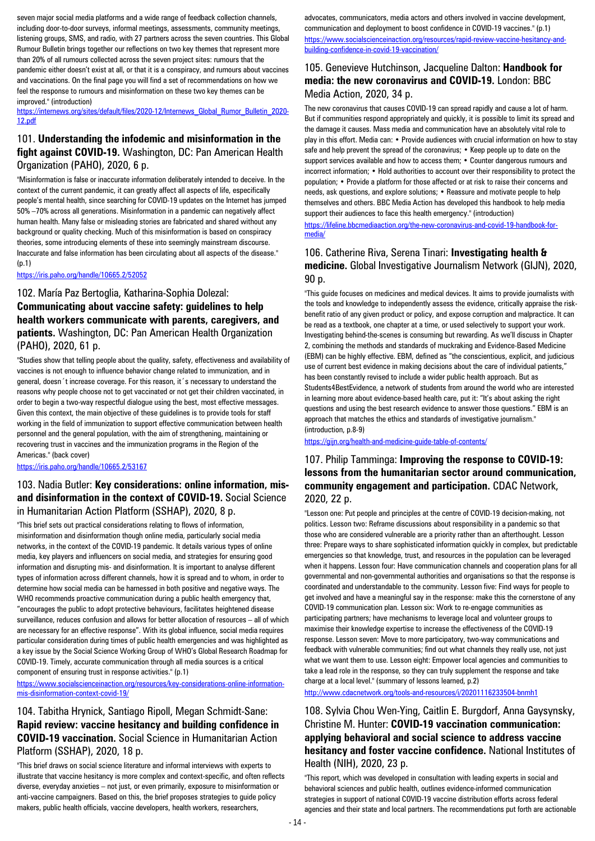seven major social media platforms and a wide range of feedback collection channels, including door-to-door surveys, informal meetings, assessments, community meetings, listening groups, SMS, and radio, with 27 partners across the seven countries. This Global Rumour Bulletin brings together our reflections on two key themes that represent more than 20% of all rumours collected across the seven project sites: rumours that the pandemic either doesn't exist at all, or that it is a conspiracy, and rumours about vaccines and vaccinations. On the final page you will find a set of recommendations on how we feel the response to rumours and misinformation on these two key themes can be improved." (introduction)

[https://internews.org/sites/default/files/2020-12/Internews\\_Global\\_Rumor\\_Bulletin\\_2020-](https://internews.org/sites/default/files/2020-12/Internews_Global_Rumor_Bulletin_2020-12.pdf) [12.pdf](https://internews.org/sites/default/files/2020-12/Internews_Global_Rumor_Bulletin_2020-12.pdf)

#### 101. **Understanding the infodemic and misinformation in the fight against COVID-19.** Washington, DC: Pan American Health Organization (PAHO), 2020, 6 p.

"Misinformation is false or inaccurate information deliberately intended to deceive. In the context of the current pandemic, it can greatly affect all aspects of life, especifically people's mental health, since searching for COVID-19 updates on the Internet has jumped 50% –70% across all generations. Misinformation in a pandemic can negatively affect human health. Many false or misleading stories are fabricated and shared without any background or quality checking. Much of this misinformation is based on conspiracy theories, some introducing elements of these into seemingly mainstream discourse. Inaccurate and false information has been circulating about all aspects of the disease." (p.1)

<https://iris.paho.org/handle/10665.2/52052>

#### 102. María Paz Bertoglia, Katharina-Sophia Dolezal: **Communicating about vaccine safety: guidelines to help health workers communicate with parents, caregivers, and patients.** Washington, DC: Pan American Health Organization (PAHO), 2020, 61 p.

"Studies show that telling people about the quality, safety, effectiveness and availability of vaccines is not enough to influence behavior change related to immunization, and in general, doesn´t increase coverage. For this reason, it´s necessary to understand the reasons why people choose not to get vaccinated or not get their children vaccinated, in order to begin a two-way respectful dialogue using the best, most effective messages. Given this context, the main objective of these guidelines is to provide tools for staff working in the field of immunization to support effective communication between health personnel and the general population, with the aim of strengthening, maintaining or recovering trust in vaccines and the immunization programs in the Region of the Americas." (back cover)

<https://iris.paho.org/handle/10665.2/53167>

### 103. Nadia Butler: **Key considerations: online information, misand disinformation in the context of COVID-19.** Social Science in Humanitarian Action Platform (SSHAP), 2020, 8 p.

"This brief sets out practical considerations relating to flows of information, misinformation and disinformation though online media, particularly social media networks, in the context of the COVID-19 pandemic. It details various types of online media, key players and influencers on social media, and strategies for ensuring good information and disrupting mis- and disinformation. It is important to analyse different types of information across different channels, how it is spread and to whom, in order to determine how social media can be harnessed in both positive and negative ways. The WHO recommends proactive communication during a public health emergency that, "encourages the public to adopt protective behaviours, facilitates heightened disease surveillance, reduces confusion and allows for better allocation of resources – all of which are necessary for an effective response". With its global influence, social media requires particular consideration during times of public health emergencies and was highlighted as a key issue by the Social Science Working Group of WHO's Global Research Roadmap for COVID-19. Timely, accurate communication through all media sources is a critical component of ensuring trust in response activities." (p.1)

[https://www.socialscienceinaction.org/resources/key-considerations-online-information](https://www.socialscienceinaction.org/resources/key-considerations-online-information-mis-disinformation-context-covid-19/)[mis-disinformation-context-covid-19/](https://www.socialscienceinaction.org/resources/key-considerations-online-information-mis-disinformation-context-covid-19/)

#### 104. Tabitha Hrynick, Santiago Ripoll, Megan Schmidt-Sane: **Rapid review: vaccine hesitancy and building confidence in COVID-19 vaccination.** Social Science in Humanitarian Action Platform (SSHAP), 2020, 18 p.

"This brief draws on social science literature and informal interviews with experts to illustrate that vaccine hesitancy is more complex and context-specific, and often reflects diverse, everyday anxieties – not just, or even primarily, exposure to misinformation or anti-vaccine campaigners. Based on this, the brief proposes strategies to guide policy makers, public health officials, vaccine developers, health workers, researchers,

advocates, communicators, media actors and others involved in vaccine development, communication and deployment to boost confidence in COVID-19 vaccines." (p.1) [https://www.socialscienceinaction.org/resources/rapid-review-vaccine-hesitancy-and](https://www.socialscienceinaction.org/resources/rapid-review-vaccine-hesitancy-and-building-confidence-in-covid-19-vaccination/)[building-confidence-in-covid-19-vaccination/](https://www.socialscienceinaction.org/resources/rapid-review-vaccine-hesitancy-and-building-confidence-in-covid-19-vaccination/)

#### 105. Genevieve Hutchinson, Jacqueline Dalton: **Handbook for media: the new coronavirus and COVID-19.** London: BBC Media Action, 2020, 34 p.

The new coronavirus that causes COVID-19 can spread rapidly and cause a lot of harm. But if communities respond appropriately and quickly, it is possible to limit its spread and the damage it causes. Mass media and communication have an absolutely vital role to play in this effort. Media can: • Provide audiences with crucial information on how to stay safe and help prevent the spread of the coronavirus; • Keep people up to date on the support services available and how to access them: • Counter dangerous rumours and incorrect information; • Hold authorities to account over their responsibility to protect the population; • Provide a platform for those affected or at risk to raise their concerns and needs, ask questions, and explore solutions; • Reassure and motivate people to help themselves and others. BBC Media Action has developed this handbook to help media support their audiences to face this health emergency." (introduction)

[https://lifeline.bbcmediaaction.org/the-new-coronavirus-and-covid-19-handbook-for](https://lifeline.bbcmediaaction.org/the-new-coronavirus-and-covid-19-handbook-for-media/)[media/](https://lifeline.bbcmediaaction.org/the-new-coronavirus-and-covid-19-handbook-for-media/)

### 106. Catherine Riva, Serena Tinari: **Investigating health & medicine.** Global Investigative Journalism Network (GIJN), 2020, 90 p.

"This guide focuses on medicines and medical devices. It aims to provide journalists with the tools and knowledge to independently assess the evidence, critically appraise the riskbenefit ratio of any given product or policy, and expose corruption and malpractice. It can be read as a textbook, one chapter at a time, or used selectively to support your work. Investigating behind-the-scenes is consuming but rewarding. As we'll discuss in Chapter 2, combining the methods and standards of muckraking and Evidence-Based Medicine (EBM) can be highly effective. EBM, defined as "the conscientious, explicit, and judicious use of current best evidence in making decisions about the care of individual patients," has been constantly revised to include a wider public health approach. But as Students4BestEvidence, a network of students from around the world who are interested in learning more about evidence-based health care, put it: "It's about asking the right questions and using the best research evidence to answer those questions." EBM is an approach that matches the ethics and standards of investigative journalism." (introduction, p.8-9)

<https://gijn.org/health-and-medicine-guide-table-of-contents/>

### 107. Philip Tamminga: **Improving the response to COVID-19: lessons from the humanitarian sector around communication, community engagement and participation.** CDAC Network, 2020, 22 p.

"Lesson one: Put people and principles at the centre of COVID-19 decision-making, not politics. Lesson two: Reframe discussions about responsibility in a pandemic so that those who are considered vulnerable are a priority rather than an afterthought. Lesson three: Prepare ways to share sophisticated information quickly in complex, but predictable emergencies so that knowledge, trust, and resources in the population can be leveraged when it happens. Lesson four: Have communication channels and cooperation plans for all governmental and non-governmental authorities and organisations so that the response is coordinated and understandable to the community. Lesson five: Find ways for people to get involved and have a meaningful say in the response: make this the cornerstone of any COVID-19 communication plan. Lesson six: Work to re-engage communities as participating partners; have mechanisms to leverage local and volunteer groups to maximise their knowledge expertise to increase the effectiveness of the COVID-19 response. Lesson seven: Move to more participatory, two-way communications and feedback with vulnerable communities; find out what channels they really use, not just what we want them to use. Lesson eight: Empower local agencies and communities to take a lead role in the response, so they can truly supplement the response and take charge at a local level." (summary of lessons learned, p.2)

<http://www.cdacnetwork.org/tools-and-resources/i/20201116233504-bnmh1>

### 108. Sylvia Chou Wen-Ying, Caitlin E. Burgdorf, Anna Gaysynsky, Christine M. Hunter: **COVID-19 vaccination communication: applying behavioral and social science to address vaccine hesitancy and foster vaccine confidence.** National Institutes of Health (NIH), 2020, 23 p.

"This report, which was developed in consultation with leading experts in social and behavioral sciences and public health, outlines evidence-informed communication strategies in support of national COVID-19 vaccine distribution efforts across federal agencies and their state and local partners. The recommendations put forth are actionable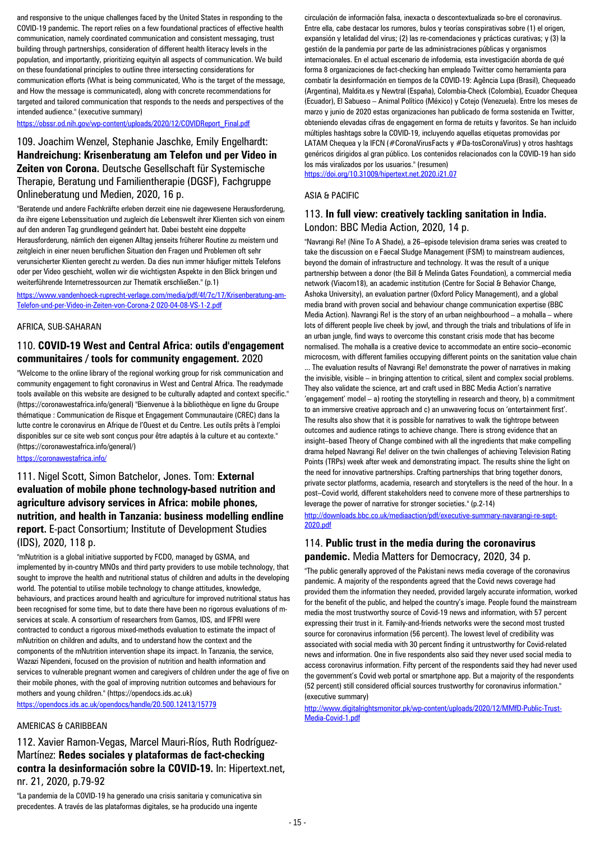and responsive to the unique challenges faced by the United States in responding to the COVID-19 pandemic. The report relies on a few foundational practices of effective health communication, namely coordinated communication and consistent messaging, trust building through partnerships, consideration of different health literacy levels in the population, and importantly, prioritizing equityin all aspects of communication. We build on these foundational principles to outline three intersecting considerations for communication efforts (What is being communicated, Who is the target of the message, and How the message is communicated), along with concrete recommendations for targeted and tailored communication that responds to the needs and perspectives of the intended audience." (executive summary)

[https://obssr.od.nih.gov/wp-content/uploads/2020/12/COVIDReport\\_Final.pdf](https://obssr.od.nih.gov/wp-content/uploads/2020/12/COVIDReport_Final.pdf)

#### 109. Joachim Wenzel, Stephanie Jaschke, Emily Engelhardt: **Handreichung: Krisenberatung am Telefon und per Video in Zeiten von Corona.** Deutsche Gesellschaft für Systemische Therapie, Beratung und Familientherapie (DGSF), Fachgruppe Onlineberatung und Medien, 2020, 16 p.

"Beratende und andere Fachkräfte erleben derzeit eine nie dagewesene Herausforderung, da ihre eigene Lebenssituation und zugleich die Lebenswelt ihrer Klienten sich von einem auf den anderen Tag grundlegend geändert hat. Dabei besteht eine doppelte Herausforderung, nämlich den eigenen Alltag jenseits früherer Routine zu meistern und zeitgleich in einer neuen beruflichen Situation den Fragen und Problemen oft sehr verunsicherter Klienten gerecht zu werden. Da dies nun immer häufiger mittels Telefons oder per Video geschieht, wollen wir die wichtigsten Aspekte in den Blick bringen und weiterführende Internetressourcen zur Thematik erschließen." (p.1)

[https://www.vandenhoeck-ruprecht-verlage.com/media/pdf/4f/7c/17/Krisenberatung-am-](https://www.vandenhoeck-ruprecht-verlage.com/media/pdf/4f/7c/17/Krisenberatung-am-Telefon-und-per-Video-in-Zeiten-von-Corona-2%20020-04-08-VS-1-2.pdf)[Telefon-und-per-Video-in-Zeiten-von-Corona-2 020-04-08-VS-1-2.pdf](https://www.vandenhoeck-ruprecht-verlage.com/media/pdf/4f/7c/17/Krisenberatung-am-Telefon-und-per-Video-in-Zeiten-von-Corona-2%20020-04-08-VS-1-2.pdf)

#### AFRICA, SUB-SAHARAN

#### 110. **COVID-19 West and Central Africa: outils d'engagement communitaires / tools for community engagement.** 2020

"Welcome to the online library of the regional working group for risk communication and community engagement to fight coronavirus in West and Central Africa. The readymade tools available on this website are designed to be culturally adapted and context specific." (https://coronawestafrica.info/general) "Bienvenue à la bibliothèque en ligne du Groupe thématique : Communication de Risque et Engagement Communautaire (CREC) dans la lutte contre le coronavirus en Afrique de l'Ouest et du Centre. Les outils prêts à l'emploi disponibles sur ce site web sont conçus pour être adaptés à la culture et au contexte." (https://coronawestafrica.info/general/)

<https://coronawestafrica.info/>

### 111. Nigel Scott, Simon Batchelor, Jones. Tom: **External evaluation of mobile phone technology-based nutrition and agriculture advisory services in Africa: mobile phones, nutrition, and health in Tanzania: business modelling endline report.** E-pact Consortium; Institute of Development Studies (IDS), 2020, 118 p.

"mNutrition is a global initiative supported by FCDO, managed by GSMA, and implemented by in-country MNOs and third party providers to use mobile technology, that sought to improve the health and nutritional status of children and adults in the developing world. The potential to utilise mobile technology to change attitudes, knowledge, behaviours, and practices around health and agriculture for improved nutritional status has been recognised for some time, but to date there have been no rigorous evaluations of mservices at scale. A consortium of researchers from Gamos, IDS, and IFPRI were contracted to conduct a rigorous mixed-methods evaluation to estimate the impact of mNutrition on children and adults, and to understand how the context and the components of the mNutrition intervention shape its impact. In Tanzania, the service, Wazazi Nipendeni, focused on the provision of nutrition and health information and services to vulnerable pregnant women and caregivers of children under the age of five on their mobile phones, with the goal of improving nutrition outcomes and behaviours for mothers and young children." (https://opendocs.ids.ac.uk)

<https://opendocs.ids.ac.uk/opendocs/handle/20.500.12413/15779>

#### AMERICAS & CARIBBEAN

112. Xavier Ramon-Vegas, Marcel Mauri-Ríos, Ruth Rodríguez-Martínez: **Redes sociales y plataformas de fact-checking contra la desinformación sobre la COVID-19.** In: Hipertext.net, nr. 21, 2020, p.79-92

"La pandemia de la COVID-19 ha generado una crisis sanitaria y comunicativa sin precedentes. A través de las plataformas digitales, se ha producido una ingente

circulación de información falsa, inexacta o descontextualizada so-bre el coronavirus. Entre ella, cabe destacar los rumores, bulos y teorías conspirativas sobre (1) el origen, expansión y letalidad del virus; (2) las re-comendaciones y prácticas curativas; y (3) la gestión de la pandemia por parte de las administraciones públicas y organismos internacionales. En el actual escenario de infodemia, esta investigación aborda de qué forma 8 organizaciones de fact-checking han empleado Twitter como herramienta para combatir la desinformación en tiempos de la COVID-19: Agência Lupa (Brasil), Chequeado (Argentina), Maldita.es y Newtral (España), Colombia-Check (Colombia), Ecuador Chequea (Ecuador), El Sabueso – Animal Político (México) y Cotejo (Venezuela). Entre los meses de marzo y junio de 2020 estas organizaciones han publicado de forma sostenida en Twitter, obteniendo elevadas cifras de engagement en forma de retuits y favoritos. Se han incluido múltiples hashtags sobre la COVID-19, incluyendo aquellas etiquetas promovidas por LATAM Chequea y la IFCN (#CoronaVirusFacts y #Da-tosCoronaVirus) y otros hashtags genéricos dirigidos al gran público. Los contenidos relacionados con la COVID-19 han sido los más viralizados por los usuarios." (resumen)

<https://doi.org/10.31009/hipertext.net.2020.i21.07>

#### ASIA & PACIFIC

#### 113. **In full view: creatively tackling sanitation in India.**  London: BBC Media Action, 2020, 14 p.

"Navrangi Re! (Nine To A Shade), a 26–episode television drama series was created to take the discussion on e Faecal Sludge Management (FSM) to mainstream audiences, beyond the domain of infrastructure and technology. It was the result of a unique partnership between a donor (the Bill & Melinda Gates Foundation), a commercial media network (Viacom18), an academic institution (Centre for Social & Behavior Change, Ashoka University), an evaluation partner (Oxford Policy Management), and a global media brand with proven social and behaviour change communication expertise (BBC Media Action). Navrangi Re! is the story of an urban neighbourhood – a mohalla – where lots of different people live cheek by jowl, and through the trials and tribulations of life in an urban jungle, find ways to overcome this constant crisis mode that has become normalised. The mohalla is a creative device to accommodate an entire socio–economic microcosm, with different families occupying different points on the sanitation value chain ... The evaluation results of Navrangi Re! demonstrate the power of narratives in making the invisible, visible – in bringing attention to critical, silent and complex social problems. They also validate the science, art and craft used in BBC Media Action's narrative 'engagement' model – a) rooting the storytelling in research and theory, b) a commitment to an immersive creative approach and c) an unwavering focus on 'entertainment first'. The results also show that it is possible for narratives to walk the tightrope between outcomes and audience ratings to achieve change. There is strong evidence that an insight–based Theory of Change combined with all the ingredients that make compelling drama helped Navrangi Re! deliver on the twin challenges of achieving Television Rating Points (TRPs) week after week and demonstrating impact. The results shine the light on the need for innovative partnerships. Crafting partnerships that bring together donors, private sector platforms, academia, research and storytellers is the need of the hour. In a post–Covid world, different stakeholders need to convene more of these partnerships to leverage the power of narrative for stronger societies." (p.2-14)

[http://downloads.bbc.co.uk/mediaaction/pdf/executive-summary-navarangi-re-sept-](http://downloads.bbc.co.uk/mediaaction/pdf/executive-summary-navarangi-re-sept-2020.pdf)[2020.pdf](http://downloads.bbc.co.uk/mediaaction/pdf/executive-summary-navarangi-re-sept-2020.pdf)

#### 114. **Public trust in the media during the coronavirus pandemic.** Media Matters for Democracy, 2020, 34 p.

"The public generally approved of the Pakistani news media coverage of the coronavirus pandemic. A majority of the respondents agreed that the Covid news coverage had provided them the information they needed, provided largely accurate information, worked for the benefit of the public, and helped the country's image. People found the mainstream media the most trustworthy source of Covid-19 news and information, with 57 percent expressing their trust in it. Family-and-friends networks were the second most trusted source for coronavirus information (56 percent). The lowest level of credibility was associated with social media with 30 percent finding it untrustworthy for Covid-related news and information. One in five respondents also said they never used social media to access coronavirus information. Fifty percent of the respondents said they had never used the government's Covid web portal or smartphone app. But a majority of the respondents (52 percent) still considered official sources trustworthy for coronavirus information." (executive summary)

[http://www.digitalrightsmonitor.pk/wp-content/uploads/2020/12/MMfD-Public-Trust-](http://www.digitalrightsmonitor.pk/wp-content/uploads/2020/12/MMfD-Public-Trust-Media-Covid-1.pdf)[Media-Covid-1.pdf](http://www.digitalrightsmonitor.pk/wp-content/uploads/2020/12/MMfD-Public-Trust-Media-Covid-1.pdf)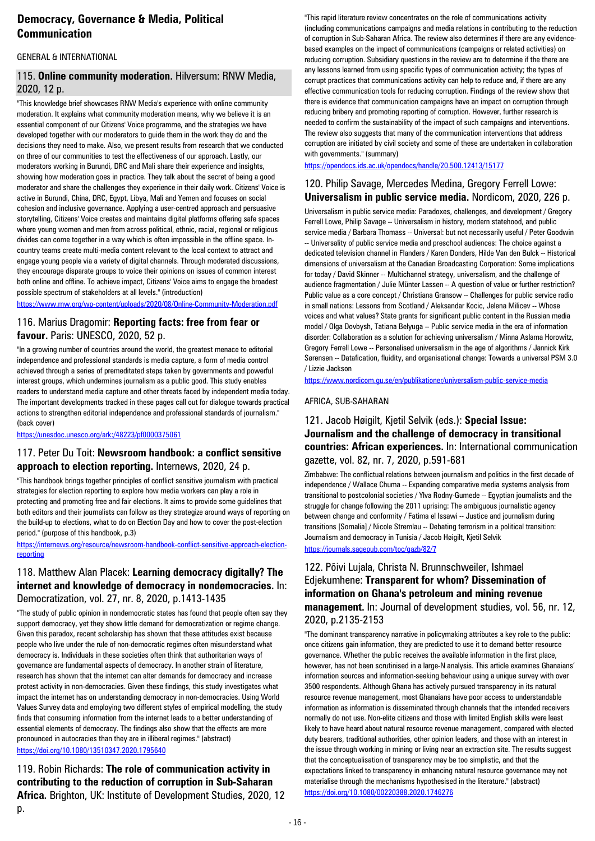### **Democracy, Governance & Media, Political Communication**

#### GENERAL & INTERNATIONAL

#### 115. **Online community moderation.** Hilversum: RNW Media, 2020, 12 p.

"This knowledge brief showcases RNW Media's experience with online community moderation. It explains what community moderation means, why we believe it is an essential component of our Citizens' Voice programme, and the strategies we have developed together with our moderators to guide them in the work they do and the decisions they need to make. Also, we present results from research that we conducted on three of our communities to test the effectiveness of our approach. Lastly, our moderators working in Burundi, DRC and Mali share their experience and insights, showing how moderation goes in practice. They talk about the secret of being a good moderator and share the challenges they experience in their daily work. Citizens' Voice is active in Burundi, China, DRC, Egypt, Libya, Mali and Yemen and focuses on social cohesion and inclusive governance. Applying a user-centred approach and persuasive storytelling, Citizens' Voice creates and maintains digital platforms offering safe spaces where young women and men from across political, ethnic, racial, regional or religious divides can come together in a way which is often impossible in the offline space. Incountry teams create multi-media content relevant to the local context to attract and engage young people via a variety of digital channels. Through moderated discussions, they encourage disparate groups to voice their opinions on issues of common interest both online and offline. To achieve impact, Citizens' Voice aims to engage the broadest possible spectrum of stakeholders at all levels." (introduction)

<https://www.rnw.org/wp-content/uploads/2020/08/Online-Community-Moderation.pdf>

#### 116. Marius Dragomir: **Reporting facts: free from fear or favour.** Paris: UNESCO, 2020, 52 p.

"In a growing number of countries around the world, the greatest menace to editorial independence and professional standards is media capture, a form of media control achieved through a series of premeditated steps taken by governments and powerful interest groups, which undermines journalism as a public good. This study enables readers to understand media capture and other threats faced by independent media today. The important developments tracked in these pages call out for dialogue towards practical actions to strengthen editorial independence and professional standards of journalism." (back cover)

<https://unesdoc.unesco.org/ark:/48223/pf0000375061>

#### 117. Peter Du Toit: **Newsroom handbook: a conflict sensitive approach to election reporting.** Internews, 2020, 24 p.

"This handbook brings together principles of conflict sensitive journalism with practical strategies for election reporting to explore how media workers can play a role in protecting and promoting free and fair elections. It aims to provide some guidelines that both editors and their journalists can follow as they strategize around ways of reporting on the build-up to elections, what to do on Election Day and how to cover the post-election period." (purpose of this handbook, p.3)

#### [https://internews.org/resource/newsroom-handbook-conflict-sensitive-approach-election](https://internews.org/resource/newsroom-handbook-conflict-sensitive-approach-election-reporting)[reporting](https://internews.org/resource/newsroom-handbook-conflict-sensitive-approach-election-reporting)

#### 118. Matthew Alan Placek: **Learning democracy digitally? The internet and knowledge of democracy in nondemocracies.** In: Democratization, vol. 27, nr. 8, 2020, p.1413-1435

"The study of public opinion in nondemocratic states has found that people often say they support democracy, yet they show little demand for democratization or regime change. Given this paradox, recent scholarship has shown that these attitudes exist because people who live under the rule of non-democratic regimes often misunderstand what democracy is. Individuals in these societies often think that authoritarian ways of governance are fundamental aspects of democracy. In another strain of literature, research has shown that the internet can alter demands for democracy and increase protest activity in non-democracies. Given these findings, this study investigates what impact the internet has on understanding democracy in non-democracies. Using World Values Survey data and employing two different styles of empirical modelling, the study finds that consuming information from the internet leads to a better understanding of essential elements of democracy. The findings also show that the effects are more pronounced in autocracies than they are in illiberal regimes." (abstract) <https://doi.org/10.1080/13510347.2020.1795640>

119. Robin Richards: **The role of communication activity in contributing to the reduction of corruption in Sub-Saharan Africa.** Brighton, UK: Institute of Development Studies, 2020, 12 p.

"This rapid literature review concentrates on the role of communications activity (including communications campaigns and media relations in contributing to the reduction of corruption in Sub-Saharan Africa. The review also determines if there are any evidencebased examples on the impact of communications (campaigns or related activities) on reducing corruption. Subsidiary questions in the review are to determine if the there are any lessons learned from using specific types of communication activity; the types of corrupt practices that communications activity can help to reduce and, if there are any effective communication tools for reducing corruption. Findings of the review show that there is evidence that communication campaigns have an impact on corruption through reducing bribery and promoting reporting of corruption. However, further research is needed to confirm the sustainability of the impact of such campaigns and interventions. The review also suggests that many of the communication interventions that address corruption are initiated by civil society and some of these are undertaken in collaboration with governments." (summary)

<https://opendocs.ids.ac.uk/opendocs/handle/20.500.12413/15177>

#### 120. Philip Savage, Mercedes Medina, Gregory Ferrell Lowe: **Universalism in public service media.** Nordicom, 2020, 226 p.

Universalism in public service media: Paradoxes, challenges, and development / Gregory Ferrell Lowe, Philip Savage -- Universalism in history, modern statehood, and public service media / Barbara Thomass -- Universal: but not necessarily useful / Peter Goodwin -- Universality of public service media and preschool audiences: The choice against a dedicated television channel in Flanders / Karen Donders, Hilde Van den Bulck -- Historical dimensions of universalism at the Canadian Broadcasting Corporation: Some implications for today / David Skinner -- Multichannel strategy, universalism, and the challenge of audience fragmentation / Julie Münter Lassen -- A question of value or further restriction? Public value as a core concept / Christiana Gransow -- Challenges for public service radio in small nations: Lessons from Scotland / Aleksandar Kocic, Jelena Milicev -- Whose voices and what values? State grants for significant public content in the Russian media model / Olga Dovbysh, Tatiana Belyuga -- Public service media in the era of information disorder: Collaboration as a solution for achieving universalism / Minna Aslama Horowitz, Gregory Ferrell Lowe -- Personalised universalism in the age of algorithms / Jannick Kirk Sørensen -- Datafication, fluidity, and organisational change: Towards a universal PSM 3.0 / Lizzie Jackson

<https://www.nordicom.gu.se/en/publikationer/universalism-public-service-media>

#### AFRICA, SUB-SAHARAN

#### 121. Jacob Høigilt, Kjetil Selvik (eds.): **Special Issue: Journalism and the challenge of democracy in transitional countries: African experiences.** In: International communication gazette, vol. 82, nr. 7, 2020, p.591-681

Zimbabwe: The conflictual relations between journalism and politics in the first decade of independence / Wallace Chuma -- Expanding comparative media systems analysis from transitional to postcolonial societies / Ylva Rodny-Gumede -- Egyptian journalists and the struggle for change following the 2011 uprising: The ambiguous journalistic agency between change and conformity / Fatima el Issawi -- Justice and journalism during transitions [Somalia] / Nicole Stremlau -- Debating terrorism in a political transition: Journalism and democracy in Tunisia / Jacob Høigilt, Kjetil Selvik <https://journals.sagepub.com/toc/gazb/82/7>

#### 122. Põivi Lujala, Christa N. Brunnschweiler, Ishmael Edjekumhene: **Transparent for whom? Dissemination of information on Ghana's petroleum and mining revenue management.** In: Journal of development studies, vol. 56, nr. 12, 2020, p.2135-2153

"The dominant transparency narrative in policymaking attributes a key role to the public: once citizens gain information, they are predicted to use it to demand better resource governance. Whether the public receives the available information in the first place, however, has not been scrutinised in a large-N analysis. This article examines Ghanaians' information sources and information-seeking behaviour using a unique survey with over 3500 respondents. Although Ghana has actively pursued transparency in its natural resource revenue management, most Ghanaians have poor access to understandable information as information is disseminated through channels that the intended receivers normally do not use. Non-elite citizens and those with limited English skills were least likely to have heard about natural resource revenue management, compared with elected duty bearers, traditional authorities, other opinion leaders, and those with an interest in the issue through working in mining or living near an extraction site. The results suggest that the conceptualisation of transparency may be too simplistic, and that the expectations linked to transparency in enhancing natural resource governance may not materialise through the mechanisms hypothesised in the literature." (abstract) <https://doi.org/10.1080/00220388.2020.1746276>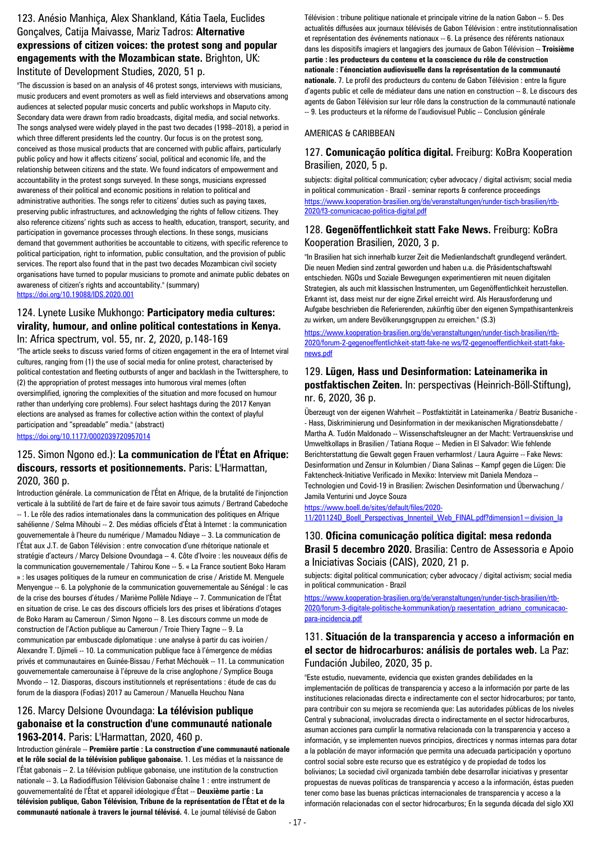123. Anésio Manhiça, Alex Shankland, Kátia Taela, Euclides Gonçalves, Catija Maivasse, Mariz Tadros: **Alternative expressions of citizen voices: the protest song and popular engagements with the Mozambican state.** Brighton, UK: Institute of Development Studies, 2020, 51 p.

"The discussion is based on an analysis of 46 protest songs, interviews with musicians, music producers and event promoters as well as field interviews and observations among audiences at selected popular music concerts and public workshops in Maputo city. Secondary data were drawn from radio broadcasts, digital media, and social networks. The songs analysed were widely played in the past two decades (1998–2018), a period in which three different presidents led the country. Our focus is on the protest song, conceived as those musical products that are concerned with public affairs, particularly public policy and how it affects citizens' social, political and economic life, and the relationship between citizens and the state. We found indicators of empowerment and accountability in the protest songs surveyed. In these songs, musicians expressed awareness of their political and economic positions in relation to political and administrative authorities. The songs refer to citizens' duties such as paying taxes, preserving public infrastructures, and acknowledging the rights of fellow citizens. They also reference citizens' rights such as access to health, education, transport, security, and participation in governance processes through elections. In these songs, musicians demand that government authorities be accountable to citizens, with specific reference to political participation, right to information, public consultation, and the provision of public services. The report also found that in the past two decades Mozambican civil society organisations have turned to popular musicians to promote and animate public debates on awareness of citizen's rights and accountability." (summary) <https://doi.org/10.19088/IDS.2020.001>

#### 124. Lynete Lusike Mukhongo: **Participatory media cultures: virality, humour, and online political contestations in Kenya.**  In: Africa spectrum, vol. 55, nr. 2, 2020, p.148-169

"The article seeks to discuss varied forms of citizen engagement in the era of Internet viral cultures, ranging from (1) the use of social media for online protest, characterised by political contestation and fleeting outbursts of anger and backlash in the Twittersphere, to (2) the appropriation of protest messages into humorous viral memes (often oversimplified, ignoring the complexities of the situation and more focused on humour rather than underlying core problems). Four select hashtags during the 2017 Kenyan elections are analysed as frames for collective action within the context of playful participation and "spreadable" media." (abstract) <https://doi.org/10.1177/0002039720957014>

#### 125. Simon Ngono ed.): **La communication de l'État en Afrique: discours, ressorts et positionnements.** Paris: L'Harmattan, 2020, 360 p.

Introduction générale. La communication de l'État en Afrique, de la brutalité de l'injonction verticale à la subtilité de l'art de faire et de faire savoir tous azimuts / Bertrand Cabedoche -- 1. Le rôle des radios internationales dans la communication des politiques en Afrique sahélienne / Selma Mihoubi -- 2. Des médias officiels d'État à Internet : la communication gouvernementale à l'heure du numérique / Mamadou Ndiaye -- 3. La communication de l'État aux J.T. de Gabon Télévision : entre convocation d'une rhétorique nationale et stratégie d'acteurs / Marcy Delsione Ovoundaga -- 4. Côte d'Ivoire : les nouveaux défis de la communication gouvernementale / Tahirou Kone -- 5. « La France soutient Boko Haram » : les usages politiques de la rumeur en communication de crise / Aristide M. Menguele Menyengue -- 6. La polyphonie de la communication gouvernementale au Sénégal : le cas de la crise des bourses d'études / Marième Pollèle Ndiaye -- 7. Communication de l'État en situation de crise. Le cas des discours officiels lors des prises et libérations d'otages de Boko Haram au Cameroun / Simon Ngono -- 8. Les discours comme un mode de construction de l'Action publique au Cameroun / Troie Thiery Tagne -- 9. La communication par embuscade diplomatique : une analyse à partir du cas ivoirien / Alexandre T. Djimeli -- 10. La communication publique face à l'émergence de médias privés et communautaires en Guinée-Bissau / Ferhat Méchouèk -- 11. La communication gouvernementale camerounaise à l'épreuve de la crise anglophone / Symplice Bouga Mvondo -- 12. Diasporas, discours institutionnels et représentations : étude de cas du forum de la diaspora (Fodias) 2017 au Cameroun / Manuella Heuchou Nana

#### 126. Marcy Delsione Ovoundaga: **La télévision publique gabonaise et la construction d'une communauté nationale 1963-2014.** Paris: L'Harmattan, 2020, 460 p.

Introduction générale -- **Première partie : La construction d'une communauté nationale et le rôle social de la télévision publique gabonaise.** 1. Les médias et la naissance de l'État gabonais -- 2. La télévision publique gabonaise, une institution de la construction nationale -- 3. La Radiodiffusion Télévision Gabonaise chaîne 1 : entre instrument de gouvernementalité de l'État et appareil idéologique d'État -- **Deuxième partie : La télévision publique, Gabon Télévision, Tribune de la représentation de l'État et de la communauté nationale à travers le journal télévisé.** 4. Le journal télévisé de Gabon

Télévision : tribune politique nationale et principale vitrine de la nation Gabon -- 5. Des actualités diffusées aux journaux télévisés de Gabon Télévision : entre institutionnalisation et représentation des événements nationaux -- 6. La présence des référents nationaux dans les dispositifs imagiers et langagiers des journaux de Gabon Télévision -- **Troisième partie : les producteurs du contenu et la conscience du rôle de construction nationale : l'énonciation audiovisuelle dans la représentation de la communauté nationale.** 7. Le profil des producteurs du contenu de Gabon Télévision : entre la figure d'agents public et celle de médiateur dans une nation en construction -- 8. Le discours des agents de Gabon Télévision sur leur rôle dans la construction de la communauté nationale -- 9. Les producteurs et la réforme de l'audiovisuel Public -- Conclusion générale

#### AMERICAS & CARIBBEAN

#### 127. **Comunicação política digital.** Freiburg: KoBra Kooperation Brasilien, 2020, 5 p.

subjects: digital political communication; cyber advocacy / digital activism; social media in political communication - Brazil - seminar reports & conference proceedings [https://www.kooperation-brasilien.org/de/veranstaltungen/runder-tisch-brasilien/rtb-](https://www.kooperation-brasilien.org/de/veranstaltungen/runder-tisch-brasilien/rtb-2020/f3-comunicacao-politica-digital.pdf)[2020/f3-comunicacao-politica-digital.pdf](https://www.kooperation-brasilien.org/de/veranstaltungen/runder-tisch-brasilien/rtb-2020/f3-comunicacao-politica-digital.pdf)

#### 128. **Gegenöffentlichkeit statt Fake News.** Freiburg: KoBra Kooperation Brasilien, 2020, 3 p.

"In Brasilien hat sich innerhalb kurzer Zeit die Medienlandschaft grundlegend verändert. Die neuen Medien sind zentral geworden und haben u.a. die Präsidentschaftswahl entschieden. NGOs und Soziale Bewegungen experimentieren mit neuen digitalen Strategien, als auch mit klassischen Instrumenten, um Gegenöffentlichkeit herzustellen. Erkannt ist, dass meist nur der eigne Zirkel erreicht wird. Als Herausforderung und Aufgabe beschrieben die Referierenden, zukünftig über den eigenen Sympathisantenkreis zu wirken, um andere Bevölkerungsgruppen zu erreichen." (S.3)

[https://www.kooperation-brasilien.org/de/veranstaltungen/runder-tisch-brasilien/rtb-](https://www.kooperation-brasilien.org/de/veranstaltungen/runder-tisch-brasilien/rtb-2020/forum-2-gegenoeffentlichkeit-statt-fake-ne%20ws/f2-gegenoeffentlichkeit-statt-fake-news.pdf)[2020/forum-2-gegenoeffentlichkeit-statt-fake-ne ws/f2-gegenoeffentlichkeit-statt-fake](https://www.kooperation-brasilien.org/de/veranstaltungen/runder-tisch-brasilien/rtb-2020/forum-2-gegenoeffentlichkeit-statt-fake-ne%20ws/f2-gegenoeffentlichkeit-statt-fake-news.pdf)[news.pdf](https://www.kooperation-brasilien.org/de/veranstaltungen/runder-tisch-brasilien/rtb-2020/forum-2-gegenoeffentlichkeit-statt-fake-ne%20ws/f2-gegenoeffentlichkeit-statt-fake-news.pdf)

#### 129. **Lügen, Hass und Desinformation: Lateinamerika in postfaktischen Zeiten.** In: perspectivas (Heinrich-Böll-Stiftung), nr. 6, 2020, 36 p.

Überzeugt von der eigenen Wahrheit – Postfaktizität in Lateinamerika / Beatriz Busaniche - - Hass, Diskriminierung und Desinformation in der mexikanischen Migrationsdebatte / Martha A. Tudón Maldonado -- Wissenschaftsleugner an der Macht: Vertrauenskrise und Umweltkollaps in Brasilien / Tatiana Roque -- Medien in El Salvador: Wie fehlende Berichterstattung die Gewalt gegen Frauen verharmlost / Laura Aguirre -- Fake News: Desinformation und Zensur in Kolumbien / Diana Salinas -- Kampf gegen die Lügen: Die Faktencheck-Initiative Verificado in Mexiko: Interview mit Daniela Mendoza -- Technologien und Covid-19 in Brasilien: Zwischen Desinformation und Überwachung / Jamila Venturini und Joyce Souza

[https://www.boell.de/sites/default/files/2020-](https://www.boell.de/sites/default/files/2020-11/201124D_Boell_Perspectivas_Innenteil_Web_FINAL.pdf?dimension1=division_la)

[11/201124D\\_Boell\\_Perspectivas\\_Innenteil\\_Web\\_FINAL.pdf?dimension1=division\\_la](https://www.boell.de/sites/default/files/2020-11/201124D_Boell_Perspectivas_Innenteil_Web_FINAL.pdf?dimension1=division_la)

### 130. **Oficina comunicação política digital: mesa redonda Brasil 5 decembro 2020.** Brasilia: Centro de Assessoria e Apoio a Iniciativas Sociais (CAIS), 2020, 21 p.

subjects: digital political communication; cyber advocacy / digital activism; social media in political communication - Brazil

[https://www.kooperation-brasilien.org/de/veranstaltungen/runder-tisch-brasilien/rtb-](https://www.kooperation-brasilien.org/de/veranstaltungen/runder-tisch-brasilien/rtb-2020/forum-3-digitale-politische-kommunikation/p%20raesentation_adriano_comunicacao-para-incidencia.pdf)[2020/forum-3-digitale-politische-kommunikation/p raesentation\\_adriano\\_comunicacao](https://www.kooperation-brasilien.org/de/veranstaltungen/runder-tisch-brasilien/rtb-2020/forum-3-digitale-politische-kommunikation/p%20raesentation_adriano_comunicacao-para-incidencia.pdf)[para-incidencia.pdf](https://www.kooperation-brasilien.org/de/veranstaltungen/runder-tisch-brasilien/rtb-2020/forum-3-digitale-politische-kommunikation/p%20raesentation_adriano_comunicacao-para-incidencia.pdf)

#### 131. **Situación de la transparencia y acceso a información en el sector de hidrocarburos: análisis de portales web.** La Paz: Fundación Jubileo, 2020, 35 p.

"Este estudio, nuevamente, evidencia que existen grandes debilidades en la implementación de políticas de transparencia y acceso a la información por parte de las instituciones relacionadas directa e indirectamente con el sector hidrocarburos; por tanto, para contribuir con su mejora se recomienda que: Las autoridades públicas de los niveles Central y subnacional, involucradas directa o indirectamente en el sector hidrocarburos, asuman acciones para cumplir la normativa relacionada con la transparencia y acceso a información, y se implementen nuevos principios, directrices y normas internas para dotar a la población de mayor información que permita una adecuada participación y oportuno control social sobre este recurso que es estratégico y de propiedad de todos los bolivianos; La sociedad civil organizada también debe desarrollar iniciativas y presentar propuestas de nuevas políticas de transparencia y acceso a la información, éstas pueden tener como base las buenas prácticas internacionales de transparencia y acceso a la información relacionadas con el sector hidrocarburos; En la segunda década del siglo XXI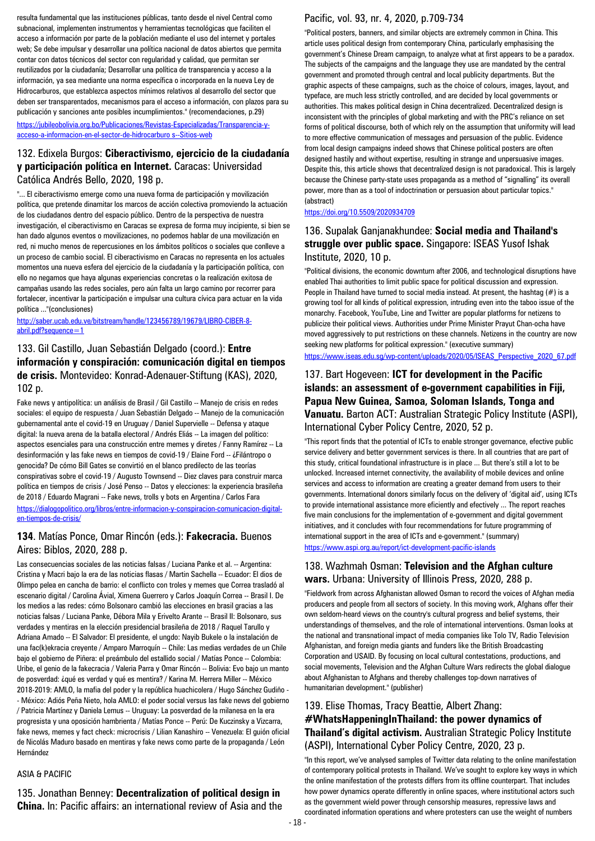resulta fundamental que las instituciones públicas, tanto desde el nivel Central como subnacional, implementen instrumentos y herramientas tecnológicas que faciliten el acceso a información por parte de la población mediante el uso del internet y portales web; Se debe impulsar y desarrollar una política nacional de datos abiertos que permita contar con datos técnicos del sector con regularidad y calidad, que permitan ser reutilizados por la ciudadanía; Desarrollar una política de transparencia y acceso a la información, ya sea mediante una norma específica o incorporada en la nueva Ley de Hidrocarburos, que establezca aspectos mínimos relativos al desarrollo del sector que deben ser transparentados, mecanismos para el acceso a información, con plazos para su publicación y sanciones ante posibles incumplimientos." (recomendaciones, p.29) [https://jubileobolivia.org.bo/Publicaciones/Revistas-Especializadas/Transparencia-y](https://jubileobolivia.org.bo/Publicaciones/Revistas-Especializadas/Transparencia-y-acceso-a-informacion-en-el-sector-de-hidrocarburo%20s--Sitios-web)[acceso-a-informacion-en-el-sector-de-hidrocarburo s--Sitios-web](https://jubileobolivia.org.bo/Publicaciones/Revistas-Especializadas/Transparencia-y-acceso-a-informacion-en-el-sector-de-hidrocarburo%20s--Sitios-web)

#### 132. Edixela Burgos: **Ciberactivismo, ejercicio de la ciudadanía y participación política en Internet.** Caracas: Universidad Católica Andrés Bello, 2020, 198 p.

"... El ciberactivismo emerge como una nueva forma de participación y movilización política, que pretende dinamitar los marcos de acción colectiva promoviendo la actuación de los ciudadanos dentro del espacio público. Dentro de la perspectiva de nuestra investigación, el ciberactivismo en Caracas se expresa de forma muy incipiente, si bien se han dado algunos eventos o movilizaciones, no podemos hablar de una movilización en red, ni mucho menos de repercusiones en los ámbitos políticos o sociales que conlleve a un proceso de cambio social. El ciberactivismo en Caracas no representa en los actuales momentos una nueva esfera del ejercicio de la ciudadanía y la participación política, con ello no negamos que haya algunas experiencias concretas o la realización exitosa de campañas usando las redes sociales, pero aún falta un largo camino por recorrer para fortalecer, incentivar la participación e impulsar una cultura cívica para actuar en la vida política ..."(conclusiones)

[http://saber.ucab.edu.ve/bitstream/handle/123456789/19679/LIBRO-CIBER-8](http://saber.ucab.edu.ve/bitstream/handle/123456789/19679/LIBRO-CIBER-8-abril.pdf?sequence=1) [abril.pdf?sequence=1](http://saber.ucab.edu.ve/bitstream/handle/123456789/19679/LIBRO-CIBER-8-abril.pdf?sequence=1)

### 133. Gil Castillo, Juan Sebastián Delgado (coord.): **Entre información y conspiración: comunicación digital en tiempos de crisis.** Montevideo: Konrad-Adenauer-Stiftung (KAS), 2020, 102 p.

Fake news y antipolítica: un análisis de Brasil / Gil Castillo -- Manejo de crisis en redes sociales: el equipo de respuesta / Juan Sebastián Delgado -- Manejo de la comunicación gubernamental ante el covid-19 en Uruguay / Daniel Supervielle -- Defensa y ataque digital: la nueva arena de la batalla electoral / Andrés Eliás -- La imagen del político: aspectos esenciales para una construcción entre memes y diretes / Fanny Ramírez -- La desinformación y las fake news en tiempos de covid-19 / Elaine Ford -- ¿Filántropo o genocida? De cómo Bill Gates se convirtió en el blanco predilecto de las teorías conspirativas sobre el covid-19 / Augusto Townsend -- Diez claves para construir marca política en tiempos de crisis / José Penso -- Datos y elecciones: la experiencia brasileña de 2018 / Eduardo Magrani -- Fake news, trolls y bots en Argentina / Carlos Fara [https://dialogopolitico.org/libros/entre-informacion-y-conspiracion-comunicacion-digital](https://dialogopolitico.org/libros/entre-informacion-y-conspiracion-comunicacion-digital-en-tiempos-de-crisis/)[en-tiempos-de-crisis/](https://dialogopolitico.org/libros/entre-informacion-y-conspiracion-comunicacion-digital-en-tiempos-de-crisis/)

#### **134**. Matías Ponce, Omar Rincón (eds.): **Fakecracia.** Buenos Aires: Biblos, 2020, 288 p.

Las consecuencias sociales de las noticias falsas / Luciana Panke et al. -- Argentina: Cristina y Macri bajo la era de las noticias flasas / Martin Sachella -- Ecuador: El dios de Olimpo pelea en cancha de barrio: el conflicto con troles y memes que Correa trasladó al escenario digital / Carolina Ávial, Ximena Guerrero y Carlos Joaquín Correa -- Brasil I. De los medios a las redes: cómo Bolsonaro cambió las elecciones en brasil gracias a las noticias falsas / Luciana Panke, Débora Mila y Erivelto Arante -- Brasil II: Bolsonaro, sus verdades y mentiras en la elección presidencial brasileña de 2018 / Raquel Tarullo y Adriana Amado -- El Salvador: El presidente, el ungdo: Nayib Bukele o la instalación de una fac(k)ekracia creyente / Amparo Marroquín -- Chile: Las medias verdades de un Chile bajo el gobierno de Piñera: el preámbulo del estallido social / Matías Ponce -- Colombia: Uribe, el genio de la fakecracia / Valeria Parra y Omar Rincón -- Bolivia: Evo bajo un manto de posverdad: ¿qué es verdad y qué es mentira? / Karina M. Herrera Miller -- México 2018-2019: AMLO, la mafia del poder y la república huachicolera / Hugo Sánchez Gudiño - - México: Adiós Peña Nieto, hola AMLO: el poder social versus las fake news del gobierno / Patricia Martínez y Daniela Lemus -- Uruguay: La posverdad de la milanesa en la era progresista y una oposición hambrienta / Matías Ponce -- Perú: De Kuczinsky a Vizcarra, fake news, memes y fact check: microcrisis / Lilian Kanashiro -- Venezuela: El guión oficial de Nicolás Maduro basado en mentiras y fake news como parte de la propaganda / León Hernández

#### ASIA & PACIFIC

135. Jonathan Benney: **Decentralization of political design in China.** In: Pacific affairs: an international review of Asia and the

### Pacific, vol. 93, nr. 4, 2020, p.709-734

"Political posters, banners, and similar objects are extremely common in China. This article uses political design from contemporary China, particularly emphasising the government's Chinese Dream campaign, to analyze what at first appears to be a paradox. The subjects of the campaigns and the language they use are mandated by the central government and promoted through central and local publicity departments. But the graphic aspects of these campaigns, such as the choice of colours, images, layout, and typeface, are much less strictly controlled, and are decided by local governments or authorities. This makes political design in China decentralized. Decentralized design is inconsistent with the principles of global marketing and with the PRC's reliance on set forms of political discourse, both of which rely on the assumption that uniformity will lead to more effective communication of messages and persuasion of the public. Evidence from local design campaigns indeed shows that Chinese political posters are often designed hastily and without expertise, resulting in strange and unpersuasive images. Despite this, this article shows that decentralized design is not paradoxical. This is largely because the Chinese party-state uses propaganda as a method of "signalling" its overall power, more than as a tool of indoctrination or persuasion about particular topics." (abstract)

<https://doi.org/10.5509/2020934709>

#### 136. Supalak Ganjanakhundee: **Social media and Thailand's struggle over public space.** Singapore: ISEAS Yusof Ishak Institute, 2020, 10 p.

"Political divisions, the economic downturn after 2006, and technological disruptions have enabled Thai authorities to limit public space for political discussion and expression. People in Thailand have turned to social media instead. At present, the hashtag  $(H)$  is a growing tool for all kinds of political expression, intruding even into the taboo issue of the monarchy. Facebook, YouTube, Line and Twitter are popular platforms for netizens to publicize their political views. Authorities under Prime Minister Prayut Chan-ocha have moved aggressively to put restrictions on these channels. Netizens in the country are now seeking new platforms for political expression." (executive summary)

[https://www.iseas.edu.sg/wp-content/uploads/2020/05/ISEAS\\_Perspective\\_2020\\_67.pdf](https://www.iseas.edu.sg/wp-content/uploads/2020/05/ISEAS_Perspective_2020_67.pdf)

#### 137. Bart Hogeveen: **ICT for development in the Pacific islands: an assessment of e-government capabilities in Fiji, Papua New Guinea, Samoa, Soloman Islands, Tonga and Vanuatu.** Barton ACT: Australian Strategic Policy Institute (ASPI), International Cyber Policy Centre, 2020, 52 p.

"This report finds that the potential of ICTs to enable stronger governance, efective public service delivery and better government services is there. In all countries that are part of this study, critical foundational infrastructure is in place ... But there's still a lot to be unlocked. Increased internet connectivity, the availability of mobile devices and online services and access to information are creating a greater demand from users to their governments. International donors similarly focus on the delivery of 'digital aid', using ICTs to provide international assistance more eficiently and efectively ... The report reaches five main conclusions for the implementation of e-government and digital government initiatives, and it concludes with four recommendations for future programming of international support in the area of ICTs and e-government." (summary) <https://www.aspi.org.au/report/ict-development-pacific-islands>

#### 138. Wazhmah Osman: **Television and the Afghan culture wars.** Urbana: University of Illinois Press, 2020, 288 p.

"Fieldwork from across Afghanistan allowed Osman to record the voices of Afghan media producers and people from all sectors of society. In this moving work, Afghans offer their own seldom-heard views on the country's cultural progress and belief systems, their understandings of themselves, and the role of international interventions. Osman looks at the national and transnational impact of media companies like Tolo TV, Radio Television Afghanistan, and foreign media giants and funders like the British Broadcasting Corporation and USAID. By focusing on local cultural contestations, productions, and social movements, Television and the Afghan Culture Wars redirects the global dialogue about Afghanistan to Afghans and thereby challenges top-down narratives of humanitarian development." (publisher)

#### 139. Elise Thomas, Tracy Beattie, Albert Zhang: **#WhatsHappeningInThailand: the power dynamics of Thailand's digital activism.** Australian Strategic Policy Institute (ASPI), International Cyber Policy Centre, 2020, 23 p.

"In this report, we've analysed samples of Twitter data relating to the online manifestation of contemporary political protests in Thailand. We've sought to explore key ways in which the online manifestation of the protests differs from its offline counterpart. That includes how power dynamics operate differently in online spaces, where institutional actors such as the government wield power through censorship measures, repressive laws and coordinated information operations and where protesters can use the weight of numbers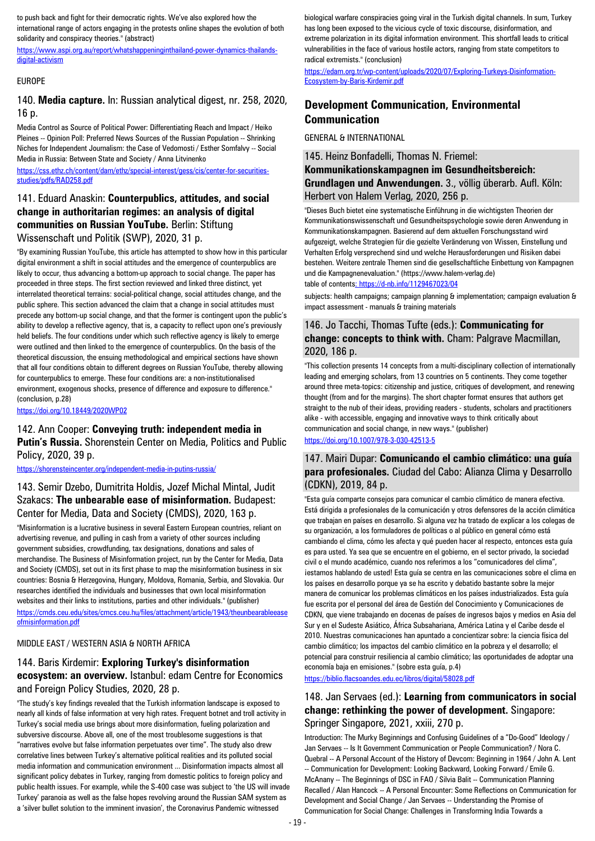to push back and fight for their democratic rights. We've also explored how the international range of actors engaging in the protests online shapes the evolution of both solidarity and conspiracy theories." (abstract)

[https://www.aspi.org.au/report/whatshappeninginthailand-power-dynamics-thailands](https://www.aspi.org.au/report/whatshappeninginthailand-power-dynamics-thailands-digital-activism)[digital-activism](https://www.aspi.org.au/report/whatshappeninginthailand-power-dynamics-thailands-digital-activism)

#### EUROPE

#### 140. **Media capture.** In: Russian analytical digest, nr. 258, 2020, 16 p.

Media Control as Source of Political Power: Differentiating Reach and Impact / Heiko Pleines -- Opinion Poll: Preferred News Sources of the Russian Population -- Shrinking Niches for Independent Journalism: the Case of Vedomosti / Esther Somfalvy -- Social Media in Russia: Between State and Society / Anna Litvinenko

[https://css.ethz.ch/content/dam/ethz/special-interest/gess/cis/center-for-securities](https://css.ethz.ch/content/dam/ethz/special-interest/gess/cis/center-for-securities-studies/pdfs/RAD258.pdf)[studies/pdfs/RAD258.pdf](https://css.ethz.ch/content/dam/ethz/special-interest/gess/cis/center-for-securities-studies/pdfs/RAD258.pdf)

#### 141. Eduard Anaskin: **Counterpublics, attitudes, and social change in authoritarian regimes: an analysis of digital communities on Russian YouTube.** Berlin: Stiftung Wissenschaft und Politik (SWP), 2020, 31 p.

"By examining Russian YouTube, this article has attempted to show how in this particular digital environment a shift in social attitudes and the emergence of counterpublics are likely to occur, thus advancing a bottom-up approach to social change. The paper has proceeded in three steps. The first section reviewed and linked three distinct, yet interrelated theoretical terrains: social-political change, social attitudes change, and the public sphere. This section advanced the claim that a change in social attitudes must precede any bottom-up social change, and that the former is contingent upon the public's ability to develop a reflective agency, that is, a capacity to reflect upon one's previously held beliefs. The four conditions under which such reflective agency is likely to emerge were outlined and then linked to the emergence of counterpublics. On the basis of the theoretical discussion, the ensuing methodological and empirical sections have shown that all four conditions obtain to different degrees on Russian YouTube, thereby allowing for counterpublics to emerge. These four conditions are: a non-institutionalised environment, exogenous shocks, presence of difference and exposure to difference." (conclusion, p.28)

<https://doi.org/10.18449/2020WP02>

#### 142. Ann Cooper: **Conveying truth: independent media in Putin's Russia.** Shorenstein Center on Media, Politics and Public Policy, 2020, 39 p.

<https://shorensteincenter.org/independent-media-in-putins-russia/>

#### 143. Semir Dzebo, Dumitrita Holdis, Jozef Michal Mintal, Judit Szakacs: **The unbearable ease of misinformation.** Budapest: Center for Media, Data and Society (CMDS), 2020, 163 p.

"Misinformation is a lucrative business in several Eastern European countries, reliant on advertising revenue, and pulling in cash from a variety of other sources including government subsidies, crowdfunding, tax designations, donations and sales of merchandise. The Business of Misinformation project, run by the Center for Media, Data and Society (CMDS), set out in its first phase to map the misinformation business in six countries: Bosnia & Herzegovina, Hungary, Moldova, Romania, Serbia, and Slovakia. Our researches identified the individuals and businesses that own local misinformation websites and their links to institutions, parties and other individuals." (publisher) [https://cmds.ceu.edu/sites/cmcs.ceu.hu/files/attachment/article/1943/theunbearableease](https://cmds.ceu.edu/sites/cmcs.ceu.hu/files/attachment/article/1943/theunbearableeaseofmisinformation.pdf) [ofmisinformation.pdf](https://cmds.ceu.edu/sites/cmcs.ceu.hu/files/attachment/article/1943/theunbearableeaseofmisinformation.pdf)

#### MIDDLE EAST / WESTERN ASIA & NORTH AFRICA

#### 144. Baris Kirdemir: **Exploring Turkey's disinformation ecosystem: an overview.** Istanbul: edam Centre for Economics and Foreign Policy Studies, 2020, 28 p.

"The study's key findings revealed that the Turkish information landscape is exposed to nearly all kinds of false information at very high rates. Frequent botnet and troll activity in Turkey's social media use brings about more disinformation, fueling polarization and subversive discourse. Above all, one of the most troublesome suggestions is that "narratives evolve but false information perpetuates over time". The study also drew correlative lines between Turkey's alternative political realities and its polluted social media information and communication environment ... Disinformation impacts almost all significant policy debates in Turkey, ranging from domestic politics to foreign policy and public health issues. For example, while the S-400 case was subject to 'the US will invade Turkey' paranoia as well as the false hopes revolving around the Russian SAM system as a 'silver bullet solution to the imminent invasion', the Coronavirus Pandemic witnessed

biological warfare conspiracies going viral in the Turkish digital channels. In sum, Turkey has long been exposed to the vicious cycle of toxic discourse, disinformation, and extreme polarization in its digital information environment. This shortfall leads to critical vulnerabilities in the face of various hostile actors, ranging from state competitors to radical extremists." (conclusion)

[https://edam.org.tr/wp-content/uploads/2020/07/Exploring-Turkeys-Disinformation-](https://edam.org.tr/wp-content/uploads/2020/07/Exploring-Turkeys-Disinformation-Ecosystem-by-Baris-Kirdemir.pdf)[Ecosystem-by-Baris-Kirdemir.pdf](https://edam.org.tr/wp-content/uploads/2020/07/Exploring-Turkeys-Disinformation-Ecosystem-by-Baris-Kirdemir.pdf)

### **Development Communication, Environmental Communication**

#### GENERAL & INTERNATIONAL

145. Heinz Bonfadelli, Thomas N. Friemel:

**Kommunikationskampagnen im Gesundheitsbereich: Grundlagen und Anwendungen.** 3., völlig überarb. Aufl. Köln: Herbert von Halem Verlag, 2020, 256 p.

"Dieses Buch bietet eine systematische Einführung in die wichtigsten Theorien der Kommunikationswissenschaft und Gesundheitspsychologie sowie deren Anwendung in Kommunikationskampagnen. Basierend auf dem aktuellen Forschungsstand wird aufgezeigt, welche Strategien für die gezielte Veränderung von Wissen, Einstellung und Verhalten Erfolg versprechend sind und welche Herausforderungen und Risiken dabei bestehen. Weitere zentrale Themen sind die gesellschaftliche Einbettung von Kampagnen und die Kampagnenevaluation." (https://www.halem-verlag.de) table of contents: [https://d-nb.info/1129467023/04](file://10.2.1.4/AltesSYS/FAUSTDOK/:%20https:/d-nb.info/1129467023/04)

subjects: health campaigns; campaign planning & implementation; campaign evaluation & impact assessment - manuals & training materials

#### 146. Jo Tacchi, Thomas Tufte (eds.): **Communicating for change: concepts to think with.** Cham: Palgrave Macmillan, 2020, 186 p.

"This collection presents 14 concepts from a multi-disciplinary collection of internationally leading and emerging scholars, from 13 countries on 5 continents. They come together around three meta-topics: citizenship and justice, critiques of development, and renewing thought (from and for the margins). The short chapter format ensures that authors get straight to the nub of their ideas, providing readers - students, scholars and practitioners alike - with accessible, engaging and innovative ways to think critically about communication and social change, in new ways." (publisher)

#### <https://doi.org/10.1007/978-3-030-42513-5>

#### 147. Mairi Dupar: **Comunicando el cambio climático: una guía para profesionales.** Ciudad del Cabo: Alianza Clima y Desarrollo (CDKN), 2019, 84 p.

"Esta guía comparte consejos para comunicar el cambio climático de manera efectiva. Está dirigida a profesionales de la comunicación y otros defensores de la acción climática que trabajan en países en desarrollo. Si alguna vez ha tratado de explicar a los colegas de su organización, a los formuladores de políticas o al público en general cómo está cambiando el clima, cómo les afecta y qué pueden hacer al respecto, entonces esta guía es para usted. Ya sea que se encuentre en el gobierno, en el sector privado, la sociedad civil o el mundo académico, cuando nos referimos a los "comunicadores del clima", iestamos hablando de usted! Esta quía se centra en las comunicaciones sobre el clima en los países en desarrollo porque ya se ha escrito y debatido bastante sobre la mejor manera de comunicar los problemas climáticos en los países industrializados. Esta guía fue escrita por el personal del área de Gestión del Conocimiento y Comunicaciones de CDKN, que viene trabajando en docenas de países de ingresos bajos y medios en Asia del Sur y en el Sudeste Asiático, África Subsahariana, América Latina y el Caribe desde el 2010. Nuestras comunicaciones han apuntado a concientizar sobre: la ciencia física del cambio climático; los impactos del cambio climático en la pobreza y el desarrollo; el potencial para construir resiliencia al cambio climático; las oportunidades de adoptar una economía baja en emisiones." (sobre esta guía, p.4) <https://biblio.flacsoandes.edu.ec/libros/digital/58028.pdf>

#### 148. Jan Servaes (ed.): **Learning from communicators in social change: rethinking the power of development.** Singapore: Springer Singapore, 2021, xxiii, 270 p.

Introduction: The Murky Beginnings and Confusing Guidelines of a "Do-Good" Ideology / Jan Servaes -- Is It Government Communication or People Communication? / Nora C. Quebral -- A Personal Account of the History of Devcom: Beginning in 1964 / John A. Lent -- Communication for Development: Looking Backward, Looking Forward / Emile G. McAnany -- The Beginnings of DSC in FAO / Silvia Balit -- Communication Planning Recalled / Alan Hancock -- A Personal Encounter: Some Reflections on Communication for Development and Social Change / Jan Servaes -- Understanding the Promise of Communication for Social Change: Challenges in Transforming India Towards a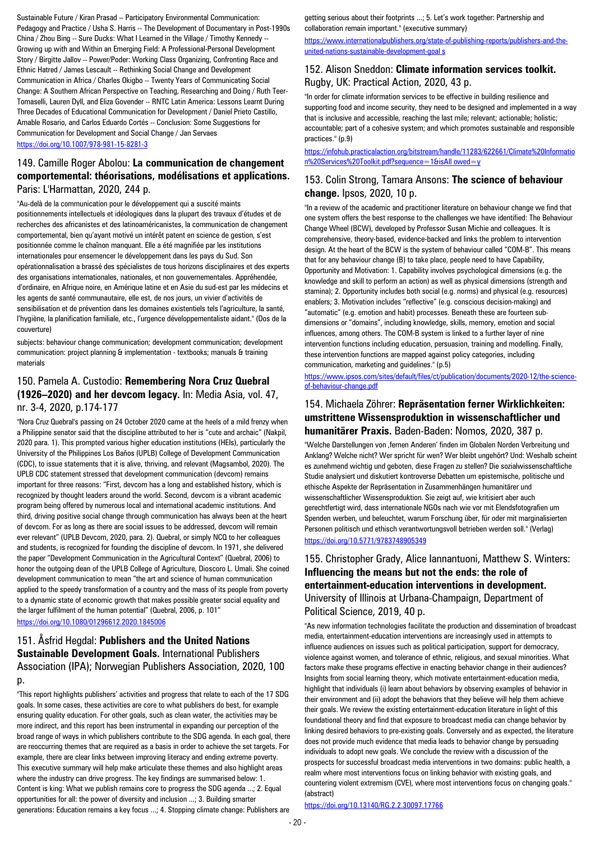Sustainable Future / Kiran Prasad -- Participatory Environmental Communication: Pedagogy and Practice / Usha S. Harris -- The Development of Documentary in Post-1990s China / Zhou Bing -- Sure Ducks: What I Learned in the Village / Timothy Kennedy -- Growing up with and Within an Emerging Field: A Professional-Personal Development Story / Birgitte Jallov -- Power/Poder: Working Class Organizing, Confronting Race and Ethnic Hatred / James Lescault -- Rethinking Social Change and Development Communication in Africa / Charles Okigbo -- Twenty Years of Communicating Social Change: A Southern African Perspective on Teaching, Researching and Doing / Ruth Teer-Tomaselli, Lauren Dyll, and Eliza Govender -- RNTC Latin America: Lessons Learnt During Three Decades of Educational Communication for Development / Daniel Prieto Castillo, Amable Rosario, and Carlos Eduardo Cortés -- Conclusion: Some Suggestions for Communication for Development and Social Change / Jan Servaes <https://doi.org/10.1007/978-981-15-8281-3>

### 149. Camille Roger Abolou: **La communication de changement comportemental: théorisations, modélisations et applications.**

Paris: L'Harmattan, 2020, 244 p.

"Au-delà de la communication pour le développement qui a suscité maints positionnements intellectuels et idéologiques dans la plupart des travaux d'études et de recherches des africanistes et des latinoaméricanistes, la communication de changement comportemental, bien qu'ayant motivé un intérêt patent en science de gestion, s'est positionnée comme le chaînon manquant. Elle a été magnifiée par les institutions internationales pour ensemencer le développement dans les pays du Sud. Son opérationnalisation a brassé des spécialistes de tous horizons disciplinaires et des experts des organisations internationales, nationales, et non gouvernementales. Appréhendée, d'ordinaire, en Afrique noire, en Amérique latine et en Asie du sud-est par les médecins et les agents de santé communautaire, elle est, de nos jours, un vivier d'activités de sensibilisation et de prévention dans les domaines existentiels tels l'agriculture, la santé, l'hygiène, la planification familiale, etc., l'urgence développementaliste aidant." (Dos de la couverture)

subjects: behaviour change communication; development communication; development communication: project planning & implementation - textbooks; manuals & training materials

#### 150. Pamela A. Custodio: **Remembering Nora Cruz Quebral (1926–2020) and her devcom legacy.** In: Media Asia, vol. 47, nr. 3-4, 2020, p.174-177

"Nora Cruz Quebral's passing on 24 October 2020 came at the heels of a mild frenzy when a Philippine senator said that the discipline attributed to her is "cute and archaic" (Nakpil, 2020 para. 1). This prompted various higher education institutions (HEIs), particularly the University of the Philippines Los Baños (UPLB) College of Development Communication (CDC), to issue statements that it is alive, thriving, and relevant (Magsambol, 2020). The UPLB CDC statement stressed that development communication (devcom) remains important for three reasons: "First, devcom has a long and established history, which is recognized by thought leaders around the world. Second, devcom is a vibrant academic program being offered by numerous local and international academic institutions. And third, driving positive social change through communication has always been at the heart of devcom. For as long as there are social issues to be addressed, devcom will remain ever relevant" (UPLB Devcom, 2020, para. 2). Quebral, or simply NCQ to her colleagues and students, is recognized for founding the discipline of devcom. In 1971, she delivered the paper "Development Communication in the Agricultural Context" (Quebral, 2006) to honor the outgoing dean of the UPLB College of Agriculture, Dioscoro L. Umali. She coined development communication to mean "the art and science of human communication applied to the speedy transformation of a country and the mass of its people from poverty to a dynamic state of economic growth that makes possible greater social equality and the larger fulfilment of the human potential" (Quebral, 2006, p. 101" <https://doi.org/10.1080/01296612.2020.1845006>

### 151. Åsfrid Hegdal: **Publishers and the United Nations Sustainable Development Goals.** International Publishers Association (IPA); Norwegian Publishers Association, 2020, 100

#### p.

"This report highlights publishers' activities and progress that relate to each of the 17 SDG goals. In some cases, these activities are core to what publishers do best, for example ensuring quality education. For other goals, such as clean water, the activities may be more indirect, and this report has been instrumental in expanding our perception of the broad range of ways in which publishers contribute to the SDG agenda. In each goal, there are reoccurring themes that are required as a basis in order to achieve the set targets. For example, there are clear links between improving literacy and ending extreme poverty. This executive summary will help make articulate these themes and also highlight areas where the industry can drive progress. The key findings are summarised below: 1. Content is king: What we publish remains core to progress the SDG agenda ...; 2. Equal opportunities for all: the power of diversity and inclusion ...; 3. Building smarter generations: Education remains a key focus ...; 4. Stopping climate change: Publishers are

getting serious about their footprints ...; 5. Let's work together: Partnership and collaboration remain important." (executive summary)

[https://www.internationalpublishers.org/state-of-publishing-reports/publishers-and-the](https://www.internationalpublishers.org/state-of-publishing-reports/publishers-and-the-united-)[united-nations-sustainable-development-goal s](https://www.internationalpublishers.org/state-of-publishing-reports/publishers-and-the-united-)

#### 152. Alison Sneddon: **Climate information services toolkit.**  Rugby, UK: Practical Action, 2020, 43 p.

"In order for climate information services to be effective in building resilience and supporting food and income security, they need to be designed and implemented in a way that is inclusive and accessible, reaching the last mile; relevant; actionable; holistic; accountable; part of a cohesive system; and which promotes sustainable and responsible practices." (p.9)

[https://infohub.practicalaction.org/bitstream/handle/11283/622661/Climate%20Informatio](https://infohub.practicalaction.org/bitstream/handle/11283/622661/Climate%20Information%20Services%20Toolkit.pdf?sequence=1&isAll%20owed=y) [n%20Services%20Toolkit.pdf?sequence=1&isAll owed=y](https://infohub.practicalaction.org/bitstream/handle/11283/622661/Climate%20Information%20Services%20Toolkit.pdf?sequence=1&isAll%20owed=y)

#### 153. Colin Strong, Tamara Ansons: **The science of behaviour change.** Ipsos, 2020, 10 p.

"In a review of the academic and practitioner literature on behaviour change we find that one system offers the best response to the challenges we have identified: The Behaviour Change Wheel (BCW), developed by Professor Susan Michie and colleagues. It is comprehensive, theory-based, evidence-backed and links the problem to intervention design. At the heart of the BCW is the system of behaviour called "COM-B". This means that for any behaviour change (B) to take place, people need to have Capability, Opportunity and Motivation: 1. Capability involves psychological dimensions (e.g. the knowledge and skill to perform an action) as well as physical dimensions (strength and stamina); 2. Opportunity includes both social (e.g. norms) and physical (e.g. resources) enablers; 3. Motivation includes "reflective" (e.g. conscious decision-making) and "automatic" (e.g. emotion and habit) processes. Beneath these are fourteen subdimensions or "domains", including knowledge, skills, memory, emotion and social influences, among others. The COM-B system is linked to a further layer of nine intervention functions including education, persuasion, training and modelling. Finally, these intervention functions are mapped against policy categories, including communication, marketing and guidelines." (p.5)

[https://www.ipsos.com/sites/default/files/ct/publication/documents/2020-12/the-science](https://www.ipsos.com/sites/default/files/ct/publication/documents/2020-12/the-science-of-behaviour-change.pdf)[of-behaviour-change.pdf](https://www.ipsos.com/sites/default/files/ct/publication/documents/2020-12/the-science-of-behaviour-change.pdf)

#### 154. Michaela Zöhrer: **Repräsentation ferner Wirklichkeiten: umstrittene Wissensproduktion in wissenschaftlicher und humanitärer Praxis.** Baden-Baden: Nomos, 2020, 387 p.

"Welche Darstellungen von ,fernen Anderen' finden im Globalen Norden Verbreitung und Anklang? Welche nicht? Wer spricht für wen? Wer bleibt ungehört? Und: Weshalb scheint es zunehmend wichtig und geboten, diese Fragen zu stellen? Die sozialwissenschaftliche Studie analysiert und diskutiert kontroverse Debatten um epistemische, politische und ethische Aspekte der Repräsentation in Zusammenhängen humanitärer und wissenschaftlicher Wissensproduktion. Sie zeigt auf, wie kritisiert aber auch gerechtfertigt wird, dass internationale NGOs nach wie vor mit Elendsfotografien um Spenden werben, und beleuchtet, warum Forschung über, für oder mit marginalisierten Personen politisch und ethisch verantwortungsvoll betrieben werden soll." (Verlag) <https://doi.org/10.5771/9783748905349>

### 155. Christopher Grady, Alice Iannantuoni, Matthew S. Winters: **Influencing the means but not the ends: the role of entertainment-education interventions in development.**  University of Illinois at Urbana-Champaign, Department of Political Science, 2019, 40 p.

"As new information technologies facilitate the production and dissemination of broadcast media, entertainment-education interventions are increasingly used in attempts to influence audiences on issues such as political participation, support for democracy, violence against women, and tolerance of ethnic, religious, and sexual minorities. What factors make these programs effective in enacting behavior change in their audiences? Insights from social learning theory, which motivate entertainment-education media, highlight that individuals (i) learn about behaviors by observing examples of behavior in their environment and (ii) adopt the behaviors that they believe will help them achieve their goals. We review the existing entertainment-education literature in light of this foundational theory and find that exposure to broadcast media can change behavior by linking desired behaviors to pre-existing goals. Conversely and as expected, the literature does not provide much evidence that media leads to behavior change by persuading individuals to adopt new goals. We conclude the review with a discussion of the prospects for successful broadcast media interventions in two domains: public health, a realm where most interventions focus on linking behavior with existing goals, and countering violent extremism (CVE), where most interventions focus on changing goals." (abstract)

<https://doi.org/10.13140/RG.2.2.30097.17766>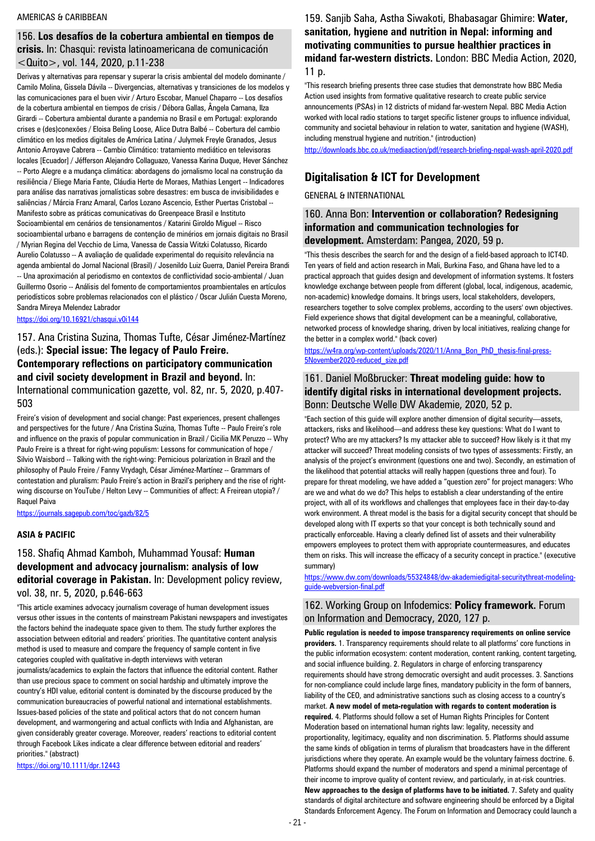### 156. **Los desafíos de la cobertura ambiental en tiempos de crisis.** In: Chasqui: revista latinoamericana de comunicación  $\langle$ Quito $>$ , vol. 144, 2020, p.11-238

Derivas y alternativas para repensar y superar la crisis ambiental del modelo dominante / Camilo Molina, Gissela Dávila -- Divergencias, alternativas y transiciones de los modelos y las comunicaciones para el buen vivir / Arturo Escobar, Manuel Chaparro -- Los desafíos de la cobertura ambiental en tiempos de crisis / Débora Gallas, Ângela Camana, Ilza Girardi -- Cobertura ambiental durante a pandemia no Brasil e em Portugal: explorando crises e (des)conexões / Eloisa Beling Loose, Alice Dutra Balbé -- Cobertura del cambio climático en los medios digitales de América Latina / Julymek Freyle Granados, Jesus Antonio Arroyave Cabrera -- Cambio Climático: tratamiento mediático en televisoras locales [Ecuador] / Jéfferson Alejandro Collaguazo, Vanessa Karina Duque, Hever Sánchez -- Porto Alegre e a mudança climática: abordagens do jornalismo local na construção da resiliência / Eliege Maria Fante, Cláudia Herte de Moraes, Mathias Lengert -- Indicadores para análise das narrativas jornalísticas sobre desastres: em busca de invisibilidades e saliências / Márcia Franz Amaral, Carlos Lozano Ascencio, Esther Puertas Cristobal -- Manifesto sobre as práticas comunicativas do Greenpeace Brasil e Instituto Socioambiental em cenários de tensionamentos / Katarini Giroldo Miguel -- Risco socioambiental urbano e barragens de contenção de minérios em jornais digitais no Brasil / Myrian Regina del Vecchio de Lima, Vanessa de Cassia Witzki Colatusso, Ricardo Aurelio Colatusso -- A avaliação de qualidade experimental do requisito relevância na agenda ambiental do Jornal Nacional (Brasil) / Josenildo Luiz Guerra, Daniel Pereira Brandi -- Una aproximación al periodismo en contextos de conflictividad socio-ambiental / Juan Guillermo Osorio -- Análisis del fomento de comportamientos proambientales en artículos periodísticos sobre problemas relacionados con el plástico / Oscar Julián Cuesta Moreno, Sandra Mireya Melendez Labrador

<https://doi.org/10.16921/chasqui.v0i144>

### 157. Ana Cristina Suzina, Thomas Tufte, César Jiménez-Martínez (eds.): **Special issue: The legacy of Paulo Freire. Contemporary reflections on participatory communication and civil society development in Brazil and beyond.** In: International communication gazette, vol. 82, nr. 5, 2020, p.407- 503

Freire's vision of development and social change: Past experiences, present challenges and perspectives for the future / Ana Cristina Suzina, Thomas Tufte -- Paulo Freire's role and influence on the praxis of popular communication in Brazil / Cicilia MK Peruzzo -- Why Paulo Freire is a threat for right-wing populism: Lessons for communication of hope / Silvio Waisbord -- Talking with the right-wing: Pernicious polarization in Brazil and the philosophy of Paulo Freire / Fanny Vrydagh, César Jiménez-Martínez -- Grammars of contestation and pluralism: Paulo Freire's action in Brazil's periphery and the rise of rightwing discourse on YouTube / Helton Levy -- Communities of affect: A Freirean utopia? / Raquel Paiva

<https://journals.sagepub.com/toc/gazb/82/5>

#### **ASIA & PACIFIC**

#### 158. Shafiq Ahmad Kamboh, Muhammad Yousaf: **Human development and advocacy journalism: analysis of low editorial coverage in Pakistan.** In: Development policy review, vol. 38, nr. 5, 2020, p.646-663

"This article examines advocacy journalism coverage of human development issues versus other issues in the contents of mainstream Pakistani newspapers and investigates the factors behind the inadequate space given to them. The study further explores the association between editorial and readers' priorities. The quantitative content analysis method is used to measure and compare the frequency of sample content in five categories coupled with qualitative in-depth interviews with veteran journalists/academics to explain the factors that influence the editorial content. Rather than use precious space to comment on social hardship and ultimately improve the country's HDI value, editorial content is dominated by the discourse produced by the communication bureaucracies of powerful national and international establishments. Issues-based policies of the state and political actors that do not concern human development, and warmongering and actual conflicts with India and Afghanistan, are given considerably greater coverage. Moreover, readers' reactions to editorial content through Facebook Likes indicate a clear difference between editorial and readers' priorities." (abstract) <https://doi.org/10.1111/dpr.12443>

159. Sanjib Saha, Astha Siwakoti, Bhabasagar Ghimire: **Water, sanitation, hygiene and nutrition in Nepal: informing and motivating communities to pursue healthier practices in midand far-western districts.** London: BBC Media Action, 2020, 11 p.

"This research briefing presents three case studies that demonstrate how BBC Media Action used insights from formative qualitative research to create public service announcements (PSAs) in 12 districts of midand far-western Nepal. BBC Media Action worked with local radio stations to target specific listener groups to influence individual, community and societal behaviour in relation to water, sanitation and hygiene (WASH), including menstrual hygiene and nutrition." (introduction)

<http://downloads.bbc.co.uk/mediaaction/pdf/research-briefing-nepal-wash-april-2020.pdf>

### **Digitalisation & ICT for Development**

GENERAL & INTERNATIONAL

#### 160. Anna Bon: **Intervention or collaboration? Redesigning information and communication technologies for development.** Amsterdam: Pangea, 2020, 59 p.

"This thesis describes the search for and the design of a field-based approach to ICT4D. Ten years of field and action research in Mali, Burkina Faso, and Ghana have led to a practical approach that guides design and development of information systems. It fosters knowledge exchange between people from different (global, local, indigenous, academic, non-academic) knowledge domains. It brings users, local stakeholders, developers, researchers together to solve complex problems, according to the users' own objectives. Field experience shows that digital development can be a meaningful, collaborative, networked process of knowledge sharing, driven by local initiatives, realizing change for the better in a complex world." (back cover)

[https://w4ra.org/wp-content/uploads/2020/11/Anna\\_Bon\\_PhD\\_thesis-final-press-](https://w4ra.org/wp-content/uploads/2020/11/Anna_Bon_PhD_thesis-final-press-5November2020-reduced_size.pdf)[5November2020-reduced\\_size.pdf](https://w4ra.org/wp-content/uploads/2020/11/Anna_Bon_PhD_thesis-final-press-5November2020-reduced_size.pdf)

### 161. Daniel Moßbrucker: **Threat modeling guide: how to identify digital risks in international development projects.**  Bonn: Deutsche Welle DW Akademie, 2020, 52 p.

"Each section of this guide will explore another dimension of digital security—assets, attackers, risks and likelihood—and address these key questions: What do I want to protect? Who are my attackers? Is my attacker able to succeed? How likely is it that my attacker will succeed? Threat modeling consists of two types of assessments: Firstly, an analysis of the project's environment (questions one and two). Secondly, an estimation of the likelihood that potential attacks will really happen (questions three and four). To prepare for threat modeling, we have added a "question zero" for project managers: Who are we and what do we do? This helps to establish a clear understanding of the entire project, with all of its workflows and challenges that employees face in their day-to-day work environment. A threat model is the basis for a digital security concept that should be developed along with IT experts so that your concept is both technically sound and practically enforceable. Having a clearly defined list of assets and their vulnerability empowers employees to protect them with appropriate countermeasures, and educates them on risks. This will increase the efficacy of a security concept in practice." (executive summary)

[https://www.dw.com/downloads/55324848/dw-akademiedigital-securitythreat-modeling](https://www.dw.com/downloads/55324848/dw-akademiedigital-securitythreat-modeling-guide-webversion-final.pdf)[guide-webversion-final.pdf](https://www.dw.com/downloads/55324848/dw-akademiedigital-securitythreat-modeling-guide-webversion-final.pdf)

#### 162. Working Group on Infodemics: **Policy framework.** Forum on Information and Democracy, 2020, 127 p.

**Public regulation is needed to impose transparency requirements on online service providers.** 1. Transparency requirements should relate to all platforms' core functions in the public information ecosystem: content moderation, content ranking, content targeting, and social influence building. 2. Regulators in charge of enforcing transparency requirements should have strong democratic oversight and audit processes. 3. Sanctions for non-compliance could include large fines, mandatory publicity in the form of banners, liability of the CEO, and administrative sanctions such as closing access to a country's market. **A new model of meta-regulation with regards to content moderation is required.** 4. Platforms should follow a set of Human Rights Principles for Content Moderation based on international human rights law: legality, necessity and proportionality, legitimacy, equality and non discrimination. 5. Platforms should assume the same kinds of obligation in terms of pluralism that broadcasters have in the different jurisdictions where they operate. An example would be the voluntary fairness doctrine. 6. Platforms should expand the number of moderators and spend a minimal percentage of their income to improve quality of content review, and particularly, in at-risk countries. **New approaches to the design of platforms have to be initiated.** 7. Safety and quality standards of digital architecture and software engineering should be enforced by a Digital Standards Enforcement Agency. The Forum on Information and Democracy could launch a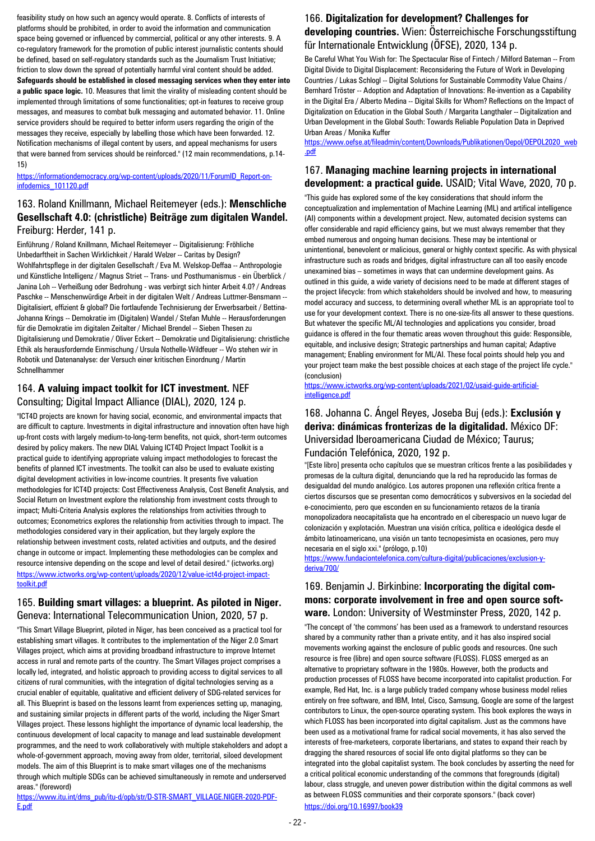feasibility study on how such an agency would operate. 8. Conflicts of interests of platforms should be prohibited, in order to avoid the information and communication space being governed or influenced by commercial, political or any other interests. 9. A co-regulatory framework for the promotion of public interest journalistic contents should be defined, based on self-regulatory standards such as the Journalism Trust Initiative; friction to slow down the spread of potentially harmful viral content should be added. **Safeguards should be established in closed messaging services when they enter into a public space logic.** 10. Measures that limit the virality of misleading content should be implemented through limitations of some functionalities; opt-in features to receive group messages, and measures to combat bulk messaging and automated behavior. 11. Online service providers should be required to better inform users regarding the origin of the messages they receive, especially by labelling those which have been forwarded. 12. Notification mechanisms of illegal content by users, and appeal mechanisms for users that were banned from services should be reinforced." (12 main recommendations, p.14- 15)

#### [https://informationdemocracy.org/wp-content/uploads/2020/11/ForumID\\_Report-on](https://informationdemocracy.org/wp-content/uploads/2020/11/ForumID_Report-on-infodemics_101120.pdf)[infodemics\\_101120.pdf](https://informationdemocracy.org/wp-content/uploads/2020/11/ForumID_Report-on-infodemics_101120.pdf)

#### 163. Roland Knillmann, Michael Reitemeyer (eds.): **Menschliche Gesellschaft 4.0: (christliche) Beiträge zum digitalen Wandel.**  Freiburg: Herder, 141 p.

Einführung / Roland Knillmann, Michael Reitemeyer -- Digitalisierung: Fröhliche Unbedarftheit in Sachen Wirklichkeit / Harald Welzer -- Caritas by Design? Wohlfahrtspflege in der digitalen Gesellschaft / Eva M. Welskop-Deffaa -- Anthropologie und Künstliche Intelligenz / Magnus Striet -- Trans- und Posthumanismus - ein Überblick / Janina Loh -- Verheißung oder Bedrohung - was verbirgt sich hinter Arbeit 4.0? / Andreas Paschke -- Menschenwürdige Arbeit in der digitalen Welt / Andreas Luttmer-Bensmann --Digitalisiert, effizient & global? Die fortlaufende Technisierung der Erwerbsarbeit / Bettina-Johanna Krings -- Demokratie im (Digitalen) Wandel / Stefan Muhle -- Herausforderungen für die Demokratie im digitalen Zeitalter / Michael Brendel -- Sieben Thesen zu Digitalisierung und Demokratie / Oliver Eckert -- Demokratie und Digitalisierung: christliche Ethik als herausfordernde Einmischung / Ursula Nothelle-Wildfeuer -- Wo stehen wir in Robotik und Datenanalyse: der Versuch einer kritischen Einordnung / Martin Schnellhammer

#### 164. **A valuing impact toolkit for ICT investment.** NEF Consulting; Digital Impact Alliance (DIAL), 2020, 124 p.

"ICT4D projects are known for having social, economic, and environmental impacts that are difficult to capture. Investments in digital infrastructure and innovation often have high up-front costs with largely medium-to-long-term benefits, not quick, short-term outcomes desired by policy makers. The new DIAL Valuing ICT4D Project Impact Toolkit is a practical guide to identifying appropriate valuing impact methodologies to forecast the benefits of planned ICT investments. The toolkit can also be used to evaluate existing digital development activities in low-income countries. It presents five valuation methodologies for ICT4D projects: Cost Effectiveness Analysis, Cost Benefit Analysis, and Social Return on Investment explore the relationship from investment costs through to impact; Multi-Criteria Analysis explores the relationships from activities through to outcomes; Econometrics explores the relationship from activities through to impact. The methodologies considered vary in their application, but they largely explore the relationship between investment costs, related activities and outputs, and the desired change in outcome or impact. Implementing these methodologies can be complex and resource intensive depending on the scope and level of detail desired." (ictworks.org) [https://www.ictworks.org/wp-content/uploads/2020/12/value-ict4d-project-impact](https://www.ictworks.org/wp-content/uploads/2020/12/value-ict4d-project-impact-toolkit.pdf)[toolkit.pdf](https://www.ictworks.org/wp-content/uploads/2020/12/value-ict4d-project-impact-toolkit.pdf)

### 165. **Building smart villages: a blueprint. As piloted in Niger.**  Geneva: International Telecommunication Union, 2020, 57 p.

"This Smart Village Blueprint, piloted in Niger, has been conceived as a practical tool for establishing smart villages. It contributes to the implementation of the Niger 2.0 Smart Villages project, which aims at providing broadband infrastructure to improve Internet access in rural and remote parts of the country. The Smart Villages project comprises a locally led, integrated, and holistic approach to providing access to digital services to all citizens of rural communities, with the integration of digital technologies serving as a crucial enabler of equitable, qualitative and efficient delivery of SDG-related services for all. This Blueprint is based on the lessons learnt from experiences setting up, managing, and sustaining similar projects in different parts of the world, including the Niger Smart Villages project. These lessons highlight the importance of dynamic local leadership, the continuous development of local capacity to manage and lead sustainable development programmes, and the need to work collaboratively with multiple stakeholders and adopt a whole-of-government approach, moving away from older, territorial, siloed development models. The aim of this Blueprint is to make smart villages one of the mechanisms through which multiple SDGs can be achieved simultaneously in remote and underserved areas." (foreword)

[https://www.itu.int/dms\\_pub/itu-d/opb/str/D-STR-SMART\\_VILLAGE.NIGER-2020-PDF-](https://www.itu.int/dms_pub/itu-d/opb/str/D-STR-SMART_VILLAGE.NIGER-2020-PDF-E.pdf)[E.pdf](https://www.itu.int/dms_pub/itu-d/opb/str/D-STR-SMART_VILLAGE.NIGER-2020-PDF-E.pdf)

#### 166. **Digitalization for development? Challenges for developing countries.** Wien: Österreichische Forschungsstiftung für Internationale Entwicklung (ÖFSE), 2020, 134 p.

Be Careful What You Wish for: The Spectacular Rise of Fintech / Milford Bateman -- From Digital Divide to Digital Displacement: Reconsidering the Future of Work in Developing Countries / Lukas Schlogl -- Digital Solutions for Sustainable Commodity Value Chains / Bernhard Tröster -- Adoption and Adaptation of Innovations: Re-invention as a Capability in the Digital Era / Alberto Medina -- Digital Skills for Whom? Reflections on the Impact of Digitalization on Education in the Global South / Margarita Langthaler -- Digitalization and Urban Development in the Global South: Towards Reliable Population Data in Deprived Urban Areas / Monika Kuffer

[https://www.oefse.at/fileadmin/content/Downloads/Publikationen/Oepol/OEPOL2020\\_web](https://www.oefse.at/fileadmin/content/Downloads/Publikationen/Oepol/OEPOL2020_web.pdf) [.pdf](https://www.oefse.at/fileadmin/content/Downloads/Publikationen/Oepol/OEPOL2020_web.pdf)

#### 167. **Managing machine learning projects in international development: a practical guide.** USAID; Vital Wave, 2020, 70 p.

"This guide has explored some of the key considerations that should inform the conceptualization and implementation of Machine Learning (ML) and artifical intelligence (AI) components within a development project. New, automated decision systems can offer considerable and rapid efficiency gains, but we must always remember that they embed numerous and ongoing human decisions. These may be intentional or unintentional, benevolent or malicious, general or highly context specific. As with physical infrastructure such as roads and bridges, digital infrastructure can all too easily encode unexamined bias – sometimes in ways that can undermine development gains. As outlined in this guide, a wide variety of decisions need to be made at different stages of the project lifecycle: from which stakeholders should be involved and how, to measuring model accuracy and success, to determining overall whether ML is an appropriate tool to use for your development context. There is no one-size-fits all answer to these questions. But whatever the specific ML/AI technologies and applications you consider, broad guidance is offered in the four thematic areas woven throughout this guide: Responsible, equitable, and inclusive design; Strategic partnerships and human capital; Adaptive management; Enabling environment for ML/AI. These focal points should help you and your project team make the best possible choices at each stage of the project life cycle." (conclusion)

[https://www.ictworks.org/wp-content/uploads/2021/02/usaid-guide-artificial](https://www.ictworks.org/wp-content/uploads/2021/02/usaid-guide-artificial-intelligence.pdf)[intelligence.pdf](https://www.ictworks.org/wp-content/uploads/2021/02/usaid-guide-artificial-intelligence.pdf)

#### 168. Johanna C. Ángel Reyes, Joseba Buj (eds.): **Exclusión y deriva: dinámicas fronterizas de la digitalidad.** México DF: Universidad Iberoamericana Ciudad de México; Taurus; Fundación Telefónica, 2020, 192 p.

"[Este libro] presenta ocho capítulos que se muestran críticos frente a las posibilidades y promesas de la cultura digital, denunciando que la red ha reproducido las formas de desigualdad del mundo analógico. Los autores proponen una reflexión crítica frente a ciertos discursos que se presentan como democráticos y subversivos en la sociedad del e-conocimiento, pero que esconden en su funcionamiento retazos de la tiranía monopolizadora neocapitalista que ha encontrado en el ciberespacio un nuevo lugar de colonización y explotación. Muestran una visión crítica, política e ideológica desde el ámbito latinoamericano, una visión un tanto tecnopesimista en ocasiones, pero muy necesaria en el siglo xxi." (prólogo, p.10)

[https://www.fundaciontelefonica.com/cultura-digital/publicaciones/exclusion-y](https://www.fundaciontelefonica.com/cultura-digital/publicaciones/exclusion-y-deriva/700/)[deriva/700/](https://www.fundaciontelefonica.com/cultura-digital/publicaciones/exclusion-y-deriva/700/)

#### 169. Benjamin J. Birkinbine: **Incorporating the digital commons: corporate involvement in free and open source software.** London: University of Westminster Press, 2020, 142 p.

"The concept of 'the commons' has been used as a framework to understand resources shared by a community rather than a private entity, and it has also inspired social movements working against the enclosure of public goods and resources. One such resource is free (libre) and open source software (FLOSS). FLOSS emerged as an alternative to proprietary software in the 1980s. However, both the products and production processes of FLOSS have become incorporated into capitalist production. For example, Red Hat, Inc. is a large publicly traded company whose business model relies entirely on free software, and IBM, Intel, Cisco, Samsung, Google are some of the largest contributors to Linux, the open-source operating system. This book explores the ways in which FLOSS has been incorporated into digital capitalism. Just as the commons have been used as a motivational frame for radical social movements, it has also served the interests of free-marketeers, corporate libertarians, and states to expand their reach by dragging the shared resources of social life onto digital platforms so they can be integrated into the global capitalist system. The book concludes by asserting the need for a critical political economic understanding of the commons that foregrounds (digital) labour, class struggle, and uneven power distribution within the digital commons as well as between FLOSS communities and their corporate sponsors." (back cover) <https://doi.org/10.16997/book39>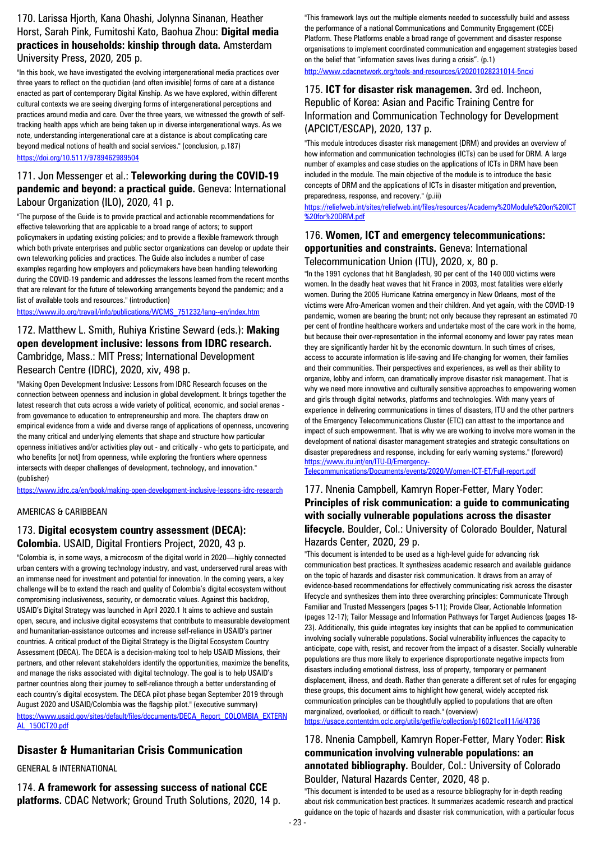### 170. Larissa Hjorth, Kana Ohashi, Jolynna Sinanan, Heather Horst, Sarah Pink, Fumitoshi Kato, Baohua Zhou: **Digital media practices in households: kinship through data.** Amsterdam University Press, 2020, 205 p.

"In this book, we have investigated the evolving intergenerational media practices over three years to reflect on the quotidian (and often invisible) forms of care at a distance enacted as part of contemporary Digital Kinship. As we have explored, within different cultural contexts we are seeing diverging forms of intergenerational perceptions and practices around media and care. Over the three years, we witnessed the growth of selftracking health apps which are being taken up in diverse intergenerational ways. As we note, understanding intergenerational care at a distance is about complicating care beyond medical notions of health and social services." (conclusion, p.187) <https://doi.org/10.5117/9789462989504>

### 171. Jon Messenger et al.: **Teleworking during the COVID-19 pandemic and beyond: a practical guide.** Geneva: International Labour Organization (ILO), 2020, 41 p.

"The purpose of the Guide is to provide practical and actionable recommendations for effective teleworking that are applicable to a broad range of actors; to support policymakers in updating existing policies; and to provide a flexible framework through which both private enterprises and public sector organizations can develop or update their own teleworking policies and practices. The Guide also includes a number of case examples regarding how employers and policymakers have been handling teleworking during the COVID-19 pandemic and addresses the lessons learned from the recent months that are relevant for the future of teleworking arrangements beyond the pandemic; and a list of available tools and resources." (introduction)

[https://www.ilo.org/travail/info/publications/WCMS\\_751232/lang--en/index.htm](https://www.ilo.org/travail/info/publications/WCMS_751232/lang--en/index.htm)

### 172. Matthew L. Smith, Ruhiya Kristine Seward (eds.): **Making open development inclusive: lessons from IDRC research.**  Cambridge, Mass.: MIT Press; International Development Research Centre (IDRC), 2020, xiv, 498 p.

"Making Open Development Inclusive: Lessons from IDRC Research focuses on the connection between openness and inclusion in global development. It brings together the latest research that cuts across a wide variety of political, economic, and social arenas from governance to education to entrepreneurship and more. The chapters draw on empirical evidence from a wide and diverse range of applications of openness, uncovering the many critical and underlying elements that shape and structure how particular openness initiatives and/or activities play out - and critically - who gets to participate, and who benefits [or not] from openness, while exploring the frontiers where openness intersects with deeper challenges of development, technology, and innovation." (publisher)

<https://www.idrc.ca/en/book/making-open-development-inclusive-lessons-idrc-research>

#### AMERICAS & CARIBBEAN

### 173. **Digital ecosystem country assessment (DECA): Colombia.** USAID, Digital Frontiers Project, 2020, 43 p.

"Colombia is, in some ways, a microcosm of the digital world in 2020—highly connected urban centers with a growing technology industry, and vast, underserved rural areas with an immense need for investment and potential for innovation. In the coming years, a key challenge will be to extend the reach and quality of Colombia's digital ecosystem without compromising inclusiveness, security, or democratic values. Against this backdrop, USAID's Digital Strategy was launched in April 2020.1 It aims to achieve and sustain open, secure, and inclusive digital ecosystems that contribute to measurable development and humanitarian-assistance outcomes and increase self-reliance in USAID's partner countries. A critical product of the Digital Strategy is the Digital Ecosystem Country Assessment (DECA). The DECA is a decision-making tool to help USAID Missions, their partners, and other relevant stakeholders identify the opportunities, maximize the benefits, and manage the risks associated with digital technology. The goal is to help USAID's partner countries along their journey to self-reliance through a better understanding of each country's digital ecosystem. The DECA pilot phase began September 2019 through August 2020 and USAID/Colombia was the flagship pilot." (executive summary) [https://www.usaid.gov/sites/default/files/documents/DECA\\_Report\\_COLOMBIA\\_EXTERN](https://www.usaid.gov/sites/default/files/documents/DECA_Report_COLOMBIA_EXTERNAL_15OCT20.pdf) [AL\\_15OCT20.pdf](https://www.usaid.gov/sites/default/files/documents/DECA_Report_COLOMBIA_EXTERNAL_15OCT20.pdf)

### **Disaster & Humanitarian Crisis Communication**

GENERAL & INTERNATIONAL

174. **A framework for assessing success of national CCE platforms.** CDAC Network; Ground Truth Solutions, 2020, 14 p.

"This framework lays out the multiple elements needed to successfully build and assess the performance of a national Communications and Community Engagement (CCE) Platform. These Platforms enable a broad range of government and disaster response organisations to implement coordinated communication and engagement strategies based on the belief that "information saves lives during a crisis". (p.1) <http://www.cdacnetwork.org/tools-and-resources/i/20201028231014-5ncxi>

#### 175. **ICT for disaster risk managemen.** 3rd ed. Incheon, Republic of Korea: Asian and Pacific Training Centre for Information and Communication Technology for Development (APCICT/ESCAP), 2020, 137 p.

"This module introduces disaster risk management (DRM) and provides an overview of how information and communication technologies (ICTs) can be used for DRM. A large number of examples and case studies on the applications of ICTs in DRM have been included in the module. The main objective of the module is to introduce the basic concepts of DRM and the applications of ICTs in disaster mitigation and prevention, preparedness, response, and recovery." (p.iii)

[https://reliefweb.int/sites/reliefweb.int/files/resources/Academy%20Module%20on%20ICT](https://reliefweb.int/sites/reliefweb.int/files/resources/Academy%20Module%20on%20ICT%20for%20DRM.pdf) [%20for%20DRM.pdf](https://reliefweb.int/sites/reliefweb.int/files/resources/Academy%20Module%20on%20ICT%20for%20DRM.pdf)

#### 176. **Women, ICT and emergency telecommunications: opportunities and constraints.** Geneva: International Telecommunication Union (ITU), 2020, x, 80 p.

"In the 1991 cyclones that hit Bangladesh, 90 per cent of the 140 000 victims were women. In the deadly heat waves that hit France in 2003, most fatalities were elderly women. During the 2005 Hurricane Katrina emergency in New Orleans, most of the victims were Afro-American women and their children. And yet again, with the COVID-19 pandemic, women are bearing the brunt; not only because they represent an estimated 70 per cent of frontline healthcare workers and undertake most of the care work in the home, but because their over-representation in the informal economy and lower pay rates mean they are significantly harder hit by the economic downturn. In such times of crises, access to accurate information is life-saving and life-changing for women, their families and their communities. Their perspectives and experiences, as well as their ability to organize, lobby and inform, can dramatically improve disaster risk management. That is why we need more innovative and culturally sensitive approaches to empowering women and girls through digital networks, platforms and technologies. With many years of experience in delivering communications in times of disasters, ITU and the other partners of the Emergency Telecommunications Cluster (ETC) can attest to the importance and impact of such empowerment. That is why we are working to involve more women in the development of national disaster management strategies and strategic consultations on disaster preparedness and response, including for early warning systems." (foreword) [https://www.itu.int/en/ITU-D/Emergency-](https://www.itu.int/en/ITU-D/Emergency-Telecommunications/Documents/events/2020/Women-ICT-ET/Full-report.pdf)

[Telecommunications/Documents/events/2020/Women-ICT-ET/Full-report.pdf](https://www.itu.int/en/ITU-D/Emergency-Telecommunications/Documents/events/2020/Women-ICT-ET/Full-report.pdf)

### 177. Nnenia Campbell, Kamryn Roper-Fetter, Mary Yoder: **Principles of risk communication: a guide to communicating with socially vulnerable populations across the disaster lifecycle.** Boulder, Col.: University of Colorado Boulder, Natural Hazards Center, 2020, 29 p.

"This document is intended to be used as a high-level guide for advancing risk communication best practices. It synthesizes academic research and available guidance on the topic of hazards and disaster risk communication. It draws from an array of evidence-based recommendations for effectively communicating risk across the disaster lifecycle and synthesizes them into three overarching principles: Communicate Through Familiar and Trusted Messengers (pages 5-11); Provide Clear, Actionable Information (pages 12-17); Tailor Message and Information Pathways for Target Audiences (pages 18- 23). Additionally, this guide integrates key insights that can be applied to communication involving socially vulnerable populations. Social vulnerability influences the capacity to anticipate, cope with, resist, and recover from the impact of a disaster. Socially vulnerable populations are thus more likely to experience disproportionate negative impacts from disasters including emotional distress, loss of property, temporary or permanent displacement, illness, and death. Rather than generate a different set of rules for engaging these groups, this document aims to highlight how general, widely accepted risk communication principles can be thoughtfully applied to populations that are often marginalized, overlooked, or difficult to reach." (overview) <https://usace.contentdm.oclc.org/utils/getfile/collection/p16021coll11/id/4736>

### 178. Nnenia Campbell, Kamryn Roper-Fetter, Mary Yoder: **Risk communication involving vulnerable populations: an annotated bibliography.** Boulder, Col.: University of Colorado Boulder, Natural Hazards Center, 2020, 48 p.

"This document is intended to be used as a resource bibliography for in-depth reading about risk communication best practices. It summarizes academic research and practical guidance on the topic of hazards and disaster risk communication, with a particular focus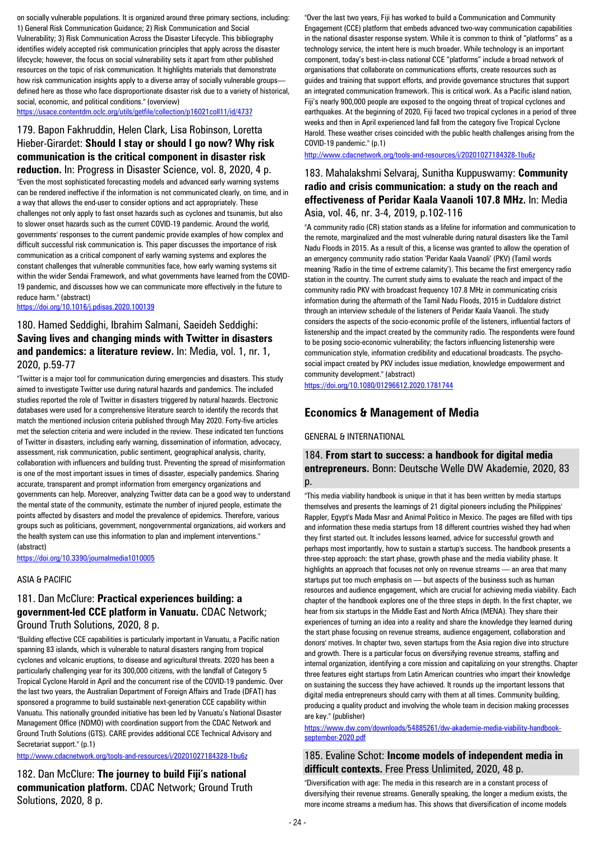on socially vulnerable populations. It is organized around three primary sections, including: 1) General Risk Communication Guidance; 2) Risk Communication and Social Vulnerability; 3) Risk Communication Across the Disaster Lifecycle. This bibliography identifies widely accepted risk communication principles that apply across the disaster lifecycle; however, the focus on social vulnerability sets it apart from other published resources on the topic of risk communication. It highlights materials that demonstrate how risk communication insights apply to a diverse array of socially vulnerable groups defined here as those who face disproportionate disaster risk due to a variety of historical, social, economic, and political conditions." (overview)

<https://usace.contentdm.oclc.org/utils/getfile/collection/p16021coll11/id/4737>

### 179. Bapon Fakhruddin, Helen Clark, Lisa Robinson, Loretta Hieber-Girardet: **Should I stay or should I go now? Why risk communication is the critical component in disaster risk**

**reduction.** In: Progress in Disaster Science, vol. 8, 2020, 4 p. "Even the most sophisticated forecasting models and advanced early warning systems can be rendered ineffective if the information is not communicated clearly, on time, and in a way that allows the end-user to consider options and act appropriately. These challenges not only apply to fast onset hazards such as cyclones and tsunamis, but also to slower onset hazards such as the current COVID-19 pandemic. Around the world, governments' responses to the current pandemic provide examples of how complex and difficult successful risk communication is. This paper discusses the importance of risk communication as a critical component of early warning systems and explores the constant challenges that vulnerable communities face, how early warning systems sit within the wider Sendai Framework, and what governments have learned from the COVID-19 pandemic, and discusses how we can communicate more effectively in the future to reduce harm." (abstract)

<https://doi.org/10.1016/j.pdisas.2020.100139>

### 180. Hamed Seddighi, Ibrahim Salmani, Saeideh Seddighi: **Saving lives and changing minds with Twitter in disasters and pandemics: a literature review.** In: Media, vol. 1, nr. 1, 2020, p.59-77

"Twitter is a major tool for communication during emergencies and disasters. This study aimed to investigate Twitter use during natural hazards and pandemics. The included studies reported the role of Twitter in disasters triggered by natural hazards. Electronic databases were used for a comprehensive literature search to identify the records that match the mentioned inclusion criteria published through May 2020. Forty-five articles met the selection criteria and were included in the review. These indicated ten functions of Twitter in disasters, including early warning, dissemination of information, advocacy, assessment, risk communication, public sentiment, geographical analysis, charity, collaboration with influencers and building trust. Preventing the spread of misinformation is one of the most important issues in times of disaster, especially pandemics. Sharing accurate, transparent and prompt information from emergency organizations and governments can help. Moreover, analyzing Twitter data can be a good way to understand the mental state of the community, estimate the number of injured people, estimate the points affected by disasters and model the prevalence of epidemics. Therefore, various groups such as politicians, government, nongovernmental organizations, aid workers and the health system can use this information to plan and implement interventions." (abstract)

<https://doi.org/10.3390/journalmedia1010005>

#### ASIA & PACIFIC

#### 181. Dan McClure: **Practical experiences building: a government-led CCE platform in Vanuatu.** CDAC Network; Ground Truth Solutions, 2020, 8 p.

"Building effective CCE capabilities is particularly important in Vanuatu, a Pacific nation spanning 83 islands, which is vulnerable to natural disasters ranging from tropical cyclones and volcanic eruptions, to disease and agricultural threats. 2020 has been a particularly challenging year for its 300,000 citizens, with the landfall of Category 5 Tropical Cyclone Harold in April and the concurrent rise of the COVID-19 pandemic. Over the last two years, the Australian Department of Foreign Affairs and Trade (DFAT) has sponsored a programme to build sustainable next-generation CCE capability within Vanuatu. This nationally grounded initiative has been led by Vanuatu's National Disaster Management Office (NDMO) with coordination support from the CDAC Network and Ground Truth Solutions (GTS). CARE provides additional CCE Technical Advisory and Secretariat support." (p.1)

<http://www.cdacnetwork.org/tools-and-resources/i/20201027184328-1bu6z>

182. Dan McClure: **The journey to build Fiji's national communication platform.** CDAC Network; Ground Truth Solutions, 2020, 8 p.

"Over the last two years, Fiji has worked to build a Communication and Community Engagement (CCE) platform that embeds advanced two-way communication capabilities in the national disaster response system. While it is common to think of "platforms" as a technology service, the intent here is much broader. While technology is an important component, today's best-in-class national CCE "platforms" include a broad network of organisations that collaborate on communications efforts, create resources such as guides and training that support efforts, and provide governance structures that support an integrated communication framework. This is critical work. As a Pacific island nation, Fiji's nearly 900,000 people are exposed to the ongoing threat of tropical cyclones and earthquakes. At the beginning of 2020, Fiji faced two tropical cyclones in a period of three weeks and then in April experienced land fall from the category five Tropical Cyclone Harold. These weather crises coincided with the public health challenges arising from the COVID-19 pandemic." (p.1)

<http://www.cdacnetwork.org/tools-and-resources/i/20201027184328-1bu6z>

#### 183. Mahalakshmi Selvaraj, Sunitha Kuppuswamy: **Community radio and crisis communication: a study on the reach and effectiveness of Peridar Kaala Vaanoli 107.8 MHz.** In: Media Asia, vol. 46, nr. 3-4, 2019, p.102-116

"A community radio (CR) station stands as a lifeline for information and communication to the remote, marginalized and the most vulnerable during natural disasters like the Tamil Nadu Floods in 2015. As a result of this, a license was granted to allow the operation of an emergency community radio station 'Peridar Kaala Vaanoli' (PKV) (Tamil words meaning 'Radio in the time of extreme calamity'). This became the first emergency radio station in the country. The current study aims to evaluate the reach and impact of the community radio PKV with broadcast frequency 107.8 MHz in communicating crisis information during the aftermath of the Tamil Nadu Floods, 2015 in Cuddalore district through an interview schedule of the listeners of Peridar Kaala Vaanoli. The study considers the aspects of the socio-economic profile of the listeners, influential factors of listenership and the impact created by the community radio. The respondents were found to be posing socio-economic vulnerability; the factors influencing listenership were communication style, information credibility and educational broadcasts. The psychosocial impact created by PKV includes issue mediation, knowledge empowerment and community development." (abstract)

<https://doi.org/10.1080/01296612.2020.1781744>

#### **Economics & Management of Media**

GENERAL & INTERNATIONAL

#### 184. **From start to success: a handbook for digital media entrepreneurs.** Bonn: Deutsche Welle DW Akademie, 2020, 83 p.

"This media viability handbook is unique in that it has been written by media startups themselves and presents the learnings of 21 digital pioneers including the Philippines' Rappler, Egypt's Mada Masr and Animal Politico in Mexico. The pages are filled with tips and information these media startups from 18 different countries wished they had when they first started out. It includes lessons learned, advice for successful growth and perhaps most importantly, how to sustain a startup's success. The handbook presents a three-step approach: the start phase, growth phase and the media viability phase. It highlights an approach that focuses not only on revenue streams — an area that many startups put too much emphasis on — but aspects of the business such as human resources and audience engagement, which are crucial for achieving media viability. Each chapter of the handbook explores one of the three steps in depth. In the first chapter, we hear from six startups in the Middle East and North Africa (MENA). They share their experiences of turning an idea into a reality and share the knowledge they learned during the start phase focusing on revenue streams, audience engagement, collaboration and donors' motives. In chapter two, seven startups from the Asia region dive into structure and growth. There is a particular focus on diversifying revenue streams, staffing and internal organization, identifying a core mission and capitalizing on your strengths. Chapter three features eight startups from Latin American countries who impart their knowledge on sustaining the success they have achieved. It rounds up the important lessons that digital media entrepreneurs should carry with them at all times. Community building, producing a quality product and involving the whole team in decision making processes are key." (publisher)

[https://www.dw.com/downloads/54885261/dw-akademie-media-viability-handbook](https://www.dw.com/downloads/54885261/dw-akademie-media-viability-handbook-september-2020.pdf)[september-2020.pdf](https://www.dw.com/downloads/54885261/dw-akademie-media-viability-handbook-september-2020.pdf)

### 185. Evaline Schot: **Income models of independent media in difficult contexts.** Free Press Unlimited, 2020, 48 p.

"Diversification with age: The media in this research are in a constant process of diversifying their revenue streams. Generally speaking, the longer a medium exists, the more income streams a medium has. This shows that diversification of income models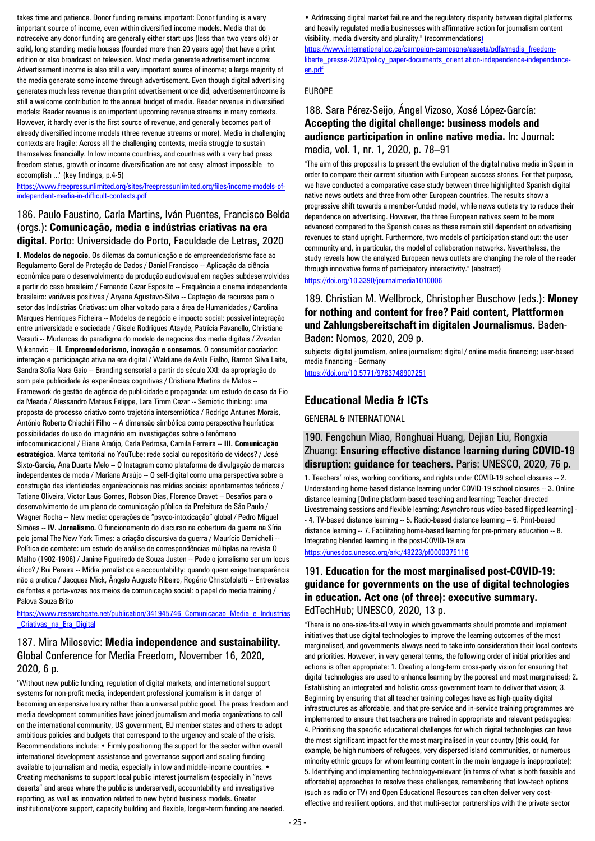takes time and patience. Donor funding remains important: Donor funding is a very important source of income, even within diversified income models. Media that do notreceive any donor funding are generally either start-ups (less than two years old) or solid, long standing media houses (founded more than 20 years ago) that have a print edition or also broadcast on television. Most media generate advertisement income: Advertisement income is also still a very important source of income; a large majority of the media generate some income through advertisement. Even though digital advertising generates much less revenue than print advertisement once did, advertisementincome is still a welcome contribution to the annual budget of media. Reader revenue in diversified models: Reader revenue is an important upcoming revenue streams in many contexts. However, it hardly ever is the first source of revenue, and generally becomes part of already diversified income models (three revenue streams or more). Media in challenging contexts are fragile: Across all the challenging contexts, media struggle to sustain themselves financially. In low income countries, and countries with a very bad press freedom status, growth or income diversification are not easy–almost impossible –to accomplish ..." (key findings, p.4-5)

[https://www.freepressunlimited.org/sites/freepressunlimited.org/files/income-models-of](https://www.freepressunlimited.org/sites/freepressunlimited.org/files/income-models-of-independent-media-in-difficult-contexts.pdf)[independent-media-in-difficult-contexts.pdf](https://www.freepressunlimited.org/sites/freepressunlimited.org/files/income-models-of-independent-media-in-difficult-contexts.pdf)

#### 186. Paulo Faustino, Carla Martins, Iván Puentes, Francisco Belda (orgs.): **Comunicação, media e indústrias criativas na era digital.** Porto: Universidade do Porto, Faculdade de Letras, 2020

**I. Modelos de negocio.** Os dilemas da comunicação e do empreendedorismo face ao Regulamento Geral de Proteção de Dados / Daniel Francisco -- Aplicação da ciência econômica para o desenvolvimento da produção audiovisual em nações subdesenvolvidas a partir do caso brasileiro / Fernando Cezar Esposito -- Frequência a cinema independente brasileiro: variáveis positivas / Aryana Agustavo-Silva -- Captação de recursos para o setor das Indústrias Criativas: um olhar voltado para a área de Humanidades / Carolina Marques Henriques Ficheira -- Modelos de negócio e impacto social: possivel integração entre universidade e sociedade / Gisele Rodrigues Atayde, Patrícia Pavanello, Christiane Versuti -- Mudancas do paradigma do modelo de negocios dos media digitais / Zvezdan Vukanovic -- **II. Empreendedorismo, inovação e consumos.** O consumidor cocriador: interação e participação ativa na era digital / Waldiane de Avila Fialho, Ramon Silva Leite, Sandra Sofia Nora Gaio -- Branding sensorial a partir do século XXI: da apropriação do som pela publicidade às experiências cognitivas / Cristiana Martins de Matos --Framework de gestão de agência de publicidade e propaganda: um estudo de caso da Fio da Meada / Alessandro Mateus Felippe, Lara Timm Cezar -- Semiotic thinking: uma proposta de processo criativo como trajetória intersemiótica / Rodrigo Antunes Morais, António Roberto Chiachiri Filho -- A dimensão simbólica como perspectiva heurística: possibilidades do uso do imaginário em investigações sobre o fenômeno infocomunicacional / Eliane Araújo, Carla Pedrosa, Camila Ferreira -- **III. Comunicação estratégica.** Marca territorial no YouTube: rede social ou repositório de vídeos? / José Sixto-García, Ana Duarte Melo -- O Instagram como plataforma de divulgação de marcas independentes de moda / Mariana Araújo -- O self-digital como uma perspectiva sobre a construção das identidades organizacionais nas mídias sociais: apontamentos teóricos / Tatiane Oliveira, Victor Laus-Gomes, Robson Dias, Florence Dravet -- Desafios para o desenvolvimento de um plano de comunicação pública da Prefeitura de São Paulo / Wagner Rocha -- New media: operações de "psyco-intoxicação" global / Pedro Miguel Simões -- **IV. Jornalismo.** O funcionamento do discurso na cobertura da guerra na Síria pelo jornal The New York Times: a criação discursiva da guerra / Maurício Demichelli -- Política de combate: um estudo de análise de correspondências múltiplas na revista O Malho (1902-1906) / Janine Figueiredo de Souza Justen -- Pode o jornalismo ser um locus ético? / Rui Pereira -- Mídia jornalística e accountability: quando quem exige transparência não a pratica / Jacques Mick, Ângelo Augusto Ribeiro, Rogério Christofoletti -- Entrevistas de fontes e porta-vozes nos meios de comunicação social: o papel do media training / Palova Souza Brito

https://www.researchgate.net/publication/341945746 Comunicacao Media e Industrias [\\_Criativas\\_na\\_Era\\_Digital](https://www.researchgate.net/publication/341945746_Comunicacao_Media_e_Industrias_Criativas_na_Era_Digital)

### 187. Mira Milosevic: **Media independence and sustainability.**  Global Conference for Media Freedom, November 16, 2020, 2020, 6 p.

"Without new public funding, regulation of digital markets, and international support systems for non-profit media, independent professional journalism is in danger of becoming an expensive luxury rather than a universal public good. The press freedom and media development communities have joined journalism and media organizations to call on the international community, US government, EU member states and others to adopt ambitious policies and budgets that correspond to the urgency and scale of the crisis. Recommendations include: • Firmly positioning the support for the sector within overall international development assistance and governance support and scaling funding available to journalism and media, especially in low and middle-income countries. • Creating mechanisms to support local public interest journalism (especially in "news deserts" and areas where the public is underserved), accountability and investigative reporting, as well as innovation related to new hybrid business models. Greater institutional/core support, capacity building and flexible, longer-term funding are needed.

• Addressing digital market failure and the regulatory disparity between digital platforms and heavily regulated media businesses with affirmative action for journalism content visibility, media diversity and plurality." (recommendations)

https://www.international.gc.ca/campaign-campagne/assets/pdfs/media\_freedomliberte\_presse-2020/policy\_paper-documents\_orient ation-independence-independanceen.pdf

#### EUROPE

#### 188. Sara Pérez-Seijo, Ángel Vizoso, Xosé López-García: **Accepting the digital challenge: business models and audience participation in online native media.** In: Journal: media, vol. 1, nr. 1, 2020, p. 78–91

"The aim of this proposal is to present the evolution of the digital native media in Spain in order to compare their current situation with European success stories. For that purpose, we have conducted a comparative case study between three highlighted Spanish digital native news outlets and three from other European countries. The results show a progressive shift towards a member-funded model, while news outlets try to reduce their dependence on advertising. However, the three European natives seem to be more advanced compared to the Spanish cases as these remain still dependent on advertising revenues to stand upright. Furthermore, two models of participation stand out: the user community and, in particular, the model of collaboration networks. Nevertheless, the study reveals how the analyzed European news outlets are changing the role of the reader through innovative forms of participatory interactivity." (abstract) <https://doi.org/10.3390/journalmedia1010006>

189. Christian M. Wellbrock, Christopher Buschow (eds.): **Money for nothing and content for free? Paid content, Plattformen und Zahlungsbereitschaft im digitalen Journalismus.** Baden-Baden: Nomos, 2020, 209 p.

subjects: digital journalism, online journalism; digital / online media financing; user-based media financing - Germany

<https://doi.org/10.5771/9783748907251>

#### **Educational Media & ICTs**

GENERAL & INTERNATIONAL

#### 190. Fengchun Miao, Ronghuai Huang, Dejian Liu, Rongxia Zhuang: **Ensuring effective distance learning during COVID-19 disruption: guidance for teachers.** Paris: UNESCO, 2020, 76 p.

1. Teachers' roles, working conditions, and rights under COVID-19 school closures -- 2. Understanding home-based distance learning under COVID-19 school closures -- 3. Online distance learning [Online platform-based teaching and learning; Teacher-directed Livestremaing sessions and flexible learning; Asynchronous vdieo-based flipped learning] - - 4. TV-based distance learning -- 5. Radio-based distance learning -- 6. Print-based distance learning -- 7. Facilitating home-based learning for pre-primary education -- 8. Integrating blended learning in the post-COVID-19 era <https://unesdoc.unesco.org/ark:/48223/pf0000375116>

#### 191. **Education for the most marginalised post-COVID-19: guidance for governments on the use of digital technologies in education. Act one (of three): executive summary.**  EdTechHub; UNESCO, 2020, 13 p.

"There is no one-size-fits-all way in which governments should promote and implement initiatives that use digital technologies to improve the learning outcomes of the most marginalised, and governments always need to take into consideration their local contexts and priorities. However, in very general terms, the following order of initial priorities and actions is often appropriate: 1. Creating a long-term cross-party vision for ensuring that digital technologies are used to enhance learning by the poorest and most marginalised; 2. Establishing an integrated and holistic cross-government team to deliver that vision; 3. Beginning by ensuring that all teacher training colleges have as high-quality digital infrastructures as affordable, and that pre-service and in-service training programmes are implemented to ensure that teachers are trained in appropriate and relevant pedagogies; 4. Prioritising the specific educational challenges for which digital technologies can have the most significant impact for the most marginalised in your country (this could, for example, be high numbers of refugees, very dispersed island communities, or numerous minority ethnic groups for whom learning content in the main language is inappropriate); 5. Identifying and implementing technology-relevant (in terms of what is both feasible and affordable) approaches to resolve these challenges, remembering that low-tech options (such as radio or TV) and Open Educational Resources can often deliver very costeffective and resilient options, and that multi-sector partnerships with the private sector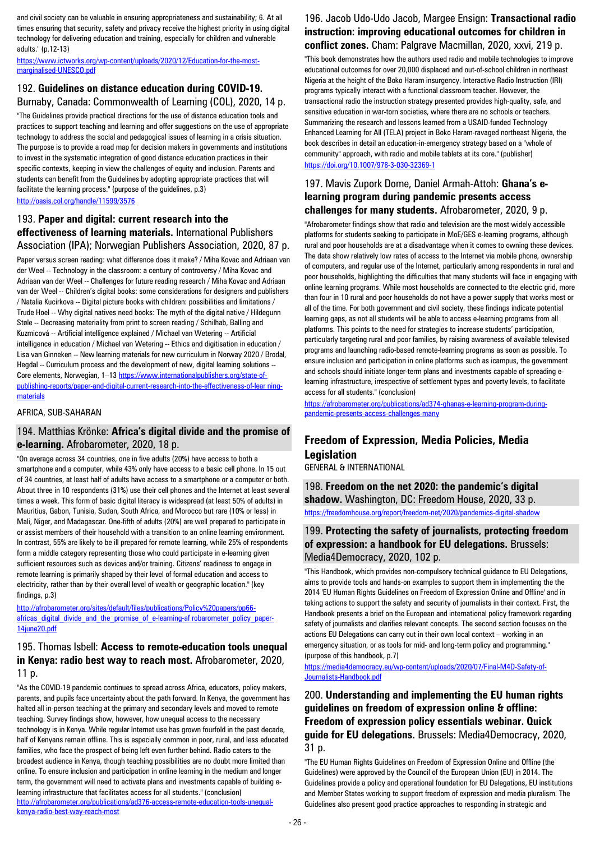and civil society can be valuable in ensuring appropriateness and sustainability; 6. At all times ensuring that security, safety and privacy receive the highest priority in using digital technology for delivering education and training, especially for children and vulnerable adults." (p.12-13)

[https://www.ictworks.org/wp-content/uploads/2020/12/Education-for-the-most](https://www.ictworks.org/wp-content/uploads/2020/12/Education-for-the-most-marginalised-UNESCO.pdf)[marginalised-UNESCO.pdf](https://www.ictworks.org/wp-content/uploads/2020/12/Education-for-the-most-marginalised-UNESCO.pdf)

### 192. **Guidelines on distance education during COVID-19.**

Burnaby, Canada: Commonwealth of Learning (COL), 2020, 14 p.

"The Guidelines provide practical directions for the use of distance education tools and practices to support teaching and learning and offer suggestions on the use of appropriate technology to address the social and pedagogical issues of learning in a crisis situation. The purpose is to provide a road map for decision makers in governments and institutions to invest in the systematic integration of good distance education practices in their specific contexts, keeping in view the challenges of equity and inclusion. Parents and students can benefit from the Guidelines by adopting appropriate practices that will facilitate the learning process." (purpose of the guidelines, p.3) <http://oasis.col.org/handle/11599/3576>

### 193. **Paper and digital: current research into the effectiveness of learning materials.** International Publishers Association (IPA); Norwegian Publishers Association, 2020, 87 p.

Paper versus screen reading: what difference does it make? / Miha Kovac and Adriaan van der Weel -- Technology in the classroom: a century of controversy / Miha Kovac and Adriaan van der Weel -- Challenges for future reading research / Miha Kovac and Adriaan van der Weel -- Children's digital books: some considerations for designers and publishers / Natalia Kucirkova -- Digital picture books with children: possibilities and limitations / Trude Hoel -- Why digital natives need books: The myth of the digital native / Hildegunn Støle -- Decreasing materiality from print to screen reading / Schilhab, Balling and Kuzmicová -- Artificial intelligence explained / Michael van Wetering -- Artificial intelligence in education / Michael van Wetering -- Ethics and digitisation in education / Lisa van Ginneken -- New learning materials for new curriculum in Norway 2020 / Brodal, Hegdal -- Curriculum process and the development of new, digital learning solutions -- Core elements, Norwegian, 1-1[3 https://www.internationalpublishers.org/state-of](https://www.internationalpublishers.org/state-of-publishing-reports/paper-and-digital-current-research-into-the-effectiveness-of-lear%20ning-materials)[publishing-reports/paper-and-digital-current-research-into-the-effectiveness-of-lear ning](https://www.internationalpublishers.org/state-of-publishing-reports/paper-and-digital-current-research-into-the-effectiveness-of-lear%20ning-materials)[materials](https://www.internationalpublishers.org/state-of-publishing-reports/paper-and-digital-current-research-into-the-effectiveness-of-lear%20ning-materials)

#### AFRICA, SUB-SAHARAN

#### 194. Matthias Krönke: **Africa's digital divide and the promise of e-learning.** Afrobarometer, 2020, 18 p.

"On average across 34 countries, one in five adults (20%) have access to both a smartphone and a computer, while 43% only have access to a basic cell phone. In 15 out of 34 countries, at least half of adults have access to a smartphone or a computer or both. About three in 10 respondents (31%) use their cell phones and the Internet at least several times a week. This form of basic digital literacy is widespread (at least 50% of adults) in Mauritius, Gabon, Tunisia, Sudan, South Africa, and Morocco but rare (10% or less) in Mali, Niger, and Madagascar. One-fifth of adults (20%) are well prepared to participate in or assist members of their household with a transition to an online learning environment. In contrast, 55% are likely to be ill prepared for remote learning, while 25% of respondents form a middle category representing those who could participate in e-learning given sufficient resources such as devices and/or training. Citizens' readiness to engage in remote learning is primarily shaped by their level of formal education and access to electricity, rather than by their overall level of wealth or geographic location." (key findings, p.3)

[http://afrobarometer.org/sites/default/files/publications/Policy%20papers/pp66](http://afrobarometer.org/sites/default/files/publications/Policy%20papers/pp66-africas_digital_divide_and_the_promise_of_e-learning-af%20robarometer_policy_paper-14june20.pdf) [africas\\_digital\\_divide\\_and\\_the\\_promise\\_of\\_e-learning-af robarometer\\_policy\\_paper-](http://afrobarometer.org/sites/default/files/publications/Policy%20papers/pp66-africas_digital_divide_and_the_promise_of_e-learning-af%20robarometer_policy_paper-14june20.pdf)[14june20.pdf](http://afrobarometer.org/sites/default/files/publications/Policy%20papers/pp66-africas_digital_divide_and_the_promise_of_e-learning-af%20robarometer_policy_paper-14june20.pdf)

#### 195. Thomas Isbell: **Access to remote-education tools unequal in Kenya: radio best way to reach most.** Afrobarometer, 2020, 11 p.

"As the COVID-19 pandemic continues to spread across Africa, educators, policy makers, parents, and pupils face uncertainty about the path forward. In Kenya, the government has halted all in-person teaching at the primary and secondary levels and moved to remote teaching. Survey findings show, however, how unequal access to the necessary technology is in Kenya. While regular Internet use has grown fourfold in the past decade, half of Kenyans remain offline. This is especially common in poor, rural, and less educated families, who face the prospect of being left even further behind. Radio caters to the broadest audience in Kenya, though teaching possibilities are no doubt more limited than online. To ensure inclusion and participation in online learning in the medium and longer term, the government will need to activate plans and investments capable of building elearning infrastructure that facilitates access for all students." (conclusion) [http://afrobarometer.org/publications/ad376-access-remote-education-tools-unequal](http://afrobarometer.org/publications/ad376-access-remote-education-tools-unequal-kenya-radio-best-way-reach-most)[kenya-radio-best-way-reach-most](http://afrobarometer.org/publications/ad376-access-remote-education-tools-unequal-kenya-radio-best-way-reach-most)

#### 196. Jacob Udo-Udo Jacob, Margee Ensign: **Transactional radio instruction: improving educational outcomes for children in conflict zones.** Cham: Palgrave Macmillan, 2020, xxvi, 219 p.

"This book demonstrates how the authors used radio and mobile technologies to improve educational outcomes for over 20,000 displaced and out-of-school children in northeast Nigeria at the height of the Boko Haram insurgency. Interactive Radio Instruction (IRI) programs typically interact with a functional classroom teacher. However, the transactional radio the instruction strategy presented provides high-quality, safe, and sensitive education in war-torn societies, where there are no schools or teachers. Summarizing the research and lessons learned from a USAID-funded Technology Enhanced Learning for All (TELA) project in Boko Haram-ravaged northeast Nigeria, the book describes in detail an education-in-emergency strategy based on a "whole of community" approach, with radio and mobile tablets at its core." (publisher) <https://doi.org/10.1007/978-3-030-32369-1>

### 197. Mavis Zupork Dome, Daniel Armah-Attoh: **Ghana's elearning program during pandemic presents access challenges for many students.** Afrobarometer, 2020, 9 p.

"Afrobarometer findings show that radio and television are the most widely accessible platforms for students seeking to participate in MoE/GES e-learning programs, although rural and poor households are at a disadvantage when it comes to owning these devices. The data show relatively low rates of access to the Internet via mobile phone, ownership of computers, and regular use of the Internet, particularly among respondents in rural and poor households, highlighting the difficulties that many students will face in engaging with online learning programs. While most households are connected to the electric grid, more than four in 10 rural and poor households do not have a power supply that works most or all of the time. For both government and civil society, these findings indicate potential learning gaps, as not all students will be able to access e-learning programs from all platforms. This points to the need for strategies to increase students' participation, particularly targeting rural and poor families, by raising awareness of available televised programs and launching radio-based remote-learning programs as soon as possible. To ensure inclusion and participation in online platforms such as icampus, the government and schools should initiate longer-term plans and investments capable of spreading elearning infrastructure, irrespective of settlement types and poverty levels, to facilitate access for all students." (conclusion)

[https://afrobarometer.org/publications/ad374-ghanas-e-learning-program-during](https://afrobarometer.org/publications/ad374-ghanas-e-learning-program-during-pandemic-presents-access-challenges-many)[pandemic-presents-access-challenges-many](https://afrobarometer.org/publications/ad374-ghanas-e-learning-program-during-pandemic-presents-access-challenges-many)

### **Freedom of Expression, Media Policies, Media Legislation**

GENERAL & INTERNATIONAL

198. **Freedom on the net 2020: the pandemic's digital shadow.** Washington, DC: Freedom House, 2020, 33 p. <https://freedomhouse.org/report/freedom-net/2020/pandemics-digital-shadow>

#### 199. **Protecting the safety of journalists, protecting freedom of expression: a handbook for EU delegations.** Brussels: Media4Democracy, 2020, 102 p.

"This Handbook, which provides non-compulsory technical guidance to EU Delegations, aims to provide tools and hands-on examples to support them in implementing the the 2014 'EU Human Rights Guidelines on Freedom of Expression Online and Offline' and in taking actions to support the safety and security of journalists in their context. First, the Handbook presents a brief on the European and international policy framework regarding safety of journalists and clarifies relevant concepts. The second section focuses on the actions EU Delegations can carry out in their own local context – working in an emergency situation, or as tools for mid- and long-term policy and programming." (purpose of this handbook, p.7)

[https://media4democracy.eu/wp-content/uploads/2020/07/Final-M4D-Safety-of-](https://media4democracy.eu/wp-content/uploads/2020/07/Final-M4D-Safety-of-Journalists-Handbook.pdf)[Journalists-Handbook.pdf](https://media4democracy.eu/wp-content/uploads/2020/07/Final-M4D-Safety-of-Journalists-Handbook.pdf)

### 200. **Understanding and implementing the EU human rights guidelines on freedom of expression online & offline: Freedom of expression policy essentials webinar. Quick guide for EU delegations.** Brussels: Media4Democracy, 2020, 31 p.

"The EU Human Rights Guidelines on Freedom of Expression Online and Offline (the Guidelines) were approved by the Council of the European Union (EU) in 2014. The Guidelines provide a policy and operational foundation for EU Delegations, EU institutions and Member States working to support freedom of expression and media pluralism. The Guidelines also present good practice approaches to responding in strategic and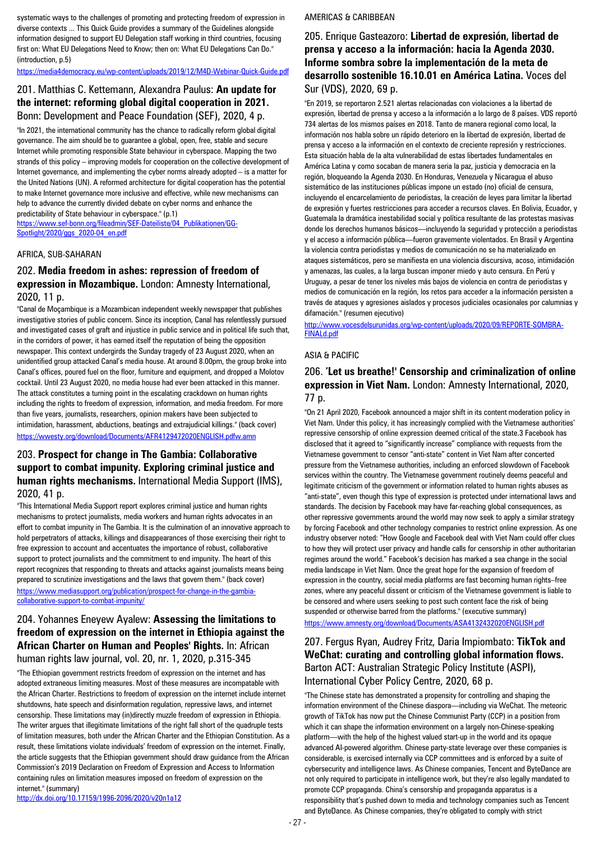systematic ways to the challenges of promoting and protecting freedom of expression in diverse contexts ... This Quick Guide provides a summary of the Guidelines alongside information designed to support EU Delegation staff working in third countries, focusing first on: What EU Delegations Need to Know; then on: What EU Delegations Can Do." (introduction, p.5)

<https://media4democracy.eu/wp-content/uploads/2019/12/M4D-Webinar-Quick-Guide.pdf>

#### 201. Matthias C. Kettemann, Alexandra Paulus: **An update for the internet: reforming global digital cooperation in 2021.**  Bonn: Development and Peace Foundation (SEF), 2020, 4 p.

"In 2021, the international community has the chance to radically reform global digital governance. The aim should be to guarantee a global, open, free, stable and secure Internet while promoting responsible State behaviour in cyberspace. Mapping the two strands of this policy – improving models for cooperation on the collective development of Internet governance, and implementing the cyber norms already adopted – is a matter for the United Nations (UN). A reformed architecture for digital cooperation has the potential to make Internet governance more inclusive and effective, while new mechanisms can help to advance the currently divided debate on cyber norms and enhance the predictability of State behaviour in cyberspace." (p.1)

[https://www.sef-bonn.org/fileadmin/SEF-Dateiliste/04\\_Publikationen/GG-](https://www.sef-bonn.org/fileadmin/SEF-Dateiliste/04_Publikationen/GG-Spotlight/2020/ggs_2020-04_en.pdf)[Spotlight/2020/ggs\\_2020-04\\_en.pdf](https://www.sef-bonn.org/fileadmin/SEF-Dateiliste/04_Publikationen/GG-Spotlight/2020/ggs_2020-04_en.pdf)

#### AFRICA, SUB-SAHARAN

#### 202. **Media freedom in ashes: repression of freedom of expression in Mozambique.** London: Amnesty International, 2020, 11 p.

"Canal de Moçambique is a Mozambican independent weekly newspaper that publishes investigative stories of public concern. Since its inception, Canal has relentlessly pursued and investigated cases of graft and injustice in public service and in political life such that, in the corridors of power, it has earned itself the reputation of being the opposition newspaper. This context undergirds the Sunday tragedy of 23 August 2020, when an unidentified group attacked Canal's media house. At around 8.00pm, the group broke into Canal's offices, poured fuel on the floor, furniture and equipment, and dropped a Molotov cocktail. Until 23 August 2020, no media house had ever been attacked in this manner. The attack constitutes a turning point in the escalating crackdown on human rights including the rights to freedom of expression, information, and media freedom. For more than five years, journalists, researchers, opinion makers have been subjected to intimidation, harassment, abductions, beatings and extrajudicial killings." (back cover) <https://wwesty.org/download/Documents/AFR4129472020ENGLISH.pdfw.amn>

#### 203. **Prospect for change in The Gambia: Collaborative support to combat impunity. Exploring criminal justice and human rights mechanisms.** International Media Support (IMS), 2020, 41 p.

"This International Media Support report explores criminal justice and human rights mechanisms to protect journalists, media workers and human rights advocates in an effort to combat impunity in The Gambia. It is the culmination of an innovative approach to hold perpetrators of attacks, killings and disappearances of those exercising their right to free expression to account and accentuates the importance of robust, collaborative support to protect journalists and the commitment to end impunity. The heart of this report recognizes that responding to threats and attacks against journalists means being prepared to scrutinize investigations and the laws that govern them." (back cover) [https://www.mediasupport.org/publication/prospect-for-change-in-the-gambia](https://www.mediasupport.org/publication/prospect-for-change-in-the-gambia-collaborative-support-to-combat-impunity/)[collaborative-support-to-combat-impunity/](https://www.mediasupport.org/publication/prospect-for-change-in-the-gambia-collaborative-support-to-combat-impunity/)

#### 204. Yohannes Eneyew Ayalew: **Assessing the limitations to freedom of expression on the internet in Ethiopia against the African Charter on Human and Peoples' Rights.** In: African human rights law journal, vol. 20, nr. 1, 2020, p.315-345

"The Ethiopian government restricts freedom of expression on the internet and has adopted extraneous limiting measures. Most of these measures are incompatable with the African Charter. Restrictions to freedom of expression on the internet include internet shutdowns, hate speech and disinformation regulation, repressive laws, and internet censorship. These limitations may (in)directly muzzle freedom of expression in Ethiopia. The writer argues that illegitimate limitations of the right fall short of the quadruple tests of limitation measures, both under the African Charter and the Ethiopian Constitution. As a result, these limitations violate individuals' freedom of expression on the internet. Finally, the article suggests that the Ethiopian government should draw guidance from the African Commission's 2019 Declaration on Freedom of Expression and Access to Information containing rules on limitation measures imposed on freedom of expression on the internet." (summary)

<http://dx.doi.org/10.17159/1996-2096/2020/v20n1a12>

#### AMERICAS & CARIBBEAN

#### 205. Enrique Gasteazoro: **Libertad de expresión, libertad de prensa y acceso a la información: hacia la Agenda 2030. Informe sombra sobre la implementación de la meta de desarrollo sostenible 16.10.01 en América Latina.** Voces del Sur (VDS), 2020, 69 p.

"En 2019, se reportaron 2.521 alertas relacionadas con violaciones a la libertad de expresión, libertad de prensa y acceso a la información a lo largo de 8 países. VDS reportó 734 alertas de los mismos países en 2018. Tanto de manera regional como local, la información nos habla sobre un rápido deterioro en la libertad de expresión, libertad de prensa y acceso a la información en el contexto de creciente represión y restricciones. Esta situación habla de la alta vulnerabilidad de estas libertades fundamentales en América Latina y como socaban de manera seria la paz, justicia y democracia en la región, bloqueando la Agenda 2030. En Honduras, Venezuela y Nicaragua el abuso sistemático de las instituciones públicas impone un estado (no) oficial de censura, incluyendo el encarcelamiento de periodistas, la creación de leyes para limitar la libertad de expresión y fuertes restricciones para acceder a recursos claves. En Bolivia, Ecuador, y Guatemala la dramática inestabilidad social y política resultante de las protestas masivas donde los derechos humanos básicos—incluyendo la seguridad y protección a periodistas y el acceso a información pública—fueron gravemente violentados. En Brasil y Argentina la violencia contra periodistas y medios de comunicación no se ha materializado en ataques sistemáticos, pero se manifiesta en una violencia discursiva, acoso, intimidación y amenazas, las cuales, a la larga buscan imponer miedo y auto censura. En Perú y Uruguay, a pesar de tener los niveles más bajos de violencia en contra de periodistas y medios de comunicación en la región, los retos para acceder a la información persisten a través de ataques y agresiones aislados y procesos judiciales ocasionales por calumnias y difamación." (resumen ejecutivo)

[http://www.vocesdelsurunidas.org/wp-content/uploads/2020/09/REPORTE-SOMBRA-](http://www.vocesdelsurunidas.org/wp-content/uploads/2020/09/REPORTE-SOMBRA-FINALd.pdf)[FINALd.pdf](http://www.vocesdelsurunidas.org/wp-content/uploads/2020/09/REPORTE-SOMBRA-FINALd.pdf)

#### ASIA & PACIFIC

#### 206. **'Let us breathe!' Censorship and criminalization of online expression in Viet Nam.** London: Amnesty International, 2020, 77 p.

"On 21 April 2020, Facebook announced a major shift in its content moderation policy in Viet Nam. Under this policy, it has increasingly complied with the Vietnamese authorities' repressive censorship of online expression deemed critical of the state.3 Facebook has disclosed that it agreed to "significantly increase" compliance with requests from the Vietnamese government to censor "anti-state" content in Viet Nam after concerted pressure from the Vietnamese authorities, including an enforced slowdown of Facebook services within the country. The Vietnamese government routinely deems peaceful and legitimate criticism of the government or information related to human rights abuses as "anti-state", even though this type of expression is protected under international laws and standards. The decision by Facebook may have far-reaching global consequences, as other repressive governments around the world may now seek to apply a similar strategy by forcing Facebook and other technology companies to restrict online expression. As one industry observer noted: "How Google and Facebook deal with Viet Nam could offer clues to how they will protect user privacy and handle calls for censorship in other authoritarian regimes around the world." Facebook's decision has marked a sea change in the social media landscape in Viet Nam. Once the great hope for the expansion of freedom of expression in the country, social media platforms are fast becoming human rights–free zones, where any peaceful dissent or criticism of the Vietnamese government is liable to be censored and where users seeking to post such content face the risk of being suspended or otherwise barred from the platforms." (executive summary) <https://www.amnesty.org/download/Documents/ASA4132432020ENGLISH.pdf>

#### 207. Fergus Ryan, Audrey Fritz, Daria Impiombato: **TikTok and WeChat: curating and controlling global information flows.**  Barton ACT: Australian Strategic Policy Institute (ASPI), International Cyber Policy Centre, 2020, 68 p.

"The Chinese state has demonstrated a propensity for controlling and shaping the information environment of the Chinese diaspora—including via WeChat. The meteoric growth of TikTok has now put the Chinese Communist Party (CCP) in a position from which it can shape the information environment on a largely non-Chinese-speaking platform—with the help of the highest valued start-up in the world and its opaque advanced AI-powered algorithm. Chinese party-state leverage over these companies is considerable, is exercised internally via CCP committees and is enforced by a suite of cybersecurity and intelligence laws. As Chinese companies, Tencent and ByteDance are not only required to participate in intelligence work, but they're also legally mandated to promote CCP propaganda. China's censorship and propaganda apparatus is a responsibility that's pushed down to media and technology companies such as Tencent and ByteDance. As Chinese companies, they're obligated to comply with strict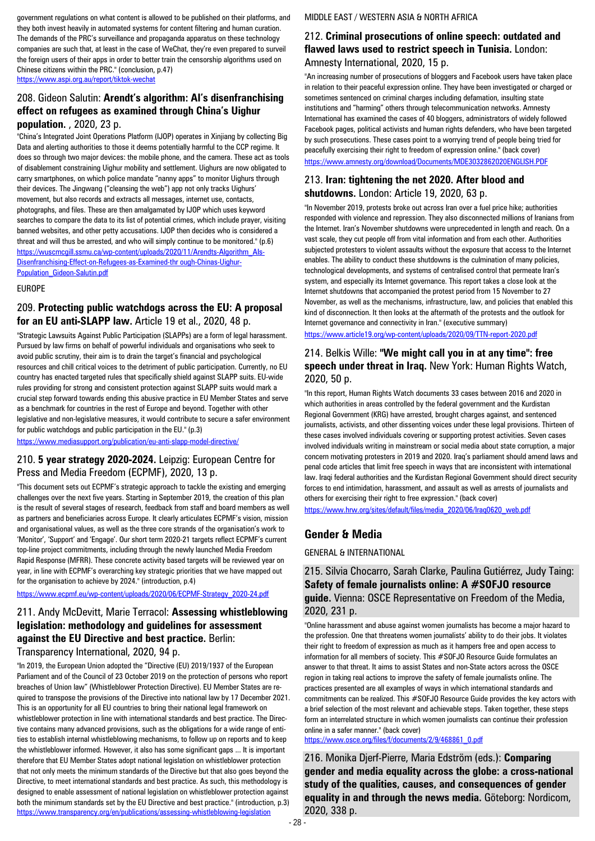government regulations on what content is allowed to be published on their platforms, and they both invest heavily in automated systems for content filtering and human curation. The demands of the PRC's surveillance and propaganda apparatus on these technology companies are such that, at least in the case of WeChat, they're even prepared to surveil the foreign users of their apps in order to better train the censorship algorithms used on Chinese citizens within the PRC." (conclusion, p.47) <https://www.aspi.org.au/report/tiktok-wechat>

#### 208. Gideon Salutin: **Arendt's algorithm: AI's disenfranchising effect on refugees as examined through China's Uighur population.** , 2020, 23 p.

"China's Integrated Joint Operations Platform (IJOP) operates in Xinjiang by collecting Big Data and alerting authorities to those it deems potentially harmful to the CCP regime. It does so through two major devices: the mobile phone, and the camera. These act as tools of disablement constraining Uighur mobility and settlement. Uighurs are now obligated to carry smartphones, on which police mandate "nanny apps" to monitor Uighurs through their devices. The Jingwang ("cleansing the web") app not only tracks Uighurs' movement, but also records and extracts all messages, internet use, contacts, photographs, and files. These are then amalgamated by IJOP which uses keyword searches to compare the data to its list of potential crimes, which include prayer, visiting banned websites, and other petty accusations. IJOP then decides who is considered a threat and will thus be arrested, and who will simply continue to be monitored." (p.6) https://wuscmcgill.ssmu.ca/wp-content/uploads/2020/11/Arendts-Algorithm\_Als-[Disenfranchising-Effect-on-Refugees-as-Examined-thr ough-Chinas-Uighur-](https://wuscmcgill.ssmu.ca/wp-content/uploads/2020/11/Arendts-Algorithm_AIs-Disenfranchising-Effect-on-Refugees-as-Examined-thr%20ough-Chinas-Uighur-Population_Gideon-Salutin.pdf)[Population\\_Gideon-Salutin.pdf](https://wuscmcgill.ssmu.ca/wp-content/uploads/2020/11/Arendts-Algorithm_AIs-Disenfranchising-Effect-on-Refugees-as-Examined-thr%20ough-Chinas-Uighur-Population_Gideon-Salutin.pdf)

EUROPE

#### 209. **Protecting public watchdogs across the EU: A proposal for an EU anti-SLAPP law.** Article 19 et al., 2020, 48 p.

"Strategic Lawsuits Against Public Participation (SLAPPs) are a form of legal harassment. Pursued by law firms on behalf of powerful individuals and organisations who seek to avoid public scrutiny, their aim is to drain the target's financial and psychological resources and chill critical voices to the detriment of public participation. Currently, no EU country has enacted targeted rules that specifically shield against SLAPP suits. EU-wide rules providing for strong and consistent protection against SLAPP suits would mark a crucial step forward towards ending this abusive practice in EU Member States and serve as a benchmark for countries in the rest of Europe and beyond. Together with other legislative and non-legislative measures, it would contribute to secure a safer environment for public watchdogs and public participation in the EU." (p.3)

<https://www.mediasupport.org/publication/eu-anti-slapp-model-directive/>

#### 210. **5 year strategy 2020-2024.** Leipzig: European Centre for Press and Media Freedom (ECPMF), 2020, 13 p.

"This document sets out ECPMF's strategic approach to tackle the existing and emerging challenges over the next five years. Starting in September 2019, the creation of this plan is the result of several stages of research, feedback from staff and board members as well as partners and beneficiaries across Europe. It clearly articulates ECPMF's vision, mission and organisational values, as well as the three core strands of the organisation's work to 'Monitor', 'Support' and 'Engage'. Our short term 2020-21 targets reflect ECPMF's current top-line project commitments, including through the newly launched Media Freedom Rapid Response (MFRR). These concrete activity based targets will be reviewed year on year, in line with ECPMF's overarching key strategic priorities that we have mapped out for the organisation to achieve by 2024." (introduction, p.4)

[https://www.ecpmf.eu/wp-content/uploads/2020/06/ECPMF-Strategy\\_2020-24.pdf](https://www.ecpmf.eu/wp-content/uploads/2020/06/ECPMF-Strategy_2020-24.pdf)

#### 211. Andy McDevitt, Marie Terracol: **Assessing whistleblowing legislation: methodology and guidelines for assessment against the EU Directive and best practice.** Berlin: Transparency International, 2020, 94 p.

"In 2019, the European Union adopted the "Directive (EU) 2019/1937 of the European Parliament and of the Council of 23 October 2019 on the protection of persons who report breaches of Union law" (Whistleblower Protection Directive). EU Member States are required to transpose the provisions of the Directive into national law by 17 December 2021. This is an opportunity for all EU countries to bring their national legal framework on whistleblower protection in line with international standards and best practice. The Directive contains many advanced provisions, such as the obligations for a wide range of entities to establish internal whistleblowing mechanisms, to follow up on reports and to keep the whistleblower informed. However, it also has some significant gaps ... It is important therefore that EU Member States adopt national legislation on whistleblower protection that not only meets the minimum standards of the Directive but that also goes beyond the Directive, to meet international standards and best practice. As such, this methodology is designed to enable assessment of national legislation on whistleblower protection against both the minimum standards set by the EU Directive and best practice." (introduction, p.3) <https://www.transparency.org/en/publications/assessing-whistleblowing-legislation>

MIDDLE EAST / WESTERN ASIA & NORTH AFRICA

#### 212. **Criminal prosecutions of online speech: outdated and flawed laws used to restrict speech in Tunisia.** London: Amnesty International, 2020, 15 p.

"An increasing number of prosecutions of bloggers and Facebook users have taken place in relation to their peaceful expression online. They have been investigated or charged or sometimes sentenced on criminal charges including defamation, insulting state institutions and "harming" others through telecommunication networks. Amnesty International has examined the cases of 40 bloggers, administrators of widely followed Facebook pages, political activists and human rights defenders, who have been targeted by such prosecutions. These cases point to a worrying trend of people being tried for peacefully exercising their right to freedom of expression online." (back cover) <https://www.amnesty.org/download/Documents/MDE3032862020ENGLISH.PDF>

#### 213. **Iran: tightening the net 2020. After blood and shutdowns.** London: Article 19, 2020, 63 p.

"In November 2019, protests broke out across Iran over a fuel price hike; authorities responded with violence and repression. They also disconnected millions of Iranians from the Internet. Iran's November shutdowns were unprecedented in length and reach. On a vast scale, they cut people off from vital information and from each other. Authorities subjected protesters to violent assaults without the exposure that access to the Internet enables. The ability to conduct these shutdowns is the culmination of many policies, technological developments, and systems of centralised control that permeate Iran's system, and especially its Internet governance. This report takes a close look at the Internet shutdowns that accompanied the protest period from 15 November to 27 November, as well as the mechanisms, infrastructure, law, and policies that enabled this kind of disconnection. It then looks at the aftermath of the protests and the outlook for Internet governance and connectivity in Iran." (executive summary)

<https://www.article19.org/wp-content/uploads/2020/09/TTN-report-2020.pdf>

#### 214. Belkis Wille: **"We might call you in at any time": free speech under threat in Iraq.** New York: Human Rights Watch, 2020, 50 p.

"In this report, Human Rights Watch documents 33 cases between 2016 and 2020 in which authorities in areas controlled by the federal government and the Kurdistan Regional Government (KRG) have arrested, brought charges against, and sentenced journalists, activists, and other dissenting voices under these legal provisions. Thirteen of these cases involved individuals covering or supporting protest activities. Seven cases involved individuals writing in mainstream or social media about state corruption, a major concern motivating protesters in 2019 and 2020. Iraq's parliament should amend laws and penal code articles that limit free speech in ways that are inconsistent with international law. Iraqi federal authorities and the Kurdistan Regional Government should direct security forces to end intimidation, harassment, and assault as well as arrests of journalists and others for exercising their right to free expression." (back cover)

[https://www.hrw.org/sites/default/files/media\\_2020/06/Iraq0620\\_web.pdf](https://www.hrw.org/sites/default/files/media_2020/06/Iraq0620_web.pdf)

### **Gender & Media**

GENERAL & INTERNATIONAL

#### 215. Silvia Chocarro, Sarah Clarke, Paulina Gutiérrez, Judy Taing: **Safety of female journalists online: A #SOFJO resource guide.** Vienna: OSCE Representative on Freedom of the Media, 2020, 231 p.

"Online harassment and abuse against women journalists has become a major hazard to the profession. One that threatens women journalists' ability to do their jobs. It violates their right to freedom of expression as much as it hampers free and open access to information for all members of society. This #SOFJO Resource Guide formulates an answer to that threat. It aims to assist States and non-State actors across the OSCE region in taking real actions to improve the safety of female journalists online. The practices presented are all examples of ways in which international standards and commitments can be realized. This #SOFJO Resource Guide provides the key actors with a brief selection of the most relevant and achievable steps. Taken together, these steps form an interrelated structure in which women journalists can continue their profession online in a safer manner." (back cover)

[https://www.osce.org/files/f/documents/2/9/468861\\_0.pdf](https://www.osce.org/files/f/documents/2/9/468861_0.pdf)

216. Monika Djerf-Pierre, Maria Edström (eds.): **Comparing gender and media equality across the globe: a cross-national study of the qualities, causes, and consequences of gender equality in and through the news media.** Göteborg: Nordicom, 2020, 338 p.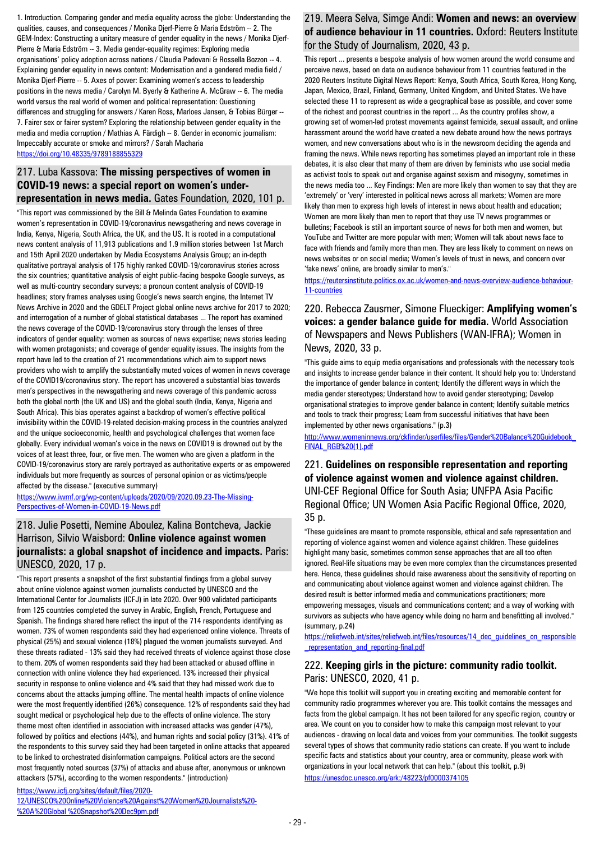1. Introduction. Comparing gender and media equality across the globe: Understanding the qualities, causes, and consequences / Monika Djerf-Pierre & Maria Edström -- 2. The GEM-Index: Constructing a unitary measure of gender equality in the news / Monika Djerf-Pierre & Maria Edström -- 3. Media gender-equality regimes: Exploring media organisations' policy adoption across nations / Claudia Padovani & Rossella Bozzon -- 4. Explaining gender equality in news content: Modernisation and a gendered media field / Monika Djerf-Pierre -- 5. Axes of power: Examining women's access to leadership positions in the news media / Carolyn M. Byerly & Katherine A. McGraw -- 6. The media world versus the real world of women and political representation: Questioning differences and struggling for answers / Karen Ross, Marloes Jansen, & Tobias Bürger --7. Fairer sex or fairer system? Exploring the relationship between gender equality in the media and media corruption / Mathias A. Färdigh -- 8. Gender in economic journalism: Impeccably accurate or smoke and mirrors? / Sarah Macharia <https://doi.org/10.48335/9789188855329>

### 217. Luba Kassova: **The missing perspectives of women in COVID-19 news: a special report on women's underrepresentation in news media.** Gates Foundation, 2020, 101 p.

"This report was commissioned by the Bill & Melinda Gates Foundation to examine women's representation in COVID-19/coronavirus newsgathering and news coverage in India, Kenya, Nigeria, South Africa, the UK, and the US. It is rooted in a computational news content analysis of 11,913 publications and 1.9 million stories between 1st March and 15th April 2020 undertaken by Media Ecosystems Analysis Group; an in-depth qualitative portrayal analysis of 175 highly ranked COVID-19/coronavirus stories across the six countries; quantitative analysis of eight public-facing bespoke Google surveys, as well as multi-country secondary surveys; a pronoun content analysis of COVID-19 headlines; story frames analyses using Google's news search engine, the Internet TV News Archive in 2020 and the GDELT Project global online news archive for 2017 to 2020; and interrogation of a number of global statistical databases ... The report has examined the news coverage of the COVID-19/coronavirus story through the lenses of three indicators of gender equality: women as sources of news expertise; news stories leading with women protagonists; and coverage of gender equality issues. The insights from the report have led to the creation of 21 recommendations which aim to support news providers who wish to amplify the substantially muted voices of women in news coverage of the COVID19/coronavirus story. The report has uncovered a substantial bias towards men's perspectives in the newsgathering and news coverage of this pandemic across both the global north (the UK and US) and the global south (India, Kenya, Nigeria and South Africa). This bias operates against a backdrop of women's effective political invisibility within the COVID-19-related decision-making process in the countries analyzed and the unique socioeconomic, health and psychological challenges that women face globally. Every individual woman's voice in the news on COVID19 is drowned out by the voices of at least three, four, or five men. The women who are given a platform in the COVID-19/coronavirus story are rarely portrayed as authoritative experts or as empowered individuals but more frequently as sources of personal opinion or as victims/people affected by the disease." (executive summary)

[https://www.iwmf.org/wp-content/uploads/2020/09/2020.09.23-The-Missing-](https://www.iwmf.org/wp-content/uploads/2020/09/2020.09.23-The-Missing-Perspectives-of-Women-in-COVID-19-News.pdf)[Perspectives-of-Women-in-COVID-19-News.pdf](https://www.iwmf.org/wp-content/uploads/2020/09/2020.09.23-The-Missing-Perspectives-of-Women-in-COVID-19-News.pdf)

### 218. Julie Posetti, Nemine Aboulez, Kalina Bontcheva, Jackie Harrison, Silvio Waisbord: **Online violence against women journalists: a global snapshot of incidence and impacts.** Paris: UNESCO, 2020, 17 p.

"This report presents a snapshot of the first substantial findings from a global survey about online violence against women journalists conducted by UNESCO and the International Center for Journalists (ICFJ) in late 2020. Over 900 validated participants from 125 countries completed the survey in Arabic, English, French, Portuguese and Spanish. The findings shared here reflect the input of the 714 respondents identifying as women. 73% of women respondents said they had experienced online violence. Threats of physical (25%) and sexual violence (18%) plagued the women journalists surveyed. And these threats radiated - 13% said they had received threats of violence against those close to them. 20% of women respondents said they had been attacked or abused offline in connection with online violence they had experienced. 13% increased their physical security in response to online violence and 4% said that they had missed work due to concerns about the attacks jumping offline. The mental health impacts of online violence were the most frequently identified (26%) consequence. 12% of respondents said they had sought medical or psychological help due to the effects of online violence. The story theme most often identified in association with increased attacks was gender (47%), followed by politics and elections (44%), and human rights and social policy (31%). 41% of the respondents to this survey said they had been targeted in online attacks that appeared to be linked to orchestrated disinformation campaigns. Political actors are the second most frequently noted sources (37%) of attacks and abuse after, anonymous or unknown attackers (57%), according to the women respondents." (introduction)

#### 219. Meera Selva, Simge Andi: **Women and news: an overview of audience behaviour in 11 countries.** Oxford: Reuters Institute for the Study of Journalism, 2020, 43 p.

This report ... presents a bespoke analysis of how women around the world consume and perceive news, based on data on audience behaviour from 11 countries featured in the 2020 Reuters Institute Digital News Report: Kenya, South Africa, South Korea, Hong Kong, Japan, Mexico, Brazil, Finland, Germany, United Kingdom, and United States. We have selected these 11 to represent as wide a geographical base as possible, and cover some of the richest and poorest countries in the report ... As the country profiles show, a growing set of women-led protest movements against femicide, sexual assault, and online harassment around the world have created a new debate around how the news portrays women, and new conversations about who is in the newsroom deciding the agenda and framing the news. While news reporting has sometimes played an important role in these debates, it is also clear that many of them are driven by feminists who use social media as activist tools to speak out and organise against sexism and misogyny, sometimes in the news media too ... Key Findings: Men are more likely than women to say that they are 'extremely' or 'very' interested in political news across all markets; Women are more likely than men to express high levels of interest in news about health and education; Women are more likely than men to report that they use TV news programmes or bulletins; Facebook is still an important source of news for both men and women, but YouTube and Twitter are more popular with men; Women will talk about news face to face with friends and family more than men. They are less likely to comment on news on news websites or on social media; Women's levels of trust in news, and concern over 'fake news' online, are broadly similar to men's."

#### [https://reutersinstitute.politics.ox.ac.uk/women-and-news-overview-audience-behaviour-](https://reutersinstitute.politics.ox.ac.uk/women-and-news-overview-audience-behaviour-11-countries)[11-countries](https://reutersinstitute.politics.ox.ac.uk/women-and-news-overview-audience-behaviour-11-countries)

#### 220. Rebecca Zausmer, Simone Flueckiger: **Amplifying women's voices: a gender balance guide for media.** World Association of Newspapers and News Publishers (WAN-IFRA); Women in News, 2020, 33 p.

"This guide aims to equip media organisations and professionals with the necessary tools and insights to increase gender balance in their content. It should help you to: Understand the importance of gender balance in content; Identify the different ways in which the media gender stereotypes; Understand how to avoid gender stereotyping; Develop organisational strategies to improve gender balance in content; Identify suitable metrics and tools to track their progress; Learn from successful initiatives that have been implemented by other news organisations." (p.3)

[http://www.womeninnews.org/ckfinder/userfiles/files/Gender%20Balance%20Guidebook\\_](http://www.womeninnews.org/ckfinder/userfiles/files/Gender%20Balance%20Guidebook_FINAL_RGB%20(1).pdf) [FINAL\\_RGB%20\(1\).pdf](http://www.womeninnews.org/ckfinder/userfiles/files/Gender%20Balance%20Guidebook_FINAL_RGB%20(1).pdf)

221. **Guidelines on responsible representation and reporting of violence against women and violence against children.**  UNI-CEF Regional Office for South Asia; UNFPA Asia Pacific Regional Office; UN Women Asia Pacific Regional Office, 2020, 35 p.

"These guidelines are meant to promote responsible, ethical and safe representation and reporting of violence against women and violence against children. These guidelines highlight many basic, sometimes common sense approaches that are all too often ignored. Real-life situations may be even more complex than the circumstances presented here. Hence, these guidelines should raise awareness about the sensitivity of reporting on and communicating about violence against women and violence against children. The desired result is better informed media and communications practitioners; more empowering messages, visuals and communications content; and a way of working with survivors as subjects who have agency while doing no harm and benefitting all involved." (summary, p.24)

[https://reliefweb.int/sites/reliefweb.int/files/resources/14\\_dec\\_guidelines\\_on\\_responsible](https://reliefweb.int/sites/reliefweb.int/files/resources/14_dec_guidelines_on_responsible_representation_and_reporting-final.pdf) [\\_representation\\_and\\_reporting-final.pdf](https://reliefweb.int/sites/reliefweb.int/files/resources/14_dec_guidelines_on_responsible_representation_and_reporting-final.pdf)

#### 222. **Keeping girls in the picture: community radio toolkit.**  Paris: UNESCO, 2020, 41 p.

"We hope this toolkit will support you in creating exciting and memorable content for community radio programmes wherever you are. This toolkit contains the messages and facts from the global campaign. It has not been tailored for any specific region, country or area. We count on you to consider how to make this campaign most relevant to your audiences - drawing on local data and voices from your communities. The toolkit suggests several types of shows that community radio stations can create. If you want to include specific facts and statistics about your country, area or community, please work with organizations in your local network that can help." (about this toolkit, p.9) <https://unesdoc.unesco.org/ark:/48223/pf0000374105>

[https://www.icfj.org/sites/default/files/2020-](https://www.icfj.org/sites/default/files/2020-12/UNESCO%20Online%20Violence%20Against%20Women%20Journalists%20-%20A%20Global%20%20Snapshot%20Dec9pm.pdf) [12/UNESCO%20Online%20Violence%20Against%20Women%20Journalists%20-](https://www.icfj.org/sites/default/files/2020-12/UNESCO%20Online%20Violence%20Against%20Women%20Journalists%20-%20A%20Global%20%20Snapshot%20Dec9pm.pdf) [%20A%20Global %20Snapshot%20Dec9pm.pdf](https://www.icfj.org/sites/default/files/2020-12/UNESCO%20Online%20Violence%20Against%20Women%20Journalists%20-%20A%20Global%20%20Snapshot%20Dec9pm.pdf)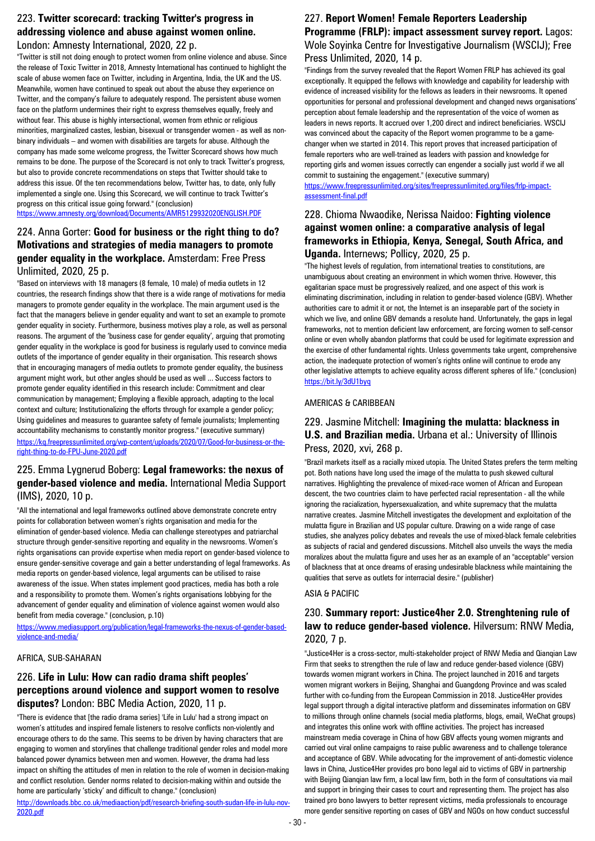#### 223. **Twitter scorecard: tracking Twitter's progress in addressing violence and abuse against women online.**  London: Amnesty International, 2020, 22 p.

"Twitter is still not doing enough to protect women from online violence and abuse. Since the release of Toxic Twitter in 2018, Amnesty International has continued to highlight the scale of abuse women face on Twitter, including in Argentina, India, the UK and the US. Meanwhile, women have continued to speak out about the abuse they experience on Twitter, and the company's failure to adequately respond. The persistent abuse women face on the platform undermines their right to express themselves equally, freely and without fear. This abuse is highly intersectional, women from ethnic or religious minorities, marginalized castes, lesbian, bisexual or transgender women - as well as nonbinary individuals – and women with disabilities are targets for abuse. Although the company has made some welcome progress, the Twitter Scorecard shows how much remains to be done. The purpose of the Scorecard is not only to track Twitter's progress, but also to provide concrete recommendations on steps that Twitter should take to address this issue. Of the ten recommendations below, Twitter has, to date, only fully implemented a single one. Using this Scorecard, we will continue to track Twitter's progress on this critical issue going forward." (conclusion)

<https://www.amnesty.org/download/Documents/AMR5129932020ENGLISH.PDF>

### 224. Anna Gorter: **Good for business or the right thing to do? Motivations and strategies of media managers to promote gender equality in the workplace.** Amsterdam: Free Press Unlimited, 2020, 25 p.

"Based on interviews with 18 managers (8 female, 10 male) of media outlets in 12 countries, the research findings show that there is a wide range of motivations for media managers to promote gender equality in the workplace. The main argument used is the fact that the managers believe in gender equality and want to set an example to promote gender equality in society. Furthermore, business motives play a role, as well as personal reasons. The argument of the 'business case for gender equality', arguing that promoting gender equality in the workplace is good for business is regularly used to convince media outlets of the importance of gender equality in their organisation. This research shows that in encouraging managers of media outlets to promote gender equality, the business argument might work, but other angles should be used as well ... Success factors to promote gender equality identified in this research include: Commitment and clear communication by management; Employing a flexible approach, adapting to the local context and culture; Institutionalizing the efforts through for example a gender policy; Using guidelines and measures to guarantee safety of female journalists; Implementing accountability mechanisms to constantly monitor progress." (executive summary) [https://kq.freepressunlimited.org/wp-content/uploads/2020/07/Good-for-business-or-the](https://kq.freepressunlimited.org/wp-content/uploads/2020/07/Good-for-business-or-the-right-thing-to-do-FPU-June-2020.pdf)[right-thing-to-do-FPU-June-2020.pdf](https://kq.freepressunlimited.org/wp-content/uploads/2020/07/Good-for-business-or-the-right-thing-to-do-FPU-June-2020.pdf)

#### 225. Emma Lygnerud Boberg: **Legal frameworks: the nexus of gender-based violence and media.** International Media Support (IMS), 2020, 10 p.

"All the international and legal frameworks outlined above demonstrate concrete entry points for collaboration between women's rights organisation and media for the elimination of gender-based violence. Media can challenge stereotypes and patriarchal structure through gender-sensitive reporting and equality in the newsrooms. Women's rights organisations can provide expertise when media report on gender-based violence to ensure gender-sensitive coverage and gain a better understanding of legal frameworks. As media reports on gender-based violence, legal arguments can be utilised to raise awareness of the issue. When states implement good practices, media has both a role and a responsibility to promote them. Women's rights organisations lobbying for the advancement of gender equality and elimination of violence against women would also benefit from media coverage." (conclusion, p.10)

[https://www.mediasupport.org/publication/legal-frameworks-the-nexus-of-gender-based](https://www.mediasupport.org/publication/legal-frameworks-the-nexus-of-gender-based-violence-and-media/)[violence-and-media/](https://www.mediasupport.org/publication/legal-frameworks-the-nexus-of-gender-based-violence-and-media/)

#### AFRICA, SUB-SAHARAN

#### 226. **Life in Lulu: How can radio drama shift peoples' perceptions around violence and support women to resolve disputes?** London: BBC Media Action, 2020, 11 p.

"There is evidence that [the radio drama series] 'Life in Lulu' had a strong impact on women's attitudes and inspired female listeners to resolve conflicts non-violently and encourage others to do the same. This seems to be driven by having characters that are engaging to women and storylines that challenge traditional gender roles and model more balanced power dynamics between men and women. However, the drama had less impact on shifting the attitudes of men in relation to the role of women in decision-making and conflict resolution. Gender norms related to decision-making within and outside the home are particularly 'sticky' and difficult to change." (conclusion)

[http://downloads.bbc.co.uk/mediaaction/pdf/research-briefing-south-sudan-life-in-lulu-nov-](http://downloads.bbc.co.uk/mediaaction/pdf/research-briefing-south-sudan-life-in-lulu-nov-2020.pdf)[2020.pdf](http://downloads.bbc.co.uk/mediaaction/pdf/research-briefing-south-sudan-life-in-lulu-nov-2020.pdf)

#### 227. **Report Women! Female Reporters Leadership Programme (FRLP): impact assessment survey report.** Lagos: Wole Soyinka Centre for Investigative Journalism (WSCIJ); Free Press Unlimited, 2020, 14 p.

"Findings from the survey revealed that the Report Women FRLP has achieved its goal exceptionally. It equipped the fellows with knowledge and capability for leadership with evidence of increased visibility for the fellows as leaders in their newsrooms. It opened opportunities for personal and professional development and changed news organisations' perception about female leadership and the representation of the voice of women as leaders in news reports. It accrued over 1,200 direct and indirect beneficiaries. WSCIJ was convinced about the capacity of the Report women programme to be a gamechanger when we started in 2014. This report proves that increased participation of female reporters who are well-trained as leaders with passion and knowledge for reporting girls and women issues correctly can engender a socially just world if we all commit to sustaining the engagement." (executive summary)

[https://www.freepressunlimited.org/sites/freepressunlimited.org/files/frlp-impact](https://www.freepressunlimited.org/sites/freepressunlimited.org/files/frlp-impact-assessment-final.pdf)[assessment-final.pdf](https://www.freepressunlimited.org/sites/freepressunlimited.org/files/frlp-impact-assessment-final.pdf)

### 228. Chioma Nwaodike, Nerissa Naidoo: **Fighting violence against women online: a comparative analysis of legal frameworks in Ethiopia, Kenya, Senegal, South Africa, and Uganda.** Internews; Pollicy, 2020, 25 p.

"The highest levels of regulation, from international treaties to constitutions, are unambiguous about creating an environment in which women thrive. However, this egalitarian space must be progressively realized, and one aspect of this work is eliminating discrimination, including in relation to gender-based violence (GBV). Whether authorities care to admit it or not, the Internet is an inseparable part of the society in which we live, and online GBV demands a resolute hand. Unfortunately, the gaps in legal frameworks, not to mention deficient law enforcement, are forcing women to self-censor online or even wholly abandon platforms that could be used for legitimate expression and the exercise of other fundamental rights. Unless governments take urgent, comprehensive action, the inadequate protection of women's rights online will continue to erode any other legislative attempts to achieve equality across different spheres of life." (conclusion) <https://bit.ly/3dU1byq>

#### AMERICAS & CARIBBEAN

#### 229. Jasmine Mitchell: **Imagining the mulatta: blackness in U.S. and Brazilian media.** Urbana et al.: University of Illinois Press, 2020, xvi, 268 p.

"Brazil markets itself as a racially mixed utopia. The United States prefers the term melting pot. Both nations have long used the image of the mulatta to push skewed cultural narratives. Highlighting the prevalence of mixed-race women of African and European descent, the two countries claim to have perfected racial representation - all the while ignoring the racialization, hypersexualization, and white supremacy that the mulatta narrative creates. Jasmine Mitchell investigates the development and exploitation of the mulatta figure in Brazilian and US popular culture. Drawing on a wide range of case studies, she analyzes policy debates and reveals the use of mixed-black female celebrities as subjects of racial and gendered discussions. Mitchell also unveils the ways the media moralizes about the mulatta figure and uses her as an example of an "acceptable" version of blackness that at once dreams of erasing undesirable blackness while maintaining the qualities that serve as outlets for interracial desire." (publisher)

#### ASIA & PACIFIC

#### 230. **Summary report: Justice4her 2.0. Strenghtening rule of law to reduce gender-based violence.** Hilversum: RNW Media, 2020, 7 p.

"Justice4Her is a cross-sector, multi-stakeholder project of RNW Media and Qianqian Law Firm that seeks to strengthen the rule of law and reduce gender-based violence (GBV) towards women migrant workers in China. The project launched in 2016 and targets women migrant workers in Beijing, Shanghai and Guangdong Province and was scaled further with co-funding from the European Commission in 2018. Justice4Her provides legal support through a digital interactive platform and disseminates information on GBV to millions through online channels (social media platforms, blogs, email, WeChat groups) and integrates this online work with offline activities. The project has increased mainstream media coverage in China of how GBV affects young women migrants and carried out viral online campaigns to raise public awareness and to challenge tolerance and acceptance of GBV. While advocating for the improvement of anti-domestic violence laws in China, Justice4Her provides pro bono legal aid to victims of GBV in partnership with Beijing Qianqian law firm, a local law firm, both in the form of consultations via mail and support in bringing their cases to court and representing them. The project has also trained pro bono lawyers to better represent victims, media professionals to encourage more gender sensitive reporting on cases of GBV and NGOs on how conduct successful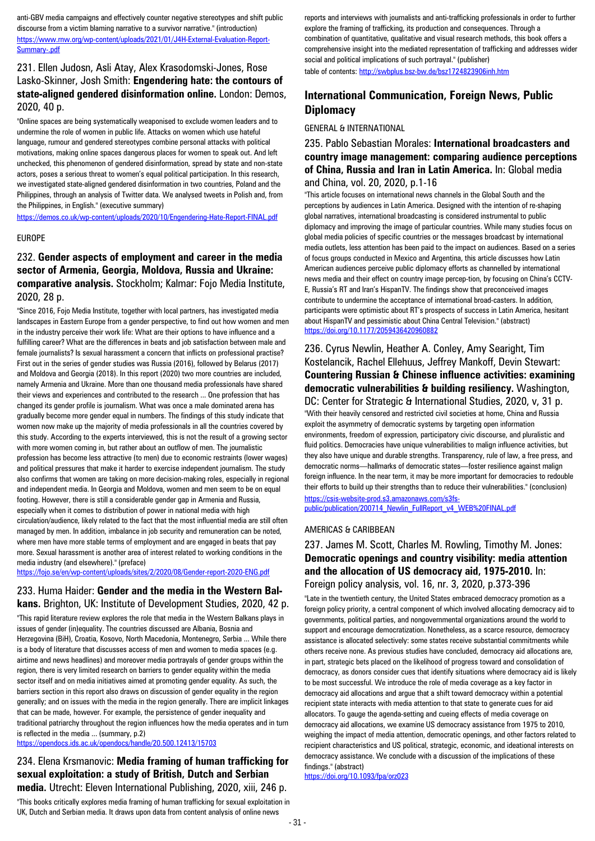anti-GBV media campaigns and effectively counter negative stereotypes and shift public discourse from a victim blaming narrative to a survivor narrative." (introduction) [https://www.rnw.org/wp-content/uploads/2021/01/J4H-External-Evaluation-Report-](https://www.rnw.org/wp-content/uploads/2021/01/J4H-External-Evaluation-Report-Summary-.pdf)[Summary-.pdf](https://www.rnw.org/wp-content/uploads/2021/01/J4H-External-Evaluation-Report-Summary-.pdf)

### 231. Ellen Judosn, Asli Atay, Alex Krasodomski-Jones, Rose Lasko-Skinner, Josh Smith: **Engendering hate: the contours of state-aligned gendered disinformation online.** London: Demos, 2020, 40 p.

"Online spaces are being systematically weaponised to exclude women leaders and to undermine the role of women in public life. Attacks on women which use hateful language, rumour and gendered stereotypes combine personal attacks with political motivations, making online spaces dangerous places for women to speak out. And left unchecked, this phenomenon of gendered disinformation, spread by state and non-state actors, poses a serious threat to women's equal political participation. In this research, we investigated state-aligned gendered disinformation in two countries, Poland and the Philippines, through an analysis of Twitter data. We analysed tweets in Polish and, from the Philippines, in English." (executive summary)

<https://demos.co.uk/wp-content/uploads/2020/10/Engendering-Hate-Report-FINAL.pdf>

#### EUROPE

#### 232. **Gender aspects of employment and career in the media sector of Armenia, Georgia, Moldova, Russia and Ukraine: comparative analysis.** Stockholm; Kalmar: Fojo Media Institute, 2020, 28 p.

"Since 2016, Fojo Media Institute, together with local partners, has investigated media landscapes in Eastern Europe from a gender perspective, to find out how women and men in the industry perceive their work life: What are their options to have influence and a fulfilling career? What are the differences in beats and job satisfaction between male and female journalists? Is sexual harassment a concern that inflicts on professional practise? First out in the series of gender studies was Russia (2016), followed by Belarus (2017) and Moldova and Georgia (2018). In this report (2020) two more countries are included, namely Armenia and Ukraine. More than one thousand media professionals have shared their views and experiences and contributed to the research ... One profession that has changed its gender profile is journalism. What was once a male dominated arena has gradually become more gender equal in numbers. The findings of this study indicate that women now make up the majority of media professionals in all the countries covered by this study. According to the experts interviewed, this is not the result of a growing sector with more women coming in, but rather about an outflow of men. The journalistic profession has become less attractive (to men) due to economic restraints (lower wages) and political pressures that make it harder to exercise independent journalism. The study also confirms that women are taking on more decision-making roles, especially in regional and independent media. In Georgia and Moldova, women and men seem to be on equal footing. However, there is still a considerable gender gap in Armenia and Russia, especially when it comes to distribution of power in national media with high circulation/audience, likely related to the fact that the most influential media are still often managed by men. In addition, imbalance in job security and remuneration can be noted, where men have more stable terms of employment and are engaged in beats that pay more. Sexual harassment is another area of interest related to working conditions in the media industry (and elsewhere)." (preface)

<https://fojo.se/en/wp-content/uploads/sites/2/2020/08/Gender-report-2020-ENG.pdf>

#### 233. Huma Haider: **Gender and the media in the Western Balkans.** Brighton, UK: Institute of Development Studies, 2020, 42 p.

"This rapid literature review explores the role that media in the Western Balkans plays in issues of gender (in)equality. The countries discussed are Albania, Bosnia and Herzegovina (BiH), Croatia, Kosovo, North Macedonia, Montenegro, Serbia ... While there is a body of literature that discusses access of men and women to media spaces (e.g. airtime and news headlines) and moreover media portrayals of gender groups within the region, there is very limited research on barriers to gender equality within the media sector itself and on media initiatives aimed at promoting gender equality. As such, the barriers section in this report also draws on discussion of gender equality in the region generally; and on issues with the media in the region generally. There are implicit linkages that can be made, however. For example, the persistence of gender inequality and traditional patriarchy throughout the region influences how the media operates and in turn is reflected in the media ... (summary, p.2)

<https://opendocs.ids.ac.uk/opendocs/handle/20.500.12413/15703>

#### 234. Elena Krsmanovic: **Media framing of human trafficking for sexual exploitation: a study of British, Dutch and Serbian media.** Utrecht: Eleven International Publishing, 2020, xiii, 246 p.

"This books critically explores media framing of human trafficking for sexual exploitation in UK, Dutch and Serbian media. It draws upon data from content analysis of online news

reports and interviews with journalists and anti-trafficking professionals in order to further explore the framing of trafficking, its production and consequences. Through a combination of quantitative, qualitative and visual research methods, this book offers a comprehensive insight into the mediated representation of trafficking and addresses wider social and political implications of such portrayal." (publisher) table of contents: <http://swbplus.bsz-bw.de/bsz1724823906inh.htm>

### **International Communication, Foreign News, Public Diplomacy**

#### GENERAL & INTERNATIONAL

#### 235. Pablo Sebastian Morales: **International broadcasters and country image management: comparing audience perceptions of China, Russia and Iran in Latin America.** In: Global media and China, vol. 20, 2020, p.1-16

"This article focuses on international news channels in the Global South and the perceptions by audiences in Latin America. Designed with the intention of re-shaping global narratives, international broadcasting is considered instrumental to public diplomacy and improving the image of particular countries. While many studies focus on global media policies of specific countries or the messages broadcast by international media outlets, less attention has been paid to the impact on audiences. Based on a series of focus groups conducted in Mexico and Argentina, this article discusses how Latin American audiences perceive public diplomacy efforts as channelled by international news media and their effect on country image percep-tion, by focusing on China's CCTV-E, Russia's RT and Iran's HispanTV. The findings show that preconceived images contribute to undermine the acceptance of international broad-casters. In addition, participants were optimistic about RT's prospects of success in Latin America, hesitant about HispanTV and pessimistic about China Central Television." (abstract) <https://doi.org/10.1177/2059436420960882>

#### 236. Cyrus Newlin, Heather A. Conley, Amy Searight, Tim Kostelancik, Rachel Ellehuus, Jeffrey Mankoff, Devin Stewart: **Countering Russian & Chinese influence activities: examining democratic vulnerabilities & building resiliency.** Washington, DC: Center for Strategic & International Studies, 2020, v, 31 p. "With their heavily censored and restricted civil societies at home, China and Russia exploit the asymmetry of democratic systems by targeting open information environments, freedom of expression, participatory civic discourse, and pluralistic and fluid politics. Democracies have unique vulnerabilities to malign influence activities, but they also have unique and durable strengths. Transparency, rule of law, a free press, and democratic norms—hallmarks of democratic states—foster resilience against malign foreign influence. In the near term, it may be more important for democracies to redouble their efforts to build up their strengths than to reduce their vulnerabilities." (conclusion) [https://csis-website-prod.s3.amazonaws.com/s3fs-](https://csis-website-prod.s3.amazonaws.com/s3fs-public/publication/200714_Newlin_FullReport_v4_WEB%20FINAL.pdf)

[public/publication/200714\\_Newlin\\_FullReport\\_v4\\_WEB%20FINAL.pdf](https://csis-website-prod.s3.amazonaws.com/s3fs-public/publication/200714_Newlin_FullReport_v4_WEB%20FINAL.pdf)

#### AMERICAS & CARIBBEAN

### 237. James M. Scott, Charles M. Rowling, Timothy M. Jones: **Democratic openings and country visibility: media attention and the allocation of US democracy aid, 1975-2010.** In: Foreign policy analysis, vol. 16, nr. 3, 2020, p.373-396

"Late in the twentieth century, the United States embraced democracy promotion as a foreign policy priority, a central component of which involved allocating democracy aid to governments, political parties, and nongovernmental organizations around the world to support and encourage democratization. Nonetheless, as a scarce resource, democracy assistance is allocated selectively: some states receive substantial commitments while others receive none. As previous studies have concluded, democracy aid allocations are, in part, strategic bets placed on the likelihood of progress toward and consolidation of democracy, as donors consider cues that identify situations where democracy aid is likely to be most successful. We introduce the role of media coverage as a key factor in democracy aid allocations and argue that a shift toward democracy within a potential recipient state interacts with media attention to that state to generate cues for aid allocators. To gauge the agenda-setting and cueing effects of media coverage on democracy aid allocations, we examine US democracy assistance from 1975 to 2010, weighing the impact of media attention, democratic openings, and other factors related to recipient characteristics and US political, strategic, economic, and ideational interests on democracy assistance. We conclude with a discussion of the implications of these findings." (abstract)

<https://doi.org/10.1093/fpa/orz023>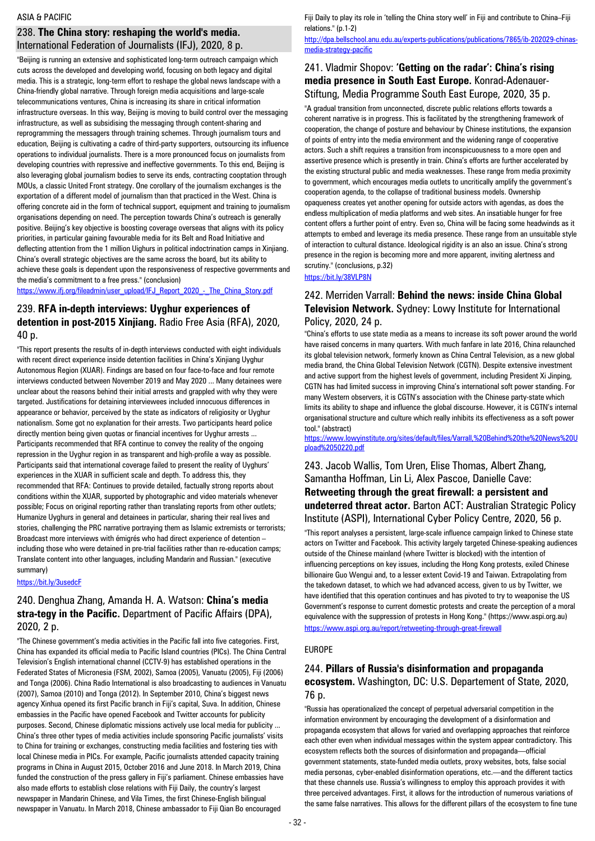#### 238. **The China story: reshaping the world's media.**  International Federation of Journalists (IFJ), 2020, 8 p.

"Beijing is running an extensive and sophisticated long-term outreach campaign which cuts across the developed and developing world, focusing on both legacy and digital media. This is a strategic, long-term effort to reshape the global news landscape with a China-friendly global narrative. Through foreign media acquisitions and large-scale telecommunications ventures, China is increasing its share in critical information infrastructure overseas. In this way, Beijing is moving to build control over the messaging infrastructure, as well as subsidising the messaging through content-sharing and reprogramming the messagers through training schemes. Through journalism tours and education, Beijing is cultivating a cadre of third-party supporters, outsourcing its influence operations to individual journalists. There is a more pronounced focus on journalists from developing countries with repressive and ineffective governments. To this end, Beijing is also leveraging global journalism bodies to serve its ends, contracting cooptation through MOUs, a classic United Front strategy. One corollary of the journalism exchanges is the exportation of a different model of journalism than that practiced in the West. China is offering concrete aid in the form of technical support, equipment and training to journalism organisations depending on need. The perception towards China's outreach is generally positive. Beijing's key objective is boosting coverage overseas that aligns with its policy priorities, in particular gaining favourable media for its Belt and Road Initiative and deflecting attention from the 1 million Uighurs in political indoctrination camps in Xinjiang. China's overall strategic objectives are the same across the board, but its ability to achieve these goals is dependent upon the responsiveness of respective governments and the media's commitment to a free press." (conclusion) [https://www.ifj.org/fileadmin/user\\_upload/IFJ\\_Report\\_2020\\_-\\_The\\_China\\_Story.pdf](https://www.ifj.org/fileadmin/user_upload/IFJ_Report_2020_-_The_China_Story.pdf)

# 239. **RFA in-depth interviews: Uyghur experiences of**

**detention in post-2015 Xinjiang.** Radio Free Asia (RFA), 2020, 40 p.

"This report presents the results of in-depth interviews conducted with eight individuals with recent direct experience inside detention facilities in China's Xinijang Uyghur Autonomous Region (XUAR). Findings are based on four face-to-face and four remote interviews conducted between November 2019 and May 2020 ... Many detainees were unclear about the reasons behind their initial arrests and grappled with why they were targeted. Justifications for detaining interviewees included innocuous differences in appearance or behavior, perceived by the state as indicators of religiosity or Uyghur nationalism. Some got no explanation for their arrests. Two participants heard police directly mention being given quotas or financial incentives for Uyghur arrests ... Participants recommended that RFA continue to convey the reality of the ongoing repression in the Uyghur region in as transparent and high-profile a way as possible. Participants said that international coverage failed to present the reality of Uyghurs' experiences in the XUAR in sufficient scale and depth. To address this, they recommended that RFA: Continues to provide detailed, factually strong reports about conditions within the XUAR, supported by photographic and video materials whenever possible; Focus on original reporting rather than translating reports from other outlets; Humanize Uyghurs in general and detainees in particular, sharing their real lives and stories, challenging the PRC narrative portraying them as Islamic extremists or terrorists; Broadcast more interviews with émigrés who had direct experience of detention – including those who were detained in pre-trial facilities rather than re-education camps; Translate content into other languages, including Mandarin and Russian." (executive summary)

<https://bit.ly/3usedcF>

### 240. Denghua Zhang, Amanda H. A. Watson: **China's media stra-tegy in the Pacific.** Department of Pacific Affairs (DPA), 2020, 2 p.

"The Chinese government's media activities in the Pacific fall into five categories. First, China has expanded its official media to Pacific Island countries (PICs). The China Central Television's English international channel (CCTV-9) has established operations in the Federated States of Micronesia (FSM, 2002), Samoa (2005), Vanuatu (2005), Fiji (2006) and Tonga (2006). China Radio International is also broadcasting to audiences in Vanuatu (2007), Samoa (2010) and Tonga (2012). In September 2010, China's biggest news agency Xinhua opened its first Pacific branch in Fiji's capital, Suva. In addition, Chinese embassies in the Pacific have opened Facebook and Twitter accounts for publicity purposes. Second, Chinese diplomatic missions actively use local media for publicity ... China's three other types of media activities include sponsoring Pacific journalists' visits to China for training or exchanges, constructing media facilities and fostering ties with local Chinese media in PICs. For example, Pacific journalists attended capacity training programs in China in August 2015, October 2016 and June 2018. In March 2019, China funded the construction of the press gallery in Fiji's parliament. Chinese embassies have also made efforts to establish close relations with Fiji Daily, the country's largest newspaper in Mandarin Chinese, and Vila Times, the first Chinese-English bilingual newspaper in Vanuatu. In March 2018, Chinese ambassador to Fiji Qian Bo encouraged

Fiji Daily to play its role in 'telling the China story well' in Fiji and contribute to China–Fiji relations." (p.1-2)

[http://dpa.bellschool.anu.edu.au/experts-publications/publications/7865/ib-202029-chinas](http://dpa.bellschool.anu.edu.au/experts-publications/publications/7865/ib-202029-chinas-media-strategy-pacific)[media-strategy-pacific](http://dpa.bellschool.anu.edu.au/experts-publications/publications/7865/ib-202029-chinas-media-strategy-pacific)

### 241. Vladmir Shopov: **'Getting on the radar': China's rising media presence in South East Europe.** Konrad-Adenauer-Stiftung, Media Programme South East Europe, 2020, 35 p.

"A gradual transition from unconnected, discrete public relations efforts towards a coherent narrative is in progress. This is facilitated by the strengthening framework of cooperation, the change of posture and behaviour by Chinese institutions, the expansion of points of entry into the media environment and the widening range of cooperative actors. Such a shift requires a transition from inconspicuousness to a more open and assertive presence which is presently in train. China's efforts are further accelerated by the existing structural public and media weaknesses. These range from media proximity to government, which encourages media outlets to uncritically amplify the government's cooperation agenda, to the collapse of traditional business models. Ownership opaqueness creates yet another opening for outside actors with agendas, as does the endless multiplication of media platforms and web sites. An insatiable hunger for free content offers a further point of entry. Even so, China will be facing some headwinds as it attempts to embed and leverage its media presence. These range from an unsuitable style of interaction to cultural distance. Ideological rigidity is an also an issue. China's strong presence in the region is becoming more and more apparent, inviting alertness and scrutiny." (conclusions, p.32)

<https://bit.ly/38VLP8N>

### 242. Merriden Varrall: **Behind the news: inside China Global Television Network.** Sydney: Lowy Institute for International Policy, 2020, 24 p.

"China's efforts to use state media as a means to increase its soft power around the world have raised concerns in many quarters. With much fanfare in late 2016, China relaunched its global television network, formerly known as China Central Television, as a new global media brand, the China Global Television Network (CGTN). Despite extensive investment and active support from the highest levels of government, including President Xi Jinping, CGTN has had limited success in improving China's international soft power standing. For many Western observers, it is CGTN's association with the Chinese party-state which limits its ability to shape and influence the global discourse. However, it is CGTN's internal organisational structure and culture which really inhibits its effectiveness as a soft power tool." (abstract)

[https://www.lowyinstitute.org/sites/default/files/Varrall,%20Behind%20the%20News%20U](https://www.lowyinstitute.org/sites/default/files/Varrall,%20Behind%20the%20News%20Upload%2050220.pdf) [pload%2050220.pdf](https://www.lowyinstitute.org/sites/default/files/Varrall,%20Behind%20the%20News%20Upload%2050220.pdf)

#### 243. Jacob Wallis, Tom Uren, Elise Thomas, Albert Zhang, Samantha Hoffman, Lin Li, Alex Pascoe, Danielle Cave: **Retweeting through the great firewall: a persistent and undeterred threat actor.** Barton ACT: Australian Strategic Policy Institute (ASPI), International Cyber Policy Centre, 2020, 56 p.

"This report analyses a persistent, large-scale influence campaign linked to Chinese state actors on Twitter and Facebook. This activity largely targeted Chinese-speaking audiences outside of the Chinese mainland (where Twitter is blocked) with the intention of influencing perceptions on key issues, including the Hong Kong protests, exiled Chinese billionaire Guo Wengui and, to a lesser extent Covid-19 and Taiwan. Extrapolating from the takedown dataset, to which we had advanced access, given to us by Twitter, we have identified that this operation continues and has pivoted to try to weaponise the US Government's response to current domestic protests and create the perception of a moral equivalence with the suppression of protests in Hong Kong." (https://www.aspi.org.au) <https://www.aspi.org.au/report/retweeting-through-great-firewall>

#### EUROPE

#### 244. **Pillars of Russia's disinformation and propaganda ecosystem.** Washington, DC: U.S. Departement of State, 2020, 76 p.

"Russia has operationalized the concept of perpetual adversarial competition in the information environment by encouraging the development of a disinformation and propaganda ecosystem that allows for varied and overlapping approaches that reinforce each other even when individual messages within the system appear contradictory. This ecosystem reflects both the sources of disinformation and propaganda—official government statements, state-funded media outlets, proxy websites, bots, false social media personas, cyber-enabled disinformation operations, etc.—and the different tactics that these channels use. Russia's willingness to employ this approach provides it with three perceived advantages. First, it allows for the introduction of numerous variations of the same false narratives. This allows for the different pillars of the ecosystem to fine tune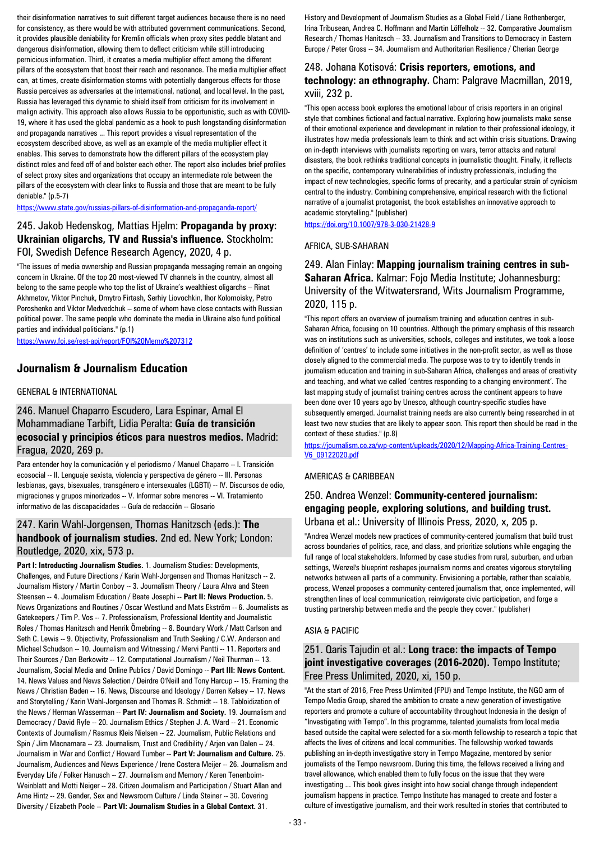their disinformation narratives to suit different target audiences because there is no need for consistency, as there would be with attributed government communications. Second, it provides plausible deniability for Kremlin officials when proxy sites peddle blatant and dangerous disinformation, allowing them to deflect criticism while still introducing pernicious information. Third, it creates a media multiplier effect among the different pillars of the ecosystem that boost their reach and resonance. The media multiplier effect can, at times, create disinformation storms with potentially dangerous effects for those Russia perceives as adversaries at the international, national, and local level. In the past, Russia has leveraged this dynamic to shield itself from criticism for its involvement in malign activity. This approach also allows Russia to be opportunistic, such as with COVID-19, where it has used the global pandemic as a hook to push longstanding disinformation and propaganda narratives ... This report provides a visual representation of the ecosystem described above, as well as an example of the media multiplier effect it enables. This serves to demonstrate how the different pillars of the ecosystem play distinct roles and feed off of and bolster each other. The report also includes brief profiles of select proxy sites and organizations that occupy an intermediate role between the pillars of the ecosystem with clear links to Russia and those that are meant to be fully deniable." (p.5-7)

<https://www.state.gov/russias-pillars-of-disinformation-and-propaganda-report/>

#### 245. Jakob Hedenskog, Mattias Hjelm: **Propaganda by proxy: Ukrainian oligarchs, TV and Russia's influence.** Stockholm: FOI, Swedish Defence Research Agency, 2020, 4 p.

"The issues of media ownership and Russian propaganda messaging remain an ongoing concern in Ukraine. Of the top 20 most-viewed TV channels in the country, almost all belong to the same people who top the list of Ukraine's wealthiest oligarchs – Rinat Akhmetov, Viktor Pinchuk, Dmytro Firtash, Serhiy Liovochkin, Ihor Kolomoisky, Petro Poroshenko and Viktor Medvedchuk – some of whom have close contacts with Russian political power. The same people who dominate the media in Ukraine also fund political parties and individual politicians." (p.1)

<https://www.foi.se/rest-api/report/FOI%20Memo%207312>

#### **Journalism & Journalism Education**

#### GENERAL & INTERNATIONAL

### 246. Manuel Chaparro Escudero, Lara Espinar, Amal El Mohammadiane Tarbift, Lidia Peralta: **Guía de transición ecosocial y principios éticos para nuestros medios.** Madrid: Fragua, 2020, 269 p.

Para entender hoy la comunicación y el periodismo / Manuel Chaparro -- I. Transición ecosocial -- II. Lenguaje sexista, violencia y perspectiva de género -- III. Personas lesbianas, gays, bisexuales, transgénero e intersexuales (LGBTI) -- IV. Discursos de odio, migraciones y grupos minorizados -- V. Informar sobre menores -- VI. Tratamiento informativo de las discapacidades -- Guía de redacción -- Glosario

#### 247. Karin Wahl-Jorgensen, Thomas Hanitzsch (eds.): **The handbook of journalism studies.** 2nd ed. New York; London: Routledge, 2020, xix, 573 p.

**Part I: Introducting Journalism Studies.** 1. Journalism Studies: Developments, Challenges, and Future Directions / Karin Wahl-Jorgensen and Thomas Hanitzsch -- 2. Journalism History / Martin Conboy -- 3. Journalism Theory / Laura Ahva and Steen Steensen -- 4. Journalism Education / Beate Josephi -- **Part II: News Production.** 5. News Organizations and Routines / Oscar Westlund and Mats Ekström -- 6. Journalists as Gatekeepers / Tim P. Vos -- 7. Professionalism, Professional Identity and Journalistic Roles / Thomas Hanitzsch and Henrik Örnebring -- 8. Boundary Work / Matt Carlson and Seth C. Lewis -- 9. Objectivity, Professionalism and Truth Seeking / C.W. Anderson and Michael Schudson -- 10. Journalism and Witnessing / Mervi Pantti -- 11. Reporters and Their Sources / Dan Berkowitz -- 12. Computational Journalism / Neil Thurman -- 13. Journalism, Social Media and Online Publics / David Domingo -- **Part III: News Content.** 14. News Values and News Selection / Deirdre O'Neill and Tony Harcup -- 15. Framing the News / Christian Baden -- 16. News, Discourse and Ideology / Darren Kelsey -- 17. News and Storytelling / Karin Wahl-Jorgensen and Thomas R. Schmidt -- 18. Tabloidization of the News / Herman Wasserman -- **Part IV: Journalism and Society.** 19. Journalism and Democracy / David Ryfe -- 20. Journalism Ethics / Stephen J. A. Ward -- 21. Economic Contexts of Journalism / Rasmus Kleis Nielsen -- 22. Journalism, Public Relations and Spin / Jim Macnamara -- 23. Journalism, Trust and Credibility / Arjen van Dalen -- 24. Journalism in War and Conflict / Howard Tumber -- **Part V: Journalism and Culture.** 25. Journalism, Audiences and News Experience / Irene Costera Meijer -- 26. Journalism and Everyday Life / Folker Hanusch -- 27. Journalism and Memory / Keren Tenenboim-Weinblatt and Motti Neiger -- 28. Citizen Journalism and Participation / Stuart Allan and Arne Hintz -- 29. Gender, Sex and Newsroom Culture / Linda Steiner -- 30. Covering Diversity / Elizabeth Poole -- **Part VI: Journalism Studies in a Global Context.** 31.

History and Development of Journalism Studies as a Global Field / Liane Rothenberger, Irina Tribusean, Andrea C. Hoffmann and Martin Löffelholz -- 32. Comparative Journalism Research / Thomas Hanitzsch -- 33. Journalism and Transitions to Democracy in Eastern Europe / Peter Gross -- 34. Journalism and Authoritarian Resilience / Cherian George

#### 248. Johana Kotisová: **Crisis reporters, emotions, and technology: an ethnography.** Cham: Palgrave Macmillan, 2019, xviii, 232 p.

"This open access book explores the emotional labour of crisis reporters in an original style that combines fictional and factual narrative. Exploring how journalists make sense of their emotional experience and development in relation to their professional ideology, it illustrates how media professionals learn to think and act within crisis situations. Drawing on in-depth interviews with journalists reporting on wars, terror attacks and natural disasters, the book rethinks traditional concepts in journalistic thought. Finally, it reflects on the specific, contemporary vulnerabilities of industry professionals, including the impact of new technologies, specific forms of precarity, and a particular strain of cynicism central to the industry. Combining comprehensive, empirical research with the fictional narrative of a journalist protagonist, the book establishes an innovative approach to academic storytelling." (publisher)

<https://doi.org/10.1007/978-3-030-21428-9>

#### AFRICA, SUB-SAHARAN

#### 249. Alan Finlay: **Mapping journalism training centres in sub-Saharan Africa.** Kalmar: Fojo Media Institute; Johannesburg: University of the Witwatersrand, Wits Journalism Programme, 2020, 115 p.

"This report offers an overview of journalism training and education centres in sub-Saharan Africa, focusing on 10 countries. Although the primary emphasis of this research was on institutions such as universities, schools, colleges and institutes, we took a loose definition of 'centres' to include some initiatives in the non-profit sector, as well as those closely aligned to the commercial media. The purpose was to try to identify trends in journalism education and training in sub-Saharan Africa, challenges and areas of creativity and teaching, and what we called 'centres responding to a changing environment'. The last mapping study of journalist training centres across the continent appears to have been done over 10 years ago by Unesco, although country-specific studies have subsequently emerged. Journalist training needs are also currently being researched in at least two new studies that are likely to appear soon. This report then should be read in the context of these studies." (p.8)

[https://journalism.co.za/wp-content/uploads/2020/12/Mapping-Africa-Training-Centres-](https://journalism.co.za/wp-content/uploads/2020/12/Mapping-Africa-Training-Centres-V6_09122020.pdf)[V6\\_09122020.pdf](https://journalism.co.za/wp-content/uploads/2020/12/Mapping-Africa-Training-Centres-V6_09122020.pdf)

#### AMERICAS & CARIBBEAN

#### 250. Andrea Wenzel: **Community-centered journalism: engaging people, exploring solutions, and building trust.**  Urbana et al.: University of Illinois Press, 2020, x, 205 p.

"Andrea Wenzel models new practices of community-centered journalism that build trust across boundaries of politics, race, and class, and prioritize solutions while engaging the full range of local stakeholders. Informed by case studies from rural, suburban, and urban settings, Wenzel's blueprint reshapes journalism norms and creates vigorous storytelling networks between all parts of a community. Envisioning a portable, rather than scalable, process, Wenzel proposes a community-centered journalism that, once implemented, will strengthen lines of local communication, reinvigorate civic participation, and forge a trusting partnership between media and the people they cover." (publisher)

#### ASIA & PACIFIC

#### 251. Qaris Tajudin et al.: **Long trace: the impacts of Tempo joint investigative coverages (2016-2020).** Tempo Institute; Free Press Unlimited, 2020, xi, 150 p.

"At the start of 2016, Free Press Unlimited (FPU) and Tempo Institute, the NGO arm of Tempo Media Group, shared the ambition to create a new generation of investigative reporters and promote a culture of accountability throughout Indonesia in the design of "Investigating with Tempo". In this programme, talented journalists from local media based outside the capital were selected for a six-month fellowship to research a topic that affects the lives of citizens and local communities. The fellowship worked towards publishing an in-depth investigative story in Tempo Magazine, mentored by senior journalists of the Tempo newsroom. During this time, the fellows received a living and travel allowance, which enabled them to fully focus on the issue that they were investigating ... This book gives insight into how social change through independent journalism happens in practice. Tempo Institute has managed to create and foster a culture of investigative journalism, and their work resulted in stories that contributed to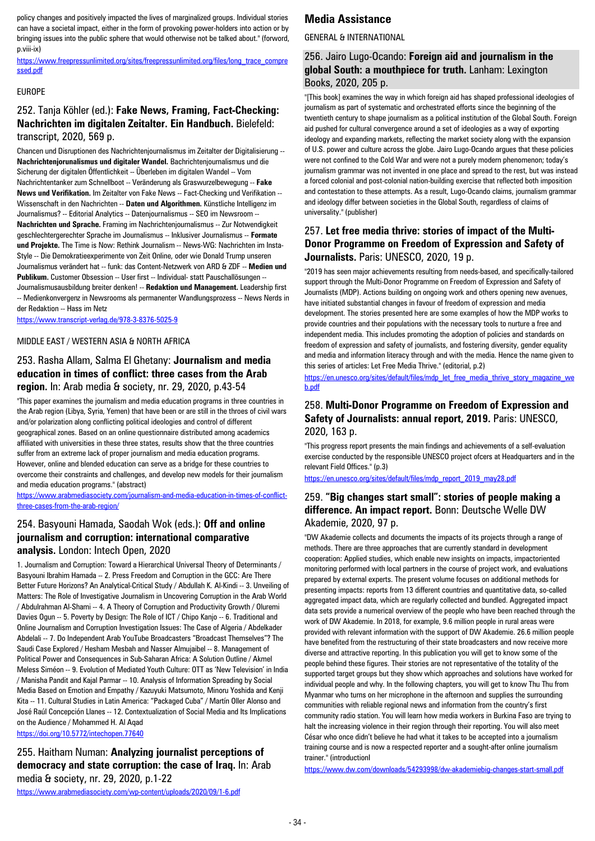policy changes and positively impacted the lives of marginalized groups. Individual stories can have a societal impact, either in the form of provoking power-holders into action or by bringing issues into the public sphere that would otherwise not be talked about." (forword, p.viii-ix)

[https://www.freepressunlimited.org/sites/freepressunlimited.org/files/long\\_trace\\_compre](https://www.freepressunlimited.org/sites/freepressunlimited.org/files/long_trace_compressed.pdf) [ssed.pdf](https://www.freepressunlimited.org/sites/freepressunlimited.org/files/long_trace_compressed.pdf)

#### EUROPE

#### 252. Tanja Köhler (ed.): **Fake News, Framing, Fact-Checking: Nachrichten im digitalen Zeitalter. Ein Handbuch.** Bielefeld: transcript, 2020, 569 p.

Chancen und Disruptionen des Nachrichtenjournalismus im Zeitalter der Digitalisierung -- **Nachrichtenjorunalismus und digitaler Wandel.** Bachrichtenjournalismus und die Sicherung der digitalen Öffentlichkeit -- Überleben im digitalen Wandel -- Vom Nachrichtentanker zum Schnellboot -- Veränderung als Graswurzelbewegung -- **Fake News und Verifikation.** Im Zeitalter von Fake News -- Fact-Checking und Verifikation -- Wissenschaft in den Nachrichten -- **Daten und Algorithmen.** Künstliche Intelligenz im Journalismus? -- Editorial Analytics -- Datenjournalismus -- SEO im Newsroom -- **Nachrichten und Sprache.** Framing im Nachrichtenjournalismus -- Zur Notwendigkeit geschlechtergerechter Sprache im Journalismus -- Inklusiver Journalismus -- **Formate und Projekte.** The Time is Now: Rethink Journalism -- News-WG: Nachrichten im Insta-Style -- Die Demokratieexperimente von Zeit Online, oder wie Donald Trump unseren Journalismus verändert hat -- funk: das Content-Netzwerk von ARD & ZDF -- **Medien und Publikum.** Customer Obsession -- User first -- Individual- statt Pauschallösungen -- Journalismusausbildung breiter denken! -- **Redaktion und Management.** Leadership first -- Medienkonvergenz in Newsrooms als permanenter Wandlungsprozess -- News Nerds in der Redaktion -- Hass im Netz

<https://www.transcript-verlag.de/978-3-8376-5025-9>

#### MIDDLE EAST / WESTERN ASIA & NORTH AFRICA

### 253. Rasha Allam, Salma El Ghetany: **Journalism and media education in times of conflict: three cases from the Arab region.** In: Arab media & society, nr. 29, 2020, p.43-54

"This paper examines the journalism and media education programs in three countries in the Arab region (Libya, Syria, Yemen) that have been or are still in the throes of civil wars and/or polarization along conflicting political ideologies and control of different geographical zones. Based on an online questionnaire distributed among academics affiliated with universities in these three states, results show that the three countries suffer from an extreme lack of proper journalism and media education programs. However, online and blended education can serve as a bridge for these countries to overcome their constraints and challenges, and develop new models for their journalism and media education programs." (abstract)

[https://www.arabmediasociety.com/journalism-and-media-education-in-times-of-conflict](https://www.arabmediasociety.com/journalism-and-media-education-in-times-of-conflict-three-cases-from-the-arab-region/)[three-cases-from-the-arab-region/](https://www.arabmediasociety.com/journalism-and-media-education-in-times-of-conflict-three-cases-from-the-arab-region/)

#### 254. Basyouni Hamada, Saodah Wok (eds.): **Off and online journalism and corruption: international comparative analysis.** London: Intech Open, 2020

1. Journalism and Corruption: Toward a Hierarchical Universal Theory of Determinants / Basyouni Ibrahim Hamada -- 2. Press Freedom and Corruption in the GCC: Are There Better Future Horizons? An Analytical-Critical Study / Abdullah K. Al-Kindi -- 3. Unveiling of Matters: The Role of Investigative Journalism in Uncovering Corruption in the Arab World / Abdulrahman Al-Shami -- 4. A Theory of Corruption and Productivity Growth / Oluremi Davies Ogun -- 5. Poverty by Design: The Role of ICT / Chipo Kanjo -- 6. Traditional and Online Journalism and Corruption Investigation Issues: The Case of Algeria / Abdelkader Abdelali -- 7. Do Independent Arab YouTube Broadcasters "Broadcast Themselves"? The Saudi Case Explored / Hesham Mesbah and Nasser Almujaibel -- 8. Management of Political Power and Consequences in Sub-Saharan Africa: A Solution Outline / Akmel Meless Siméon -- 9. Evolution of Mediated Youth Culture: OTT as 'New Television' in India / Manisha Pandit and Kajal Parmar -- 10. Analysis of Information Spreading by Social Media Based on Emotion and Empathy / Kazuyuki Matsumoto, Minoru Yoshida and Kenji Kita -- 11. Cultural Studies in Latin America: "Packaged Cuba" / Martín Oller Alonso and José Raúl Concepción Llanes -- 12. Contextualization of Social Media and Its Implications on the Audience / Mohammed H. Al Aqad <https://doi.org/10.5772/intechopen.77640>

255. Haitham Numan: **Analyzing journalist perceptions of democracy and state corruption: the case of Iraq.** In: Arab media & society, nr. 29, 2020, p.1-22

### **Media Assistance**

GENERAL & INTERNATIONAL

#### 256. Jairo Lugo-Ocando: **Foreign aid and journalism in the global South: a mouthpiece for truth.** Lanham: Lexington Books, 2020, 205 p.

"[This book] examines the way in which foreign aid has shaped professional ideologies of journalism as part of systematic and orchestrated efforts since the beginning of the twentieth century to shape journalism as a political institution of the Global South. Foreign aid pushed for cultural convergence around a set of ideologies as a way of exporting ideology and expanding markets, reflecting the market society along with the expansion of U.S. power and culture across the globe. Jairo Lugo-Ocando argues that these policies were not confined to the Cold War and were not a purely modern phenomenon; today's journalism grammar was not invented in one place and spread to the rest, but was instead a forced colonial and post-colonial nation-building exercise that reflected both imposition and contestation to these attempts. As a result, Lugo-Ocando claims, journalism grammar and ideology differ between societies in the Global South, regardless of claims of universality." (publisher)

### 257. **Let free media thrive: stories of impact of the Multi-Donor Programme on Freedom of Expression and Safety of Journalists.** Paris: UNESCO, 2020, 19 p.

"2019 has seen major achievements resulting from needs-based, and specifically-tailored support through the Multi-Donor Programme on Freedom of Expression and Safety of Journalists (MDP). Actions building on ongoing work and others opening new avenues, have initiated substantial changes in favour of freedom of expression and media development. The stories presented here are some examples of how the MDP works to provide countries and their populations with the necessary tools to nurture a free and independent media. This includes promoting the adoption of policies and standards on freedom of expression and safety of journalists, and fostering diversity, gender equality and media and information literacy through and with the media. Hence the name given to this series of articles: Let Free Media Thrive." (editorial, p.2)

[https://en.unesco.org/sites/default/files/mdp\\_let\\_free\\_media\\_thrive\\_story\\_magazine\\_we](https://en.unesco.org/sites/default/files/mdp_let_free_media_thrive_story_magazine_web.pdf) [b.pdf](https://en.unesco.org/sites/default/files/mdp_let_free_media_thrive_story_magazine_web.pdf)

#### 258. **Multi-Donor Programme on Freedom of Expression and Safety of Journalists: annual report, 2019.** Paris: UNESCO, 2020, 163 p.

"This progress report presents the main findings and achievements of a self-evaluation exercise conducted by the responsible UNESCO project ofcers at Headquarters and in the relevant Field Offices." (p.3)

[https://en.unesco.org/sites/default/files/mdp\\_report\\_2019\\_may28.pdf](https://en.unesco.org/sites/default/files/mdp_report_2019_may28.pdf)

#### 259. **"Big changes start small": stories of people making a difference. An impact report.** Bonn: Deutsche Welle DW Akademie, 2020, 97 p.

"DW Akademie collects and documents the impacts of its projects through a range of methods. There are three approaches that are currently standard in development cooperation: Applied studies, which enable new insights on impacts, impactoriented monitoring performed with local partners in the course of project work, and evaluations prepared by external experts. The present volume focuses on additional methods for presenting impacts: reports from 13 different countries and quantitative data, so-called aggregated impact data, which are regularly collected and bundled. Aggregated impact data sets provide a numerical overview of the people who have been reached through the work of DW Akademie. In 2018, for example, 9.6 million people in rural areas were provided with relevant information with the support of DW Akademie. 26.6 million people have benefited from the restructuring of their state broadcasters and now receive more diverse and attractive reporting. In this publication you will get to know some of the people behind these figures. Their stories are not representative of the totality of the supported target groups but they show which approaches and solutions have worked for individual people and why. In the following chapters, you will get to know Thu Thu from Myanmar who turns on her microphone in the afternoon and supplies the surrounding communities with reliable regional news and information from the country's first community radio station. You will learn how media workers in Burkina Faso are trying to halt the increasing violence in their region through their reporting. You will also meet César who once didn't believe he had what it takes to be accepted into a journalism training course and is now a respected reporter and a sought-after online journalism trainer." (introductionI

<https://www.dw.com/downloads/54293998/dw-akademiebig-changes-start-small.pdf>

<https://www.arabmediasociety.com/wp-content/uploads/2020/09/1-6.pdf>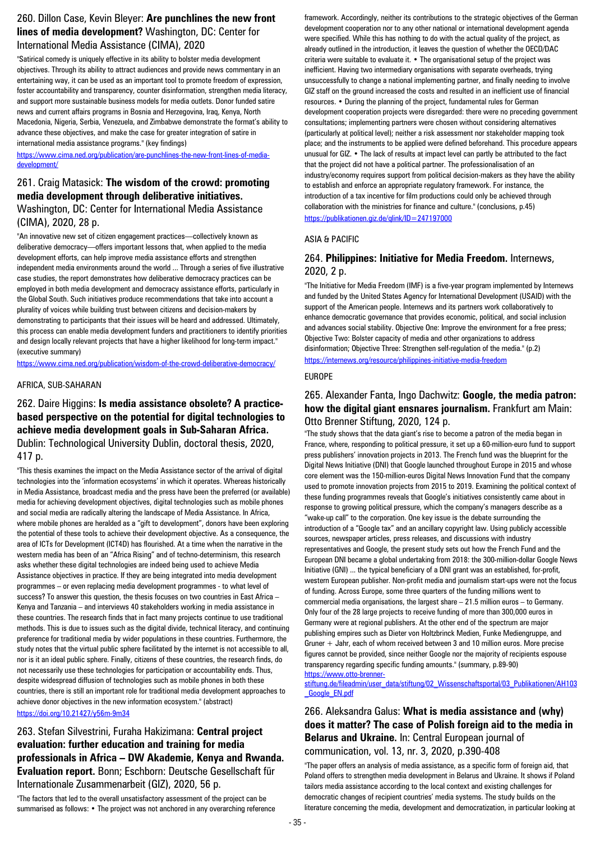#### 260. Dillon Case, Kevin Bleyer: **Are punchlines the new front lines of media development?** Washington, DC: Center for International Media Assistance (CIMA), 2020

"Satirical comedy is uniquely effective in its ability to bolster media development objectives. Through its ability to attract audiences and provide news commentary in an entertaining way, it can be used as an important tool to promote freedom of expression, foster accountability and transparency, counter disinformation, strengthen media literacy, and support more sustainable business models for media outlets. Donor funded satire news and current affairs programs in Bosnia and Herzegovina, Iraq, Kenya, North Macedonia, Nigeria, Serbia, Venezuela, and Zimbabwe demonstrate the format's ability to advance these objectives, and make the case for greater integration of satire in international media assistance programs." (key findings)

[https://www.cima.ned.org/publication/are-punchlines-the-new-front-lines-of-media](https://www.cima.ned.org/publication/are-punchlines-the-new-front-lines-of-media-development/)[development/](https://www.cima.ned.org/publication/are-punchlines-the-new-front-lines-of-media-development/)

#### 261. Craig Matasick: **The wisdom of the crowd: promoting media development through deliberative initiatives.**  Washington, DC: Center for International Media Assistance (CIMA), 2020, 28 p.

"An innovative new set of citizen engagement practices—collectively known as deliberative democracy—offers important lessons that, when applied to the media development efforts, can help improve media assistance efforts and strengthen independent media environments around the world ... Through a series of five illustrative case studies, the report demonstrates how deliberative democracy practices can be employed in both media development and democracy assistance efforts, particularly in the Global South. Such initiatives produce recommendations that take into account a plurality of voices while building trust between citizens and decision-makers by demonstrating to participants that their issues will be heard and addressed. Ultimately, this process can enable media development funders and practitioners to identify priorities and design locally relevant projects that have a higher likelihood for long-term impact." (executive summary)

<https://www.cima.ned.org/publication/wisdom-of-the-crowd-deliberative-democracy/>

#### AFRICA, SUB-SAHARAN

#### 262. Daire Higgins: **Is media assistance obsolete? A practicebased perspective on the potential for digital technologies to achieve media development goals in Sub-Saharan Africa.**  Dublin: Technological University Dublin, doctoral thesis, 2020, 417 p.

"This thesis examines the impact on the Media Assistance sector of the arrival of digital technologies into the 'information ecosystems' in which it operates. Whereas historically in Media Assistance, broadcast media and the press have been the preferred (or available) media for achieving development objectives, digital technologies such as mobile phones and social media are radically altering the landscape of Media Assistance. In Africa, where mobile phones are heralded as a "gift to development", donors have been exploring the potential of these tools to achieve their development objective. As a consequence, the area of ICTs for Development (ICT4D) has flourished. At a time when the narrative in the western media has been of an "Africa Rising" and of techno-determinism, this research asks whether these digital technologies are indeed being used to achieve Media Assistance objectives in practice. If they are being integrated into media development programmes – or even replacing media development programmes - to what level of success? To answer this question, the thesis focuses on two countries in East Africa – Kenya and Tanzania – and interviews 40 stakeholders working in media assistance in these countries. The research finds that in fact many projects continue to use traditional methods. This is due to issues such as the digital divide, technical literacy, and continuing preference for traditional media by wider populations in these countries. Furthermore, the study notes that the virtual public sphere facilitated by the internet is not accessible to all, nor is it an ideal public sphere. Finally, citizens of these countries, the research finds, do not necessarily use these technologies for participation or accountability ends. Thus, despite widespread diffusion of technologies such as mobile phones in both these countries, there is still an important role for traditional media development approaches to achieve donor objectives in the new information ecosystem." (abstract) <https://doi.org/10.21427/y56m-9m34>

263. Stefan Silvestrini, Furaha Hakizimana: **Central project evaluation: further education and training for media professionals in Africa – DW Akademie, Kenya and Rwanda. Evaluation report.** Bonn; Eschborn: Deutsche Gesellschaft für Internationale Zusammenarbeit (GIZ), 2020, 56 p.

"The factors that led to the overall unsatisfactory assessment of the project can be summarised as follows: • The project was not anchored in any overarching reference framework. Accordingly, neither its contributions to the strategic objectives of the German development cooperation nor to any other national or international development agenda were specified. While this has nothing to do with the actual quality of the project, as already outlined in the introduction, it leaves the question of whether the OECD/DAC criteria were suitable to evaluate it. • The organisational setup of the project was inefficient. Having two intermediary organisations with separate overheads, trying unsuccessfully to change a national implementing partner, and finally needing to involve GIZ staff on the ground increased the costs and resulted in an inefficient use of financial resources. • During the planning of the project, fundamental rules for German development cooperation projects were disregarded: there were no preceding government consultations; implementing partners were chosen without considering alternatives (particularly at political level); neither a risk assessment nor stakeholder mapping took place; and the instruments to be applied were defined beforehand. This procedure appears unusual for GIZ. • The lack of results at impact level can partly be attributed to the fact that the project did not have a political partner. The professionalisation of an industry/economy requires support from political decision-makers as they have the ability to establish and enforce an appropriate regulatory framework. For instance, the introduction of a tax incentive for film productions could only be achieved through collaboration with the ministries for finance and culture." (conclusions, p.45) <https://publikationen.giz.de/qlink/ID=247197000>

#### ASIA & PACIFIC

#### 264. **Philippines: Initiative for Media Freedom.** Internews, 2020, 2 p.

"The Initiative for Media Freedom (IMF) is a five-year program implemented by Internews and funded by the United States Agency for International Development (USAID) with the support of the American people. Internews and its partners work collaboratively to enhance democratic governance that provides economic, political, and social inclusion and advances social stability. Objective One: Improve the environment for a free press; Objective Two: Bolster capacity of media and other organizations to address disinformation; Objective Three: Strengthen self-regulation of the media." (p.2) <https://internews.org/resource/philippines-initiative-media-freedom>

#### EUROPE

#### 265. Alexander Fanta, Ingo Dachwitz: **Google, the media patron: how the digital giant ensnares journalism.** Frankfurt am Main: Otto Brenner Stiftung, 2020, 124 p.

"The study shows that the data giant's rise to become a patron of the media began in France, where, responding to political pressure, it set up a 60-million-euro fund to support press publishers' innovation projects in 2013. The French fund was the blueprint for the Digital News Initiative (DNI) that Google launched throughout Europe in 2015 and whose core element was the 150-million-euros Digital News Innovation Fund that the company used to promote innovation projects from 2015 to 2019. Examining the political context of these funding programmes reveals that Google's initiatives consistently came about in response to growing political pressure, which the company's managers describe as a "wake-up call" to the corporation. One key issue is the debate surrounding the introduction of a "Google tax" and an ancillary copyright law. Using publicly accessible sources, newspaper articles, press releases, and discussions with industry representatives and Google, the present study sets out how the French Fund and the European DNI became a global undertaking from 2018: the 300-million-dollar Google News Initiative (GNI) ... the typical beneficiary of a DNI grant was an established, for-profit, western European publisher. Non-profit media and journalism start-ups were not the focus of funding. Across Europe, some three quarters of the funding millions went to commercial media organisations, the largest share – 21.5 million euros – to Germany. Only four of the 28 large projects to receive funding of more than 300,000 euros in Germany were at regional publishers. At the other end of the spectrum are major publishing empires such as Dieter von Holtzbrinck Medien, Funke Mediengruppe, and Gruner + Jahr, each of whom received between 3 and 10 million euros. More precise figures cannot be provided, since neither Google nor the majority of recipients espouse transparency regarding specific funding amounts." (summary, p.89-90) [https://www.otto-brenner-](https://www.otto-brenner-stiftung.de/fileadmin/user_data/stiftung/02_Wissenschaftsportal/03_Publikationen/AH103_Google_EN.pdf)

[stiftung.de/fileadmin/user\\_data/stiftung/02\\_Wissenschaftsportal/03\\_Publikationen/AH103](https://www.otto-brenner-stiftung.de/fileadmin/user_data/stiftung/02_Wissenschaftsportal/03_Publikationen/AH103_Google_EN.pdf) Google\_EN.pdf

#### 266. Aleksandra Galus: **What is media assistance and (why) does it matter? The case of Polish foreign aid to the media in Belarus and Ukraine.** In: Central European journal of communication, vol. 13, nr. 3, 2020, p.390-408

"The paper offers an analysis of media assistance, as a specific form of foreign aid, that Poland offers to strengthen media development in Belarus and Ukraine. It shows if Poland tailors media assistance according to the local context and existing challenges for democratic changes of recipient countries' media systems. The study builds on the literature concerning the media, development and democratization, in particular looking at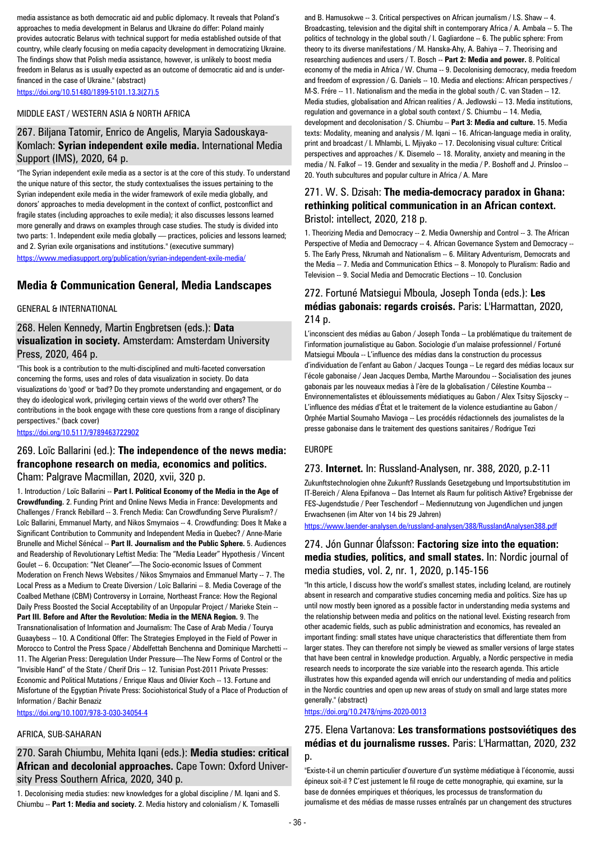media assistance as both democratic aid and public diplomacy. It reveals that Poland's approaches to media development in Belarus and Ukraine do differ: Poland mainly provides autocratic Belarus with technical support for media established outside of that country, while clearly focusing on media capacity development in democratizing Ukraine. The findings show that Polish media assistance, however, is unlikely to boost media freedom in Belarus as is usually expected as an outcome of democratic aid and is underfinanced in the case of Ukraine." (abstract) [https://doi.org/10.51480/1899-5101.13.3\(27\).5](https://doi.org/10.51480/1899-5101.13.3(27).5)

#### MIDDLE EAST / WESTERN ASIA & NORTH AFRICA

#### 267. Biljana Tatomir, Enrico de Angelis, Maryia Sadouskaya-Komlach: **Syrian independent exile media.** International Media Support (IMS), 2020, 64 p.

"The Syrian independent exile media as a sector is at the core of this study. To understand the unique nature of this sector, the study contextualises the issues pertaining to the Syrian independent exile media in the wider framework of exile media globally, and donors' approaches to media development in the context of conflict, postconflict and fragile states (including approaches to exile media); it also discusses lessons learned more generally and draws on examples through case studies. The study is divided into two parts: 1. Independent exile media globally — practices, policies and lessons learned; and 2. Syrian exile organisations and institutions." (executive summary) <https://www.mediasupport.org/publication/syrian-independent-exile-media/>

### **Media & Communication General, Media Landscapes**

#### GENERAL & INTERNATIONAL

#### 268. Helen Kennedy, Martin Engbretsen (eds.): **Data visualization in society.** Amsterdam: Amsterdam University Press, 2020, 464 p.

"This book is a contribution to the multi-disciplined and multi-faceted conversation concerning the forms, uses and roles of data visualization in society. Do data visualizations do 'good' or 'bad'? Do they promote understanding and engagement, or do they do ideological work, privileging certain views of the world over others? The contributions in the book engage with these core questions from a range of disciplinary perspectives." (back cover)

<https://doi.org/10.5117/9789463722902>

#### 269. Loïc Ballarini (ed.): **The independence of the news media: francophone research on media, economics and politics.**  Cham: Palgrave Macmillan, 2020, xvii, 320 p.

1. Introduction / Loïc Ballarini -- **Part I. Political Economy of the Media in the Age of Crowdfunding.** 2. Funding Print and Online News Media in France: Developments and Challenges / Franck Rebillard -- 3. French Media: Can Crowdfunding Serve Pluralism? / Loïc Ballarini, Emmanuel Marty, and Nikos Smyrnaios -- 4. Crowdfunding: Does It Make a Significant Contribution to Community and Independent Media in Quebec? / Anne-Marie Brunelle and Michel Sénécal -- **Part II. Journalism and the Public Sphere.** 5. Audiences and Readership of Revolutionary Leftist Media: The "Media Leader" Hypothesis / Vincent Goulet -- 6. Occupation: "Net Cleaner"—The Socio-economic Issues of Comment Moderation on French News Websites / Nikos Smyrnaios and Emmanuel Marty -- 7. The Local Press as a Medium to Create Diversion / Loïc Ballarini -- 8. Media Coverage of the Coalbed Methane (CBM) Controversy in Lorraine, Northeast France: How the Regional Daily Press Boosted the Social Acceptability of an Unpopular Project / Marieke Stein -- **Part III. Before and After the Revolution: Media in the MENA Region.** 9. The Transnationalisation of Information and Journalism: The Case of Arab Media / Tourya Guaaybess -- 10. A Conditional Offer: The Strategies Employed in the Field of Power in Morocco to Control the Press Space / Abdelfettah Benchenna and Dominique Marchetti -- 11. The Algerian Press: Deregulation Under Pressure—The New Forms of Control or the "Invisible Hand" of the State / Cherif Dris -- 12. Tunisian Post-2011 Private Presses: Economic and Political Mutations / Enrique Klaus and Olivier Koch -- 13. Fortune and Misfortune of the Egyptian Private Press: Sociohistorical Study of a Place of Production of Information / Bachir Benaziz

#### <https://doi.org/10.1007/978-3-030-34054-4>

#### AFRICA, SUB-SAHARAN

270. Sarah Chiumbu, Mehita Iqani (eds.): **Media studies: critical African and decolonial approaches.** Cape Town: Oxford University Press Southern Africa, 2020, 340 p.

1. Decolonising media studies: new knowledges for a global discipline / M. Iqani and S. Chiumbu -- **Part 1: Media and society.** 2. Media history and colonialism / K. Tomaselli

and B. Hamusokwe -- 3. Critical perspectives on African journalism / I.S. Shaw -- 4. Broadcasting, television and the digital shift in contemporary Africa / A. Ambala -- 5. The politics of technology in the global south / I. Gagliardone -- 6. The public sphere: From theory to its diverse manifestations / M. Hanska-Ahy, A. Bahiya -- 7. Theorising and researching audiences and users / T. Bosch -- **Part 2: Media and power.** 8. Political economy of the media in Africa / W. Chuma -- 9. Decolonising democracy, media freedom and freedom of expression / G. Daniels -- 10. Media and elections: African perspectives / M-S. Frére -- 11. Nationalism and the media in the global south / C. van Staden -- 12. Media studies, globalisation and African realities / A. Jedlowski -- 13. Media institutions, regulation and governance in a global south context / S. Chiumbu -- 14. Media, development and decolonisation / S. Chiumbu -- **Part 3: Media and culture.** 15. Media texts: Modality, meaning and analysis / M. Iqani -- 16. African-language media in orality, print and broadcast / I. Mhlambi, L. Mjiyako -- 17. Decolonising visual culture: Critical perspectives and approaches / K. Disemelo -- 18. Morality, anxiety and meaning in the media / N. Falkof -- 19. Gender and sexuality in the media / P. Boshoff and J. Prinsloo -- 20. Youth subcultures and popular culture in Africa / A. Mare

#### 271. W. S. Dzisah: **The media-democracy paradox in Ghana: rethinking political communication in an African context.**  Bristol: intellect, 2020, 218 p.

1. Theorizing Media and Democracy -- 2. Media Ownership and Control -- 3. The African Perspective of Media and Democracy -- 4. African Governance System and Democracy -- 5. The Early Press, Nkrumah and Nationalism -- 6. Military Adventurism, Democrats and the Media -- 7. Media and Communication Ethics -- 8. Monopoly to Pluralism: Radio and Television -- 9. Social Media and Democratic Elections -- 10. Conclusion

#### 272. Fortuné Matsiegui Mboula, Joseph Tonda (eds.): **Les médias gabonais: regards croisés.** Paris: L'Harmattan, 2020, 214 p.

L'inconscient des médias au Gabon / Joseph Tonda -- La problématique du traitement de l'information journalistique au Gabon. Sociologie d'un malaise professionnel / Fortuné Matsiegui Mboula -- L'influence des médias dans la construction du processus d'individuation de l'enfant au Gabon / Jacques Tounga -- Le regard des médias locaux sur l'école gabonaise / Jean Jacques Demba, Marthe Maroundou -- Socialisation des jeunes gabonais par les nouveaux medias à l'ère de la globalisation / Célestine Koumba --Environnementalistes et éblouissements médiatiques au Gabon / Alex Tsitsy Sijoscky -- L'influence des médias d'État et le traitement de la violence estudiantine au Gabon / Orphée Martial Soumaho Mavioga -- Les procédés rédactionnels des journalistes de la presse gabonaise dans le traitement des questions sanitaires / Rodrigue Tezi

#### EUROPE

#### 273. **Internet.** In: Russland-Analysen, nr. 388, 2020, p.2-11

Zukunftstechnologien ohne Zukunft? Russlands Gesetzgebung und Importsubstitution im IT-Bereich / Alena Epifanova -- Das Internet als Raum fur politisch Aktive? Ergebnisse der FES-Jugendstudie / Peer Teschendorf -- Mediennutzung von Jugendlichen und jungen Erwachsenen (im Alter von 14 bis 29 Jahren)

<https://www.laender-analysen.de/russland-analysen/388/RusslandAnalysen388.pdf>

#### 274. Jón Gunnar Ólafsson: **Factoring size into the equation: media studies, politics, and small states.** In: Nordic journal of media studies, vol. 2, nr. 1, 2020, p.145-156

"In this article, I discuss how the world's smallest states, including Iceland, are routinely absent in research and comparative studies concerning media and politics. Size has up until now mostly been ignored as a possible factor in understanding media systems and the relationship between media and politics on the national level. Existing research from other academic fields, such as public administration and economics, has revealed an important finding: small states have unique characteristics that differentiate them from larger states. They can therefore not simply be viewed as smaller versions of large states that have been central in knowledge production. Arguably, a Nordic perspective in media research needs to incorporate the size variable into the research agenda. This article illustrates how this expanded agenda will enrich our understanding of media and politics in the Nordic countries and open up new areas of study on small and large states more generally." (abstract)

#### <https://doi.org/10.2478/njms-2020-0013>

### 275. Elena Vartanova: **Les transformations postsoviétiques des médias et du journalisme russes.** Paris: L'Harmattan, 2020, 232 p.

"Existe-t-il un chemin particulier d'ouverture d'un système médiatique à l'économie, aussi épineux soit-il ? C'est justement le fil rouge de cette monographie, qui examine, sur la base de données empiriques et théoriques, les processus de transformation du journalisme et des médias de masse russes entraînés par un changement des structures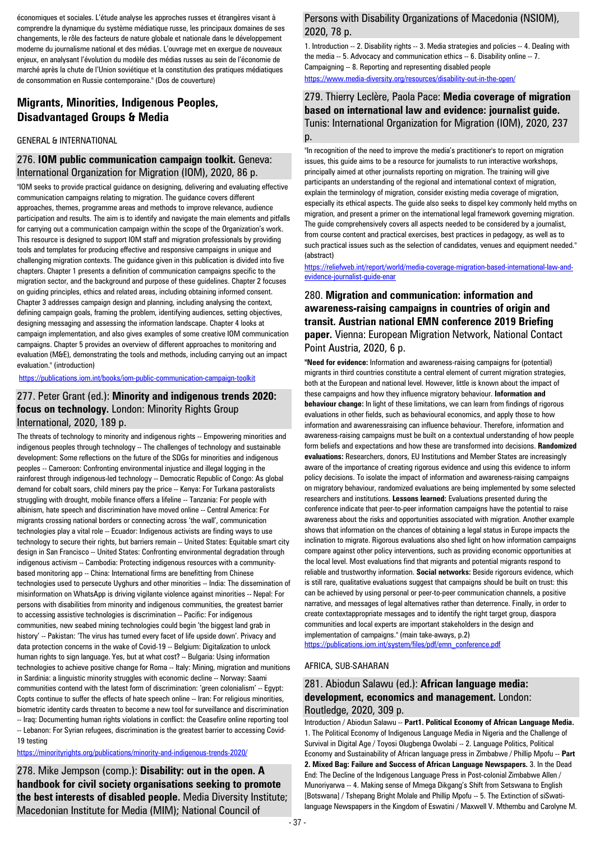économiques et sociales. L'étude analyse les approches russes et étrangères visant à comprendre la dynamique du système médiatique russe, les principaux domaines de ses changements, le rôle des facteurs de nature globale et nationale dans le développement moderne du journalisme national et des médias. L'ouvrage met en exergue de nouveaux enjeux, en analysant l'évolution du modèle des médias russes au sein de l'économie de marché après la chute de l'Union soviétique et la constitution des pratiques médiatiques de consommation en Russie contemporaine." (Dos de couverture)

### **Migrants, Minorities, Indigenous Peoples, Disadvantaged Groups & Media**

#### GENERAL & INTERNATIONAL

#### 276. **IOM public communication campaign toolkit.** Geneva: International Organization for Migration (IOM), 2020, 86 p.

"IOM seeks to provide practical guidance on designing, delivering and evaluating effective communication campaigns relating to migration. The guidance covers different approaches, themes, programme areas and methods to improve relevance, audience participation and results. The aim is to identify and navigate the main elements and pitfalls for carrying out a communication campaign within the scope of the Organization's work. This resource is designed to support IOM staff and migration professionals by providing tools and templates for producing effective and responsive campaigns in unique and challenging migration contexts. The guidance given in this publication is divided into five chapters. Chapter 1 presents a definition of communication campaigns specific to the migration sector, and the background and purpose of these guidelines. Chapter 2 focuses on guiding principles, ethics and related areas, including obtaining informed consent. Chapter 3 addresses campaign design and planning, including analysing the context, defining campaign goals, framing the problem, identifying audiences, setting objectives, designing messaging and assessing the information landscape. Chapter 4 looks at campaign implementation, and also gives examples of some creative IOM communication campaigns. Chapter 5 provides an overview of different approaches to monitoring and evaluation (M&E), demonstrating the tools and methods, including carrying out an impact evaluation." (introduction)

#### <https://publications.iom.int/books/iom-public-communication-campaign-toolkit>

#### 277. Peter Grant (ed.): **Minority and indigenous trends 2020: focus on technology.** London: Minority Rights Group International, 2020, 189 p.

The threats of technology to minority and indigenous rights -- Empowering minorities and indigenous peoples through technology -- The challenges of technology and sustainable development: Some reflections on the future of the SDGs for minorities and indigenous peoples -- Cameroon: Confronting environmental injustice and illegal logging in the rainforest through indigenous-led technology -- Democratic Republic of Congo: As global demand for cobalt soars, child miners pay the price -- Kenya: For Turkana pastoralists struggling with drought, mobile finance offers a lifeline -- Tanzania: For people with albinism, hate speech and discrimination have moved online -- Central America: For migrants crossing national borders or connecting across 'the wall', communication technologies play a vital role -- Ecuador: Indigenous activists are finding ways to use technology to secure their rights, but barriers remain -- United States: Equitable smart city design in San Francisco -- United States: Confronting environmental degradation through indigenous activism -- Cambodia: Protecting indigenous resources with a communitybased monitoring app -- China: International firms are benefitting from Chinese technologies used to persecute Uyghurs and other minorities -- India: The dissemination of misinformation on WhatsApp is driving vigilante violence against minorities -- Nepal: For persons with disabilities from minority and indigenous communities, the greatest barrier to accessing assistive technologies is discrimination -- Pacific: For indigenous communities, new seabed mining technologies could begin 'the biggest land grab in history' -- Pakistan: 'The virus has turned every facet of life upside down'. Privacy and data protection concerns in the wake of Covid-19 -- Belgium: Digitalization to unlock human rights to sign language. Yes, but at what cost? -- Bulgaria: Using information technologies to achieve positive change for Roma -- Italy: Mining, migration and munitions in Sardinia: a linguistic minority struggles with economic decline -- Norway: Saami communities contend with the latest form of discrimination: 'green colonialism' -- Egypt: Copts continue to suffer the effects of hate speech online -- Iran: For religious minorities, biometric identity cards threaten to become a new tool for surveillance and discrimination -- Iraq: Documenting human rights violations in conflict: the Ceasefire online reporting tool -- Lebanon: For Syrian refugees, discrimination is the greatest barrier to accessing Covid-19 testing

<https://minorityrights.org/publications/minority-and-indigenous-trends-2020/>

278. Mike Jempson (comp.): **Disability: out in the open. A handbook for civil society organisations seeking to promote the best interests of disabled people.** Media Diversity Institute; Macedonian Institute for Media (MIM); National Council of

#### Persons with Disability Organizations of Macedonia (NSIOM), 2020, 78 p.

1. Introduction -- 2. Disability rights -- 3. Media strategies and policies -- 4. Dealing with the media -- 5. Advocacy and communication ethics -- 6. Disability online -- 7. Campaigning -- 8. Reporting and representing disabled people <https://www.media-diversity.org/resources/disability-out-in-the-open/>

### 279. Thierry Leclère, Paola Pace: **Media coverage of migration based on international law and evidence: journalist guide.**  Tunis: International Organization for Migration (IOM), 2020, 237 p.

"In recognition of the need to improve the media's practitioner's to report on migration issues, this guide aims to be a resource for journalists to run interactive workshops, principally aimed at other journalists reporting on migration. The training will give participants an understanding of the regional and international context of migration, explain the terminology of migration, consider existing media coverage of migration, especially its ethical aspects. The guide also seeks to dispel key commonly held myths on migration, and present a primer on the international legal framework governing migration. The guide comprehensively covers all aspects needed to be considered by a journalist, from course content and practical exercises, best practices in pedagogy, as well as to such practical issues such as the selection of candidates, venues and equipment needed." (abstract)

[https://reliefweb.int/report/world/media-coverage-migration-based-international-law-and](https://reliefweb.int/report/world/media-coverage-migration-based-international-law-and-evidence-journalist-guide-enar)[evidence-journalist-guide-enar](https://reliefweb.int/report/world/media-coverage-migration-based-international-law-and-evidence-journalist-guide-enar)

### 280. **Migration and communication: information and awareness-raising campaigns in countries of origin and transit. Austrian national EMN conference 2019 Briefing paper.** Vienna: European Migration Network, National Contact Point Austria, 2020, 6 p.

**"Need for evidence:** Information and awareness-raising campaigns for (potential) migrants in third countries constitute a central element of current migration strategies, both at the European and national level. However, little is known about the impact of these campaigns and how they influence migratory behaviour. **Information and behaviour change:** In light of these limitations, we can learn from findings of rigorous evaluations in other fields, such as behavioural economics, and apply those to how information and awarenessraising can influence behaviour. Therefore, information and awareness-raising campaigns must be built on a contextual understanding of how people form beliefs and expectations and how these are transformed into decisions. **Randomized evaluations:** Researchers, donors, EU Institutions and Member States are increasingly aware of the importance of creating rigorous evidence and using this evidence to inform policy decisions. To isolate the impact of information and awareness-raising campaigns on migratory behaviour, randomized evaluations are being implemented by some selected researchers and institutions. **Lessons learned:** Evaluations presented during the conference indicate that peer-to-peer information campaigns have the potential to raise awareness about the risks and opportunities associated with migration. Another example shows that information on the chances of obtaining a legal status in Europe impacts the inclination to migrate. Rigorous evaluations also shed light on how information campaigns compare against other policy interventions, such as providing economic opportunities at the local level. Most evaluations find that migrants and potential migrants respond to reliable and trustworthy information. **Social networks:** Beside rigorours evidence, which is still rare, qualitative evaluations suggest that campaigns should be built on trust: this can be achieved by using personal or peer-to-peer communication channels, a positive narrative, and messages of legal alternatives rather than deterrence. Finally, in order to create contextappropriate messages and to identify the right target group, diaspora communities and local experts are important stakeholders in the design and implementation of campaigns." (main take-aways, p.2) [https://publications.iom.int/system/files/pdf/emn\\_conference.pdf](https://publications.iom.int/system/files/pdf/emn_conference.pdf)

#### AFRICA, SUB-SAHARAN

#### 281. Abiodun Salawu (ed.): **African language media: development, economics and management.** London: Routledge, 2020, 309 p.

Introduction / Abiodun Salawu -- **Part1. Political Economy of African Language Media.** 1. The Political Economy of Indigenous Language Media in Nigeria and the Challenge of Survival in Digital Age / Toyosi Olugbenga Owolabi -- 2. Language Politics, Political Economy and Sustainability of African language press in Zimbabwe / Phillip Mpofu -- **Part 2. Mixed Bag: Failure and Success of African Language Newspapers.** 3. In the Dead End: The Decline of the Indigenous Language Press in Post-colonial Zimbabwe Allen / Munoriyarwa -- 4. Making sense of Mmega Dikgang's Shift from Setswana to English [Botswana] / Tshepang Bright Molale and Phillip Mpofu -- 5. The Extinction of siSwatilanguage Newspapers in the Kingdom of Eswatini / Maxwell V. Mthembu and Carolyne M.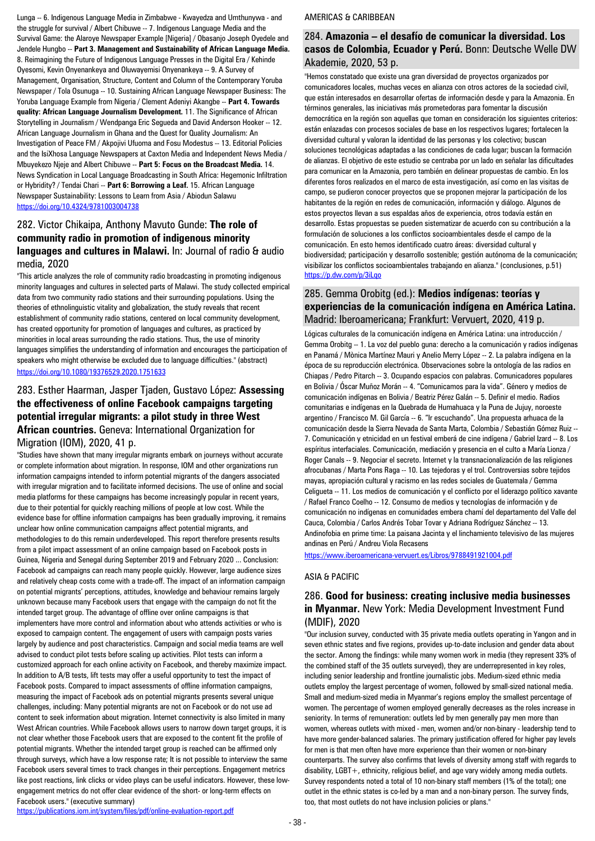Lunga -- 6. Indigenous Language Media in Zimbabwe - Kwayedza and Umthunywa - and the struggle for survival / Albert Chibuwe -- 7. Indigenous Language Media and the Survival Game: the Alaroye Newspaper Example [Nigeria] / Obasanjo Joseph Oyedele and Jendele Hungbo -- **Part 3. Management and Sustainability of African Language Media.** 8. Reimagining the Future of Indigenous Language Presses in the Digital Era / Kehinde Oyesomi, Kevin Onyenankeya and Oluwayemisi Onyenankeya -- 9. A Survey of Management, Organisation, Structure, Content and Column of the Contemporary Yoruba Newspaper / Tola Osunuga -- 10. Sustaining African Language Newspaper Business: The Yoruba Language Example from Nigeria / Clement Adeniyi Akangbe -- **Part 4. Towards quality: African Language Journalism Development.** 11. The Significance of African Storytelling in Journalism / Wendpanga Eric Segueda and David Anderson Hooker -- 12. African Language Journalism in Ghana and the Quest for Quality Journalism: An Investigation of Peace FM / Akpojivi Ufuoma and Fosu Modestus -- 13. Editorial Policies and the IsiXhosa Language Newspapers at Caxton Media and Independent News Media / Mbuyekezo Njeje and Albert Chibuwe -- **Part 5: Focus on the Broadcast Media.** 14. News Syndication in Local Language Broadcasting in South Africa: Hegemonic Infiltration or Hybridity? / Tendai Chari -- **Part 6: Borrowing a Leaf.** 15. African Language Newspaper Sustainability: Lessons to Learn from Asia / Abiodun Salawu <https://doi.org/10.4324/9781003004738>

#### 282. Victor Chikaipa, Anthony Mavuto Gunde: **The role of community radio in promotion of indigenous minority languages and cultures in Malawi.** In: Journal of radio & audio media, 2020

"This article analyzes the role of community radio broadcasting in promoting indigenous minority languages and cultures in selected parts of Malawi. The study collected empirical data from two community radio stations and their surrounding populations. Using the theories of ethnolinguistic vitality and globalization, the study reveals that recent establishment of community radio stations, centered on local community development, has created opportunity for promotion of languages and cultures, as practiced by minorities in local areas surrounding the radio stations. Thus, the use of minority languages simplifies the understanding of information and encourages the participation of speakers who might otherwise be excluded due to language difficulties." (abstract) <https://doi.org/10.1080/19376529.2020.1751633>

### 283. Esther Haarman, Jasper Tjaden, Gustavo López: **Assessing the effectiveness of online Facebook campaigns targeting potential irregular migrants: a pilot study in three West African countries.** Geneva: International Organization for Migration (IOM), 2020, 41 p.

"Studies have shown that many irregular migrants embark on journeys without accurate or complete information about migration. In response, IOM and other organizations run information campaigns intended to inform potential migrants of the dangers associated with irregular migration and to facilitate informed decisions. The use of online and social media platforms for these campaigns has become increasingly popular in recent years, due to their potential for quickly reaching millions of people at low cost. While the evidence base for offline information campaigns has been gradually improving, it remains unclear how online communication campaigns affect potential migrants, and methodologies to do this remain underdeveloped. This report therefore presents results from a pilot impact assessment of an online campaign based on Facebook posts in Guinea, Nigeria and Senegal during September 2019 and February 2020 ... Conclusion: Facebook ad campaigns can reach many people quickly. However, large audience sizes and relatively cheap costs come with a trade-off. The impact of an information campaign on potential migrants' perceptions, attitudes, knowledge and behaviour remains largely unknown because many Facebook users that engage with the campaign do not fit the intended target group. The advantage of offline over online campaigns is that implementers have more control and information about who attends activities or who is exposed to campaign content. The engagement of users with campaign posts varies largely by audience and post characteristics. Campaign and social media teams are well advised to conduct pilot tests before scaling up activities. Pilot tests can inform a customized approach for each online activity on Facebook, and thereby maximize impact. In addition to A/B tests, lift tests may offer a useful opportunity to test the impact of Facebook posts. Compared to impact assessments of offline information campaigns, measuring the impact of Facebook ads on potential migrants presents several unique challenges, including: Many potential migrants are not on Facebook or do not use ad content to seek information about migration. Internet connectivity is also limited in many West African countries. While Facebook allows users to narrow down target groups, it is not clear whether those Facebook users that are exposed to the content fit the profile of potential migrants. Whether the intended target group is reached can be affirmed only through surveys, which have a low response rate; It is not possible to interview the same Facebook users several times to track changes in their perceptions. Engagement metrics like post reactions, link clicks or video plays can be useful indicators. However, these lowengagement metrics do not offer clear evidence of the short- or long-term effects on Facebook users." (executive summary)

#### AMERICAS & CARIBBEAN

#### 284. **Amazonia – el desafío de comunicar la diversidad. Los casos de Colombia, Ecuador y Perú.** Bonn: Deutsche Welle DW Akademie, 2020, 53 p.

"Hemos constatado que existe una gran diversidad de proyectos organizados por comunicadores locales, muchas veces en alianza con otros actores de la sociedad civil, que están interesados en desarrollar ofertas de información desde y para la Amazonia. En términos generales, las iniciativas más prometedoras para fomentar la discusión democrática en la región son aquellas que toman en consideración los siguientes criterios: están enlazadas con procesos sociales de base en los respectivos lugares; fortalecen la diversidad cultural y valoran la identidad de las personas y los colectivo; buscan soluciones tecnológicas adaptadas a las condiciones de cada lugar; buscan la formación de alianzas. El objetivo de este estudio se centraba por un lado en señalar las dificultades para comunicar en la Amazonia, pero también en delinear propuestas de cambio. En los diferentes foros realizados en el marco de esta investigación, así como en las visitas de campo, se pudieron conocer proyectos que se proponen mejorar la participación de los habitantes de la región en redes de comunicación, información y diálogo. Algunos de estos proyectos llevan a sus espaldas años de experiencia, otros todavía están en desarrollo. Estas propuestas se pueden sistematizar de acuerdo con su contribución a la formulación de soluciones a los conflictos socioambientales desde el campo de la comunicación. En esto hemos identificado cuatro áreas: diversidad cultural y biodiversidad; participación y desarrollo sostenible; gestión autónoma de la comunicación; visibilizar los conflictos socioambientales trabajando en alianza." (conclusiones, p.51) <https://p.dw.com/p/3iLqo>

#### 285. Gemma Orobitg (ed.): **Medios indígenas: teorías y experiencias de la comunicación indígena en América Latina.**  Madrid: Iberoamericana; Frankfurt: Vervuert, 2020, 419 p.

Lógicas culturales de la comunicación indígena en América Latina: una introducción / Gemma Orobitg -- 1. La voz del pueblo guna: derecho a la comunicación y radios indígenas en Panamá / Mònica Martínez Mauri y Anelio Merry López -- 2. La palabra indígena en la época de su reproducción electrónica. Observaciones sobre la ontología de las radios en Chiapas / Pedro Pitarch -- 3. Ocupando espacios con palabras. Comunicadores populares en Bolivia / Óscar Muñoz Morán -- 4. "Comunicamos para la vida". Género y medios de comunicación indígenas en Bolivia / Beatriz Pérez Galán -- 5. Definir el medio. Radios comunitarias e indígenas en la Quebrada de Humahuaca y la Puna de Jujuy, noroeste argentino / Francisco M. Gil García -- 6. "Ir escuchando". Una propuesta arhuaca de la comunicación desde la Sierra Nevada de Santa Marta, Colombia / Sebastián Gómez Ruiz -- 7. Comunicación y etnicidad en un festival emberá de cine indígena / Gabriel Izard -- 8. Los espíritus interfaciales. Comunicación, mediación y presencia en el culto a María Lionza / Roger Canals -- 9. Negociar el secreto. Internet y la transnacionalización de las religiones afrocubanas / Marta Pons Raga -- 10. Las tejedoras y el trol. Controversias sobre tejidos mayas, apropiación cultural y racismo en las redes sociales de Guatemala / Gemma Celigueta -- 11. Los medios de comunicación y el conflicto por el liderazgo político xavante / Rafael Franco Coelho -- 12. Consumo de medios y tecnologías de información y de comunicación no indígenas en comunidades embera chamí del departamento del Valle del Cauca, Colombia / Carlos Andrés Tobar Tovar y Adriana Rodríguez Sánchez -- 13. Andinofobia en prime time: La paisana Jacinta y el linchamiento televisivo de las mujeres andinas en Perú / Andreu Viola Recasens

<https://www.iberoamericana-vervuert.es/Libros/9788491921004.pdf>

#### ASIA & PACIFIC

### 286. **Good for business: creating inclusive media businesses in Myanmar.** New York: Media Development Investment Fund (MDIF), 2020

"Our inclusion survey, conducted with 35 private media outlets operating in Yangon and in seven ethnic states and five regions, provides up-to-date inclusion and gender data about the sector. Among the findings: while many women work in media (they represent 33% of the combined staff of the 35 outlets surveyed), they are underrepresented in key roles, including senior leadership and frontline journalistic jobs. Medium-sized ethnic media outlets employ the largest percentage of women, followed by small-sized national media. Small and medium-sized media in Myanmar's regions employ the smallest percentage of women. The percentage of women employed generally decreases as the roles increase in seniority. In terms of remuneration: outlets led by men generally pay men more than women, whereas outlets with mixed - men, women and/or non-binary - leadership tend to have more gender-balanced salaries. The primary justification offered for higher pay levels for men is that men often have more experience than their women or non-binary counterparts. The survey also confirms that levels of diversity among staff with regards to disability, LGBT+, ethnicity, religious belief, and age vary widely among media outlets. Survey respondents noted a total of 10 non-binary staff members (1% of the total); one outlet in the ethnic states is co-led by a man and a non-binary person. The survey finds, too, that most outlets do not have inclusion policies or plans."

<https://publications.iom.int/system/files/pdf/online-evaluation-report.pdf>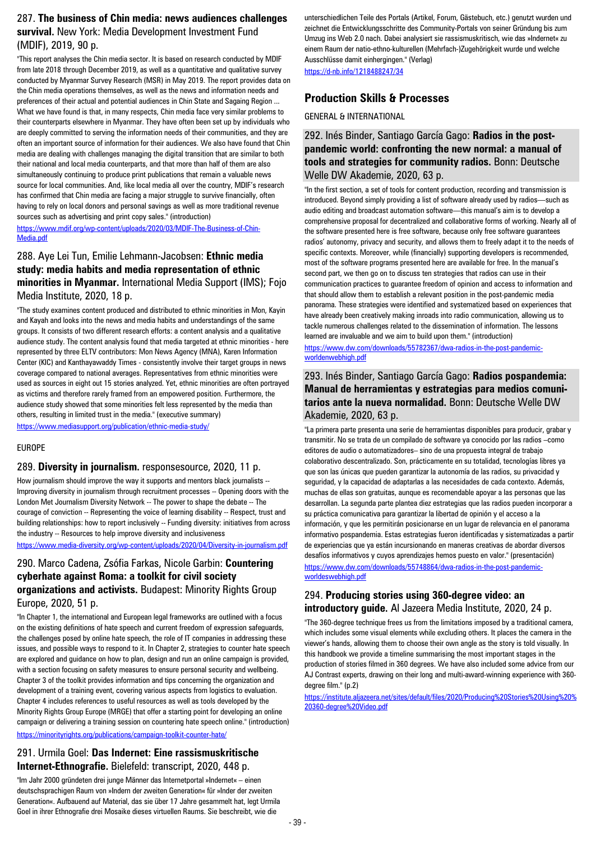#### 287. **The business of Chin media: news audiences challenges survival.** New York: Media Development Investment Fund (MDIF), 2019, 90 p.

"This report analyses the Chin media sector. It is based on research conducted by MDIF from late 2018 through December 2019, as well as a quantitative and qualitative survey conducted by Myanmar Survey Research (MSR) in May 2019. The report provides data on the Chin media operations themselves, as well as the news and information needs and preferences of their actual and potential audiences in Chin State and Sagaing Region ... What we have found is that, in many respects, Chin media face very similar problems to their counterparts elsewhere in Myanmar. They have often been set up by individuals who are deeply committed to serving the information needs of their communities, and they are often an important source of information for their audiences. We also have found that Chin media are dealing with challenges managing the digital transition that are similar to both their national and local media counterparts, and that more than half of them are also simultaneously continuing to produce print publications that remain a valuable news source for local communities. And, like local media all over the country, MDIF's research has confirmed that Chin media are facing a major struggle to survive financially, often having to rely on local donors and personal savings as well as more traditional revenue sources such as advertising and print copy sales." (introduction)

[https://www.mdif.org/wp-content/uploads/2020/03/MDIF-The-Business-of-Chin-](https://www.mdif.org/wp-content/uploads/2020/03/MDIF-The-Business-of-Chin-Media.pdf)[Media.pdf](https://www.mdif.org/wp-content/uploads/2020/03/MDIF-The-Business-of-Chin-Media.pdf)

### 288. Aye Lei Tun, Emilie Lehmann-Jacobsen: **Ethnic media study: media habits and media representation of ethnic minorities in Myanmar.** International Media Support (IMS); Fojo Media Institute, 2020, 18 p.

"The study examines content produced and distributed to ethnic minorities in Mon, Kayin and Kayah and looks into the news and media habits and understandings of the same groups. It consists of two different research efforts: a content analysis and a qualitative audience study. The content analysis found that media targeted at ethnic minorities - here represented by three ELTV contributors: Mon News Agency (MNA), Karen Information Center (KIC) and Kanthayawaddy Times - consistently involve their target groups in news coverage compared to national averages. Representatives from ethnic minorities were used as sources in eight out 15 stories analyzed. Yet, ethnic minorities are often portrayed as victims and therefore rarely framed from an empowered position. Furthermore, the audience study showed that some minorities felt less represented by the media than others, resulting in limited trust in the media." (executive summary)

<https://www.mediasupport.org/publication/ethnic-media-study/>

#### EUROPE

#### 289. **Diversity in journalism.** responsesource, 2020, 11 p.

How journalism should improve the way it supports and mentors black journalists -- Improving diversity in journalism through recruitment processes -- Opening doors with the London Met Journalism Diversity Network -- The power to shape the debate -- The courage of conviction -- Representing the voice of learning disability -- Respect, trust and building relationships: how to report inclusively -- Funding diversity: initiatives from across the industry -- Resources to help improve diversity and inclusiveness

<https://www.media-diversity.org/wp-content/uploads/2020/04/Diversity-in-journalism.pdf>

### 290. Marco Cadena, Zsófia Farkas, Nicole Garbin: **Countering cyberhate against Roma: a toolkit for civil society organizations and activists.** Budapest: Minority Rights Group Europe, 2020, 51 p.

"In Chapter 1, the international and European legal frameworks are outlined with a focus on the existing definitions of hate speech and current freedom of expression safeguards, the challenges posed by online hate speech, the role of IT companies in addressing these issues, and possible ways to respond to it. In Chapter 2, strategies to counter hate speech are explored and guidance on how to plan, design and run an online campaign is provided, with a section focusing on safety measures to ensure personal security and wellbeing. Chapter 3 of the toolkit provides information and tips concerning the organization and development of a training event, covering various aspects from logistics to evaluation. Chapter 4 includes references to useful resources as well as tools developed by the Minority Rights Group Europe (MRGE) that offer a starting point for developing an online campaign or delivering a training session on countering hate speech online." (introduction) <https://minorityrights.org/publications/campaign-toolkit-counter-hate/>

#### 291. Urmila Goel: **Das Indernet: Eine rassismuskritische Internet-Ethnografie.** Bielefeld: transcript, 2020, 448 p.

"Im Jahr 2000 gründeten drei junge Männer das Internetportal »Indernet« – einen deutschsprachigen Raum von »Indern der zweiten Generation« für »Inder der zweiten Generation«. Aufbauend auf Material, das sie über 17 Jahre gesammelt hat, legt Urmila Goel in ihrer Ethnografie drei Mosaike dieses virtuellen Raums. Sie beschreibt, wie die

unterschiedlichen Teile des Portals (Artikel, Forum, Gästebuch, etc.) genutzt wurden und zeichnet die Entwicklungsschritte des Community-Portals von seiner Gründung bis zum Umzug ins Web 2.0 nach. Dabei analysiert sie rassismuskritisch, wie das »Indernet« zu einem Raum der natio-ethno-kulturellen (Mehrfach-)Zugehörigkeit wurde und welche Ausschlüsse damit einhergingen." (Verlag)

<https://d-nb.info/1218488247/34>

### **Production Skills & Processes**

GENERAL & INTERNATIONAL

#### 292. Inés Binder, Santiago García Gago: **Radios in the postpandemic world: confronting the new normal: a manual of tools and strategies for community radios.** Bonn: Deutsche Welle DW Akademie, 2020, 63 p.

"In the first section, a set of tools for content production, recording and transmission is introduced. Beyond simply providing a list of software already used by radios—such as audio editing and broadcast automation software—this manual's aim is to develop a comprehensive proposal for decentralized and collaborative forms of working. Nearly all of the software presented here is free software, because only free software guarantees radios' autonomy, privacy and security, and allows them to freely adapt it to the needs of specific contexts. Moreover, while (financially) supporting developers is recommended, most of the software programs presented here are available for free. In the manual's second part, we then go on to discuss ten strategies that radios can use in their communication practices to guarantee freedom of opinion and access to information and that should allow them to establish a relevant position in the post-pandemic media panorama. These strategies were identified and systematized based on experiences that have already been creatively making inroads into radio communication, allowing us to tackle numerous challenges related to the dissemination of information. The lessons learned are invaluable and we aim to build upon them." (introduction)

[https://www.dw.com/downloads/55782367/dwa-radios-in-the-post-pandemic](https://www.dw.com/downloads/55782367/dwa-radios-in-the-post-pandemic-worldenwebhigh.pdf)[worldenwebhigh.pdf](https://www.dw.com/downloads/55782367/dwa-radios-in-the-post-pandemic-worldenwebhigh.pdf)

#### 293. Inés Binder, Santiago García Gago: **Radios pospandemia: Manual de herramientas y estrategias para medios comunitarios ante la nueva normalidad.** Bonn: Deutsche Welle DW Akademie, 2020, 63 p.

"La primera parte presenta una serie de herramientas disponibles para producir, grabar y transmitir. No se trata de un compilado de software ya conocido por las radios –como editores de audio o automatizadores– sino de una propuesta integral de trabajo colaborativo descentralizado. Son, prácticamente en su totalidad, tecnologías libres ya que son las únicas que pueden garantizar la autonomía de las radios, su privacidad y seguridad, y la capacidad de adaptarlas a las necesidades de cada contexto. Además, muchas de ellas son gratuitas, aunque es recomendable apoyar a las personas que las desarrollan. La segunda parte plantea diez estrategias que las radios pueden incorporar a su práctica comunicativa para garantizar la libertad de opinión y el acceso a la información, y que les permitirán posicionarse en un lugar de relevancia en el panorama informativo pospandemia. Estas estrategias fueron identificadas y sistematizadas a partir de experiencias que ya están incursionando en maneras creativas de abordar diversos desafíos informativos y cuyos aprendizajes hemos puesto en valor." (presentación) [https://www.dw.com/downloads/55748864/dwa-radios-in-the-post-pandemic](https://www.dw.com/downloads/55748864/dwa-radios-in-the-post-pandemic-worldeswebhigh.pdf)[worldeswebhigh.pdf](https://www.dw.com/downloads/55748864/dwa-radios-in-the-post-pandemic-worldeswebhigh.pdf)

#### 294. **Producing stories using 360-degree video: an introductory guide.** Al Jazeera Media Institute, 2020, 24 p.

"The 360-degree technique frees us from the limitations imposed by a traditional camera, which includes some visual elements while excluding others. It places the camera in the viewer's hands, allowing them to choose their own angle as the story is told visually. In this handbook we provide a timeline summarising the most important stages in the production of stories filmed in 360 degrees. We have also included some advice from our AJ Contrast experts, drawing on their long and multi-award-winning experience with 360 degree film." (p.2)

[https://institute.aljazeera.net/sites/default/files/2020/Producing%20Stories%20Using%20%](https://institute.aljazeera.net/sites/default/files/2020/Producing%20Stories%20Using%20%20360-degree%20Video.pdf) [20360-degree%20Video.pdf](https://institute.aljazeera.net/sites/default/files/2020/Producing%20Stories%20Using%20%20360-degree%20Video.pdf)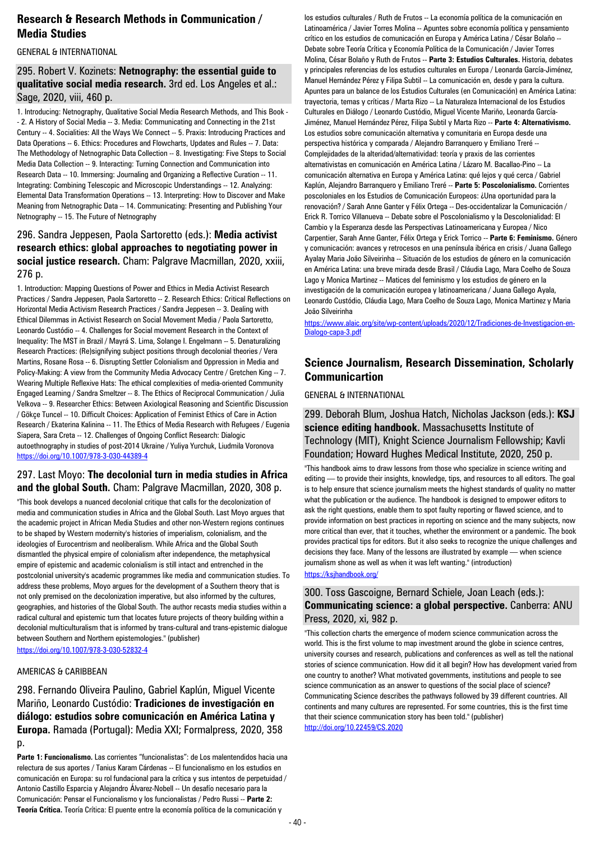### **Research & Research Methods in Communication / Media Studies**

#### GENERAL & INTERNATIONAL

#### 295. Robert V. Kozinets: **Netnography: the essential guide to qualitative social media research.** 3rd ed. Los Angeles et al.: Sage, 2020, viii, 460 p.

1. Introducing: Netnography, Qualitative Social Media Research Methods, and This Book - - 2. A History of Social Media -- 3. Media: Communicating and Connecting in the 21st Century -- 4. Socialities: All the Ways We Connect -- 5. Praxis: Introducing Practices and Data Operations -- 6. Ethics: Procedures and Flowcharts, Updates and Rules -- 7. Data: The Methodology of Netnographic Data Collection -- 8. Investigating: Five Steps to Social Media Data Collection -- 9. Interacting: Turning Connection and Communication into Research Data -- 10. Immersing: Journaling and Organizing a Reflective Curation -- 11. Integrating: Combining Telescopic and Microscopic Understandings -- 12. Analyzing: Elemental Data Transformation Operations -- 13. Interpreting: How to Discover and Make Meaning from Netnographic Data -- 14. Communicating: Presenting and Publishing Your Netnography -- 15. The Future of Netnography

#### 296. Sandra Jeppesen, Paola Sartoretto (eds.): **Media activist research ethics: global approaches to negotiating power in social justice research.** Cham: Palgrave Macmillan, 2020, xxiii, 276 p.

1. Introduction: Mapping Questions of Power and Ethics in Media Activist Research Practices / Sandra Jeppesen, Paola Sartoretto -- 2. Research Ethics: Critical Reflections on Horizontal Media Activism Research Practices / Sandra Jeppesen -- 3. Dealing with Ethical Dilemmas in Activist Research on Social Movement Media / Paola Sartoretto, Leonardo Custódio -- 4. Challenges for Social movement Research in the Context of Inequality: The MST in Brazil / Mayrá S. Lima, Solange I. Engelmann -- 5. Denaturalizing Research Practices: (Re)signifying subject positions through decolonial theories / Vera Martins, Rosane Rosa -- 6. Disrupting Settler Colonialism and Oppression in Media and Policy-Making: A view from the Community Media Advocacy Centre / Gretchen King -- 7. Wearing Multiple Reflexive Hats: The ethical complexities of media-oriented Community Engaged Learning / Sandra Smeltzer -- 8. The Ethics of Reciprocal Communication / Julia Velkova -- 9. Researcher Ethics: Between Axiological Reasoning and Scientific Discussion / Gökçe Tuncel -- 10. Difficult Choices: Application of Feminist Ethics of Care in Action Research / Ekaterina Kalinina -- 11. The Ethics of Media Research with Refugees / Eugenia Siapera, Sara Creta -- 12. Challenges of Ongoing Conflict Research: Dialogic autoethnography in studies of post-2014 Ukraine / Yuliya Yurchuk, Liudmila Voronova <https://doi.org/10.1007/978-3-030-44389-4>

#### 297. Last Moyo: **The decolonial turn in media studies in Africa and the global South.** Cham: Palgrave Macmillan, 2020, 308 p.

"This book develops a nuanced decolonial critique that calls for the decolonization of media and communication studies in Africa and the Global South. Last Moyo argues that the academic project in African Media Studies and other non-Western regions continues to be shaped by Western modernity's histories of imperialism, colonialism, and the ideologies of Eurocentrism and neoliberalism. While Africa and the Global South dismantled the physical empire of colonialism after independence, the metaphysical empire of epistemic and academic colonialism is still intact and entrenched in the postcolonial university's academic programmes like media and communication studies. To address these problems, Moyo argues for the development of a Southern theory that is not only premised on the decolonization imperative, but also informed by the cultures, geographies, and histories of the Global South. The author recasts media studies within a radical cultural and epistemic turn that locates future projects of theory building within a decolonial multiculturalism that is informed by trans-cultural and trans-epistemic dialogue between Southern and Northern epistemologies." (publisher) <https://doi.org/10.1007/978-3-030-52832-4>

#### AMERICAS & CARIBBEAN

298. Fernando Oliveira Paulino, Gabriel Kaplún, Miguel Vicente Mariño, Leonardo Custódio: **Tradiciones de investigación en diálogo: estudios sobre comunicación en América Latina y Europa.** Ramada (Portugal): Media XXI; Formalpress, 2020, 358 p.

**Parte 1: Funcionalismo.** Las corrientes "funcionalistas": de Los malentendidos hacia una relectura de sus aportes / Tanius Karam Cárdenas -- El funcionalismo en los estudios en comunicación en Europa: su rol fundacional para la crítica y sus intentos de perpetuidad / Antonio Castillo Esparcia y Alejandro Álvarez-Nobell -- Un desafío necesario para la Comunicación: Pensar el Funcionalismo y los funcionalistas / Pedro Russi -- **Parte 2: Teoría Crítica.** Teoría Crítica: El puente entre la economía política de la comunicación y

los estudios culturales / Ruth de Frutos -- La economía política de la comunicación en Latinoamérica / Javier Torres Molina -- Apuntes sobre economía política y pensamiento crítico en los estudios de comunicación en Europa y América Latina / César Bolaño -- Debate sobre Teoría Crítica y Economía Política de la Comunicación / Javier Torres Molina, César Bolaño y Ruth de Frutos -- **Parte 3: Estudios Culturales.** Historia, debates y principales referencias de los estudios culturales en Europa / Leonarda García-Jiménez, Manuel Hernández Pérez y Filipa Subtil -- La comunicación en, desde y para la cultura. Apuntes para un balance de los Estudios Culturales (en Comunicación) en América Latina: trayectoria, temas y críticas / Marta Rizo -- La Naturaleza Internacional de los Estudios Culturales en Diálogo / Leonardo Custódio, Miguel Vicente Mariño, Leonarda García-Jiménez, Manuel Hernández Pérez, Filipa Subtil y Marta Rizo -- **Parte 4: Alternativismo.** Los estudios sobre comunicación alternativa y comunitaria en Europa desde una perspectiva histórica y comparada / Alejandro Barranquero y Emiliano Treré -- Complejidades de la alteridad/alternatividad: teoría y praxis de las corrientes alternativistas en comunicación en América Latina / Lázaro M. Bacallao-Pino -- La comunicación alternativa en Europa y América Latina: qué lejos y qué cerca / Gabriel Kaplún, Alejandro Barranquero y Emiliano Treré -- **Parte 5: Poscolonialismo.** Corrientes poscoloniales en los Estudios de Comunicación Europeos: ¿Una oportunidad para la renovación? / Sarah Anne Ganter y Félix Ortega -- Des-occidentalizar la Comunicación / Erick R. Torrico Villanueva -- Debate sobre el Poscolonialismo y la Descolonialidad: El Cambio y la Esperanza desde las Perspectivas Latinoamericana y Europea / Nico Carpentier, Sarah Anne Ganter, Félix Ortega y Erick Torrico -- **Parte 6: Feminismo.** Género y comunicación: avances y retrocesos en una península ibérica en crisis / Juana Gallego Ayalay Maria João Silveirinha -- Situación de los estudios de género en la comunicación en América Latina: una breve mirada desde Brasil / Cláudia Lago, Mara Coelho de Souza Lago y Monica Martinez -- Matices del feminismo y los estudios de género en la investigación de la comunicación europea y latinoamericana / Juana Gallego Ayala, Leonardo Custódio, Cláudia Lago, Mara Coelho de Souza Lago, Monica Martinez y Maria João Silveirinha

[https://www.alaic.org/site/wp-content/uploads/2020/12/Tradiciones-de-Investigacion-en-](https://www.alaic.org/site/wp-content/uploads/2020/12/Tradiciones-de-Investigacion-en-Dialogo-capa-3.pdf)[Dialogo-capa-3.pdf](https://www.alaic.org/site/wp-content/uploads/2020/12/Tradiciones-de-Investigacion-en-Dialogo-capa-3.pdf)

### **Science Journalism, Research Dissemination, Scholarly Communicartion**

GENERAL & INTERNATIONAL

299. Deborah Blum, Joshua Hatch, Nicholas Jackson (eds.): **KSJ science editing handbook.** Massachusetts Institute of Technology (MIT), Knight Science Journalism Fellowship; Kavli Foundation; Howard Hughes Medical Institute, 2020, 250 p.

"This handbook aims to draw lessons from those who specialize in science writing and editing — to provide their insights, knowledge, tips, and resources to all editors. The goal is to help ensure that science journalism meets the highest standards of quality no matter what the publication or the audience. The handbook is designed to empower editors to ask the right questions, enable them to spot faulty reporting or flawed science, and to provide information on best practices in reporting on science and the many subjects, now more critical than ever, that it touches, whether the environment or a pandemic. The book provides practical tips for editors. But it also seeks to recognize the unique challenges and decisions they face. Many of the lessons are illustrated by example — when science journalism shone as well as when it was left wanting." (introduction) <https://ksjhandbook.org/>

### 300. Toss Gascoigne, Bernard Schiele, Joan Leach (eds.): **Communicating science: a global perspective.** Canberra: ANU Press, 2020, xi, 982 p.

"This collection charts the emergence of modern science communication across the world. This is the first volume to map investment around the globe in science centres, university courses and research, publications and conferences as well as tell the national stories of science communication. How did it all begin? How has development varied from one country to another? What motivated governments, institutions and people to see science communication as an answer to questions of the social place of science? Communicating Science describes the pathways followed by 39 different countries. All continents and many cultures are represented. For some countries, this is the first time that their science communication story has been told." (publisher) <http://doi.org/10.22459/CS.2020>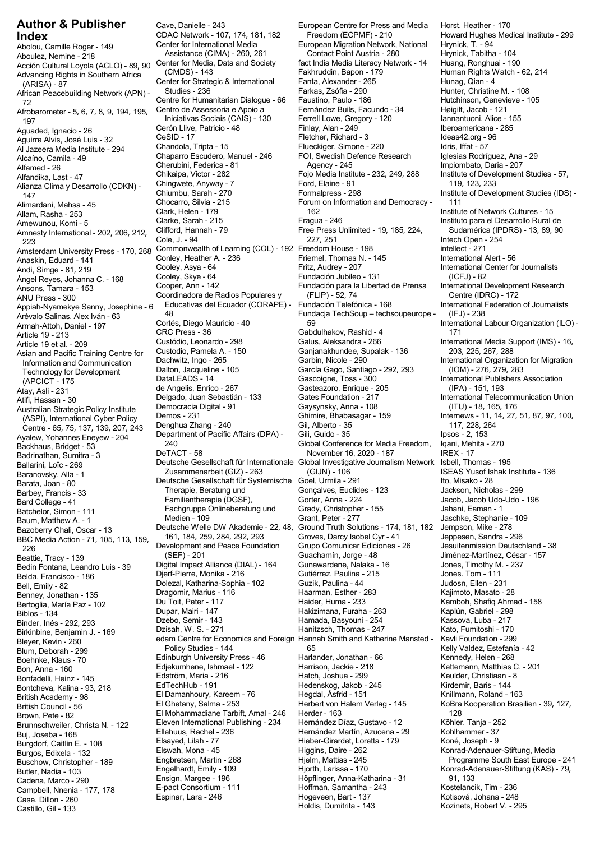Index CDAC Network - 107, 174, 181, 182 Freedom (ECPMF) - 210 Howard Hughes Medical Institute - 299<br>Abolou, Camille Roger - 149 Center for International Media European Migration Network, National Hrynick, T. - 94 Aboulez, Jumine - 218<br>Aboulez, Nemine - 218 Assistance (CIMA) - 260, 261 Contact Point Austria - 280 Hrynick, Tabitha - 104<br>Acción Cultural Lovola (ACLO) - 89, 90 Center for Media, Data and Society fact India Media Literac Acción Cultural Loyola (ACLO) - 89, 90 Center for Media, Data and Society fact India Media Literacy Network - 14 Huang, Ronghuai - 190<br>Advancing Rights in Southern Africa (CMDS) - 143 Fakhruddin, Bapon - 179 Human Rights W Advancing Rights in Southern Africa (CMDS) - 143 Fakhruddin, Bapon - 179 Fakhruddin, Bapon - 6265<br>4 Hunag, Qian - 4 Center for Strategic & International Fanta, Alexander - 265 Fanta, Alexander - 62, 2141 Alexander - 62, 2 Center for Strategic & International Fanta, Alexander - 265 Hunag, Qian - 4 (ARISA) - 87 African Peacebuilding Network (APN) - Studies - 236 Farkas, Zsófia - 290 Hunter, Christine M. - 108<br>Centre for Humanitarian Dialogue - 66 Faustino, Paulo - 186 Hutchinson, Genevieve - 105 medial decedenting reduction (vality)<br>T2 Mutchinson, Genevi<br>frobarometer - 5, 6, 7, 8, 9, 104, 105 Centro de Assessoria e Apoio a Fernández Buils, Facundo - 34 Høigilt, Jacob - 121 Afrobarometer - 5, 6, 7, 8, 9, 194, 195, Centro de Assessoria e Apoio a Fernández Buils, Facundo - 34 Høigilt, Jacob - 121<br>155 - Iniciativas Sociais (CAIS) - 130 Iniciativas Sociais (CAIS) - 130 Ferrell Lowe, Gregory - 120 Iannantuoni, Alice - 1:<br>1997 - Cerón Llive, Patricio - 48 Finlay, Alan - 249 Iberoamericana - 285 Aguaded, Ignacio - 26 Cerón Llive, Patricio - 48 Finlay, Alan - 249 Iberoamericana - 285 CeSID - 17 Fletcher, Richard - 3 Ideas42.org - 96 Aguirre Alvis, José Luis - 32 Al Jazeera Media Institute - 294 Chandola, Tripta - 15 Flueckiger, Simone - 220 ldris, Iffat - 57<br>Alcaíno, Camila - 49 Chaparro Escudero, Manuel - 246 FOI, Swedish Defence Research lglesias R Alcaíno, Camila - 49 Chaparro Escudero, Manuel - 246 FOI, Swedish Defence Research Iglesias Rodríguez, Ana - 207<br>Alfamed - 26 Impiombato, Daria - 207 Cherubini, Federica - 81 Agency - 245 Agency - 245 Impiombato, Daria - 2 Alfamed - 26 Cherubini, Federica - 81 Agency - 245<br>Alfaned - 26 Cherubini, Federica - 81 Agency - 245<br>Alfandika. Last - 47 Chikaipa, Victor - 282 Fojo Media Institute - 232, 249, 288 Chikaipa, Victor - 282 Fojo Media Institute - 232, 249, 288 Institute of Development Studies - 57,<br>Chingwete, Anyway - 7 Ford, Elaine - 91 119, 123, 233 Alianza Clima y Desarrollo (CDKN) - Chingwete, Anyway - *1* Ford, Elaine - 91 Ford, Elaine - 91 Chiumbu, Sarah - 270 האומבע האוויב של האוויד השמות ו-Chiumbu, Sarah - 270 Formalpress - 298 Institute of Development Studies (IDS)<br>Alimardani. Mahsa - 45 Chocarro, Silvia - 215 Forum on Information and Democracy - 111 Alimardani, Mahsa - 45 Chocarro, Silvia - 215 Forum on Information and Democracy - 111 Clark, Helen - 179 162 Institute of Network Cultures - 15 Allam, Rasha - 253 Clarke, Sarah - 215 **Fragua - 246** Fragua - 246 **Instituto para el Desarrollo Rural de**<br>Clifford, Hannah - 79 Free Press Unlimited - 19, 185, 224, Sudamérica (IPDRS) - 13, 89, 90 Amnesty International - 202, 206, 212, Clifford, Hannah - 79 Free Press Unlimited - 19, 185, 224, Sudamérica (IP<br>254 - Intech Open - 254 , Cole, J. - 94 , 227, 251 , 207, 251 Cole, J. - 94 227, 251 Intech Open - 254 223 Amsterdam University Press - 170, 268 Commonwealth of Learning (COL) - 192 Freedom House - 198 intellect - 271 Amsterdam University Press - 170, 268 Commonwealth of Learning (COL) - 192 Freedom House - 198<br>Anaskin, Eduard - 141 Conley, Heather A. - 236 Friemel, Thomas N. - 145 International Alert - 56<br>Andi Simge - 81, 219 Cooley, A Andskin, Eduard - 141<br>Andi, Simge - 81, 219 Cooley, Asya - 64 Fritz, Audrey - 207 International Center for Journalists<br>Angel Reves Johanna C - 168 Cooley, Skye - 64 Fundación Jubileo - 131 (ICFJ) - 82 Ángel Reyes, Johanna C. - 168 Cooley, Skye - 64 Fundación Jubileo - 131 (ICFJ) - 82 Cooper, Ann - 142 Fundación para la Libertad de Prensa International Development Ann - 142 Fundación para la Libertad de Prensa International Development Ann - 163 Cooper, Ann - 142 Fundación para la Libertad de Prensa Int Coordinadora de Radios Populares y (FLIP) - 52, 74 Centre (IDRC) - 172<br>Educativas del Ecuador (CORAPE) - Fundación Telefónica - 168 International Federation of Journalists Appiah-Nyamekye Sanny, Josephine - 6 Educativas del Ecuador (CORAPE) - Fundación Telefónica - 168 International Federation of Journalists Application Salinchyc Carlify, Josephine - 6<br>Arévalo Salinas, Alex Iván - 63 48<br>Armah-Attoh. Daniel - 197 Cortés, Diego Mauricio - 40 59 59 Cortés, Diego Mauricio - 40 59 1990 Februarie - 1980 International Labour Organization (ILO) - 1980 CRC Press - 36 1990 Februarie - 1980 Februarie - 1971 Article 19 - 213<br>
Article 19 - 213<br>
Article 19 et al. - 209 Custódio, Leonardo - 298 Galus, Aleksandra - 266 Article 19 et al. - 209 Custódio, Leonardo - 298 Galus, Aleksandra - 266 International Media Support (IMS) - 16, Asian and Pacific Training Centre for Custodio, Pamela A. - 150 Ganjanakhundee, Su<br>Information and Communication Dachwitz, Ingo - 265 Garbin, Nicole - 290 Dachwitz, Ingo - 265 Garbin, Nicole - 290 International Organization for Migration<br>Dalton, Jacqueline - 105 García Gago, Santiago - 292, 293 (IOM) - 276, 279, 283 monium and Carlin and Carlin Carlin Dalton, Jacqueline - 105 García Gago, Santiago - 292, 293<br>
(APCICT - 175 DataLEADS - 14 Gascoigne, Toss - 300 Composition Composition Composition Composition Composition Cascoigne, Toss - 300 International Publishers Association (APCICT - 175 de Angelis, Enrico - 267 Gasteazoro, Enrique - 205 (IPA) - 151, 193 de Angelis, Enrico - 267 **Gasteazoro, Enrique - 205**<br>Delgado, Juan Sebastián - 133 **Gates Foundation - 217** n Lettin, Varian - 217 (International Telecommunication Union<br>Aufi, Hassan - 30 (Internation Union Australian Strategic Democracia Digital - 91 (Internation Australian Strategic Policy Institute Democracia Digital - 91 (IT Australian Strategic Policy Institute Democracia Digital - 91 Gaysynsky, Anna - 108<br>(Institutional Cyber Policy Demos - 231, International Cyber Policy Demos - 231, International Cyber Policy المالك, ASPI), Internews - 11, 14, 27, 51, 87, 97, 100, 231 Ghimire, Bhabasagar - 159 Internews - 11, 14, 27, 51, 87, 97, 100, 200, 201, 208, 264 Internews - 11, 14, 27, 51, 87, 97, 100, 200, 201, 208, 2084 Internews - 11 Centre - 65, 75, 137, 139, 207, 243 Denghua Zhang - 240 Gil, Alberto - 35 117, 228, 2<br>Colling Channes Frevew - 204 Department of Pacific Affairs (DPA) - Gili, Guido - 35 1 Josos - 2, 153 Denire - 05, 15, 157, 159, 201, 245<br>Ayalew, Yohannes Eneyew - 204 Department of Pacific Affairs (DPA) - Gili, Guido - 35 Ipsos - 2, 153<br>Backhaus, Bridget - 53 270 240 Global Conference for Media Freedom, Iqani, Mehita - 27 Backhaus, Bridget - 53 240 Global Conference for Media Freedom, Iqani, Mehita - 270 Badrinathan, Sumitra - 3 DeTACT - 58 November 16, 2020 - 187 IREX - 17<br>Ballarini, Loïc - 269 Deutsche Gesellschaft für Internationale Global Investigative Journalism Network Isbell, Thomas - 195 Ballarini, Loïc - 269 Deutsche Gesellschaft für Internationale Global Investigative Journalism Network<br>Baranovsky, Alla - 1 Zusammenarbeit (GIZ) - 263 (GIJN) - 106 Barata, Joan - 80 Ito, Misako - 28<br>Barata, Joan - 80 Ito, Misako - 28<br>Barhey Francis - 33 Ito, Micholas - 299 Italyang und Conçalves, Euclides - 123 Jackson, Nicholas - 299 Barbey, Francis - 33 Therapie, Beratung und Gonçalves, Euclides - 123<br>Barbey, Francis - 33 Therapie, Millientherapie (DGSF), Gorter, Anna - 224 Barbey, Tancis - 33<br>Bard College - 41 **Familientherapie (DGSF),** Gorter, Anna - 224 Jacob, Jacob, Jacob Udo-Udo - 196<br>Batchelor, Simon - 111 Fachgruppe Onlineberatung und Grady, Christopher - 155 Jahani, Eaman - 1 Fachgruppe Onlineberatung und Grady, Christopher - 155 Jahani, Eaman - 1 Batchelor, Simon - 111 Baum, Matthew A. - 1<br>Baum, Matthew A. - 1 Medien - 109<br>Bazoberry Chali, Oscar - 13 Deutsche Welle DW Akademie - 22, 48, Ground Truth Solutions - 174, 181, 182 Jempson, Mike - 278 Beutsche Welle DW Akademie - 22, 48, Ground Truth Solutions - 174, 181, 182 Jempson, Mike - 278<br>161, 184, 259, 284, 292, 293 Groves, Darcy Isobel Cyr - 41 Jeppesen, Sandra - 296 BBC Media Action - 71 <sup>161</sup>, 184, 259, 284, 292, <sup>293</sup> Groves, Darcy Isobel Cyr - 41 Jeppesen, Sandra - 296 , 105, 113, 159, Development and Peace Foundation Grupo Comunicar Ediciones - 26 Jesuitenmission Deutschland - 38 226 Jesuitenmission Deutschland - 38 226 Jesuitenmission Deutschland - 38 226 Jesuitenmission Deutschland - 38 226 Jiménez-Ma Beattie, Tracy - 139 (SEF) - 201 Guachamín, Jorge - 48 Jiménez-Martínez, César - 157 Bedin Fontana, Leandro Luis - 39 Digital Impact Alliance (DIAL) - 164 Gunawardene, Nalaka - 16 Jones, Timothy M<br>111 - Belda Francisco - 186 Djerf-Pierre, Monika - 216 G Belda, Francisco - 186 Djerf-Pierre, Monika - 216 Gutiérrez, Paulina - 215 Jones. Tom - 111 Dolezal, Katharina-Sophia - 102 Guzik, Paulina - 44 Judosn, Ellen - 231 Bell, Emily - 82 Benney, Jonathan - 135 Dragomir, Marius - 116 Haarman, Esther - 283 Kajimoto, Masato - 28 Bertoglia, María Paz - 102 Du Toit, Peter - 117 Haider, Huma - 233 Kamboh, Shafiq Ahmad - 158 Biblos - 134 Dupar, Mairi - 147 Hakizimana, Furaha - 263 Kaplún, Gabriel - 298 Dzebo, Semir - 143 Hamada, Basyouni - 254 Kassova, Luba - 217 Binder, Inés - 292, 293 Birkinbine, Benjamin J. - 169 Dzisah, W. S. - 271 Hanitzsch, Thomas - 247 Kato, Fumitoshi - 170<br>1999 - Blever, Kevin - 260 Sedam Centre for Economics and Foreign Hannah Smith and Katherine Mansted - Kavli Foundation Bleyer, Kevin - 260 edam Centre for Economics and Foreign Hannah Smith and Katherine Mansted -<br>Blum, Deborah - 299 Policy Studies - 144 65 Blum, Deborah - 209 Folicy Studies - 144 Folicy Studies - 144 Folicy Studies - 144 Folicy Studies - 144 Folicy Studies - 144 Folicy Studies - 144 Folicy Studies - 144 Folicy Studies - 144 Folicy Studies - 16 Folicy Studies Edinburgh University Press - 46 Harlander, Jonathan -<br>Edjekumhene, Ishmael - 122 Harrison, Jackie - 218 Bon, Anna - 160 Edjekumhene, Ishmael - 122 Harrison, Jackie - 218 Kettemann, Matthias C. - 201 Bonfadelli, Heinz - 145 Edström, Maria - 216 Hatch, Joshua - 299 Keulder, Christiaan - 8 Bontcheva, Kalina - 93 EdTechHub - 191 Hedenskog, Jakob - 245 Kirdemir, Baris - 144 , 218 El Damanhoury, Kareem - 76 Hegdal, Åsfrid - 151<br>British Academy - 98 El Ghetany, Salma - 253 Herbert von Halem Verlag - 145 British Council - 56 El Ghetany, Salma - 253 Herbert von Halem Verlag - 145 KoBra Kooperation Brasilien - 39, 127,<br>Brown, Pete - 82 Brown, Pete - 82 El Mohammadiane Tarbift, Amal - 246 Herder - 163 128 128 128<br>Eleven International Publishing - 234 Hernández Díaz, Gustavo - 12 Köhler, Tanja - 252 Brunnschweiler, Christa N. - 122 Eleven International Publishing - 234 Hernández Díaz, Gustavo - 12 Köhler, Tanja - 252 Ellehuus, Rachel - 236 Hernández Martín, Azucena - 29 Kohlhammer - 37 Buj, Joseba - 168 Burgdorf, Caitlin E. - 108 Elsayed, Lilah - 77 Hieber-Girardet, Loretta - 179 Koné, Joseph - 9 Burgos, Edixela - 132 Elswah, Mona - 45 Higgins, Daire - 262 Konrad-Adenauer-Stiftung, Media Burgos, Edixela - 132<br>Buschow, Christopher - 189 Engbretsen, Martin - 268 Hjelm, Mattias - 245 Programme South East Europe - 241<br>Butler, Nadia - 103 Engelhardt, Emily - 109 Hjorth, Larissa - 170 Konrad-Adenauer-Stiftung (K Engelhardt, Emily - 109<br>Butler, Nadia - 103 Engelhardt, Emily - 109 Hjorth, Larissa - 170 Konrad-Adenauer-Stiftung (KAS) - 79,<br>Cadena, Marco - 290 Ensign, Margee - 196 Höpflinger, Anna-Katharina - 31 91, 133 Ensign, Margee - 196 **Ensign, Margee - 196** Höpflinger, Anna-Katharina - 31 91, 133<br>E-pact Consortium - 111 Hoffman, Samantha - 243 Kostelancik, Tim - 236

**Author & Publisher** Cave, Danielle - 243 European Centre for Press and Media Horst, Heather - 170<br>CDAC Network - 107, 174, 181, 182 Freedom (ECPMF) - 210 Howard Hughes Mec European Migration Network, National Hrynick, T. - 94<br>Contact Point Austria - 280 Hrynick, Tabitha - 104 Campbell, Nnenia - 177 E-pact Consortium - 111 Hoffman, Samantha - 243 Kostelancik, Tim - 236 , 178 Case, Dillon - 260 Espinar, Lara - 246 Hogeveen, Bart - 137 Kotisová, Johana - 248 Holdis, Dumitrita - 143 Kozinets, Robert V. - 295 Castillo, Gil - 133

ISEAS Yusof Ishak Institute - 136<br>Ito, Misako - 28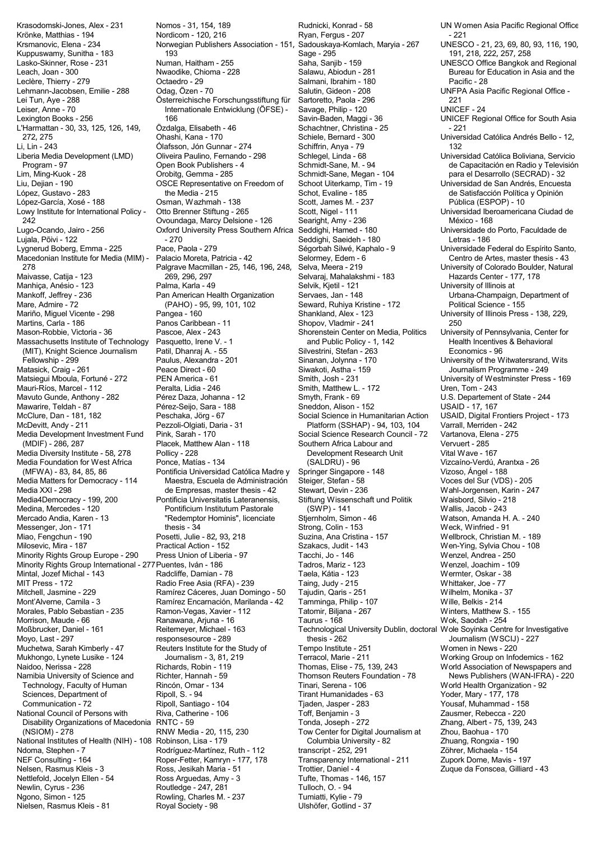Krönke, Matthias - 194 Nordicom - 120, 216 Ryan, Fergus - 207 - 221 Kuppuswamy, Sunitha - 183 193 Sage - 295 191, 218, 222, 257, 258 Leach, Joan - 300 Nwaodike, Chioma - 228 Salawu, Abiodun - 281 Bureau for Education in Asia and the<br>Calimani, Ibrahim - 180 Pacific - 28 Pacific - 28 Salmani, Ibrahim - 180 Pacific - 28 Leclère, Thierry - 279 Octaedro - 29 Salmani, Ibrahim - 180 Pacific - 28 Lei Tun, Aye - 288 Österreichische Forschungsstiftung für Sartoretto, Paola - 296 221 Leiser, Anne - 70 Internationale Entwicklung (ÖFSE) - Savage, Philip - 120 UNICEF - 24 L'Harmattan - 30, 33, 125, 126, 149, Özdalga, Elisabeth - 46 Schachtner, Christina - 25 - 221 272, 275 Ohashi, Kana - 170 Schiele, Bernard - 300 Universidad Católica Andrés Bello - 12, Liberia Media Development (LMD) Oliveira Paulino, Fernando - 298 Schlegel, Linda - 68 Universidad Católica Boliviana, Servicio Program - 97 Open Book Publishers - 4 Schmidt-Sane, M. - 94 de Capacitación en Radio y Televisión Liu, Dejian - 190 OSCE Representative on Freedom of Schoot Uiterkamp, Tim - 19 Universidad de San Andrés, Encuesta López-García, Xosé - 188 Osman, Wazhmah - 138 Scott, James M. - 237 Pública (ESPOP) - 10 242 Ovoundaga, Marcy Delsione - 126 Searight, Amy - 236 México - 168 Lugo-Ocando, Jairo - 256 **Oxford University Press Southern Africa**<br>
Lujala, Põivi - 122 **Dortografia - 180 University Press Southern Africa** Lygnerud Boberg, Emma - 225 Pace, Paola - 279 Ségorbah Silwé, Kaphalo - 9 Universidade Federal do Espírito Santo,<br>13 Macedonian Institute for Media (MIM) - Palacio Moreta, Patricia - 42 Selormey, Edem - 6 Centro de Artes, Macedonian Institute for Media (MIM) - Palacio Moreta, Patricia - 42 Selormey, Edem - 6 Centro de Artes, master thesis - 43<br>Palgrave Macmillan - 25, 146, 196, 248, Selva, Meera - 219 Chiversity of Colorado Boulder, Natural 278 Palgrave Macmillan - 25, 146, 196, 248, Selva, Meera - 219 University of Colorado Boulde<br>269, 296, 297 Selvaraj, Mahalakshmi - 183 Hazards Center - 177, 178 Manhiça, Anésio - 123 Palma, Karla - 49 Selvik, Kjetil - 121 University of Illinois at Mare, Admire - 72 (PAHO) - 95, 99, 101, 102 Seward, Ruhiya Kristine - 172<br>Mariño, Miquel Vicente - 298 Pangea - 160 (Shankland, Alex - 123 Mariño, Miguel Vicente - 298 Pangea - 160 Shankland, Alex - 123 University of Illinois Press - 138, 229,<br>Martins, Carla - 186 Shankland, Alex - 123 Shankland, Alex - 123 Shankland, Alex - 123 Martins, Carla - 186 Panos Caribbean - 11 Shopov, Vladmir - 241 250 Massachusetts Institute of Technology Pasquetto, Irene V. - 1 and Public Policy - 1, 142 Health Incentives & Behavioral<br>MIT). Knight Science Journalism Patil. Dhanrai A. - 55 Silvestrini. Stefan - 263 Economics - 96 (MIT), Knight Science Journalism<br>Fellowship - 299 Matasick, Craig - 261 Peace Direct - 60 Siwakoti, Astha - 159 Journalism Programme - 249<br>Matsiegui Mboula, Fortuné - 272 PEN America - 61 Smith, Josh - 231 University of W Mauri-Ríos, Marcel - 112 Peralta, Lidia - 246 Smith, Matthew L. - 172 Uren, Tom - 243 Mawarire, Teldah - 87 Pérez-Seijo, Sara - 188 Sneddon, Alison - 152 Brettarian Action - USAID - 17, 167<br>173 McClure, Dan - 181, 182 Peschaka, Jörg - 67 Social Science in Humanitarian Action - USAID, Digital Frontiers Proje McDevitt, Andy - 211 Pezzoli-Olgiati, Daria - 31 Platform (SSHAP) - 94, 103, 104 Varrall, Merriden - 242 Media Development Investment Fund Pink, Sarah - 170 Social Science Research Council - 72 Vartanova, Ele<br>285 - MDIF) - 286, 287 Southern Africa Labour and Vervuert - 285 Media Diversity Institute - 58, 278 Pollicy - 228 Pollicy - 228 Development Research Unit Vital Wave - 167<br>Media Foundation for West Africa Ponce, Matías - 134 (SALDRU) - 96 (SALDRU) - 96 Vizcaíno-Verdú, Arantxa - 26 Media Foundation for West Africa (MFWA) - 83, 84, 85, 86 Pontificia Universidad Católica Madre y Springer Singapore - 148 Vizoso, Ángel - 188 Media Matters for Democracy - 114 Maestra, Escuela de Administración Steiger, Stefan - 58 Voces del Sur (VDS) - 205 Media XXI - 298 Denemin Ade Empresas, master thesis - 42 Stewart, Devin - 236 Media XXI - 298 Wahl-Jorgensen, Karin - 218<br>Media4Democracy - 199, 200 Pontificia Universitatis Lateranensis, Stiftung Wissenschaft und Politik Media4Democracy - 199, 200 Pontificia Universitatis Lateranensis, Stiftung Wissenschaft und Politik Waisbord, Silvio - 218 Medina, Mercedes - 120 Pontificium Institutum Pastorale (SWP) - 141 Wallis, Jacob - 243<br>Mercado Andia, Karen - 13 "Redemptor Hominis", licenciate Stjernholm, Simon - 46 Watson, Amanda Messenger, Jon - 171 thesis - 34 Strong, Colin - 153 Weck, Winfried - 91 Milosevic, Mira - 187 Practical Action - 152 Szakacs, Judit - 143 Wen-Ying, Sylvia Chou - 108 Minority Rights Group Europe - 290 Press Union of Liberia - 97 Tacchi, Jo - 146 Nemzel, Andrea - 250 Menzel, Andrea - 250<br>200 Minority Rights Group International - 277 Puentes. Iván - 186 Tadros. Mariz - 123 Wenzel. Joachi Minority Rights Group International - 277 Puentes, Iván - 186 Mintal, Jozef Michal - 143 Radcliffe, Damian - 78 Taela, Kátia - 123 Kanssal Mirrer, Oskar - 38<br>MIT Press - 172 Kadio Free Asia (RFA) - 239 Taing, Judy - 215 Khittaker, Joe - 77 MIT Press - 172 Radio Free Asia (RFA) - 239 Taing, Judy - 215 Whittaker, Joe - 77 Mont'Alverne, Camila - 3 Ramírez Encarnación, Marilanda - 42 Tamminga, Philip - 107 Wille, Belkis - 214<br>Morales, Pablo Sebastian - 235 Ramon-Vegas, Xavier - 112 Tatomir, Biljana - 267 Winte Morales, Pablo Sebastian - 235 Ramon-Vegas, Xavier - 112 Tatomir, Biljana - 267 Winters, Matthew S. - 254 Winters, Matthew S. - 156 September 254 S. - 155 September 201<br>Morrison. Maude - 66 Saodah - 254 Ranawana. Ariuna - Morrison, Maude - 66 Ranawana, Arjuna - 16<br>Moßbrucker, Daniel - 161 Reitemeyer, Michael - 163 Moßbrucker, Daniel - 161 Reitemeyer, Michael - 163 Technological University Dublin, doctoral Wole Soyinka Centre for Investigative<br>Moyo, Last - 297 Journalism (WSCIJ) - 227 Moyo, Last - 297 responsesource - 289 thesis - 262 Journalism (WSCIJ) - 227<br>Muchetwa. Sarah Kimberly - 47 Reuters Institute for the Study of Tempo Institute - 251 Women in News - 220 Mukhongo, Lynete Lusike - 124 Journalism - 3, 81, 219 Terracol, Marie - 211 Working Group on Infodemics - 162 Naidoo, Nerissa - 228 **Richards, Robin - 119** Thomas, Elise - 75, 139, 243 World Association of Newspapers and Richards, Robin - 119 Thomas, Elise - 75, 139, 243 World Association of Newspapers and Richter, Hannah - 59 Tho Technology, Faculty of Human Rincón, Omar - 134 Tinari, Serena - 106 World Health Organization - 92<br>Sciences, Department of Ripoll, S. - 94 Tirant Humanidades - 63 Yoder, Mary - 177, 178 Sciences, Department of Ripoll, S. - 94 Tirant Humanidades - 63<br>Communication - 72 Ripoll, Santiago - 104 Tjaden, Jasper - 283 National Council of Persons with Riva, Catherine - 106 Toff, Benjamin - 3 Zausmer, Rebecca - 220 Disability Organizations of Macedonia RNTC - 59 Tonda, Joseph - 272 Zhang, Albert - 75, 139, 243<br>139, 243 Tow Center for Digital Journalism at Zhou, Baohua - 170 National Institutes of Health (NIH) - 108 Robinson, Lisa - 179 Columbia University - 82 Zhuang, Rongxia - 190 Ndoma, Stephen - 7 Rodríguez-Martínez, Ruth - 112 transcript - 252, 291 Zöhrer, Michaela - 154 NEF Consulting - 164 Roper-Fetter, Kamryn - 177, 178 Transparency International - 211 Roper-Fetter, Kamryn - 177, 178 Transparency International - 4<br>Nelsen, Rasmus Kleis - 3 Ross, Jesikah Maria - 51 Trottier, Daniel - 4 Nettlefold, Jocelyn Ellen - 54 Ross Arguedas, Amy - 3 Tufte, Thomas - 158, 1576 Ross Arguedas, Amy - 3 Tulloch, O. - 94 Newlin, Cyrus - 236 Routledge - 247, 281 Tulloch, O. - 94

Krasodomski-Jones, Alex - 231 Nomos - 31, 154, 189 Rudnicki, Konrad - 58 UN Women Asia Pacific Regional Office Korwegian Publishers Association - 151, Sadouskaya-Komlach, Maryia - 267 UNESCO - 21, 23, 69, 80, 93<br>191, 218, 222, 257, 258, 939 - 295 Lehmann-Jacobsen, Emilie - 288 Odag, Özen - 70 Salutin, Gideon - 208 UNFPA Asia Pacific Regional Office - Lexington Books - 256 166 Savin-Baden, Maggi - 36 UNICEF Regional Office for South Asia Ólafsson, Jón Gunnar - 274 López, Gustavo - 283 the Media - 215 Schot, Evaline - 185 de Satisfacción Política y Opinión 270 - 270 - Seddighi, Saeideh - 180 - 270 - 270 - 270 - 270 - 286 - 186<br>Pace, Paola - 279 - Ségorbah Silwé, Kaphalo - 9 - Universidade F 199, 296, 297 269, 297 Selvaraj, Mahalakshmi - 183 1989, 296, 297 269, 297 269, 297 269, 297 Selvik, Kjetil - 1<br>Palma, Karla - 49 26kvik, Kjetil - 121 Paulus, Alexandra - 201 **Paulus, Alexandra - 201** Sinanan, Jolynna - 170 University of the Witwatersrand, Wits Matsiegui Mboula, Fortuné - 272 PEN America - 61 Smith, Josh - 231 University of Westminster Press - 169 "Redemptor Hominis", licenciate Posetti, Julie - 82, 93, 218 Suzina, Ana Cristina - 157 Wellbrock, Christian M. - 189 Ramírez Cáceres, Juan Domingo - 50 Tajudin, Qaris - 251 Reuters Institute for the Study of Nichter, Hannah - 59 Thomson Reuters Foundation - 78 News Publishers (WAN-IFRA) - 220<br>Rincón, Omar - 134 Tinari, Serena - 106 News Publishers (WAN-IFRA) - 220 Rowling, Charles M. - 237

Shorenstein Center on Media, Politics Social Science in Humanitarian Action Southern Africa Labour and Tow Center for Digital Journalism at Zhou, Baohua - 170<br>Columbia University - 82 Zhuang, Rongxia - 190 Trottier, Daniel - 4 **7 Augus Algue da Fonscea, Gilliard - 43** Tufte, Thomas - 146, 157 Nielsen, Rasmus Kleis - 81 Royal Society - 98 Ulshöfer, Gotlind - 37

Lasko-Skinner, Rose - 231 Numan, Haitham - 255 Saha, Sanjib - 159 UNESCO Office Bangkok and Regional para el Desarrollo (SECRAD) - 32 Universidad Iberoamericana Ciudad de Urbana-Champaign, Department of<br>Political Science - 155 U.S. Departement of State - 244 Yousaf, Muhammad - 158